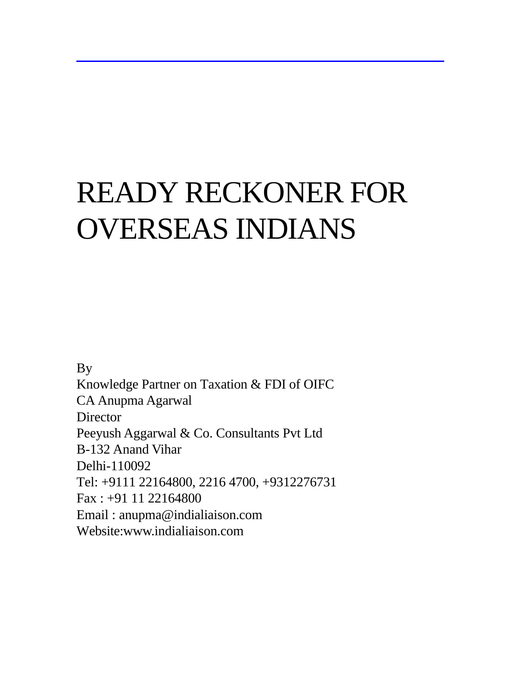# READY RECKONER FOR OVERSEAS INDIANS

By Knowledge Partner on Taxation & FDI of OIFC CA Anupma Agarwal **Director** Peeyush Aggarwal & Co. Consultants Pvt Ltd B-132 Anand Vihar Delhi-110092 Tel: +9111 22164800, 2216 4700, +9312276731 Fax : +91 11 22164800 Email : anupma@indialiaison.com Website:www.indialiaison.com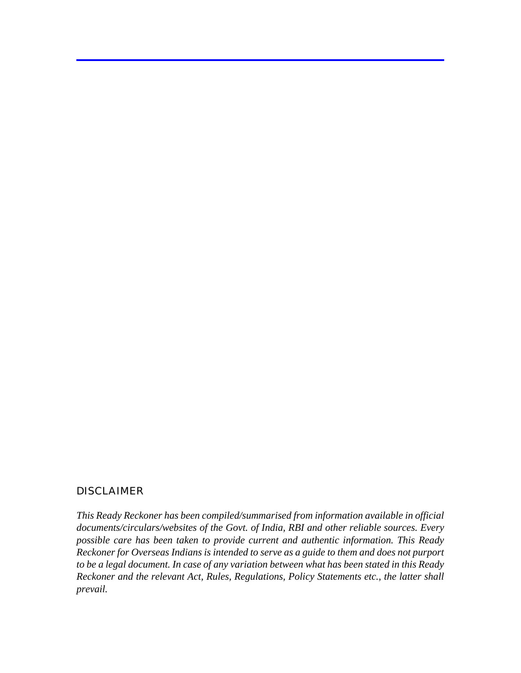#### DISCLAIMER

*This Ready Reckoner has been compiled/summarised from information available in official documents/circulars/websites of the Govt. of India, RBI and other reliable sources. Every possible care has been taken to provide current and authentic information. This Ready Reckoner for Overseas Indians is intended to serve as a guide to them and does not purport to be a legal document. In case of any variation between what has been stated in this Ready Reckoner and the relevant Act, Rules, Regulations, Policy Statements etc., the latter shall prevail.*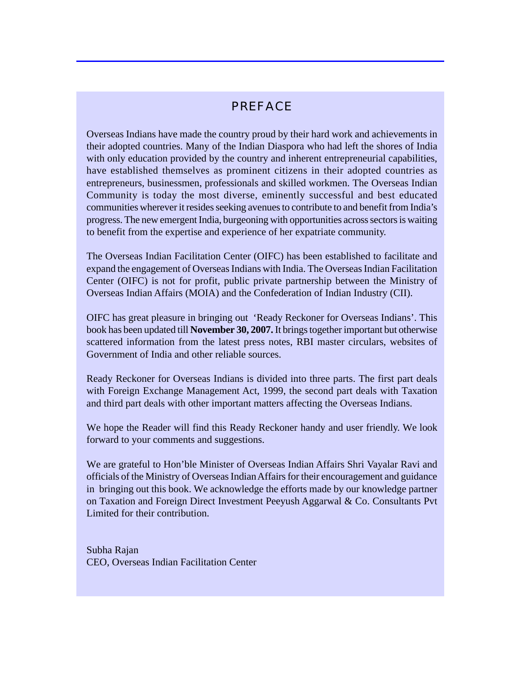# PREFACE

Overseas Indians have made the country proud by their hard work and achievements in their adopted countries. Many of the Indian Diaspora who had left the shores of India with only education provided by the country and inherent entrepreneurial capabilities, have established themselves as prominent citizens in their adopted countries as entrepreneurs, businessmen, professionals and skilled workmen. The Overseas Indian Community is today the most diverse, eminently successful and best educated communities wherever it resides seeking avenues to contribute to and benefit from India's progress. The new emergent India, burgeoning with opportunities across sectors is waiting to benefit from the expertise and experience of her expatriate community.

The Overseas Indian Facilitation Center (OIFC) has been established to facilitate and expand the engagement of Overseas Indians with India. The Overseas Indian Facilitation Center (OIFC) is not for profit, public private partnership between the Ministry of Overseas Indian Affairs (MOIA) and the Confederation of Indian Industry (CII).

OIFC has great pleasure in bringing out 'Ready Reckoner for Overseas Indians'. This book has been updated till **November 30, 2007.** It brings together important but otherwise scattered information from the latest press notes, RBI master circulars, websites of Government of India and other reliable sources.

Ready Reckoner for Overseas Indians is divided into three parts. The first part deals with Foreign Exchange Management Act, 1999, the second part deals with Taxation and third part deals with other important matters affecting the Overseas Indians.

We hope the Reader will find this Ready Reckoner handy and user friendly. We look forward to your comments and suggestions.

We are grateful to Hon'ble Minister of Overseas Indian Affairs Shri Vayalar Ravi and officials of the Ministry of Overseas Indian Affairs for their encouragement and guidance in bringing out this book. We acknowledge the efforts made by our knowledge partner on Taxation and Foreign Direct Investment Peeyush Aggarwal & Co. Consultants Pvt Limited for their contribution.

Subha Rajan CEO, Overseas Indian Facilitation Center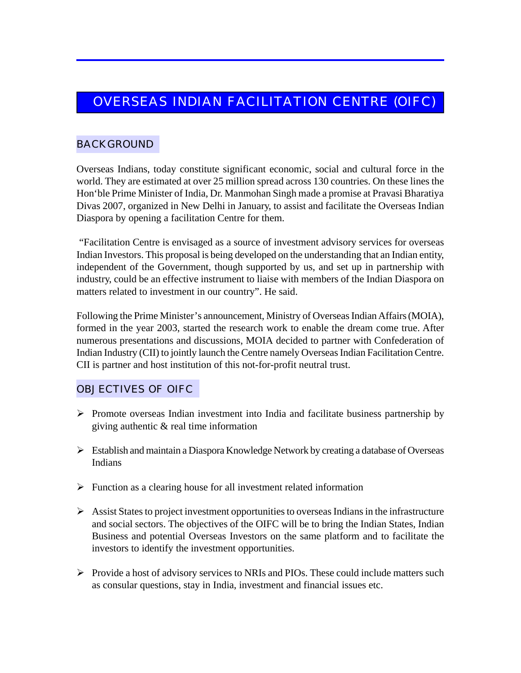# OVERSEAS INDIAN FACILITATION CENTRE (OIFC)

# BACKGROUND

Overseas Indians, today constitute significant economic, social and cultural force in the world. They are estimated at over 25 million spread across 130 countries. On these lines the Hon'ble Prime Minister of India, Dr. Manmohan Singh made a promise at Pravasi Bharatiya Divas 2007, organized in New Delhi in January, to assist and facilitate the Overseas Indian Diaspora by opening a facilitation Centre for them.

 "Facilitation Centre is envisaged as a source of investment advisory services for overseas Indian Investors. This proposal is being developed on the understanding that an Indian entity, independent of the Government, though supported by us, and set up in partnership with industry, could be an effective instrument to liaise with members of the Indian Diaspora on matters related to investment in our country". He said.

Following the Prime Minister's announcement, Ministry of Overseas Indian Affairs (MOIA), formed in the year 2003, started the research work to enable the dream come true. After numerous presentations and discussions, MOIA decided to partner with Confederation of Indian Industry (CII) to jointly launch the Centre namely Overseas Indian Facilitation Centre. CII is partner and host institution of this not-for-profit neutral trust.

# OBJECTIVES OF OIFC

- $\triangleright$  Promote overseas Indian investment into India and facilitate business partnership by giving authentic & real time information
- $\triangleright$  Establish and maintain a Diaspora Knowledge Network by creating a database of Overseas Indians
- $\triangleright$  Function as a clearing house for all investment related information
- $\triangleright$  Assist States to project investment opportunities to overseas Indians in the infrastructure and social sectors. The objectives of the OIFC will be to bring the Indian States, Indian Business and potential Overseas Investors on the same platform and to facilitate the investors to identify the investment opportunities.
- $\triangleright$  Provide a host of advisory services to NRIs and PIOs. These could include matters such as consular questions, stay in India, investment and financial issues etc.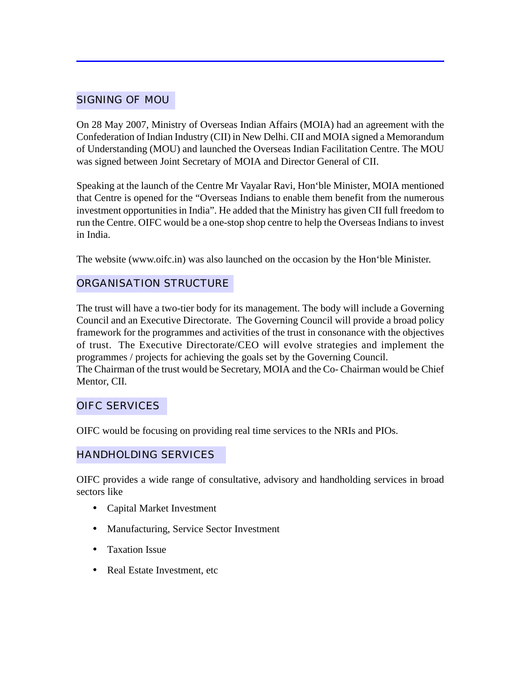# SIGNING OF MOU

On 28 May 2007, Ministry of Overseas Indian Affairs (MOIA) had an agreement with the Confederation of Indian Industry (CII) in New Delhi. CII and MOIA signed a Memorandum of Understanding (MOU) and launched the Overseas Indian Facilitation Centre. The MOU was signed between Joint Secretary of MOIA and Director General of CII.

Speaking at the launch of the Centre Mr Vayalar Ravi, Hon'ble Minister, MOIA mentioned that Centre is opened for the "Overseas Indians to enable them benefit from the numerous investment opportunities in India". He added that the Ministry has given CII full freedom to run the Centre. OIFC would be a one-stop shop centre to help the Overseas Indians to invest in India.

The website (www.oifc.in) was also launched on the occasion by the Hon'ble Minister.

# ORGANISATION STRUCTURE

The trust will have a two-tier body for its management. The body will include a Governing Council and an Executive Directorate. The Governing Council will provide a broad policy framework for the programmes and activities of the trust in consonance with the objectives of trust. The Executive Directorate/CEO will evolve strategies and implement the programmes / projects for achieving the goals set by the Governing Council. The Chairman of the trust would be Secretary, MOIA and the Co- Chairman would be Chief Mentor, CII.

# OIFC SERVICES

OIFC would be focusing on providing real time services to the NRIs and PIOs.

# HANDHOLDING SERVICES

OIFC provides a wide range of consultative, advisory and handholding services in broad sectors like

- Capital Market Investment
- Manufacturing, Service Sector Investment
- Taxation Issue
- Real Estate Investment, etc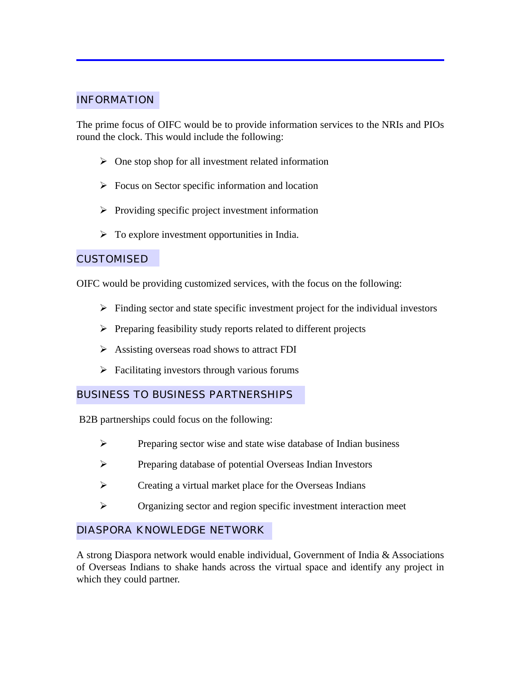# INFORMATION

The prime focus of OIFC would be to provide information services to the NRIs and PIOs round the clock. This would include the following:

- $\triangleright$  One stop shop for all investment related information
- $\triangleright$  Focus on Sector specific information and location
- $\triangleright$  Providing specific project investment information
- $\triangleright$  To explore investment opportunities in India.

#### CUSTOMISED

OIFC would be providing customized services, with the focus on the following:

- $\triangleright$  Finding sector and state specific investment project for the individual investors
- $\triangleright$  Preparing feasibility study reports related to different projects
- $\triangleright$  Assisting overseas road shows to attract FDI
- $\triangleright$  Facilitating investors through various forums

# BUSINESS TO BUSINESS PARTNERSHIPS

B2B partnerships could focus on the following:

- $\triangleright$  Preparing sector wise and state wise database of Indian business
- ÿ Preparing database of potential Overseas Indian Investors
- $\triangleright$  Creating a virtual market place for the Overseas Indians
- $\triangleright$  Organizing sector and region specific investment interaction meet

# DIASPORA KNOWLEDGE NETWORK

A strong Diaspora network would enable individual, Government of India & Associations of Overseas Indians to shake hands across the virtual space and identify any project in which they could partner.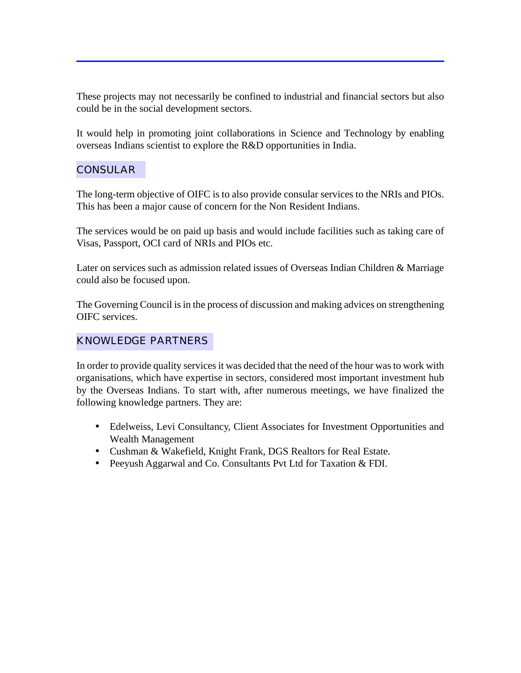These projects may not necessarily be confined to industrial and financial sectors but also could be in the social development sectors.

It would help in promoting joint collaborations in Science and Technology by enabling overseas Indians scientist to explore the R&D opportunities in India.

# **CONSULAR**

The long-term objective of OIFC is to also provide consular services to the NRIs and PIOs. This has been a major cause of concern for the Non Resident Indians.

The services would be on paid up basis and would include facilities such as taking care of Visas, Passport, OCI card of NRIs and PIOs etc.

Later on services such as admission related issues of Overseas Indian Children & Marriage could also be focused upon.

The Governing Council is in the process of discussion and making advices on strengthening OIFC services.

# KNOWLEDGE PARTNERS

In order to provide quality services it was decided that the need of the hour was to work with organisations, which have expertise in sectors, considered most important investment hub by the Overseas Indians. To start with, after numerous meetings, we have finalized the following knowledge partners. They are:

- Edelweiss, Levi Consultancy, Client Associates for Investment Opportunities and Wealth Management
- Cushman & Wakefield, Knight Frank, DGS Realtors for Real Estate.
- Peeyush Aggarwal and Co. Consultants Pvt Ltd for Taxation & FDI.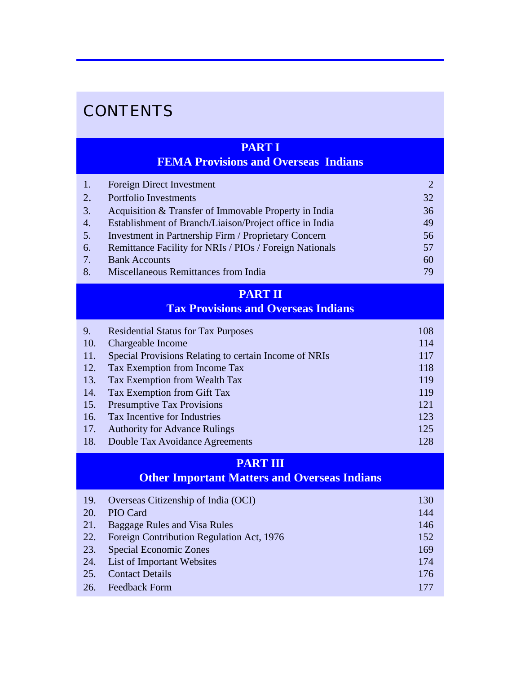# **CONTENTS**

# **PART I**

# **FEMA Provisions and Overseas Indians**

| $\left 1\right\rangle$ | Foreign Direct Investment                                   | $\mathcal{D}_{\mathcal{L}}$ |
|------------------------|-------------------------------------------------------------|-----------------------------|
| 2.                     | Portfolio Investments                                       | 32                          |
| 3.                     | Acquisition & Transfer of Immovable Property in India       | 36                          |
| 4.                     | Establishment of Branch/Liaison/Project office in India     | 49                          |
| 5.                     | <b>Investment in Partnership Firm / Proprietary Concern</b> | 56                          |
| 6.                     | Remittance Facility for NRIs / PIOs / Foreign Nationals     | 57                          |
| 7.                     | <b>Bank Accounts</b>                                        | 60                          |
| 8.                     | Miscellaneous Remittances from India                        | 79                          |

# **PART II Tax Provisions and Overseas Indians**

| 9.  | <b>Residential Status for Tax Purposes</b>            | 108 |
|-----|-------------------------------------------------------|-----|
| 10. | <b>Chargeable Income</b>                              | 114 |
| 11. | Special Provisions Relating to certain Income of NRIs | 117 |
| 12. | Tax Exemption from Income Tax                         | 118 |
| 13. | Tax Exemption from Wealth Tax                         | 119 |
| 14. | Tax Exemption from Gift Tax                           | 119 |
| 15. | <b>Presumptive Tax Provisions</b>                     | 121 |
| 16. | Tax Incentive for Industries                          | 123 |
| 17. | <b>Authority for Advance Rulings</b>                  | 125 |
| 18. | Double Tax Avoidance Agreements                       | 128 |

# **PART III**

# **Other Important Matters and Overseas Indians**

| <b>19.</b> | Overseas Citizenship of India (OCI)       | 130 |
|------------|-------------------------------------------|-----|
| 20.        | PIO Card                                  | 144 |
| 21.        | Baggage Rules and Visa Rules              | 146 |
| 22.        | Foreign Contribution Regulation Act, 1976 | 152 |
| 23.        | <b>Special Economic Zones</b>             | 169 |
| 24.        | <b>List of Important Websites</b>         | 174 |
| 25.        | <b>Contact Details</b>                    | 176 |
| 26.        | <b>Feedback Form</b>                      | 177 |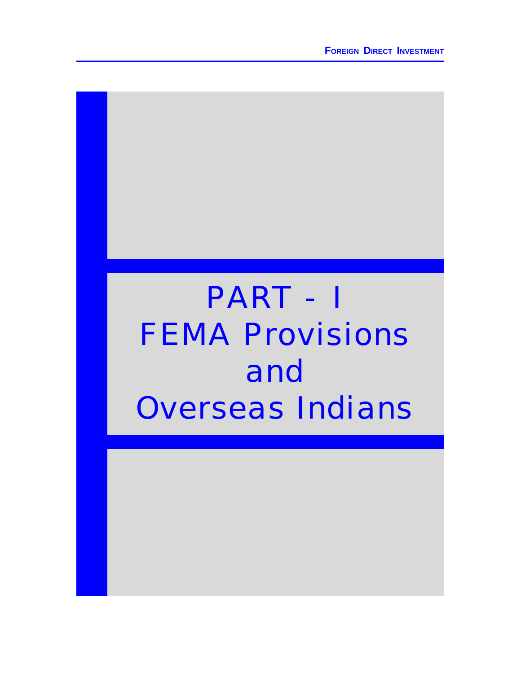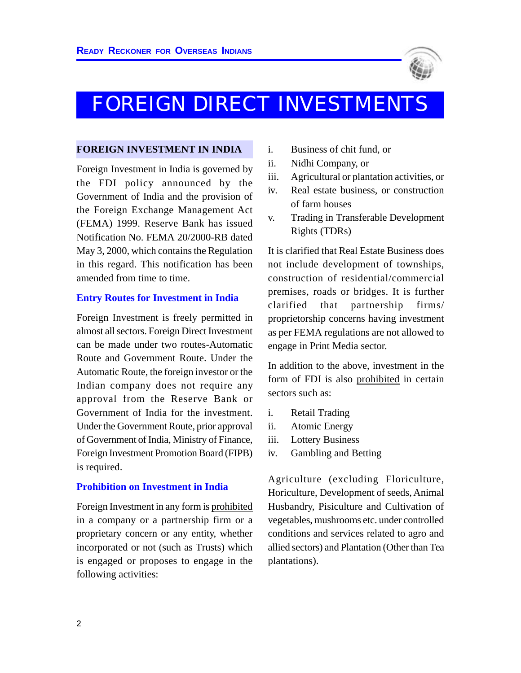

# FOREIGN DIRECT INVESTMENTS

#### **FOREIGN INVESTMENT IN INDIA**

Foreign Investment in India is governed by the FDI policy announced by the Government of India and the provision of the Foreign Exchange Management Act (FEMA) 1999. Reserve Bank has issued Notification No. FEMA 20/2000-RB dated May 3, 2000, which contains the Regulation in this regard. This notification has been amended from time to time.

#### **Entry Routes for Investment in India**

Foreign Investment is freely permitted in almost all sectors. Foreign Direct Investment can be made under two routes-Automatic Route and Government Route. Under the Automatic Route, the foreign investor or the Indian company does not require any approval from the Reserve Bank or Government of India for the investment. Under the Government Route, prior approval of Government of India, Ministry of Finance, Foreign Investment Promotion Board (FIPB) is required.

#### **Prohibition on Investment in India**

Foreign Investment in any form is prohibited in a company or a partnership firm or a proprietary concern or any entity, whether incorporated or not (such as Trusts) which is engaged or proposes to engage in the following activities:

- i. Business of chit fund, or
- ii. Nidhi Company, or
- iii. Agricultural or plantation activities, or
- iv. Real estate business, or construction of farm houses
- v. Trading in Transferable Development Rights (TDRs)

It is clarified that Real Estate Business does not include development of townships, construction of residential/commercial premises, roads or bridges. It is further clarified that partnership firms/ proprietorship concerns having investment as per FEMA regulations are not allowed to engage in Print Media sector.

In addition to the above, investment in the form of FDI is also prohibited in certain sectors such as:

- i. Retail Trading
- ii. Atomic Energy
- iii. Lottery Business
- iv. Gambling and Betting

Agriculture (excluding Floriculture, Horiculture, Development of seeds, Animal Husbandry, Pisiculture and Cultivation of vegetables, mushrooms etc. under controlled conditions and services related to agro and allied sectors) and Plantation (Other than Tea plantations).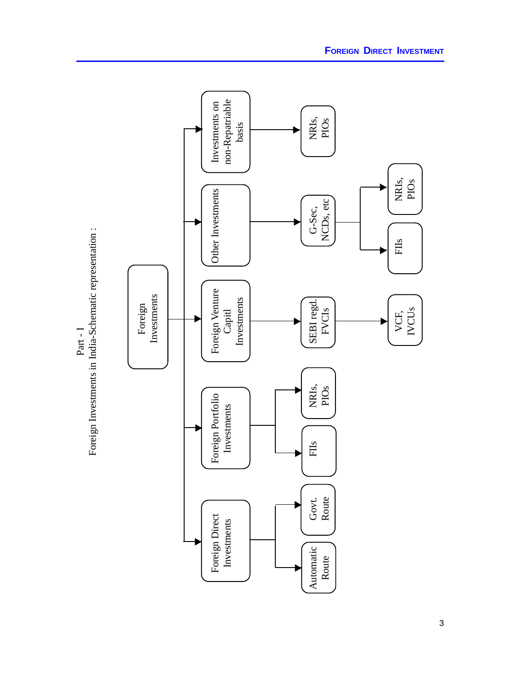

3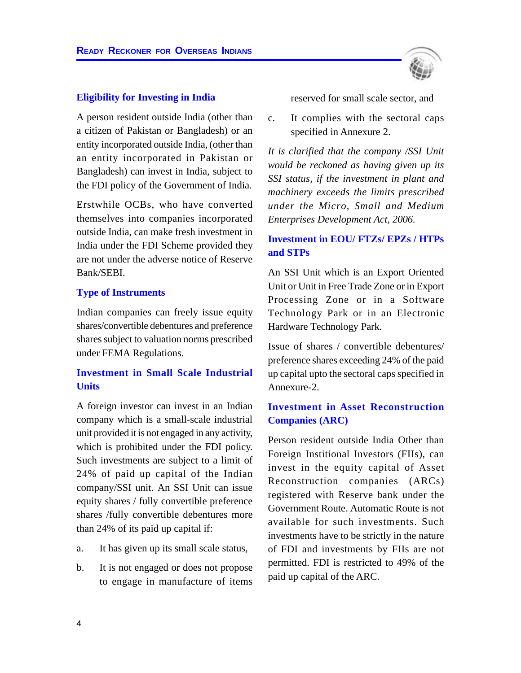#### **Eligibility for Investing in India**

A person resident outside India (other than a citizen of Pakistan or Bangladesh) or an entity incorporated outside India, (other than an entity incorporated in Pakistan or Bangladesh) can invest in India, subject to the FDI policy of the Government of India.

Erstwhile OCBs, who have converted themselves into companies incorporated outside India, can make fresh investment in India under the FDI Scheme provided they are not under the adverse notice of Reserve Bank/SEBI.

#### **Type of Instruments**

Indian companies can freely issue equity shares/convertible debentures and preference shares subject to valuation norms prescribed under FEMA Regulations.

# **Investment in Small Scale Industrial Units**

A foreign investor can invest in an Indian company which is a small-scale industrial unit provided it is not engaged in any activity, which is prohibited under the FDI policy. Such investments are subject to a limit of 24% of paid up capital of the Indian company/SSI unit. An SSI Unit can issue equity shares / fully convertible preference shares /fully convertible debentures more than 24% of its paid up capital if:

- a. It has given up its small scale status,
- b. It is not engaged or does not propose to engage in manufacture of items

reserved for small scale sector, and

c. It complies with the sectoral caps specified in Annexure 2.

*It is clarified that the company /SSI Unit would be reckoned as having given up its SSI status, if the investment in plant and machinery exceeds the limits prescribed under the Micro, Small and Medium Enterprises Development Act, 2006.*

# **Investment in EOU/ FTZs/ EPZs / HTPs and STPs**

An SSI Unit which is an Export Oriented Unit or Unit in Free Trade Zone or in Export Processing Zone or in a Software Technology Park or in an Electronic Hardware Technology Park.

Issue of shares / convertible debentures/ preference shares exceeding 24% of the paid up capital upto the sectoral caps specified in Annexure-2.

# **Investment in Asset Reconstruction Companies (ARC)**

Person resident outside India Other than Foreign Institional Investors (FIIs), can invest in the equity capital of Asset Reconstruction companies (ARCs) registered with Reserve bank under the Government Route. Automatic Route is not available for such investments. Such investments have to be strictly in the nature of FDI and investments by FIIs are not permitted. FDI is restricted to 49% of the paid up capital of the ARC.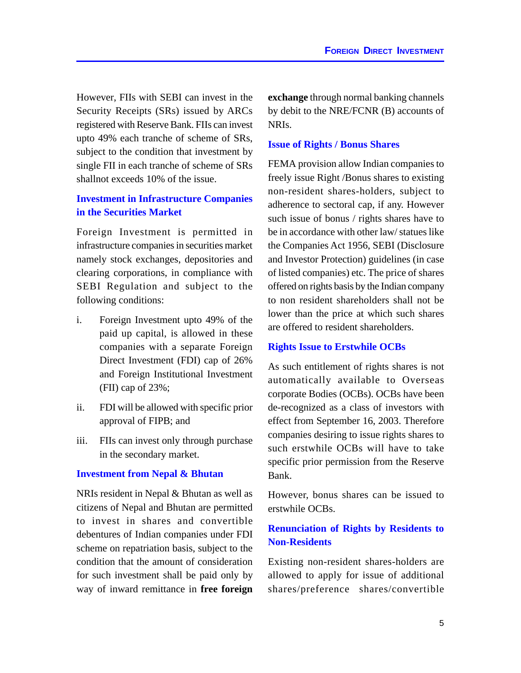However, FIIs with SEBI can invest in the Security Receipts (SRs) issued by ARCs registered with Reserve Bank. FIIs can invest upto 49% each tranche of scheme of SRs, subject to the condition that investment by single FII in each tranche of scheme of SRs shallnot exceeds 10% of the issue.

# **Investment in Infrastructure Companies in the Securities Market**

Foreign Investment is permitted in infrastructure companies in securities market namely stock exchanges, depositories and clearing corporations, in compliance with SEBI Regulation and subject to the following conditions:

- i. Foreign Investment upto 49% of the paid up capital, is allowed in these companies with a separate Foreign Direct Investment (FDI) cap of 26% and Foreign Institutional Investment (FII) cap of 23%;
- ii. FDI will be allowed with specific prior approval of FIPB; and
- iii. FIIs can invest only through purchase in the secondary market.

#### **Investment from Nepal & Bhutan**

NRIs resident in Nepal & Bhutan as well as citizens of Nepal and Bhutan are permitted to invest in shares and convertible debentures of Indian companies under FDI scheme on repatriation basis, subject to the condition that the amount of consideration for such investment shall be paid only by way of inward remittance in **free foreign** **exchange** through normal banking channels by debit to the NRE/FCNR (B) accounts of NRIs.

#### **Issue of Rights / Bonus Shares**

FEMA provision allow Indian companies to freely issue Right /Bonus shares to existing non-resident shares-holders, subject to adherence to sectoral cap, if any. However such issue of bonus / rights shares have to be in accordance with other law/ statues like the Companies Act 1956, SEBI (Disclosure and Investor Protection) guidelines (in case of listed companies) etc. The price of shares offered on rights basis by the Indian company to non resident shareholders shall not be lower than the price at which such shares are offered to resident shareholders.

#### **Rights Issue to Erstwhile OCBs**

As such entitlement of rights shares is not automatically available to Overseas corporate Bodies (OCBs). OCBs have been de-recognized as a class of investors with effect from September 16, 2003. Therefore companies desiring to issue rights shares to such erstwhile OCBs will have to take specific prior permission from the Reserve Bank.

However, bonus shares can be issued to erstwhile OCBs.

# **Renunciation of Rights by Residents to Non-Residents**

Existing non-resident shares-holders are allowed to apply for issue of additional shares/preference shares/convertible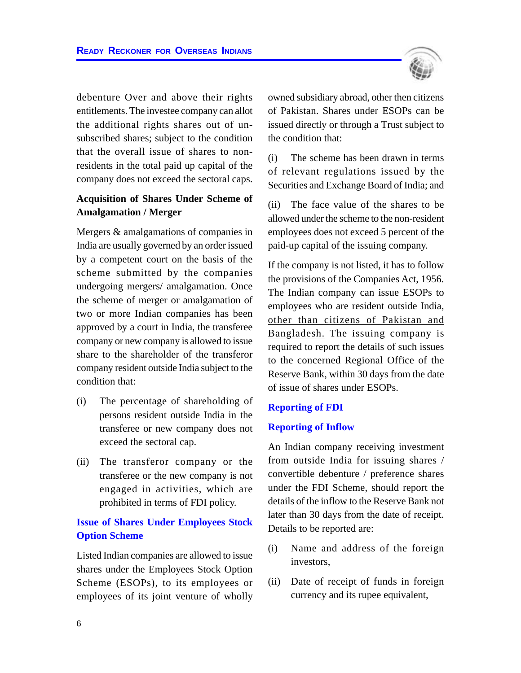debenture Over and above their rights entitlements. The investee company can allot the additional rights shares out of unsubscribed shares; subject to the condition that the overall issue of shares to nonresidents in the total paid up capital of the company does not exceed the sectoral caps.

# **Acquisition of Shares Under Scheme of Amalgamation / Merger**

Mergers & amalgamations of companies in India are usually governed by an order issued by a competent court on the basis of the scheme submitted by the companies undergoing mergers/ amalgamation. Once the scheme of merger or amalgamation of two or more Indian companies has been approved by a court in India, the transferee company or new company is allowed to issue share to the shareholder of the transferor company resident outside India subject to the condition that:

- (i) The percentage of shareholding of persons resident outside India in the transferee or new company does not exceed the sectoral cap.
- (ii) The transferor company or the transferee or the new company is not engaged in activities, which are prohibited in terms of FDI policy.

# **Issue of Shares Under Employees Stock Option Scheme**

Listed Indian companies are allowed to issue shares under the Employees Stock Option Scheme (ESOPs), to its employees or employees of its joint venture of wholly owned subsidiary abroad, other then citizens of Pakistan. Shares under ESOPs can be issued directly or through a Trust subject to the condition that:

(i) The scheme has been drawn in terms of relevant regulations issued by the Securities and Exchange Board of India; and

(ii) The face value of the shares to be allowed under the scheme to the non-resident employees does not exceed 5 percent of the paid-up capital of the issuing company.

If the company is not listed, it has to follow the provisions of the Companies Act, 1956. The Indian company can issue ESOPs to employees who are resident outside India, other than citizens of Pakistan and Bangladesh. The issuing company is required to report the details of such issues to the concerned Regional Office of the Reserve Bank, within 30 days from the date of issue of shares under ESOPs.

#### **Reporting of FDI**

#### **Reporting of Inflow**

An Indian company receiving investment from outside India for issuing shares / convertible debenture / preference shares under the FDI Scheme, should report the details of the inflow to the Reserve Bank not later than 30 days from the date of receipt. Details to be reported are:

- (i) Name and address of the foreign investors,
- (ii) Date of receipt of funds in foreign currency and its rupee equivalent,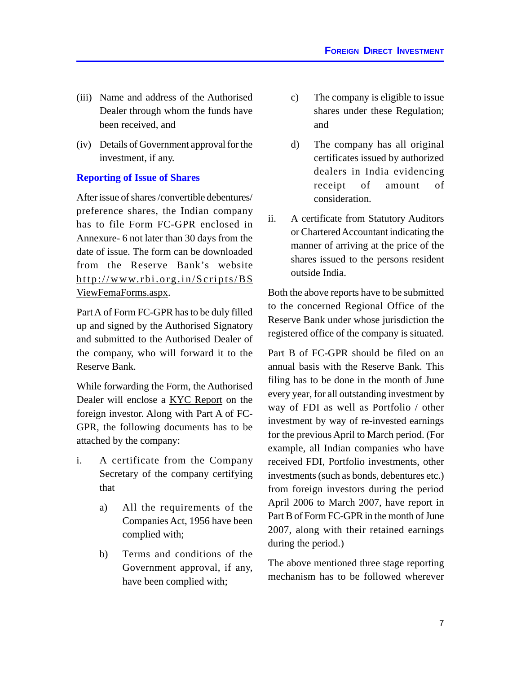- (iii) Name and address of the Authorised Dealer through whom the funds have been received, and
- (iv) Details of Government approval for the investment, if any.

# **Reporting of Issue of Shares**

After issue of shares /convertible debentures/ preference shares, the Indian company has to file Form FC-GPR enclosed in Annexure- 6 not later than 30 days from the date of issue. The form can be downloaded from the Reserve Bank's website http://www.rbi.org.in/Scripts/BS ViewFemaForms.aspx.

Part A of Form FC-GPR has to be duly filled up and signed by the Authorised Signatory and submitted to the Authorised Dealer of the company, who will forward it to the Reserve Bank.

While forwarding the Form, the Authorised Dealer will enclose a KYC Report on the foreign investor. Along with Part A of FC-GPR, the following documents has to be attached by the company:

- i. A certificate from the Company Secretary of the company certifying that
	- a) All the requirements of the Companies Act, 1956 have been complied with;
	- b) Terms and conditions of the Government approval, if any, have been complied with;
- c) The company is eligible to issue shares under these Regulation; and
- d) The company has all original certificates issued by authorized dealers in India evidencing receipt of amount of consideration.
- ii. A certificate from Statutory Auditors or Chartered Accountant indicating the manner of arriving at the price of the shares issued to the persons resident outside India.

Both the above reports have to be submitted to the concerned Regional Office of the Reserve Bank under whose jurisdiction the registered office of the company is situated.

Part B of FC-GPR should be filed on an annual basis with the Reserve Bank. This filing has to be done in the month of June every year, for all outstanding investment by way of FDI as well as Portfolio / other investment by way of re-invested earnings for the previous April to March period. (For example, all Indian companies who have received FDI, Portfolio investments, other investments (such as bonds, debentures etc.) from foreign investors during the period April 2006 to March 2007, have report in Part B of Form FC-GPR in the month of June 2007, along with their retained earnings during the period.)

The above mentioned three stage reporting mechanism has to be followed wherever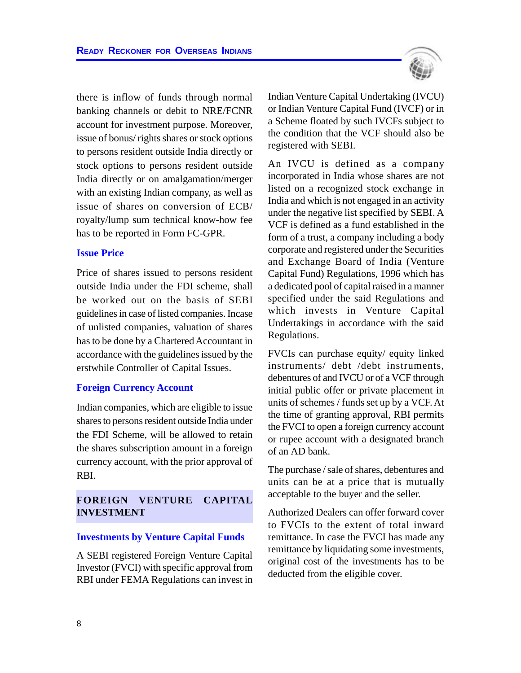there is inflow of funds through normal banking channels or debit to NRE/FCNR account for investment purpose. Moreover, issue of bonus/ rights shares or stock options to persons resident outside India directly or stock options to persons resident outside India directly or on amalgamation/merger with an existing Indian company, as well as issue of shares on conversion of ECB/ royalty/lump sum technical know-how fee has to be reported in Form FC-GPR.

#### **Issue Price**

Price of shares issued to persons resident outside India under the FDI scheme, shall be worked out on the basis of SEBI guidelines in case of listed companies. Incase of unlisted companies, valuation of shares has to be done by a Chartered Accountant in accordance with the guidelines issued by the erstwhile Controller of Capital Issues.

#### **Foreign Currency Account**

Indian companies, which are eligible to issue shares to persons resident outside India under the FDI Scheme, will be allowed to retain the shares subscription amount in a foreign currency account, with the prior approval of RBI.

#### **FOREIGN VENTURE CAPITAL INVESTMENT**

#### **Investments by Venture Capital Funds**

A SEBI registered Foreign Venture Capital Investor (FVCI) with specific approval from RBI under FEMA Regulations can invest in



Indian Venture Capital Undertaking (IVCU) or Indian Venture Capital Fund (IVCF) or in a Scheme floated by such IVCFs subject to the condition that the VCF should also be registered with SEBI.

An IVCU is defined as a company incorporated in India whose shares are not listed on a recognized stock exchange in India and which is not engaged in an activity under the negative list specified by SEBI. A VCF is defined as a fund established in the form of a trust, a company including a body corporate and registered under the Securities and Exchange Board of India (Venture Capital Fund) Regulations, 1996 which has a dedicated pool of capital raised in a manner specified under the said Regulations and which invests in Venture Capital Undertakings in accordance with the said Regulations.

FVCIs can purchase equity/ equity linked instruments/ debt /debt instruments, debentures of and IVCU or of a VCF through initial public offer or private placement in units of schemes / funds set up by a VCF. At the time of granting approval, RBI permits the FVCI to open a foreign currency account or rupee account with a designated branch of an AD bank.

The purchase / sale of shares, debentures and units can be at a price that is mutually acceptable to the buyer and the seller.

Authorized Dealers can offer forward cover to FVCIs to the extent of total inward remittance. In case the FVCI has made any remittance by liquidating some investments, original cost of the investments has to be deducted from the eligible cover.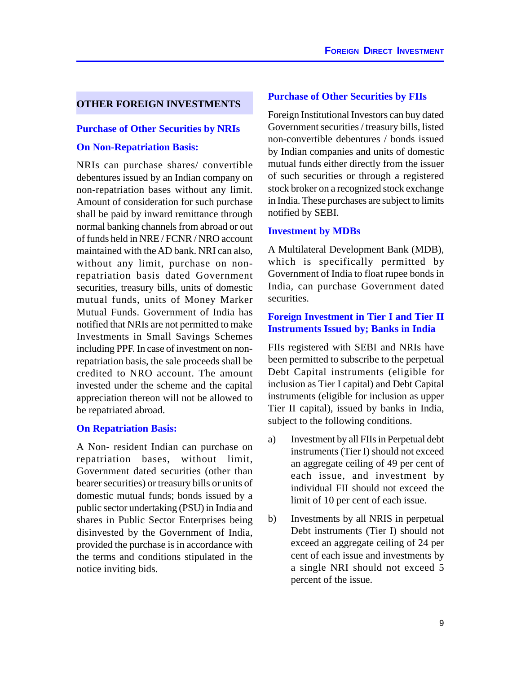#### **OTHER FOREIGN INVESTMENTS**

#### **Purchase of Other Securities by NRIs**

#### **On Non-Repatriation Basis:**

NRIs can purchase shares/ convertible debentures issued by an Indian company on non-repatriation bases without any limit. Amount of consideration for such purchase shall be paid by inward remittance through normal banking channels from abroad or out of funds held in NRE / FCNR / NRO account maintained with the AD bank. NRI can also, without any limit, purchase on nonrepatriation basis dated Government securities, treasury bills, units of domestic mutual funds, units of Money Marker Mutual Funds. Government of India has notified that NRIs are not permitted to make Investments in Small Savings Schemes including PPF. In case of investment on nonrepatriation basis, the sale proceeds shall be credited to NRO account. The amount invested under the scheme and the capital appreciation thereon will not be allowed to be repatriated abroad.

#### **On Repatriation Basis:**

A Non- resident Indian can purchase on repatriation bases, without limit, Government dated securities (other than bearer securities) or treasury bills or units of domestic mutual funds; bonds issued by a public sector undertaking (PSU) in India and shares in Public Sector Enterprises being disinvested by the Government of India, provided the purchase is in accordance with the terms and conditions stipulated in the notice inviting bids.

#### **Purchase of Other Securities by FIIs**

Foreign Institutional Investors can buy dated Government securities / treasury bills, listed non-convertible debentures / bonds issued by Indian companies and units of domestic mutual funds either directly from the issuer of such securities or through a registered stock broker on a recognized stock exchange in India. These purchases are subject to limits notified by SEBI.

#### **Investment by MDBs**

A Multilateral Development Bank (MDB), which is specifically permitted by Government of India to float rupee bonds in India, can purchase Government dated securities.

#### **Foreign Investment in Tier I and Tier II Instruments Issued by; Banks in India**

FIIs registered with SEBI and NRIs have been permitted to subscribe to the perpetual Debt Capital instruments (eligible for inclusion as Tier I capital) and Debt Capital instruments (eligible for inclusion as upper Tier II capital), issued by banks in India, subject to the following conditions.

- a) Investment by all FIIs in Perpetual debt instruments (Tier I) should not exceed an aggregate ceiling of 49 per cent of each issue, and investment by individual FII should not exceed the limit of 10 per cent of each issue.
- b) Investments by all NRIS in perpetual Debt instruments (Tier I) should not exceed an aggregate ceiling of 24 per cent of each issue and investments by a single NRI should not exceed 5 percent of the issue.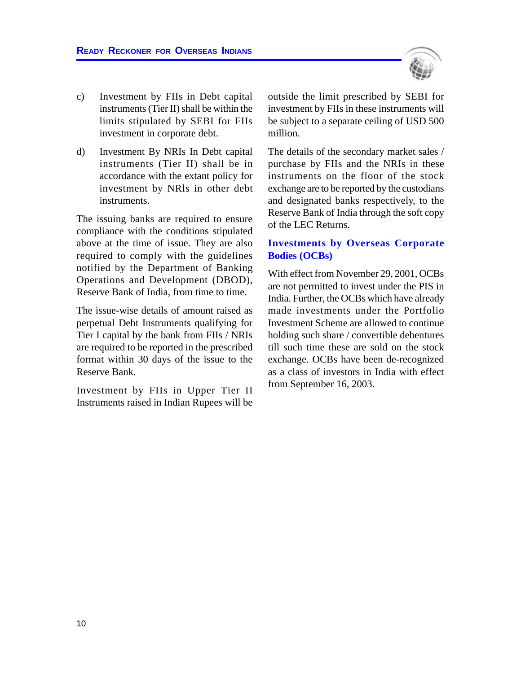

- c) Investment by FIIs in Debt capital instruments (Tier II) shall be within the limits stipulated by SEBI for FIIs investment in corporate debt.
- d) Investment By NRIs In Debt capital instruments (Tier II) shall be in accordance with the extant policy for investment by NRls in other debt instruments.

The issuing banks are required to ensure compliance with the conditions stipulated above at the time of issue. They are also required to comply with the guidelines notified by the Department of Banking Operations and Development (DBOD), Reserve Bank of India, from time to time.

The issue-wise details of amount raised as perpetual Debt Instruments qualifying for Tier I capital by the bank from FIIs / NRIs are required to be reported in the prescribed format within 30 days of the issue to the Reserve Bank.

Investment by FIIs in Upper Tier II Instruments raised in Indian Rupees will be

outside the limit prescribed by SEBI for investment by FIIs in these instruments will be subject to a separate ceiling of USD 500 million.

The details of the secondary market sales / purchase by FIIs and the NRIs in these instruments on the floor of the stock exchange are to be reported by the custodians and designated banks respectively, to the Reserve Bank of India through the soft copy of the LEC Returns.

#### **Investments by Overseas Corporate Bodies (OCBs)**

With effect from November 29, 2001, OCBs are not permitted to invest under the PIS in India. Further, the OCBs which have already made investments under the Portfolio Investment Scheme are allowed to continue holding such share / convertible debentures till such time these are sold on the stock exchange. OCBs have been de-recognized as a class of investors in India with effect from September 16, 2003.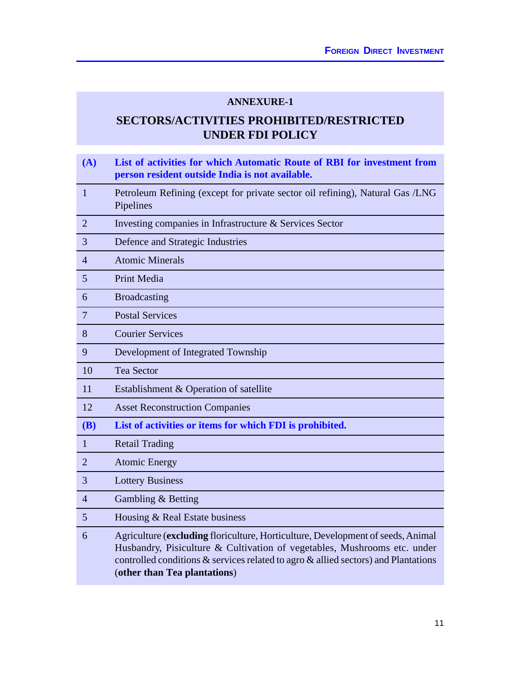#### **ANNEXURE-1**

# **SECTORS/ACTIVITIES PROHIBITED/RESTRICTED UNDER FDI POLICY**

| (A)             | List of activities for which Automatic Route of RBI for investment from<br>person resident outside India is not available.                                                                                                                                                        |
|-----------------|-----------------------------------------------------------------------------------------------------------------------------------------------------------------------------------------------------------------------------------------------------------------------------------|
| $\mathbf{1}$    | Petroleum Refining (except for private sector oil refining), Natural Gas /LNG<br>Pipelines                                                                                                                                                                                        |
| $\overline{2}$  | Investing companies in Infrastructure & Services Sector                                                                                                                                                                                                                           |
| 3               | Defence and Strategic Industries                                                                                                                                                                                                                                                  |
| $\overline{4}$  | <b>Atomic Minerals</b>                                                                                                                                                                                                                                                            |
| 5               | Print Media                                                                                                                                                                                                                                                                       |
| 6               | <b>Broadcasting</b>                                                                                                                                                                                                                                                               |
| $\overline{7}$  | <b>Postal Services</b>                                                                                                                                                                                                                                                            |
| 8               | <b>Courier Services</b>                                                                                                                                                                                                                                                           |
| 9               | Development of Integrated Township                                                                                                                                                                                                                                                |
| 10              | <b>Tea Sector</b>                                                                                                                                                                                                                                                                 |
| 11              | Establishment & Operation of satellite                                                                                                                                                                                                                                            |
| 12              | <b>Asset Reconstruction Companies</b>                                                                                                                                                                                                                                             |
| <b>(B)</b>      | List of activities or items for which FDI is prohibited.                                                                                                                                                                                                                          |
| 1               | <b>Retail Trading</b>                                                                                                                                                                                                                                                             |
| $\overline{2}$  | <b>Atomic Energy</b>                                                                                                                                                                                                                                                              |
| 3               | <b>Lottery Business</b>                                                                                                                                                                                                                                                           |
| $\overline{4}$  | Gambling & Betting                                                                                                                                                                                                                                                                |
| $5\overline{)}$ | Housing & Real Estate business                                                                                                                                                                                                                                                    |
| 6               | Agriculture (excluding floriculture, Horticulture, Development of seeds, Animal<br>Husbandry, Pisiculture & Cultivation of vegetables, Mushrooms etc. under<br>controlled conditions & services related to agro & allied sectors) and Plantations<br>(other than Tea plantations) |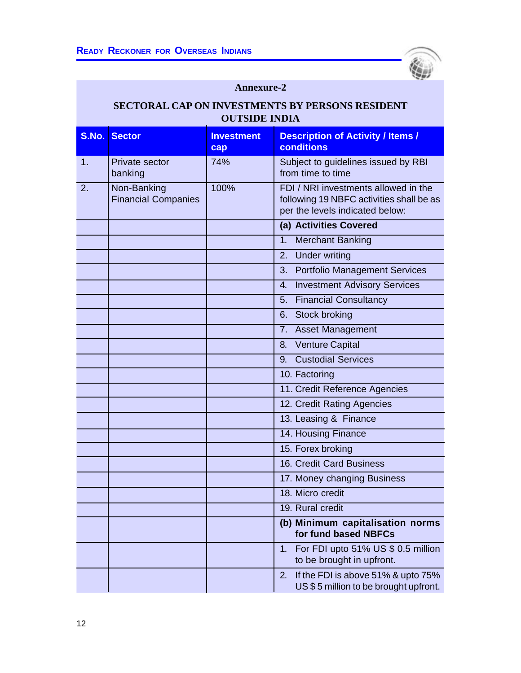

# **Annexure-2**

# **SECTORAL CAP ON INVESTMENTS BY PERSONS RESIDENT OUTSIDE INDIA**

| S.No. | <b>Sector</b>                             | <b>Investment</b><br>cap | <b>Description of Activity / Items /</b><br><b>conditions</b>                                                       |
|-------|-------------------------------------------|--------------------------|---------------------------------------------------------------------------------------------------------------------|
| 1.    | Private sector<br>banking                 | 74%                      | Subject to guidelines issued by RBI<br>from time to time                                                            |
| 2.    | Non-Banking<br><b>Financial Companies</b> | 100%                     | FDI / NRI investments allowed in the<br>following 19 NBFC activities shall be as<br>per the levels indicated below: |
|       |                                           |                          | (a) Activities Covered                                                                                              |
|       |                                           |                          | <b>Merchant Banking</b><br>1.                                                                                       |
|       |                                           |                          | 2. Under writing                                                                                                    |
|       |                                           |                          | 3. Portfolio Management Services                                                                                    |
|       |                                           |                          | <b>Investment Advisory Services</b><br>$\overline{4}$ .                                                             |
|       |                                           |                          | 5. Financial Consultancy                                                                                            |
|       |                                           |                          | 6. Stock broking                                                                                                    |
|       |                                           |                          | 7. Asset Management                                                                                                 |
|       |                                           |                          | <b>Venture Capital</b><br>8.                                                                                        |
|       |                                           |                          | <b>Custodial Services</b><br>9.                                                                                     |
|       |                                           |                          | 10. Factoring                                                                                                       |
|       |                                           |                          | 11. Credit Reference Agencies                                                                                       |
|       |                                           |                          | 12. Credit Rating Agencies                                                                                          |
|       |                                           |                          | 13. Leasing & Finance                                                                                               |
|       |                                           |                          | 14. Housing Finance                                                                                                 |
|       |                                           |                          | 15. Forex broking                                                                                                   |
|       |                                           |                          | 16. Credit Card Business                                                                                            |
|       |                                           |                          | 17. Money changing Business                                                                                         |
|       |                                           |                          | 18. Micro credit                                                                                                    |
|       |                                           |                          | 19. Rural credit                                                                                                    |
|       |                                           |                          | (b) Minimum capitalisation norms<br>for fund based NBFCs                                                            |
|       |                                           |                          | For FDI upto 51% US \$ 0.5 million<br>1.<br>to be brought in upfront.                                               |
|       |                                           |                          | 2.<br>If the FDI is above 51% & upto 75%<br>US\$5 million to be brought upfront.                                    |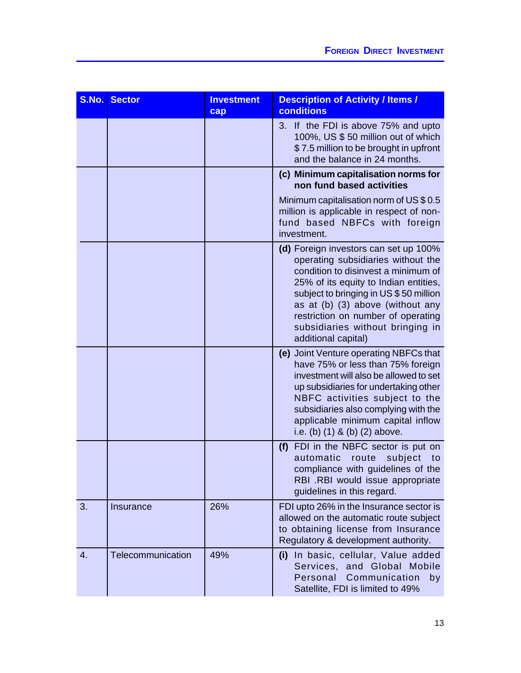| S.No. | <b>Sector</b>     | <b>Investment</b><br>cap | <b>Description of Activity / Items /</b><br>conditions                                                                                                                                                                                                                                                                                    |
|-------|-------------------|--------------------------|-------------------------------------------------------------------------------------------------------------------------------------------------------------------------------------------------------------------------------------------------------------------------------------------------------------------------------------------|
|       |                   |                          | 3. If the FDI is above 75% and upto<br>100%, US \$50 million out of which<br>\$7.5 million to be brought in upfront<br>and the balance in 24 months.                                                                                                                                                                                      |
|       |                   |                          | (c) Minimum capitalisation norms for<br>non fund based activities                                                                                                                                                                                                                                                                         |
|       |                   |                          | Minimum capitalisation norm of US \$ 0.5<br>million is applicable in respect of non-<br>fund based NBFCs with foreign<br>investment.                                                                                                                                                                                                      |
|       |                   |                          | (d) Foreign investors can set up 100%<br>operating subsidiaries without the<br>condition to disinvest a minimum of<br>25% of its equity to Indian entities,<br>subject to bringing in US\$50 million<br>as at (b) (3) above (without any<br>restriction on number of operating<br>subsidiaries without bringing in<br>additional capital) |
|       |                   |                          | (e) Joint Venture operating NBFCs that<br>have 75% or less than 75% foreign<br>investment will also be allowed to set<br>up subsidiaries for undertaking other<br>NBFC activities subject to the<br>subsidiaries also complying with the<br>applicable minimum capital inflow<br>i.e. (b) $(1)$ & (b) $(2)$ above.                        |
|       |                   |                          | (f) FDI in the NBFC sector is put on<br>automatic<br>route<br>subject<br>to<br>compliance with guidelines of the<br>RBI .RBI would issue appropriate<br>guidelines in this regard.                                                                                                                                                        |
| 3.    | Insurance         | 26%                      | FDI upto 26% in the Insurance sector is<br>allowed on the automatic route subject<br>to obtaining license from Insurance<br>Regulatory & development authority.                                                                                                                                                                           |
| 4.    | Telecommunication | 49%                      | (i) In basic, cellular, Value added<br>Services, and Global Mobile<br>Personal<br>Communication<br>by<br>Satellite, FDI is limited to 49%                                                                                                                                                                                                 |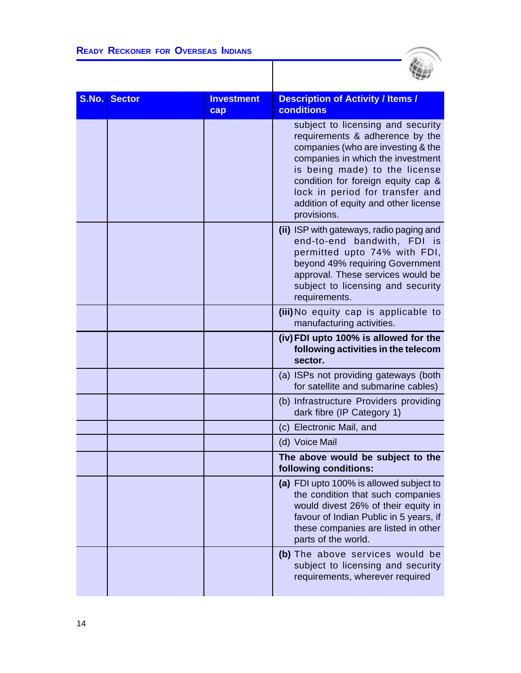

| S.No. | <b>Sector</b> | <b>Investment</b><br>cap | <b>Description of Activity / Items /</b><br>conditions                                                                                                                                                                                                                                                           |
|-------|---------------|--------------------------|------------------------------------------------------------------------------------------------------------------------------------------------------------------------------------------------------------------------------------------------------------------------------------------------------------------|
|       |               |                          | subject to licensing and security<br>requirements & adherence by the<br>companies (who are investing & the<br>companies in which the investment<br>is being made) to the license<br>condition for foreign equity cap &<br>lock in period for transfer and<br>addition of equity and other license<br>provisions. |
|       |               |                          | (ii) ISP with gateways, radio paging and<br>end-to-end bandwith, FDI is<br>permitted upto 74% with FDI,<br>beyond 49% requiring Government<br>approval. These services would be<br>subject to licensing and security<br>requirements.                                                                            |
|       |               |                          | (iii) No equity cap is applicable to<br>manufacturing activities.                                                                                                                                                                                                                                                |
|       |               |                          | (iv) FDI upto 100% is allowed for the<br>following activities in the telecom<br>sector.                                                                                                                                                                                                                          |
|       |               |                          | (a) ISPs not providing gateways (both<br>for satellite and submarine cables)                                                                                                                                                                                                                                     |
|       |               |                          | (b) Infrastructure Providers providing<br>dark fibre (IP Category 1)                                                                                                                                                                                                                                             |
|       |               |                          | (c) Electronic Mail, and                                                                                                                                                                                                                                                                                         |
|       |               |                          | (d) Voice Mail                                                                                                                                                                                                                                                                                                   |
|       |               |                          | The above would be subject to the<br>following conditions:                                                                                                                                                                                                                                                       |
|       |               |                          | (a) FDI upto 100% is allowed subject to<br>the condition that such companies<br>would divest 26% of their equity in<br>favour of Indian Public in 5 years, if<br>these companies are listed in other<br>parts of the world.                                                                                      |
|       |               |                          | (b) The above services would be<br>subject to licensing and security<br>requirements, wherever required                                                                                                                                                                                                          |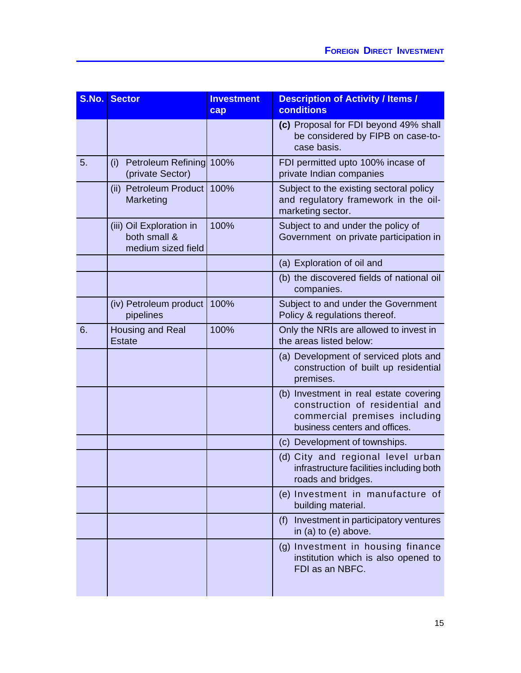| S.No. | Sector                                                         | <b>Investment</b><br>cap | <b>Description of Activity / Items /</b><br>conditions                                                                                      |
|-------|----------------------------------------------------------------|--------------------------|---------------------------------------------------------------------------------------------------------------------------------------------|
|       |                                                                |                          | (c) Proposal for FDI beyond 49% shall<br>be considered by FIPB on case-to-<br>case basis.                                                   |
| 5.    | Petroleum Refining 100%<br>(i)<br>(private Sector)             |                          | FDI permitted upto 100% incase of<br>private Indian companies                                                                               |
|       | (ii) Petroleum Product<br>Marketing                            | 100%                     | Subject to the existing sectoral policy<br>and regulatory framework in the oil-<br>marketing sector.                                        |
|       | (iii) Oil Exploration in<br>both small &<br>medium sized field | 100%                     | Subject to and under the policy of<br>Government on private participation in                                                                |
|       |                                                                |                          | (a) Exploration of oil and                                                                                                                  |
|       |                                                                |                          | (b) the discovered fields of national oil<br>companies.                                                                                     |
|       | (iv) Petroleum product<br>pipelines                            | 100%                     | Subject to and under the Government<br>Policy & regulations thereof.                                                                        |
| 6.    | Housing and Real<br><b>Estate</b>                              | 100%                     | Only the NRIs are allowed to invest in<br>the areas listed below:                                                                           |
|       |                                                                |                          | (a) Development of serviced plots and<br>construction of built up residential<br>premises.                                                  |
|       |                                                                |                          | (b) Investment in real estate covering<br>construction of residential and<br>commercial premises including<br>business centers and offices. |
|       |                                                                |                          | (c) Development of townships.                                                                                                               |
|       |                                                                |                          | (d) City and regional level urban<br>infrastructure facilities including both<br>roads and bridges.                                         |
|       |                                                                |                          | (e) Investment in manufacture of<br>building material.                                                                                      |
|       |                                                                |                          | Investment in participatory ventures<br>(f)<br>in (a) to (e) above.                                                                         |
|       |                                                                |                          | (g) Investment in housing finance<br>institution which is also opened to<br>FDI as an NBFC.                                                 |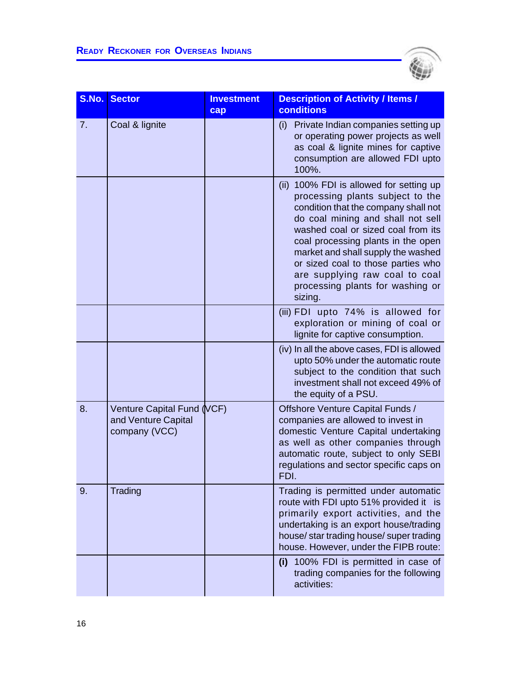

| S.No. | <b>Sector</b>                                                      | <b>Investment</b><br>cap | <b>Description of Activity / Items /</b><br>conditions                                                                                                                                                                                                                                                                                                                                            |
|-------|--------------------------------------------------------------------|--------------------------|---------------------------------------------------------------------------------------------------------------------------------------------------------------------------------------------------------------------------------------------------------------------------------------------------------------------------------------------------------------------------------------------------|
| 7.    | Coal & lignite                                                     |                          | Private Indian companies setting up<br>(i)<br>or operating power projects as well<br>as coal & lignite mines for captive<br>consumption are allowed FDI upto<br>100%.                                                                                                                                                                                                                             |
|       |                                                                    |                          | (ii) 100% FDI is allowed for setting up<br>processing plants subject to the<br>condition that the company shall not<br>do coal mining and shall not sell<br>washed coal or sized coal from its<br>coal processing plants in the open<br>market and shall supply the washed<br>or sized coal to those parties who<br>are supplying raw coal to coal<br>processing plants for washing or<br>sizing. |
|       |                                                                    |                          | (iii) FDI upto 74% is allowed for<br>exploration or mining of coal or<br>lignite for captive consumption.                                                                                                                                                                                                                                                                                         |
|       |                                                                    |                          | (iv) In all the above cases, FDI is allowed<br>upto 50% under the automatic route<br>subject to the condition that such<br>investment shall not exceed 49% of<br>the equity of a PSU.                                                                                                                                                                                                             |
| 8.    | Venture Capital Fund (VCF)<br>and Venture Capital<br>company (VCC) |                          | Offshore Venture Capital Funds /<br>companies are allowed to invest in<br>domestic Venture Capital undertaking<br>as well as other companies through<br>automatic route, subject to only SEBI<br>regulations and sector specific caps on<br>FDI.                                                                                                                                                  |
| 9.    | Trading                                                            |                          | Trading is permitted under automatic<br>route with FDI upto 51% provided it is<br>primarily export activities, and the<br>undertaking is an export house/trading<br>house/ star trading house/ super trading<br>house. However, under the FIPB route:                                                                                                                                             |
|       |                                                                    |                          | 100% FDI is permitted in case of<br>(i)<br>trading companies for the following<br>activities:                                                                                                                                                                                                                                                                                                     |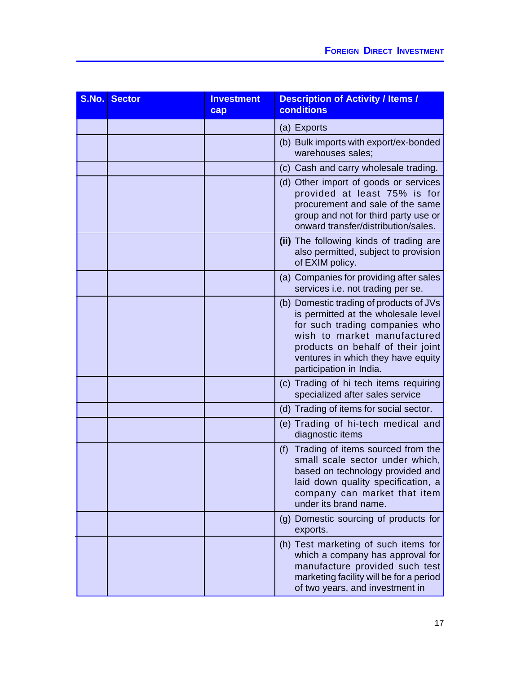| S.No. | <b>Sector</b> | <b>Investment</b><br>cap | <b>Description of Activity / Items /</b><br>conditions                                                                                                                                                                                                |
|-------|---------------|--------------------------|-------------------------------------------------------------------------------------------------------------------------------------------------------------------------------------------------------------------------------------------------------|
|       |               |                          | (a) Exports                                                                                                                                                                                                                                           |
|       |               |                          | (b) Bulk imports with export/ex-bonded<br>warehouses sales;                                                                                                                                                                                           |
|       |               |                          | (c) Cash and carry wholesale trading.                                                                                                                                                                                                                 |
|       |               |                          | (d) Other import of goods or services<br>provided at least 75% is for<br>procurement and sale of the same<br>group and not for third party use or<br>onward transfer/distribution/sales.                                                              |
|       |               |                          | (ii) The following kinds of trading are<br>also permitted, subject to provision<br>of EXIM policy.                                                                                                                                                    |
|       |               |                          | (a) Companies for providing after sales<br>services i.e. not trading per se.                                                                                                                                                                          |
|       |               |                          | (b) Domestic trading of products of JVs<br>is permitted at the wholesale level<br>for such trading companies who<br>wish to market manufactured<br>products on behalf of their joint<br>ventures in which they have equity<br>participation in India. |
|       |               |                          | (c) Trading of hi tech items requiring<br>specialized after sales service                                                                                                                                                                             |
|       |               |                          | (d) Trading of items for social sector.                                                                                                                                                                                                               |
|       |               |                          | (e) Trading of hi-tech medical and<br>diagnostic items                                                                                                                                                                                                |
|       |               |                          | Trading of items sourced from the<br>(f)<br>small scale sector under which,<br>based on technology provided and<br>laid down quality specification, a<br>company can market that item<br>under its brand name.                                        |
|       |               |                          | (g) Domestic sourcing of products for<br>exports.                                                                                                                                                                                                     |
|       |               |                          | (h) Test marketing of such items for<br>which a company has approval for<br>manufacture provided such test<br>marketing facility will be for a period<br>of two years, and investment in                                                              |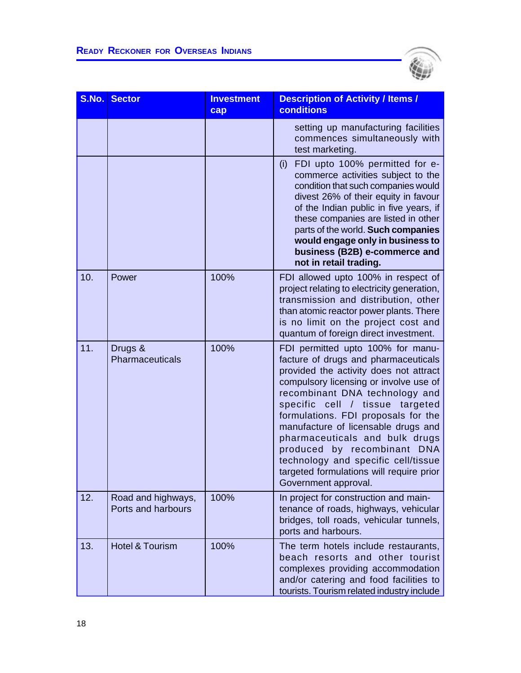

| S.No. | <b>Sector</b>                            | <b>Investment</b><br>cap | <b>Description of Activity / Items /</b><br><b>conditions</b>                                                                                                                                                                                                                                                                                                                                                                                                                                   |
|-------|------------------------------------------|--------------------------|-------------------------------------------------------------------------------------------------------------------------------------------------------------------------------------------------------------------------------------------------------------------------------------------------------------------------------------------------------------------------------------------------------------------------------------------------------------------------------------------------|
|       |                                          |                          | setting up manufacturing facilities<br>commences simultaneously with<br>test marketing.                                                                                                                                                                                                                                                                                                                                                                                                         |
|       |                                          |                          | FDI upto 100% permitted for e-<br>(i)<br>commerce activities subject to the<br>condition that such companies would<br>divest 26% of their equity in favour<br>of the Indian public in five years, if<br>these companies are listed in other<br>parts of the world. Such companies<br>would engage only in business to<br>business (B2B) e-commerce and<br>not in retail trading.                                                                                                                |
| 10.   | Power                                    | 100%                     | FDI allowed upto 100% in respect of<br>project relating to electricity generation,<br>transmission and distribution, other<br>than atomic reactor power plants. There<br>is no limit on the project cost and<br>quantum of foreign direct investment.                                                                                                                                                                                                                                           |
| 11.   | Drugs &<br>Pharmaceuticals               | 100%                     | FDI permitted upto 100% for manu-<br>facture of drugs and pharmaceuticals<br>provided the activity does not attract<br>compulsory licensing or involve use of<br>recombinant DNA technology and<br>specific cell / tissue<br>targeted<br>formulations. FDI proposals for the<br>manufacture of licensable drugs and<br>pharmaceuticals and bulk drugs<br>produced by recombinant DNA<br>technology and specific cell/tissue<br>targeted formulations will require prior<br>Government approval. |
| 12.   | Road and highways,<br>Ports and harbours | 100%                     | In project for construction and main-<br>tenance of roads, highways, vehicular<br>bridges, toll roads, vehicular tunnels,<br>ports and harbours.                                                                                                                                                                                                                                                                                                                                                |
| 13.   | <b>Hotel &amp; Tourism</b>               | 100%                     | The term hotels include restaurants,<br>beach resorts and other tourist<br>complexes providing accommodation<br>and/or catering and food facilities to<br>tourists. Tourism related industry include                                                                                                                                                                                                                                                                                            |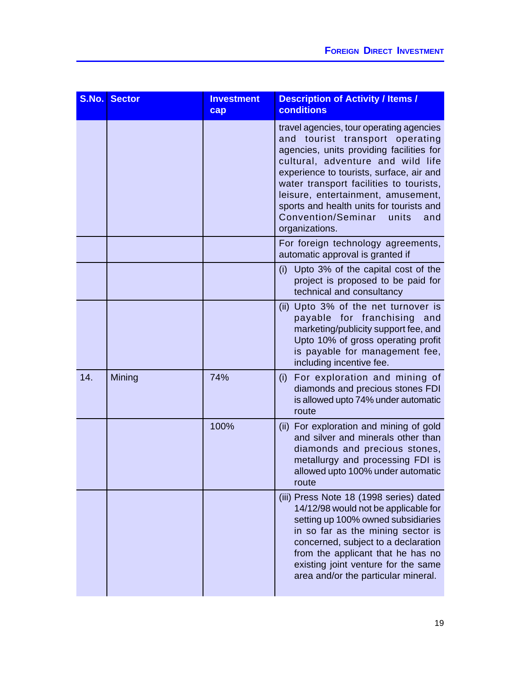| S.No. | <b>Sector</b> | <b>Investment</b><br>cap | <b>Description of Activity / Items /</b><br><b>conditions</b>                                                                                                                                                                                                                                                                                                                                 |
|-------|---------------|--------------------------|-----------------------------------------------------------------------------------------------------------------------------------------------------------------------------------------------------------------------------------------------------------------------------------------------------------------------------------------------------------------------------------------------|
|       |               |                          | travel agencies, tour operating agencies<br>and tourist transport operating<br>agencies, units providing facilities for<br>cultural, adventure and wild life<br>experience to tourists, surface, air and<br>water transport facilities to tourists,<br>leisure, entertainment, amusement,<br>sports and health units for tourists and<br>Convention/Seminar<br>units<br>and<br>organizations. |
|       |               |                          | For foreign technology agreements,<br>automatic approval is granted if                                                                                                                                                                                                                                                                                                                        |
|       |               |                          | Upto 3% of the capital cost of the<br>(i)<br>project is proposed to be paid for<br>technical and consultancy                                                                                                                                                                                                                                                                                  |
|       |               |                          | (ii) Upto 3% of the net turnover is<br>payable for franchising<br>and<br>marketing/publicity support fee, and<br>Upto 10% of gross operating profit<br>is payable for management fee,<br>including incentive fee.                                                                                                                                                                             |
| 14.   | Mining        | 74%                      | For exploration and mining of<br>(i)<br>diamonds and precious stones FDI<br>is allowed upto 74% under automatic<br>route                                                                                                                                                                                                                                                                      |
|       |               | 100%                     | (ii) For exploration and mining of gold<br>and silver and minerals other than<br>diamonds and precious stones,<br>metallurgy and processing FDI is<br>allowed upto 100% under automatic<br>route                                                                                                                                                                                              |
|       |               |                          | (iii) Press Note 18 (1998 series) dated<br>14/12/98 would not be applicable for<br>setting up 100% owned subsidiaries<br>in so far as the mining sector is<br>concerned, subject to a declaration<br>from the applicant that he has no<br>existing joint venture for the same<br>area and/or the particular mineral.                                                                          |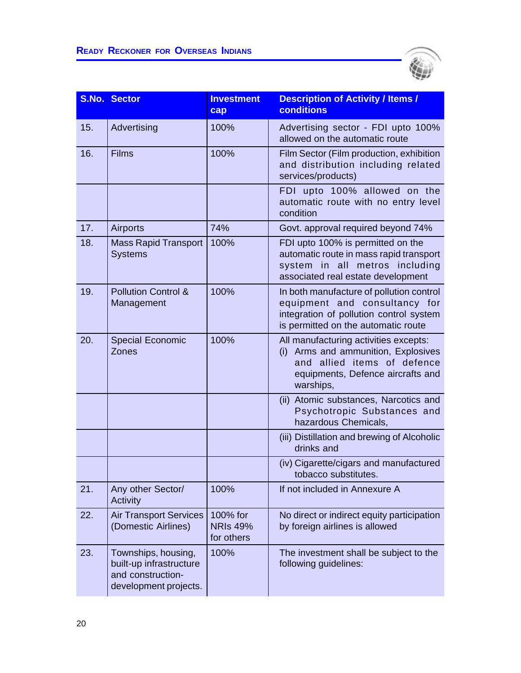

| S.No. | <b>Sector</b>                                                                                | <b>Investment</b><br>cap                  | <b>Description of Activity / Items /</b><br>conditions                                                                                                           |
|-------|----------------------------------------------------------------------------------------------|-------------------------------------------|------------------------------------------------------------------------------------------------------------------------------------------------------------------|
| 15.   | Advertising                                                                                  | 100%                                      | Advertising sector - FDI upto 100%<br>allowed on the automatic route                                                                                             |
| 16.   | <b>Films</b>                                                                                 | 100%                                      | Film Sector (Film production, exhibition<br>and distribution including related<br>services/products)                                                             |
|       |                                                                                              |                                           | FDI upto 100% allowed on the<br>automatic route with no entry level<br>condition                                                                                 |
| 17.   | <b>Airports</b>                                                                              | 74%                                       | Govt. approval required beyond 74%                                                                                                                               |
| 18.   | <b>Mass Rapid Transport</b><br><b>Systems</b>                                                | 100%                                      | FDI upto 100% is permitted on the<br>automatic route in mass rapid transport<br>system in all metros including<br>associated real estate development             |
| 19.   | <b>Pollution Control &amp;</b><br>Management                                                 | 100%                                      | In both manufacture of pollution control<br>equipment and consultancy for<br>integration of pollution control system<br>is permitted on the automatic route      |
| 20.   | <b>Special Economic</b><br>Zones                                                             | 100%                                      | All manufacturing activities excepts:<br>Arms and ammunition, Explosives<br>(i)<br>and allied items of defence<br>equipments, Defence aircrafts and<br>warships, |
|       |                                                                                              |                                           | (ii) Atomic substances, Narcotics and<br>Psychotropic Substances and<br>hazardous Chemicals,                                                                     |
|       |                                                                                              |                                           | (iii) Distillation and brewing of Alcoholic<br>drinks and                                                                                                        |
|       |                                                                                              |                                           | (iv) Cigarette/cigars and manufactured<br>tobacco substitutes.                                                                                                   |
| 21.   | Any other Sector/<br>Activity                                                                | 100%                                      | If not included in Annexure A                                                                                                                                    |
| 22.   | <b>Air Transport Services</b><br>(Domestic Airlines)                                         | 100% for<br><b>NRIs 49%</b><br>for others | No direct or indirect equity participation<br>by foreign airlines is allowed                                                                                     |
| 23.   | Townships, housing,<br>built-up infrastructure<br>and construction-<br>development projects. | 100%                                      | The investment shall be subject to the<br>following guidelines:                                                                                                  |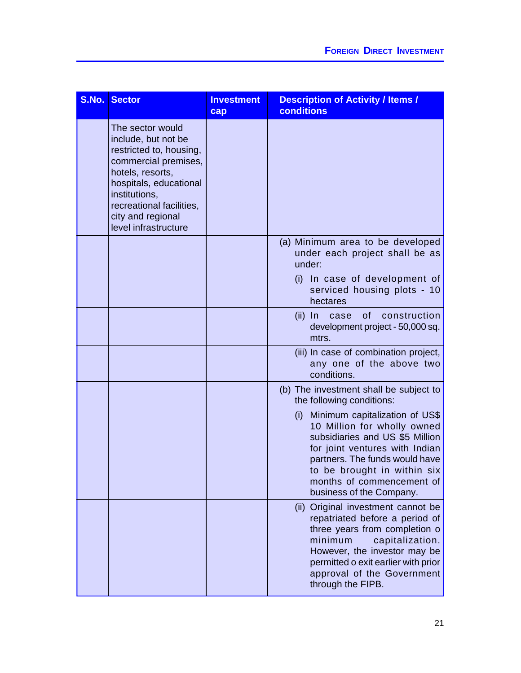| S.No. | <b>Sector</b>                                                                                                                                                                                                                      | <b>Investment</b><br>cap | <b>Description of Activity / Items /</b><br>conditions                                                                                                                                                                                                              |
|-------|------------------------------------------------------------------------------------------------------------------------------------------------------------------------------------------------------------------------------------|--------------------------|---------------------------------------------------------------------------------------------------------------------------------------------------------------------------------------------------------------------------------------------------------------------|
|       | The sector would<br>include, but not be<br>restricted to, housing,<br>commercial premises,<br>hotels, resorts,<br>hospitals, educational<br>institutions,<br>recreational facilities,<br>city and regional<br>level infrastructure |                          |                                                                                                                                                                                                                                                                     |
|       |                                                                                                                                                                                                                                    |                          | (a) Minimum area to be developed<br>under each project shall be as<br>under:<br>(i) In case of development of<br>serviced housing plots - 10                                                                                                                        |
|       |                                                                                                                                                                                                                                    |                          | hectares<br>of<br>(ii) In case<br>construction<br>development project - 50,000 sq.<br>mtrs.                                                                                                                                                                         |
|       |                                                                                                                                                                                                                                    |                          | (iii) In case of combination project,<br>any one of the above two<br>conditions.                                                                                                                                                                                    |
|       |                                                                                                                                                                                                                                    |                          | (b) The investment shall be subject to<br>the following conditions:                                                                                                                                                                                                 |
|       |                                                                                                                                                                                                                                    |                          | Minimum capitalization of US\$<br>(i)<br>10 Million for wholly owned<br>subsidiaries and US \$5 Million<br>for joint ventures with Indian<br>partners. The funds would have<br>to be brought in within six<br>months of commencement of<br>business of the Company. |
|       |                                                                                                                                                                                                                                    |                          | (ii) Original investment cannot be<br>repatriated before a period of<br>three years from completion o<br>minimum<br>capitalization.<br>However, the investor may be<br>permitted o exit earlier with prior<br>approval of the Government<br>through the FIPB.       |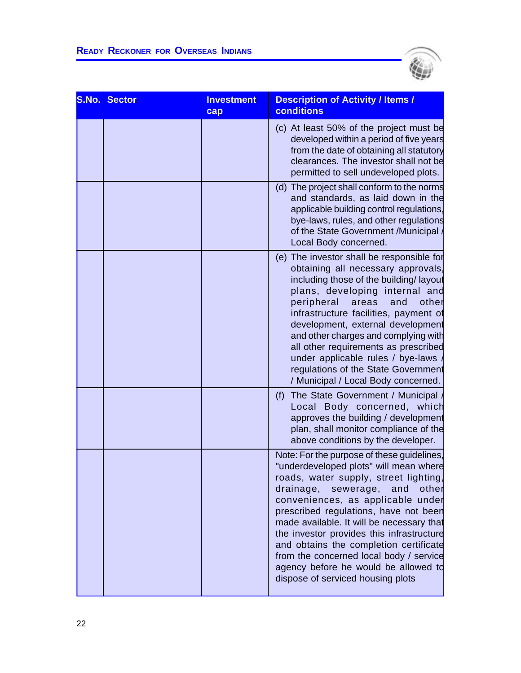$\overline{a}$ 



| S.No. | <b>Sector</b> | <b>Investment</b><br>cap | <b>Description of Activity / Items /</b><br><b>conditions</b>                                                                                                                                                                                                                                                                                                                                                                                                                                               |
|-------|---------------|--------------------------|-------------------------------------------------------------------------------------------------------------------------------------------------------------------------------------------------------------------------------------------------------------------------------------------------------------------------------------------------------------------------------------------------------------------------------------------------------------------------------------------------------------|
|       |               |                          | (c) At least 50% of the project must be<br>developed within a period of five years<br>from the date of obtaining all statutory<br>clearances. The investor shall not be<br>permitted to sell undeveloped plots.                                                                                                                                                                                                                                                                                             |
|       |               |                          | (d) The project shall conform to the norms<br>and standards, as laid down in the<br>applicable building control regulations,<br>bye-laws, rules, and other regulations<br>of the State Government /Municipal /<br>Local Body concerned.                                                                                                                                                                                                                                                                     |
|       |               |                          | (e) The investor shall be responsible for<br>obtaining all necessary approvals,<br>including those of the building/layout<br>plans, developing internal and<br>peripheral<br>areas<br>other<br>and<br>infrastructure facilities, payment of<br>development, external development<br>and other charges and complying with<br>all other requirements as prescribed<br>under applicable rules / bye-laws<br>regulations of the State Government<br>/ Municipal / Local Body concerned.                         |
|       |               |                          | The State Government / Municipal /<br>(f)<br>Local Body concerned, which<br>approves the building / development<br>plan, shall monitor compliance of the<br>above conditions by the developer.                                                                                                                                                                                                                                                                                                              |
|       |               |                          | Note: For the purpose of these guidelines,<br>"underdeveloped plots" will mean where<br>roads, water supply, street lighting,<br>drainage, sewerage, and<br>other<br>conveniences, as applicable under<br>prescribed regulations, have not been<br>made available. It will be necessary that<br>the investor provides this infrastructure<br>and obtains the completion certificate<br>from the concerned local body / service<br>agency before he would be allowed to<br>dispose of serviced housing plots |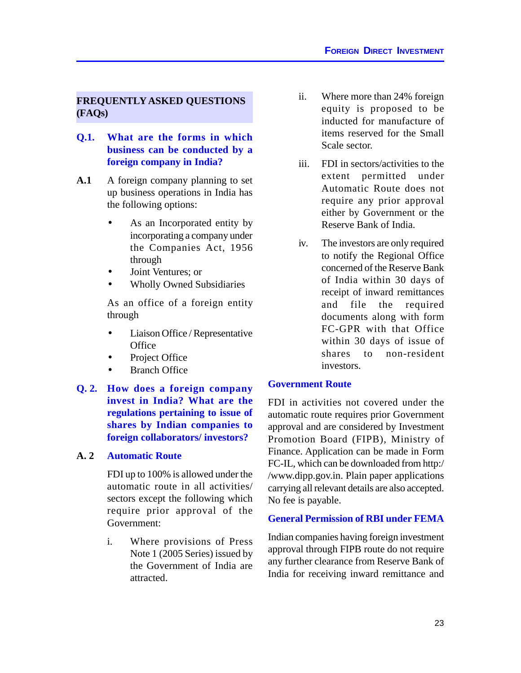# **FREQUENTLY ASKED QUESTIONS (FAQs)**

- **Q.1. What are the forms in which business can be conducted by a foreign company in India?**
- **A.1** A foreign company planning to set up business operations in India has the following options:
	- As an Incorporated entity by incorporating a company under the Companies Act, 1956 through
	- Joint Ventures; or
	- Wholly Owned Subsidiaries

As an office of a foreign entity through

- Liaison Office / Representative **Office**
- Project Office
- Branch Office
- **Q. 2. How does a foreign company invest in India? What are the regulations pertaining to issue of shares by Indian companies to foreign collaborators/ investors?**

# **A. 2 Automatic Route**

FDI up to 100% is allowed under the automatic route in all activities/ sectors except the following which require prior approval of the Government:

i. Where provisions of Press Note 1 (2005 Series) issued by the Government of India are attracted.

- ii. Where more than 24% foreign equity is proposed to be inducted for manufacture of items reserved for the Small Scale sector.
- iii. FDI in sectors/activities to the extent permitted under Automatic Route does not require any prior approval either by Government or the Reserve Bank of India.
- iv. The investors are only required to notify the Regional Office concerned of the Reserve Bank of India within 30 days of receipt of inward remittances and file the required documents along with form FC-GPR with that Office within 30 days of issue of shares to non-resident investors.

# **Government Route**

FDI in activities not covered under the automatic route requires prior Government approval and are considered by Investment Promotion Board (FIPB), Ministry of Finance. Application can be made in Form FC-IL, which can be downloaded from http:/ /www.dipp.gov.in. Plain paper applications carrying all relevant details are also accepted. No fee is payable.

# **General Permission of RBI under FEMA**

Indian companies having foreign investment approval through FIPB route do not require any further clearance from Reserve Bank of India for receiving inward remittance and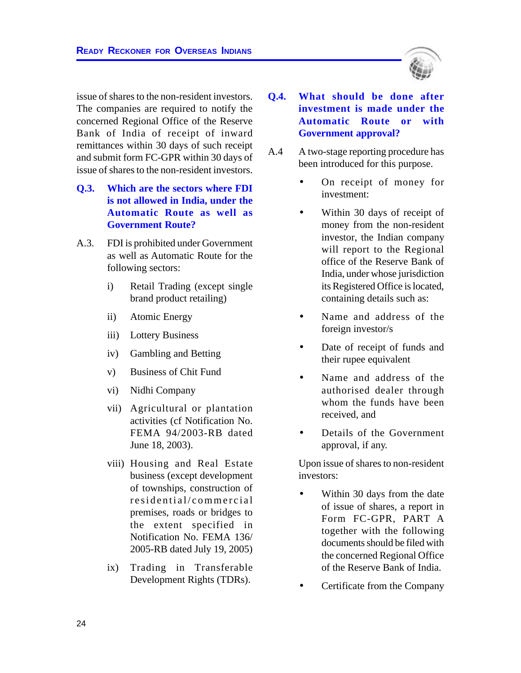issue of shares to the non-resident investors. The companies are required to notify the concerned Regional Office of the Reserve Bank of India of receipt of inward remittances within 30 days of such receipt and submit form FC-GPR within 30 days of issue of shares to the non-resident investors.

- **Q.3. Which are the sectors where FDI is not allowed in India, under the Automatic Route as well as Government Route?**
- A.3. FDI is prohibited under Government as well as Automatic Route for the following sectors:
	- i) Retail Trading (except single brand product retailing)
	- ii) Atomic Energy
	- iii) Lottery Business
	- iv) Gambling and Betting
	- v) Business of Chit Fund
	- vi) Nidhi Company
	- vii) Agricultural or plantation activities (cf Notification No. FEMA 94/2003-RB dated June 18, 2003).
	- viii) Housing and Real Estate business (except development of townships, construction of residential/commercial premises, roads or bridges to the extent specified in Notification No. FEMA 136/ 2005-RB dated July 19, 2005)
	- ix) Trading in Transferable Development Rights (TDRs).
- **Q.4. What should be done after investment is made under the Automatic Route or with Government approval?**
- A.4 A two-stage reporting procedure has been introduced for this purpose.
	- On receipt of money for investment:
	- Within 30 days of receipt of money from the non-resident investor, the Indian company will report to the Regional office of the Reserve Bank of India, under whose jurisdiction its Registered Office is located, containing details such as:
	- Name and address of the foreign investor/s
	- Date of receipt of funds and their rupee equivalent
	- Name and address of the authorised dealer through whom the funds have been received, and
	- Details of the Government approval, if any.

Upon issue of shares to non-resident investors:

- Within 30 days from the date of issue of shares, a report in Form FC-GPR, PART A together with the following documents should be filed with the concerned Regional Office of the Reserve Bank of India.
- Certificate from the Company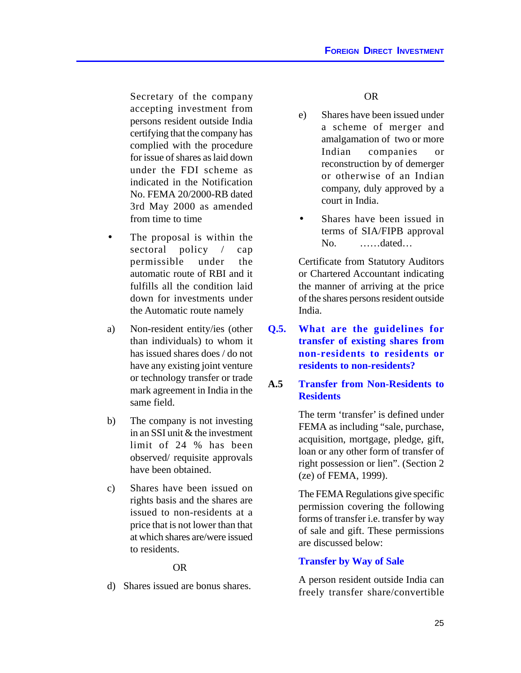Secretary of the company accepting investment from persons resident outside India certifying that the company has complied with the procedure for issue of shares as laid down under the FDI scheme as indicated in the Notification No. FEMA 20/2000-RB dated 3rd May 2000 as amended from time to time

- The proposal is within the sectoral policy / cap permissible under the automatic route of RBI and it fulfills all the condition laid down for investments under the Automatic route namely
- a) Non-resident entity/ies (other than individuals) to whom it has issued shares does / do not have any existing joint venture or technology transfer or trade mark agreement in India in the same field.
- b) The company is not investing in an SSI unit & the investment limit of 24 % has been observed/ requisite approvals have been obtained.
- c) Shares have been issued on rights basis and the shares are issued to non-residents at a price that is not lower than that at which shares are/were issued to residents.

# OR

d) Shares issued are bonus shares.

#### OR

- e) Shares have been issued under a scheme of merger and amalgamation of two or more Indian companies or reconstruction by of demerger or otherwise of an Indian company, duly approved by a court in India.
- Shares have been issued in terms of SIA/FIPB approval No. ……dated…

Certificate from Statutory Auditors or Chartered Accountant indicating the manner of arriving at the price of the shares persons resident outside India.

**Q.5. What are the guidelines for transfer of existing shares from non-residents to residents or residents to non-residents?**

# **A.5 Transfer from Non-Residents to Residents**

The term 'transfer' is defined under FEMA as including "sale, purchase, acquisition, mortgage, pledge, gift, loan or any other form of transfer of right possession or lien". (Section 2 (ze) of FEMA, 1999).

The FEMA Regulations give specific permission covering the following forms of transfer i.e. transfer by way of sale and gift. These permissions are discussed below:

# **Transfer by Way of Sale**

A person resident outside India can freely transfer share/convertible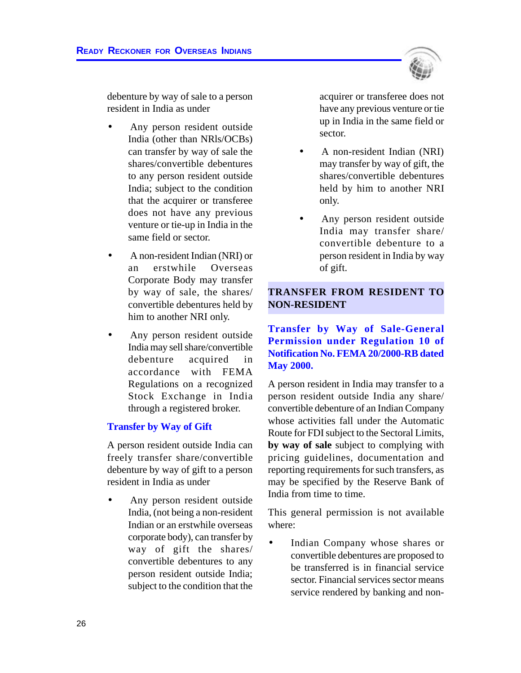

debenture by way of sale to a person resident in India as under

- Any person resident outside India (other than NRls/OCBs) can transfer by way of sale the shares/convertible debentures to any person resident outside India; subject to the condition that the acquirer or transferee does not have any previous venture or tie-up in India in the same field or sector.
- A non-resident Indian (NRI) or an erstwhile Overseas Corporate Body may transfer by way of sale, the shares/ convertible debentures held by him to another NRI only.
- Any person resident outside India may sell share/convertible debenture acquired in accordance with FEMA Regulations on a recognized Stock Exchange in India through a registered broker.

# **Transfer by Way of Gift**

A person resident outside India can freely transfer share/convertible debenture by way of gift to a person resident in India as under

Any person resident outside India, (not being a non-resident Indian or an erstwhile overseas corporate body), can transfer by way of gift the shares/ convertible debentures to any person resident outside India; subject to the condition that the

acquirer or transferee does not have any previous venture or tie up in India in the same field or sector.

- A non-resident Indian (NRI) may transfer by way of gift, the shares/convertible debentures held by him to another NRI only.
- Any person resident outside India may transfer share/ convertible debenture to a person resident in India by way of gift.

#### **TRANSFER FROM RESIDENT TO NON-RESIDENT**

**Transfer by Way of Sale-General Permission under Regulation 10 of Notification No. FEMA 20/2000-RB dated May 2000.**

A person resident in India may transfer to a person resident outside India any share/ convertible debenture of an Indian Company whose activities fall under the Automatic Route for FDI subject to the Sectoral Limits, **by way of sale** subject to complying with pricing guidelines, documentation and reporting requirements for such transfers, as may be specified by the Reserve Bank of India from time to time.

This general permission is not available where:

Indian Company whose shares or convertible debentures are proposed to be transferred is in financial service sector. Financial services sector means service rendered by banking and non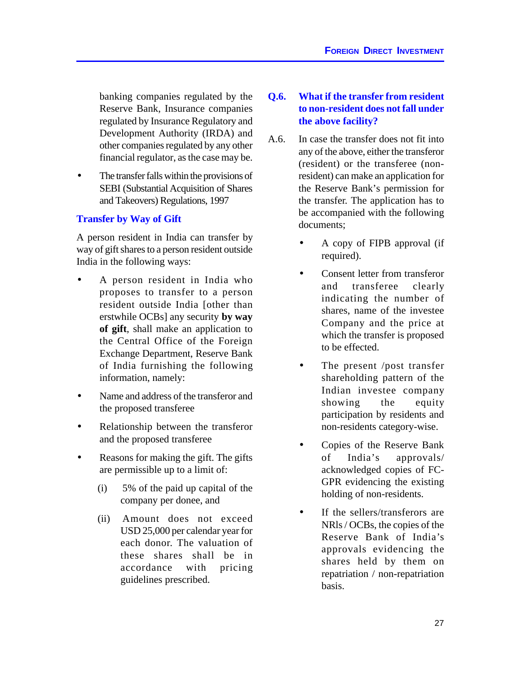banking companies regulated by the Reserve Bank, Insurance companies regulated by Insurance Regulatory and Development Authority (IRDA) and other companies regulated by any other financial regulator, as the case may be.

The transfer falls within the provisions of SEBI (Substantial Acquisition of Shares and Takeovers) Regulations, 1997

# **Transfer by Way of Gift**

A person resident in India can transfer by way of gift shares to a person resident outside India in the following ways:

- A person resident in India who proposes to transfer to a person resident outside India [other than erstwhile OCBs] any security **by way of gift**, shall make an application to the Central Office of the Foreign Exchange Department, Reserve Bank of India furnishing the following information, namely:
- Name and address of the transferor and the proposed transferee
- Relationship between the transferor and the proposed transferee
- Reasons for making the gift. The gifts are permissible up to a limit of:
	- (i) 5% of the paid up capital of the company per donee, and
	- (ii) Amount does not exceed USD 25,000 per calendar year for each donor. The valuation of these shares shall be in accordance with pricing guidelines prescribed.

# **Q.6. What if the transfer from resident to non-resident does not fall under the above facility?**

- A.6. In case the transfer does not fit into any of the above, either the transferor (resident) or the transferee (nonresident) can make an application for the Reserve Bank's permission for the transfer. The application has to be accompanied with the following documents;
	- A copy of FIPB approval (if required).
	- Consent letter from transferor and transferee clearly indicating the number of shares, name of the investee Company and the price at which the transfer is proposed to be effected.
	- The present /post transfer shareholding pattern of the Indian investee company showing the equity participation by residents and non-residents category-wise.
	- Copies of the Reserve Bank of India's approvals/ acknowledged copies of FC-GPR evidencing the existing holding of non-residents.
	- If the sellers/transferors are NRls / OCBs, the copies of the Reserve Bank of India's approvals evidencing the shares held by them on repatriation / non-repatriation basis.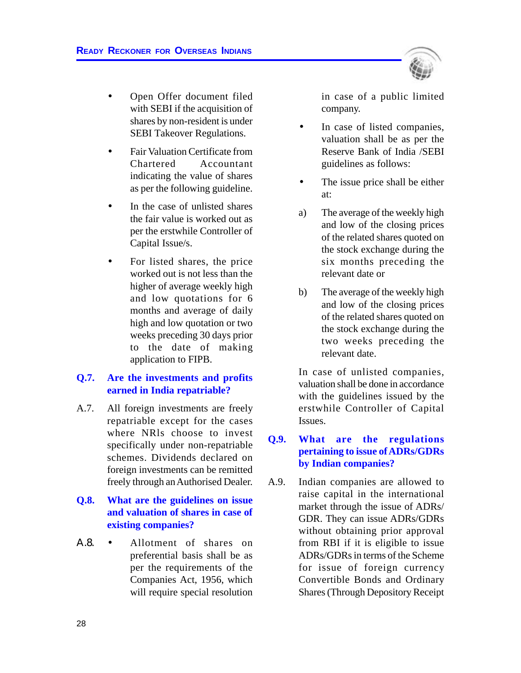- Open Offer document filed with SEBI if the acquisition of shares by non-resident is under SEBI Takeover Regulations.
- Fair Valuation Certificate from Chartered Accountant indicating the value of shares as per the following guideline.
- In the case of unlisted shares the fair value is worked out as per the erstwhile Controller of Capital Issue/s.
- For listed shares, the price worked out is not less than the higher of average weekly high and low quotations for 6 months and average of daily high and low quotation or two weeks preceding 30 days prior to the date of making application to FIPB.

# **Q.7. Are the investments and profits earned in India repatriable?**

A.7. All foreign investments are freely repatriable except for the cases where NRls choose to invest specifically under non-repatriable schemes. Dividends declared on foreign investments can be remitted freely through an Authorised Dealer.

# **Q.8. What are the guidelines on issue and valuation of shares in case of existing companies?**

Α.8. • Allotment of shares on preferential basis shall be as per the requirements of the Companies Act, 1956, which will require special resolution in case of a public limited company.

- In case of listed companies, valuation shall be as per the Reserve Bank of India /SEBI guidelines as follows:
- The issue price shall be either at:
- a) The average of the weekly high and low of the closing prices of the related shares quoted on the stock exchange during the six months preceding the relevant date or
- b) The average of the weekly high and low of the closing prices of the related shares quoted on the stock exchange during the two weeks preceding the relevant date.

In case of unlisted companies, valuation shall be done in accordance with the guidelines issued by the erstwhile Controller of Capital Issues.

# **Q.9. What are the regulations pertaining to issue of ADRs/GDRs by Indian companies?**

A.9. Indian companies are allowed to raise capital in the international market through the issue of ADRs/ GDR. They can issue ADRs/GDRs without obtaining prior approval from RBI if it is eligible to issue ADRs/GDRs in terms of the Scheme for issue of foreign currency Convertible Bonds and Ordinary Shares (Through Depository Receipt

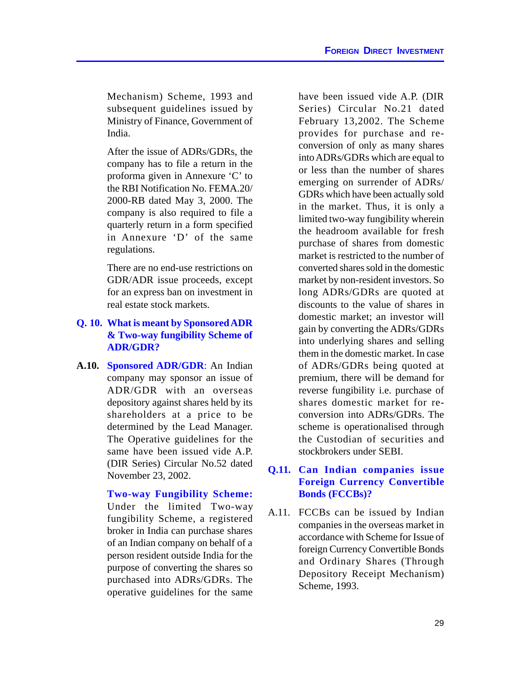Mechanism) Scheme, 1993 and subsequent guidelines issued by Ministry of Finance, Government of India.

After the issue of ADRs/GDRs, the company has to file a return in the proforma given in Annexure 'C' to the RBI Notification No. FEMA.20/ 2000-RB dated May 3, 2000. The company is also required to file a quarterly return in a form specified in Annexure 'D' of the same regulations.

There are no end-use restrictions on GDR/ADR issue proceeds, except for an express ban on investment in real estate stock markets.

## **Q. 10. What is meant by Sponsored ADR & Two-way fungibility Scheme of ADR/GDR?**

**A.10. Sponsored ADR/GDR**: An Indian company may sponsor an issue of ADR/GDR with an overseas depository against shares held by its shareholders at a price to be determined by the Lead Manager. The Operative guidelines for the same have been issued vide A.P. (DIR Series) Circular No.52 dated November 23, 2002.

> **Two-way Fungibility Scheme:** Under the limited Two-way fungibility Scheme, a registered broker in India can purchase shares of an Indian company on behalf of a person resident outside India for the purpose of converting the shares so purchased into ADRs/GDRs. The operative guidelines for the same

have been issued vide A.P. (DIR Series) Circular No.21 dated February 13,2002. The Scheme provides for purchase and reconversion of only as many shares into ADRs/GDRs which are equal to or less than the number of shares emerging on surrender of ADRs/ GDRs which have been actually sold in the market. Thus, it is only a limited two-way fungibility wherein the headroom available for fresh purchase of shares from domestic market is restricted to the number of converted shares sold in the domestic market by non-resident investors. So long ADRs/GDRs are quoted at discounts to the value of shares in domestic market; an investor will gain by converting the ADRs/GDRs into underlying shares and selling them in the domestic market. In case of ADRs/GDRs being quoted at premium, there will be demand for reverse fungibility i.e. purchase of shares domestic market for reconversion into ADRs/GDRs. The scheme is operationalised through the Custodian of securities and stockbrokers under SEBI.

## **Q.11. Can Indian companies issue Foreign Currency Convertible Bonds (FCCBs)?**

A.11. FCCBs can be issued by Indian companies in the overseas market in accordance with Scheme for Issue of foreign Currency Convertible Bonds and Ordinary Shares (Through Depository Receipt Mechanism) Scheme, 1993.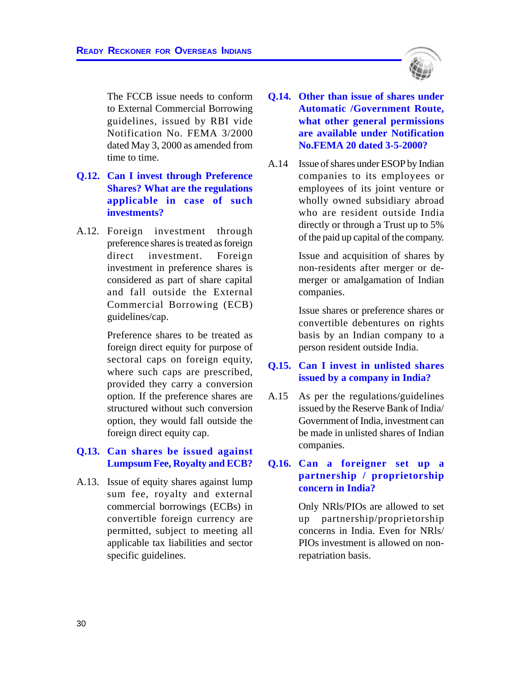The FCCB issue needs to conform to External Commercial Borrowing guidelines, issued by RBI vide Notification No. FEMA 3/2000 dated May 3, 2000 as amended from time to time.

- **Q.12. Can I invest through Preference Shares? What are the regulations applicable in case of such investments?**
- A.12. Foreign investment through preference shares is treated as foreign direct investment. Foreign investment in preference shares is considered as part of share capital and fall outside the External Commercial Borrowing (ECB) guidelines/cap.

Preference shares to be treated as foreign direct equity for purpose of sectoral caps on foreign equity, where such caps are prescribed, provided they carry a conversion option. If the preference shares are structured without such conversion option, they would fall outside the foreign direct equity cap.

## **Q.13. Can shares be issued against Lumpsum Fee, Royalty and ECB?**

A.13. Issue of equity shares against lump sum fee, royalty and external commercial borrowings (ECBs) in convertible foreign currency are permitted, subject to meeting all applicable tax liabilities and sector specific guidelines.

- **Q.14. Other than issue of shares under Automatic /Government Route, what other general permissions are available under Notification No.FEMA 20 dated 3-5-2000?**
- A.14 Issue of shares under ESOP by Indian companies to its employees or employees of its joint venture or wholly owned subsidiary abroad who are resident outside India directly or through a Trust up to 5% of the paid up capital of the company.

Issue and acquisition of shares by non-residents after merger or demerger or amalgamation of Indian companies.

Issue shares or preference shares or convertible debentures on rights basis by an Indian company to a person resident outside India.

#### **Q.15. Can I invest in unlisted shares issued by a company in India?**

A.15 As per the regulations/guidelines issued by the Reserve Bank of India/ Government of India, investment can be made in unlisted shares of Indian companies.

### **Q.16. Can a foreigner set up a partnership / proprietorship concern in India?**

Only NRls/PIOs are allowed to set up partnership/proprietorship concerns in India. Even for NRls/ PIOs investment is allowed on nonrepatriation basis.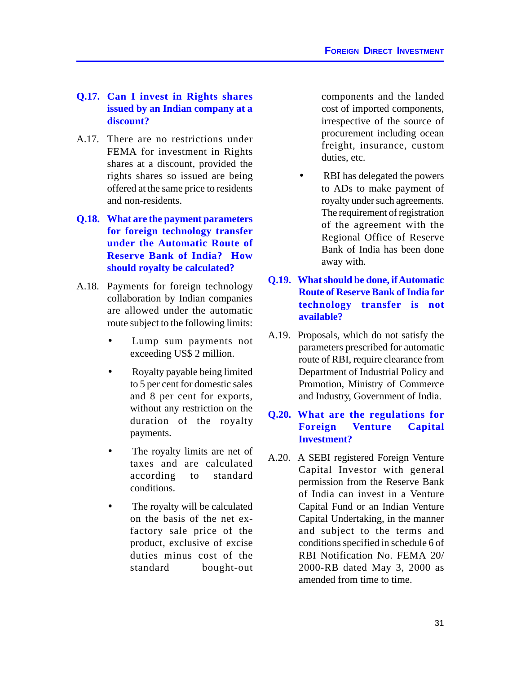## **Q.17. Can I invest in Rights shares issued by an Indian company at a discount?**

- A.17. There are no restrictions under FEMA for investment in Rights shares at a discount, provided the rights shares so issued are being offered at the same price to residents and non-residents.
- **Q.18. What are the payment parameters for foreign technology transfer under the Automatic Route of Reserve Bank of India? How should royalty be calculated?**
- A.18. Payments for foreign technology collaboration by Indian companies are allowed under the automatic route subject to the following limits:
	- Lump sum payments not exceeding US\$ 2 million.
	- Royalty payable being limited to 5 per cent for domestic sales and 8 per cent for exports, without any restriction on the duration of the royalty payments.
	- The royalty limits are net of taxes and are calculated according to standard conditions.
	- The royalty will be calculated on the basis of the net exfactory sale price of the product, exclusive of excise duties minus cost of the standard bought-out

components and the landed cost of imported components, irrespective of the source of procurement including ocean freight, insurance, custom duties, etc.

- RBI has delegated the powers to ADs to make payment of royalty under such agreements. The requirement of registration of the agreement with the Regional Office of Reserve Bank of India has been done away with.
- **Q.19. What should be done, if Automatic Route of Reserve Bank of India for technology transfer is not available?**
- A.19. Proposals, which do not satisfy the parameters prescribed for automatic route of RBI, require clearance from Department of Industrial Policy and Promotion, Ministry of Commerce and Industry, Government of India.

## **Q.20. What are the regulations for Foreign Venture Capital Investment?**

A.20. A SEBI registered Foreign Venture Capital Investor with general permission from the Reserve Bank of India can invest in a Venture Capital Fund or an Indian Venture Capital Undertaking, in the manner and subject to the terms and conditions specified in schedule 6 of RBI Notification No. FEMA 20/ 2000-RB dated May 3, 2000 as amended from time to time.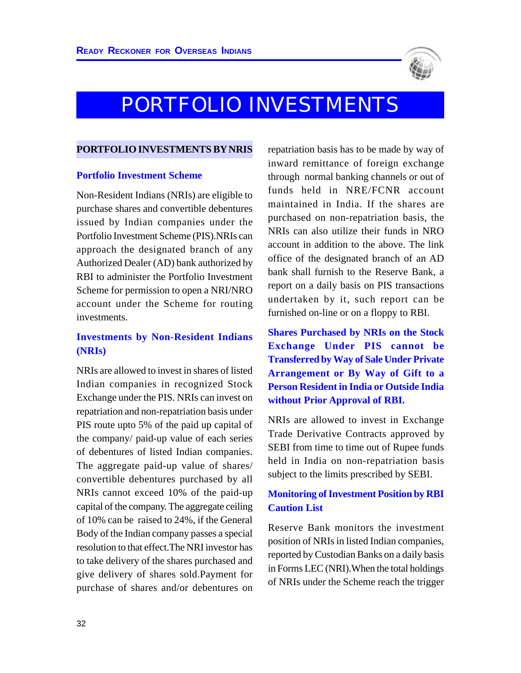

# PORTFOLIO INVESTMENTS

#### **PORTFOLIO INVESTMENTS BY NRIS**

#### **Portfolio Investment Scheme**

Non-Resident Indians (NRIs) are eligible to purchase shares and convertible debentures issued by Indian companies under the Portfolio Investment Scheme (PIS).NRIs can approach the designated branch of any Authorized Dealer (AD) bank authorized by RBI to administer the Portfolio Investment Scheme for permission to open a NRI/NRO account under the Scheme for routing investments.

## **Investments by Non-Resident Indians (NRIs)**

NRIs are allowed to invest in shares of listed Indian companies in recognized Stock Exchange under the PIS. NRIs can invest on repatriation and non-repatriation basis under PIS route upto 5% of the paid up capital of the company/ paid-up value of each series of debentures of listed Indian companies. The aggregate paid-up value of shares/ convertible debentures purchased by all NRIs cannot exceed 10% of the paid-up capital of the company. The aggregate ceiling of 10% can be raised to 24%, if the General Body of the Indian company passes a special resolution to that effect.The NRI investor has to take delivery of the shares purchased and give delivery of shares sold.Payment for purchase of shares and/or debentures on

repatriation basis has to be made by way of inward remittance of foreign exchange through normal banking channels or out of funds held in NRE/FCNR account maintained in India. If the shares are purchased on non-repatriation basis, the NRIs can also utilize their funds in NRO account in addition to the above. The link office of the designated branch of an AD bank shall furnish to the Reserve Bank, a report on a daily basis on PIS transactions undertaken by it, such report can be furnished on-line or on a floppy to RBI.

**Shares Purchased by NRIs on the Stock Exchange Under PIS cannot be Transferred by Way of Sale Under Private Arrangement or By Way of Gift to a Person Resident in India or Outside India without Prior Approval of RBI.**

NRIs are allowed to invest in Exchange Trade Derivative Contracts approved by SEBI from time to time out of Rupee funds held in India on non-repatriation basis subject to the limits prescribed by SEBI.

## **Monitoring of Investment Position by RBI Caution List**

Reserve Bank monitors the investment position of NRIs in listed Indian companies, reported by Custodian Banks on a daily basis in Forms LEC (NRI).When the total holdings of NRIs under the Scheme reach the trigger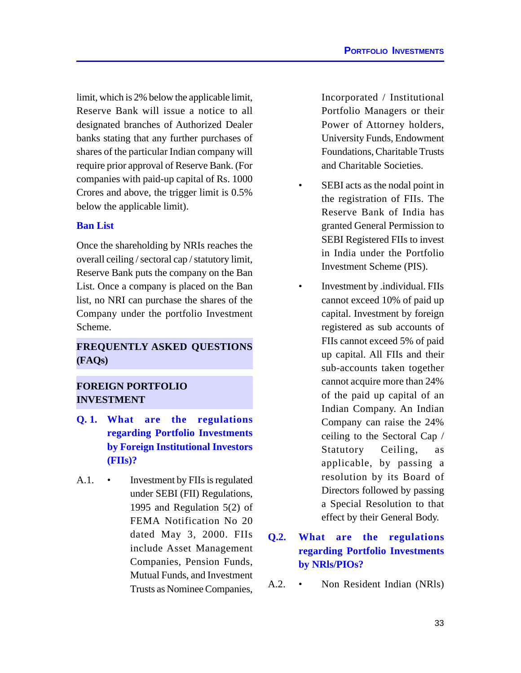limit, which is 2% below the applicable limit, Reserve Bank will issue a notice to all designated branches of Authorized Dealer banks stating that any further purchases of shares of the particular Indian company will require prior approval of Reserve Bank. (For companies with paid-up capital of Rs. 1000 Crores and above, the trigger limit is 0.5% below the applicable limit).

#### **Ban List**

Once the shareholding by NRIs reaches the overall ceiling / sectoral cap / statutory limit, Reserve Bank puts the company on the Ban List. Once a company is placed on the Ban list, no NRI can purchase the shares of the Company under the portfolio Investment Scheme.

# **FREQUENTLY ASKED QUESTIONS (FAQs)**

# **FOREIGN PORTFOLIO INVESTMENT**

- **Q. 1. What are the regulations regarding Portfolio Investments by Foreign Institutional Investors (FIIs)?**
- A.1. Investment by FIIs is regulated under SEBI (FII) Regulations, 1995 and Regulation 5(2) of FEMA Notification No 20 dated May 3, 2000. FIIs include Asset Management Companies, Pension Funds, Mutual Funds, and Investment Trusts as Nominee Companies,

Incorporated / Institutional Portfolio Managers or their Power of Attorney holders, University Funds, Endowment Foundations, Charitable Trusts and Charitable Societies.

- SEBI acts as the nodal point in the registration of FIIs. The Reserve Bank of India has granted General Permission to SEBI Registered FIIs to invest in India under the Portfolio Investment Scheme (PIS).
- Investment by .individual. FIIs cannot exceed 10% of paid up capital. Investment by foreign registered as sub accounts of FIIs cannot exceed 5% of paid up capital. All FIIs and their sub-accounts taken together cannot acquire more than 24% of the paid up capital of an Indian Company. An Indian Company can raise the 24% ceiling to the Sectoral Cap / Statutory Ceiling, as applicable, by passing a resolution by its Board of Directors followed by passing a Special Resolution to that effect by their General Body.
- **Q.2. What are the regulations regarding Portfolio Investments by NRls/PIOs?**
- A.2. Non Resident Indian (NRls)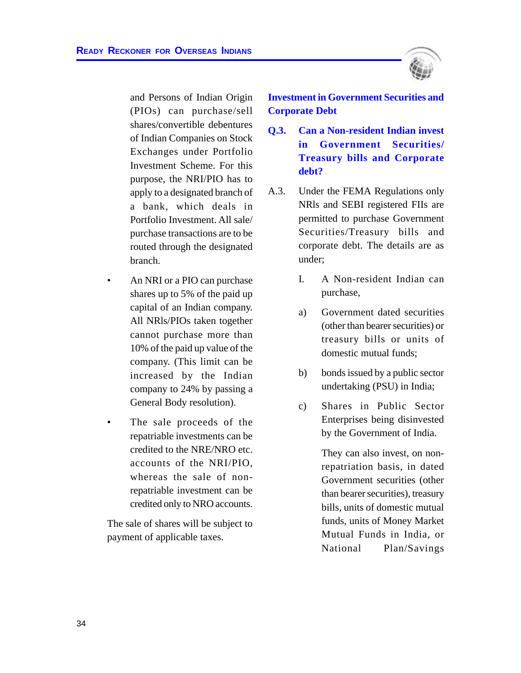

and Persons of Indian Origin (PIOs) can purchase/sell shares/convertible debentures of Indian Companies on Stock Exchanges under Portfolio Investment Scheme. For this purpose, the NRI/PIO has to apply to a designated branch of a bank, which deals in Portfolio Investment. All sale/ purchase transactions are to be routed through the designated branch.

- An NRI or a PIO can purchase shares up to 5% of the paid up capital of an Indian company. All NRls/PIOs taken together cannot purchase more than 10% of the paid up value of the company. (This limit can be increased by the Indian company to 24% by passing a General Body resolution).
- The sale proceeds of the repatriable investments can be credited to the NRE/NRO etc. accounts of the NRI/PIO, whereas the sale of nonrepatriable investment can be credited only to NRO accounts.

The sale of shares will be subject to payment of applicable taxes.

**Investment in Government Securities and Corporate Debt**

- **Q.3. Can a Non-resident Indian invest in Government Securities/ Treasury bills and Corporate debt?**
- A.3. Under the FEMA Regulations only NRls and SEBI registered FIIs are permitted to purchase Government Securities/Treasury bills and corporate debt. The details are as under;
	- I. A Non-resident Indian can purchase,
	- a) Government dated securities (other than bearer securities) or treasury bills or units of domestic mutual funds;
	- b) bonds issued by a public sector undertaking (PSU) in India;
	- c) Shares in Public Sector Enterprises being disinvested by the Government of India.

They can also invest, on nonrepatriation basis, in dated Government securities (other than bearer securities), treasury bills, units of domestic mutual funds, units of Money Market Mutual Funds in India, or National Plan/Savings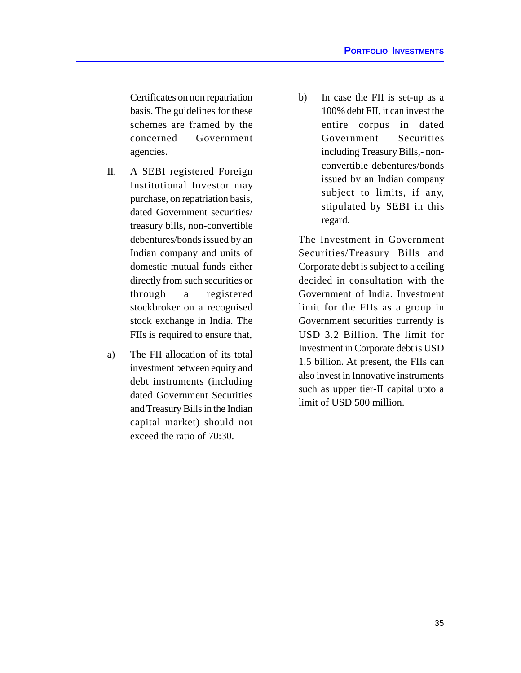Certificates on non repatriation basis. The guidelines for these schemes are framed by the concerned Government agencies.

- II. A SEBI registered Foreign Institutional Investor may purchase, on repatriation basis, dated Government securities/ treasury bills, non-convertible debentures/bonds issued by an Indian company and units of domestic mutual funds either directly from such securities or through a registered stockbroker on a recognised stock exchange in India. The FIIs is required to ensure that,
- a) The FII allocation of its total investment between equity and debt instruments (including dated Government Securities and Treasury Bills in the Indian capital market) should not exceed the ratio of 70:30.

b) In case the FII is set-up as a 100% debt FII, it can invest the entire corpus in dated Government Securities including Treasury Bills,- nonconvertible debentures/bonds issued by an Indian company subject to limits, if any, stipulated by SEBI in this regard.

The Investment in Government Securities/Treasury Bills and Corporate debt is subject to a ceiling decided in consultation with the Government of India. Investment limit for the FIIs as a group in Government securities currently is USD 3.2 Billion. The limit for Investment in Corporate debt is USD 1.5 billion. At present, the FIIs can also invest in Innovative instruments such as upper tier-II capital upto a limit of USD 500 million.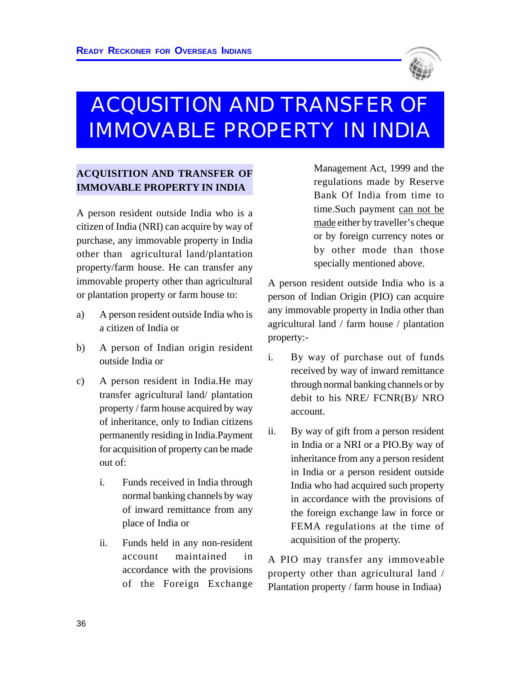

# ACQUSITION AND TRANSFER OF IMMOVABLE PROPERTY IN INDIA

# **ACQUISITION AND TRANSFER OF IMMOVABLE PROPERTY IN INDIA**

A person resident outside India who is a citizen of India (NRI) can acquire by way of purchase, any immovable property in India other than agricultural land/plantation property/farm house. He can transfer any immovable property other than agricultural or plantation property or farm house to:

- a) A person resident outside India who is a citizen of India or
- b) A person of Indian origin resident outside India or
- c) A person resident in India.He may transfer agricultural land/ plantation property / farm house acquired by way of inheritance, only to Indian citizens permanently residing in India.Payment for acquisition of property can be made out of:
	- i. Funds received in India through normal banking channels by way of inward remittance from any place of India or
	- ii. Funds held in any non-resident account maintained in accordance with the provisions of the Foreign Exchange

Management Act, 1999 and the regulations made by Reserve Bank Of India from time to time.Such payment can not be made either by traveller's cheque or by foreign currency notes or by other mode than those specially mentioned above.

A person resident outside India who is a person of Indian Origin (PIO) can acquire any immovable property in India other than agricultural land / farm house / plantation property:-

- i. By way of purchase out of funds received by way of inward remittance through normal banking channels or by debit to his NRE/ FCNR(B)/ NRO account.
- ii. By way of gift from a person resident in India or a NRI or a PIO.By way of inheritance from any a person resident in India or a person resident outside India who had acquired such property in accordance with the provisions of the foreign exchange law in force or FEMA regulations at the time of acquisition of the property.

A PIO may transfer any immoveable property other than agricultural land / Plantation property / farm house in Indiaa)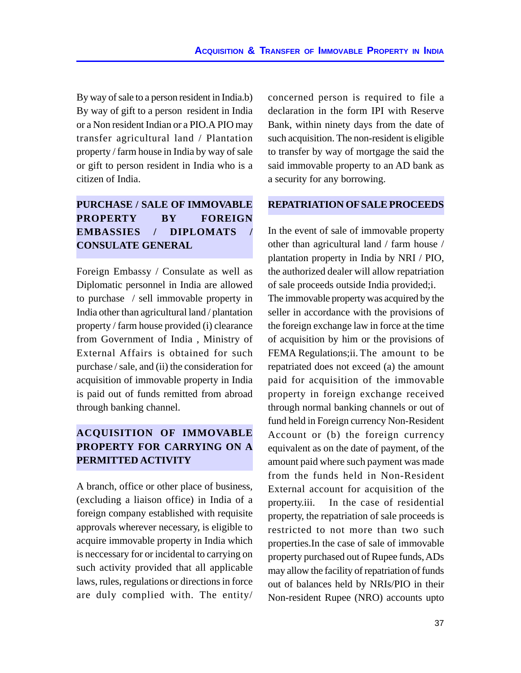By way of sale to a person resident in India.b) By way of gift to a person resident in India or a Non resident Indian or a PIO.A PIO may transfer agricultural land / Plantation property / farm house in India by way of sale or gift to person resident in India who is a citizen of India.

# **PURCHASE / SALE OF IMMOVABLE PROPERTY BY FOREIGN EMBASSIES / DIPLOMATS / CONSULATE GENERAL**

Foreign Embassy / Consulate as well as Diplomatic personnel in India are allowed to purchase / sell immovable property in India other than agricultural land / plantation property / farm house provided (i) clearance from Government of India , Ministry of External Affairs is obtained for such purchase / sale, and (ii) the consideration for acquisition of immovable property in India is paid out of funds remitted from abroad through banking channel.

# **ACQUISITION OF IMMOVABLE PROPERTY FOR CARRYING ON A PERMITTED ACTIVITY**

A branch, office or other place of business, (excluding a liaison office) in India of a foreign company established with requisite approvals wherever necessary, is eligible to acquire immovable property in India which is neccessary for or incidental to carrying on such activity provided that all applicable laws, rules, regulations or directions in force are duly complied with. The entity/ concerned person is required to file a declaration in the form IPI with Reserve Bank, within ninety days from the date of such acquisition. The non-resident is eligible to transfer by way of mortgage the said the said immovable property to an AD bank as a security for any borrowing.

## **REPATRIATION OF SALE PROCEEDS**

In the event of sale of immovable property other than agricultural land / farm house / plantation property in India by NRI / PIO, the authorized dealer will allow repatriation of sale proceeds outside India provided;i. The immovable property was acquired by the seller in accordance with the provisions of the foreign exchange law in force at the time of acquisition by him or the provisions of FEMA Regulations;ii. The amount to be repatriated does not exceed (a) the amount paid for acquisition of the immovable property in foreign exchange received through normal banking channels or out of fund held in Foreign currency Non-Resident Account or (b) the foreign currency equivalent as on the date of payment, of the amount paid where such payment was made from the funds held in Non-Resident External account for acquisition of the property.iii. In the case of residential property, the repatriation of sale proceeds is restricted to not more than two such properties.In the case of sale of immovable property purchased out of Rupee funds, ADs may allow the facility of repatriation of funds out of balances held by NRIs/PIO in their Non-resident Rupee (NRO) accounts upto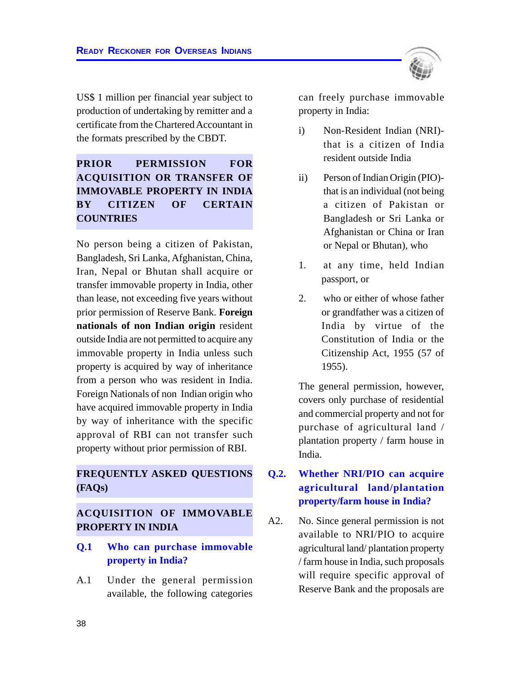

US\$ 1 million per financial year subject to production of undertaking by remitter and a certificate from the Chartered Accountant in the formats prescribed by the CBDT.

# **PRIOR PERMISSION FOR ACQUISITION OR TRANSFER OF IMMOVABLE PROPERTY IN INDIA BY CITIZEN OF CERTAIN COUNTRIES**

No person being a citizen of Pakistan, Bangladesh, Sri Lanka, Afghanistan, China, Iran, Nepal or Bhutan shall acquire or transfer immovable property in India, other than lease, not exceeding five years without prior permission of Reserve Bank. **Foreign nationals of non Indian origin** resident outside India are not permitted to acquire any immovable property in India unless such property is acquired by way of inheritance from a person who was resident in India. Foreign Nationals of non Indian origin who have acquired immovable property in India by way of inheritance with the specific approval of RBI can not transfer such property without prior permission of RBI.

# **FREQUENTLY ASKED QUESTIONS (FAQs)**

## **ACQUISITION OF IMMOVABLE PROPERTY IN INDIA**

- **Q.1 Who can purchase immovable property in India?**
- A.1 Under the general permission available, the following categories

can freely purchase immovable property in India:

- i) Non-Resident Indian (NRI) that is a citizen of India resident outside India
- ii) Person of Indian Origin (PIO) that is an individual (not being a citizen of Pakistan or Bangladesh or Sri Lanka or Afghanistan or China or Iran or Nepal or Bhutan), who
- 1. at any time, held Indian passport, or
- 2. who or either of whose father or grandfather was a citizen of India by virtue of the Constitution of India or the Citizenship Act, 1955 (57 of 1955).

The general permission, however, covers only purchase of residential and commercial property and not for purchase of agricultural land / plantation property / farm house in India.

# **Q.2. Whether NRI/PIO can acquire agricultural land/plantation property/farm house in India?**

A2. No. Since general permission is not available to NRI/PIO to acquire agricultural land/ plantation property / farm house in India, such proposals will require specific approval of Reserve Bank and the proposals are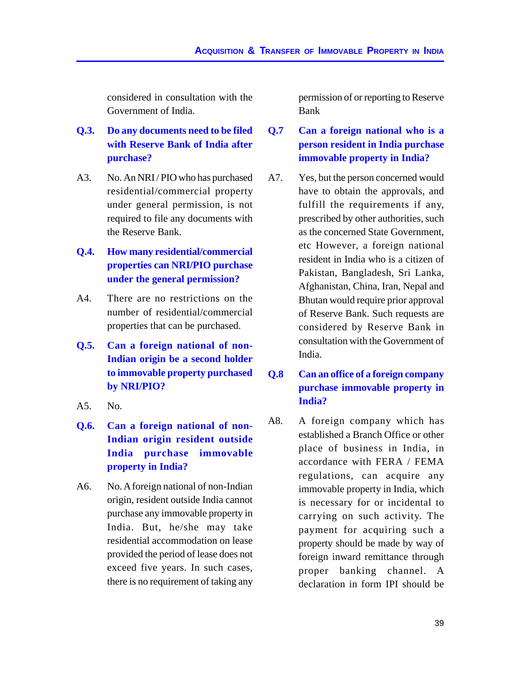considered in consultation with the Government of India.

- **Q.3. Do any documents need to be filed with Reserve Bank of India after purchase?**
- A3. No. An NRI / PIO who has purchased residential/commercial property under general permission, is not required to file any documents with the Reserve Bank.
- **Q.4. How many residential/commercial properties can NRI/PIO purchase under the general permission?**
- A4. There are no restrictions on the number of residential/commercial properties that can be purchased.
- **Q.5. Can a foreign national of non-Indian origin be a second holder to immovable property purchased by NRI/PIO?**
- A5. No.
- **Q.6. Can a foreign national of non-Indian origin resident outside India purchase immovable property in India?**
- A6. No. A foreign national of non-Indian origin, resident outside India cannot purchase any immovable property in India. But, he/she may take residential accommodation on lease provided the period of lease does not exceed five years. In such cases, there is no requirement of taking any

permission of or reporting to Reserve Bank

- **Q.7 Can a foreign national who is a person resident in India purchase immovable property in India?**
- A7. Yes, but the person concerned would have to obtain the approvals, and fulfill the requirements if any, prescribed by other authorities, such as the concerned State Government, etc However, a foreign national resident in India who is a citizen of Pakistan, Bangladesh, Sri Lanka, Afghanistan, China, Iran, Nepal and Bhutan would require prior approval of Reserve Bank. Such requests are considered by Reserve Bank in consultation with the Government of India.

# **Q.8 Can an office of a foreign company purchase immovable property in India?**

A8. A foreign company which has established a Branch Office or other place of business in India, in accordance with FERA / FEMA regulations, can acquire any immovable property in India, which is necessary for or incidental to carrying on such activity. The payment for acquiring such a property should be made by way of foreign inward remittance through proper banking channel. A declaration in form IPI should be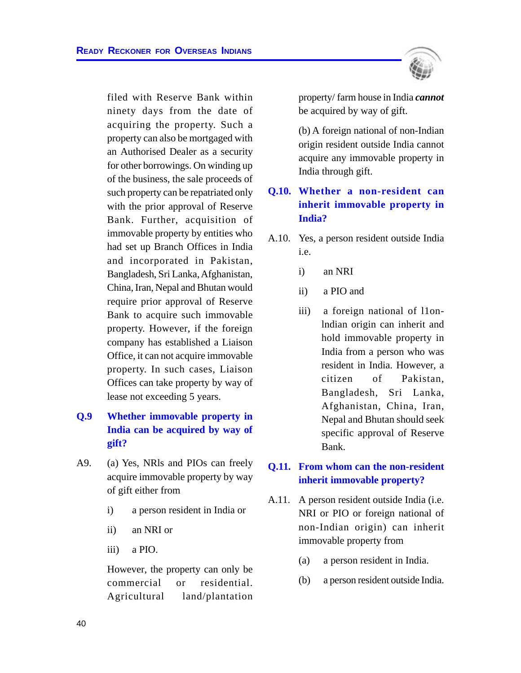filed with Reserve Bank within ninety days from the date of acquiring the property. Such a property can also be mortgaged with an Authorised Dealer as a security for other borrowings. On winding up of the business, the sale proceeds of such property can be repatriated only with the prior approval of Reserve Bank. Further, acquisition of immovable property by entities who had set up Branch Offices in India and incorporated in Pakistan, Bangladesh, Sri Lanka, Afghanistan, China, Iran, Nepal and Bhutan would require prior approval of Reserve Bank to acquire such immovable property. However, if the foreign company has established a Liaison Office, it can not acquire immovable property. In such cases, Liaison Offices can take property by way of lease not exceeding 5 years.

# **Q.9 Whether immovable property in India can be acquired by way of gift?**

- A9. (a) Yes, NRls and PIOs can freely acquire immovable property by way of gift either from
	- i) a person resident in India or
	- ii) an NRI or
	- iii) a PIO.

However, the property can only be commercial or residential. Agricultural land/plantation



property/ farm house in India *cannot* be acquired by way of gift.

(b) A foreign national of non-Indian origin resident outside India cannot acquire any immovable property in India through gift.

# **Q.10. Whether a non-resident can inherit immovable property in India?**

- A.10. Yes, a person resident outside India i.e.
	- i) an NRI
	- ii) a PIO and
	- iii) a foreign national of l1onlndian origin can inherit and hold immovable property in India from a person who was resident in India. However, a citizen of Pakistan, Bangladesh, Sri Lanka, Afghanistan, China, Iran, Nepal and Bhutan should seek specific approval of Reserve Bank.

## **Q.11. From whom can the non-resident inherit immovable property?**

- A.11. A person resident outside India (i.e. NRI or PIO or foreign national of non-Indian origin) can inherit immovable property from
	- (a) a person resident in India.
	- (b) a person resident outside India.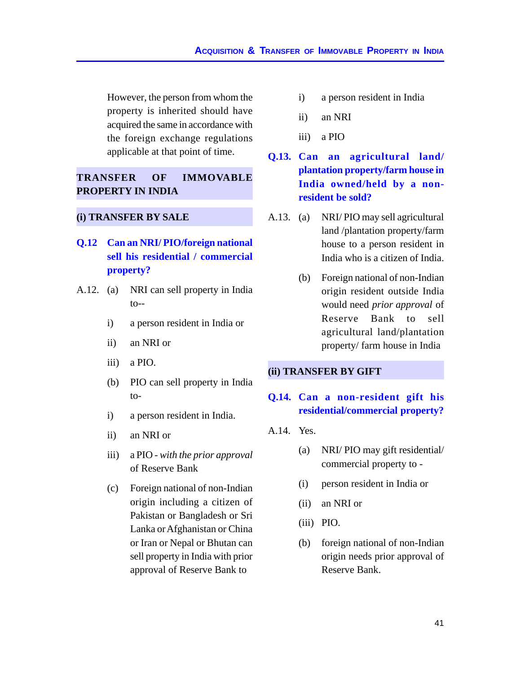However, the person from whom the property is inherited should have acquired the same in accordance with the foreign exchange regulations applicable at that point of time.

## **TRANSFER OF IMMOVABLE PROPERTY IN INDIA**

#### **(i) TRANSFER BY SALE**

- **Q.12 Can an NRI/ PIO/foreign national sell his residential / commercial property?**
- A.12. (a) NRI can sell property in India  $to-$ 
	- i) a person resident in India or
	- ii) an NRI or
	- iii) a PIO.
	- (b) PIO can sell property in India to-
	- i) a person resident in India.
	- ii) an NRI or
	- iii) a PIO *with the prior approval* of Reserve Bank
	- (c) Foreign national of non-Indian origin including a citizen of Pakistan or Bangladesh or Sri Lanka or Afghanistan or China or Iran or Nepal or Bhutan can sell property in India with prior approval of Reserve Bank to
- i) a person resident in India
- ii) an NRI
- iii) a PIO
- **Q.13. Can an agricultural land/ plantation property/farm house in India owned/held by a nonresident be sold?**
- A.13. (a) NRI/ PIO may sell agricultural land /plantation property/farm house to a person resident in India who is a citizen of India.
	- (b) Foreign national of non-Indian origin resident outside India would need *prior approval* of Reserve Bank to sell agricultural land/plantation property/ farm house in India

#### **(ii) TRANSFER BY GIFT**

# **Q.14. Can a non-resident gift his residential/commercial property?**

- A.14. Yes.
	- (a) NRI/ PIO may gift residential/ commercial property to -
	- (i) person resident in India or
	- (ii) an NRI or
	- (iii) PIO.
	- (b) foreign national of non-Indian origin needs prior approval of Reserve Bank.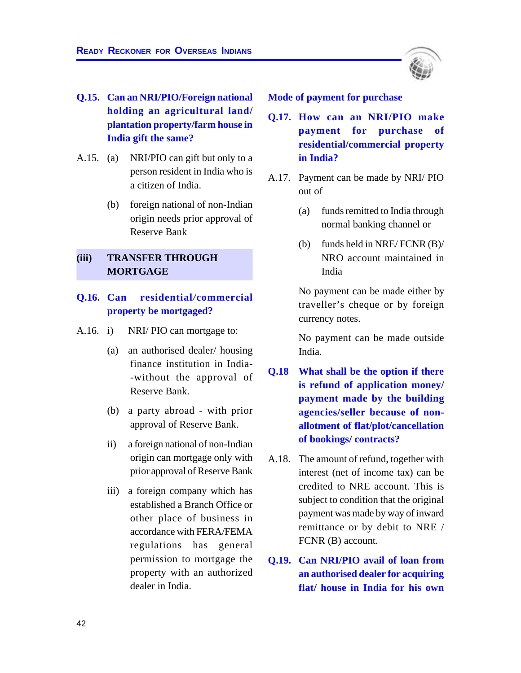

- **Q.15. Can an NRI/PIO/Foreign national holding an agricultural land/ plantation property/farm house in India gift the same?**
- A.15. (a) NRI/PIO can gift but only to a person resident in India who is a citizen of India.
	- (b) foreign national of non-Indian origin needs prior approval of Reserve Bank

### **(iii) TRANSFER THROUGH MORTGAGE**

## **Q.16. Can residential***/***commercial property be mortgaged?**

- A.16. i) NRI/ PIO can mortgage to:
	- (a) an authorised dealer/ housing finance institution in India- -without the approval of Reserve Bank.
	- (b) a party abroad with prior approval of Reserve Bank.
	- ii) a foreign national of non-Indian origin can mortgage only with prior approval of Reserve Bank
	- iii) a foreign company which has established a Branch Office or other place of business in accordance with FERA/FEMA regulations has general permission to mortgage the property with an authorized dealer in India.

**Mode of payment for purchase**

- **Q.17. How can an NRI/PIO make payment for purchase of residential/commercial property in India?**
- A.17. Payment can be made by NRI/ PIO out of
	- (a) funds remitted to India through normal banking channel or
	- (b) funds held in NRE/ FCNR (B)/ NRO account maintained in India

No payment can be made either by traveller's cheque or by foreign currency notes.

No payment can be made outside India.

- **Q.18 What shall be the option if there is refund of application money/ payment made by the building agencies/seller because of nonallotment of flat/plot/cancellation of bookings/ contracts?**
- A.18. The amount of refund, together with interest (net of income tax) can be credited to NRE account. This is subject to condition that the original payment was made by way of inward remittance or by debit to NRE / FCNR (B) account.
- **Q.19. Can NRI/PIO avail of loan from an authorised dealer for acquiring flat/ house in India for his own**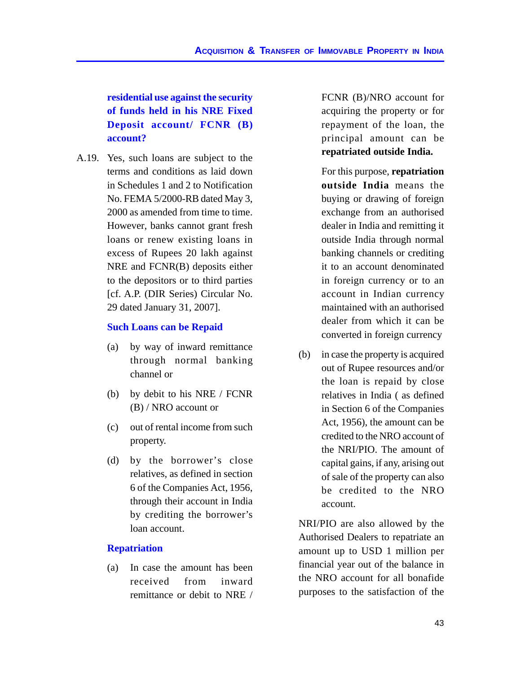**residential use against the security of funds held in his NRE Fixed Deposit account/ FCNR (B) account?**

A.19. Yes, such loans are subject to the terms and conditions as laid down in Schedules 1 and 2 to Notification No. FEMA 5/2000-RB dated May 3, 2000 as amended from time to time. However, banks cannot grant fresh loans or renew existing loans in excess of Rupees 20 lakh against NRE and FCNR(B) deposits either to the depositors or to third parties [cf. A.P. (DIR Series) Circular No. 29 dated January 31, 2007].

## **Such Loans can be Repaid**

- (a) by way of inward remittance through normal banking channel or
- (b) by debit to his NRE / FCNR (B) / NRO account or
- (c) out of rental income from such property.
- (d) by the borrower's close relatives, as defined in section 6 of the Companies Act, 1956, through their account in India by crediting the borrower's loan account.

## **Repatriation**

(a) In case the amount has been received from inward remittance or debit to NRE / FCNR (B)/NRO account for acquiring the property or for repayment of the loan, the principal amount can be **repatriated outside India.**

For this purpose, **repatriation outside India** means the buying or drawing of foreign exchange from an authorised dealer in India and remitting it outside India through normal banking channels or crediting it to an account denominated in foreign currency or to an account in Indian currency maintained with an authorised dealer from which it can be converted in foreign currency

(b) in case the property is acquired out of Rupee resources and/or the loan is repaid by close relatives in India ( as defined in Section 6 of the Companies Act, 1956), the amount can be credited to the NRO account of the NRI/PIO. The amount of capital gains, if any, arising out of sale of the property can also be credited to the NRO account.

NRI/PIO are also allowed by the Authorised Dealers to repatriate an amount up to USD 1 million per financial year out of the balance in the NRO account for all bonafide purposes to the satisfaction of the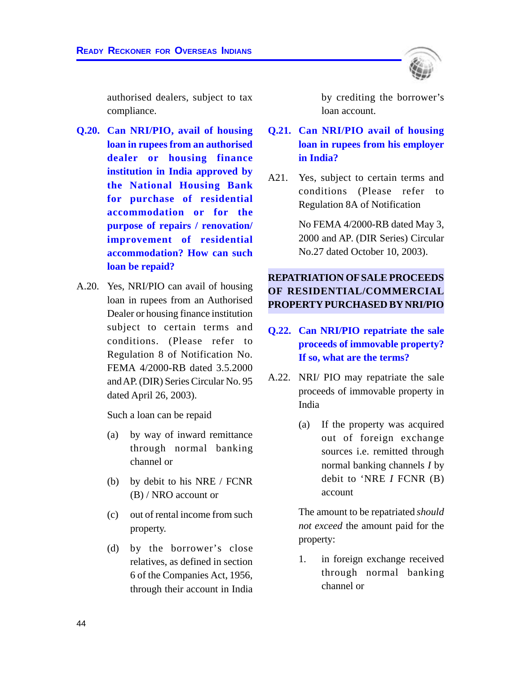authorised dealers, subject to tax compliance.

- **Q.20. Can NRI/PIO, avail of housing loan in rupees from an authorised dealer or housing finance institution in India approved by the National Housing Bank for purchase of residential accommodation or for the purpose of repairs / renovation/ improvement of residential accommodation? How can such loan be repaid?**
- A.20. Yes, NRI/PIO can avail of housing loan in rupees from an Authorised Dealer or housing finance institution subject to certain terms and conditions. (Please refer to Regulation 8 of Notification No. FEMA 4/2000-RB dated 3.5.2000 and AP. (DIR) Series Circular No. 95 dated April 26, 2003).

Such a loan can be repaid

- (a) by way of inward remittance through normal banking channel or
- (b) by debit to his NRE / FCNR (B) / NRO account or
- (c) out of rental income from such property.
- (d) by the borrower's close relatives, as defined in section 6 of the Companies Act, 1956, through their account in India

by crediting the borrower's loan account.

- **Q.21. Can NRI/PIO avail of housing loan in rupees from his employer in India?**
- A21. Yes, subject to certain terms and conditions (Please refer to Regulation 8A of Notification

No FEMA 4/2000-RB dated May 3, 2000 and AP. (DIR Series) Circular No.27 dated October 10, 2003).

# **REPATRIATION OF SALE PROCEEDS OF RESIDENTIAL/COMMERCIAL PROPERTY PURCHASED BY NRI/PIO**

- **Q.22. Can NRI/PIO repatriate the sale proceeds of immovable property? If so, what are the terms?**
- A.22. NRI/ PIO may repatriate the sale proceeds of immovable property in India
	- (a) If the property was acquired out of foreign exchange sources i.e. remitted through normal banking channels *I* by debit to 'NRE *I* FCNR (B) account

The amount to be repatriated *should not exceed* the amount paid for the property:

1. in foreign exchange received through normal banking channel or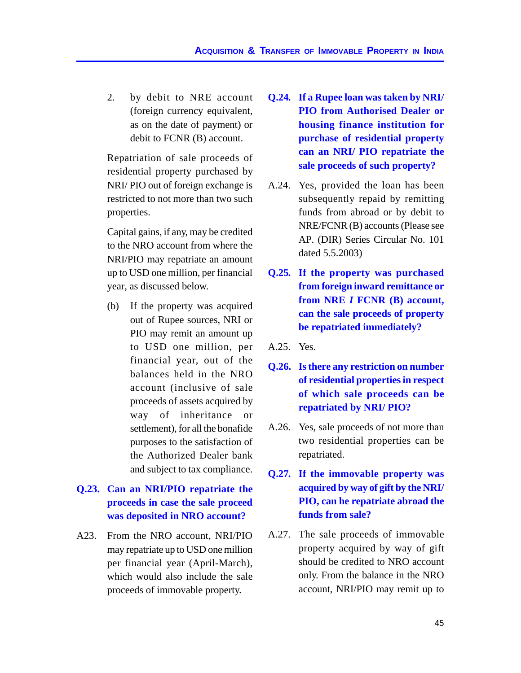2. by debit to NRE account (foreign currency equivalent, as on the date of payment) or debit to FCNR (B) account.

Repatriation of sale proceeds of residential property purchased by NRI/ PIO out of foreign exchange is restricted to not more than two such properties.

Capital gains, if any, may be credited to the NRO account from where the NRI/PIO may repatriate an amount up to USD one million, per financial year, as discussed below.

(b) If the property was acquired out of Rupee sources, NRI or PIO may remit an amount up to USD one million, per financial year, out of the balances held in the NRO account (inclusive of sale proceeds of assets acquired by way of inheritance or settlement), for all the bonafide purposes to the satisfaction of the Authorized Dealer bank and subject to tax compliance.

# **Q.23. Can an NRI/PIO repatriate the proceeds in case the sale proceed was deposited in NRO account?**

A23. From the NRO account, NRI/PIO may repatriate up to USD one million per financial year (April-March), which would also include the sale proceeds of immovable property.

- **Q.24***.* **If a Rupee loan was taken by NRI/ PIO from Authorised Dealer or housing finance institution for purchase of residential property can an NRI/ PIO repatriate the sale proceeds of such property?**
- A.24. Yes, provided the loan has been subsequently repaid by remitting funds from abroad or by debit to NRE/FCNR (B) accounts (Please see AP. (DIR) Series Circular No. 101 dated 5.5.2003)
- **Q.25***.* **If the property was purchased from foreign inward remittance or from NRE** *I* **FCNR (B) account, can the sale proceeds of property be repatriated immediately?**

A.25. Yes.

- **Q.26. Is there any restriction on number of residential properties in respect of which sale proceeds can be repatriated by NRI/ PIO?**
- A.26. Yes, sale proceeds of not more than two residential properties can be repatriated.
- **Q.27***.* **If the immovable property was acquired by way of gift by the NRI/ PIO, can he repatriate abroad the funds from sale?**
- A.27. The sale proceeds of immovable property acquired by way of gift should be credited to NRO account only. From the balance in the NRO account, NRI/PIO may remit up to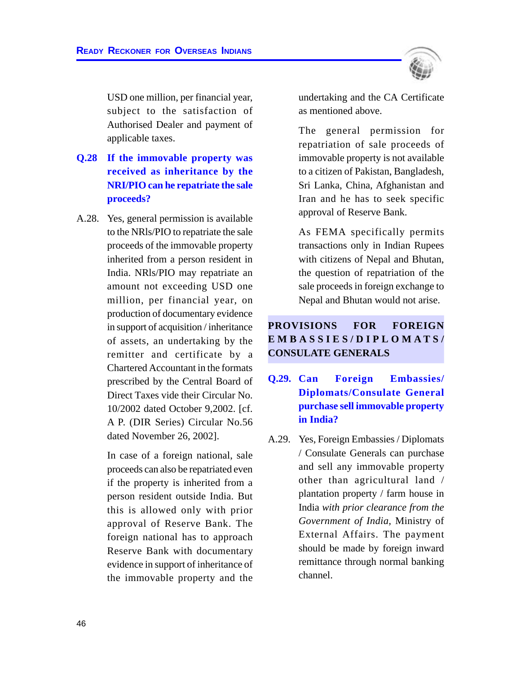USD one million, per financial year, subject to the satisfaction of Authorised Dealer and payment of applicable taxes.

- **Q.28 If the immovable property was received as inheritance by the NRI/PIO can he repatriate the sale proceeds?**
- A.28. Yes, general permission is available to the NRls/PIO to repatriate the sale proceeds of the immovable property inherited from a person resident in India. NRls/PIO may repatriate an amount not exceeding USD one million, per financial year, on production of documentary evidence in support of acquisition / inheritance of assets, an undertaking by the remitter and certificate by a Chartered Accountant in the formats prescribed by the Central Board of Direct Taxes vide their Circular No. 10/2002 dated October 9,2002. [cf. A P. (DIR Series) Circular No.56 dated November 26, 2002].

In case of a foreign national, sale proceeds can also be repatriated even if the property is inherited from a person resident outside India. But this is allowed only with prior approval of Reserve Bank. The foreign national has to approach Reserve Bank with documentary evidence in support of inheritance of the immovable property and the



undertaking and the CA Certificate as mentioned above.

The general permission for repatriation of sale proceeds of immovable property is not available to a citizen of Pakistan, Bangladesh, Sri Lanka, China, Afghanistan and Iran and he has to seek specific approval of Reserve Bank.

As FEMA specifically permits transactions only in Indian Rupees with citizens of Nepal and Bhutan, the question of repatriation of the sale proceeds in foreign exchange to Nepal and Bhutan would not arise.

# **PROVISIONS FOR FOREIGN EMBASSIES/DIPLOMA TS/ CONSULATE GENERALS**

- **Q.29. Can Foreign Embassies/ Diplomats/Consulate General purchase sell immovable property in India?**
- A.29. Yes, Foreign Embassies / Diplomats / Consulate Generals can purchase and sell any immovable property other than agricultural land / plantation property / farm house in India *with prior clearance from the Government of India,* Ministry of External Affairs. The payment should be made by foreign inward remittance through normal banking channel.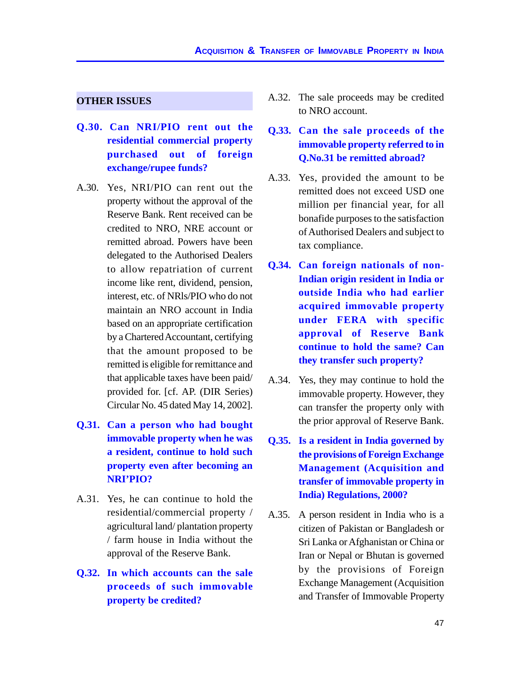#### **OTHER ISSUES**

- **Q.30. Can NRI/PIO rent out the residential commercial property purchased out of foreign exchange/rupee funds?**
- A.30. Yes, NRI/PIO can rent out the property without the approval of the Reserve Bank. Rent received can be credited to NRO, NRE account or remitted abroad. Powers have been delegated to the Authorised Dealers to allow repatriation of current income like rent, dividend, pension, interest, etc. of NRls/PIO who do not maintain an NRO account in India based on an appropriate certification by a Chartered Accountant, certifying that the amount proposed to be remitted is eligible for remittance and that applicable taxes have been paid/ provided for. [cf. AP. (DIR Series) Circular No. 45 dated May 14, 2002].
- **Q.31. Can a person who had bought immovable property when he was a resident, continue to hold such property even after becoming an NRI'PIO?**
- A.31. Yes, he can continue to hold the residential/commercial property / agricultural land/ plantation property / farm house in India without the approval of the Reserve Bank.
- **Q.32. In which accounts can the sale proceeds of such immovable property be credited?**
- A.32. The sale proceeds may be credited to NRO account.
- **Q.33. Can the sale proceeds of the immovable property referred to in Q.No.31 be remitted abroad?**
- A.33. Yes, provided the amount to be remitted does not exceed USD one million per financial year, for all bonafide purposes to the satisfaction of Authorised Dealers and subject to tax compliance.
- **Q.34. Can foreign nationals of non-Indian origin resident in India or outside India who had earlier acquired immovable property under FERA with specific approval of Reserve Bank continue to hold the same? Can they transfer such property?**
- A.34. Yes, they may continue to hold the immovable property. However, they can transfer the property only with the prior approval of Reserve Bank.
- **Q.35. Is a resident in India governed by the provisions of Foreign Exchange Management (Acquisition and transfer of immovable property in India) Regulations, 2000?**
- A.35. A person resident in India who is a citizen of Pakistan or Bangladesh or Sri Lanka or Afghanistan or China or Iran or Nepal or Bhutan is governed by the provisions of Foreign Exchange Management (Acquisition and Transfer of Immovable Property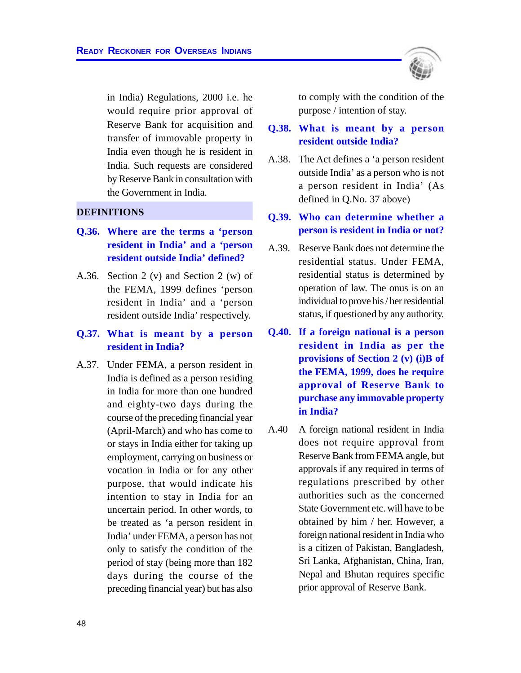in India) Regulations, 2000 i.e. he would require prior approval of Reserve Bank for acquisition and transfer of immovable property in India even though he is resident in India. Such requests are considered by Reserve Bank in consultation with the Government in India.

#### **DEFINITIONS**

- **Q.36. Where are the terms a 'person resident in India' and a 'person resident outside India' defined?**
- A.36. Section 2 (v) and Section 2 (w) of the FEMA, 1999 defines 'person resident in India' and a 'person resident outside India' respectively.
- **Q.37. What is meant by a person resident in India?**
- A.37. Under FEMA, a person resident in India is defined as a person residing in India for more than one hundred and eighty-two days during the course of the preceding financial year (April-March) and who has come to or stays in India either for taking up employment, carrying on business or vocation in India or for any other purpose, that would indicate his intention to stay in India for an uncertain period. In other words, to be treated as 'a person resident in India' under FEMA, a person has not only to satisfy the condition of the period of stay (being more than 182 days during the course of the preceding financial year) but has also



to comply with the condition of the purpose / intention of stay.

**Q.38. What is meant by a person resident outside India?**

- A.38. The Act defines a 'a person resident outside India' as a person who is not a person resident in India' (As defined in Q.No. 37 above)
- **Q.39. Who can determine whether a person is resident in India or not?**
- A.39. Reserve Bank does not determine the residential status. Under FEMA, residential status is determined by operation of law. The onus is on an individual to prove his / her residential status, if questioned by any authority.
- **Q.40. If a foreign national is a person resident in India as per the provisions of Section 2 (v) (i)B of the FEMA, 1999, does he require approval of Reserve Bank to purchase any immovable property in India?**
- A.40 A foreign national resident in India does not require approval from Reserve Bank from FEMA angle, but approvals if any required in terms of regulations prescribed by other authorities such as the concerned State Government etc. will have to be obtained by him / her. However, a foreign national resident in India who is a citizen of Pakistan, Bangladesh, Sri Lanka, Afghanistan, China, Iran, Nepal and Bhutan requires specific prior approval of Reserve Bank.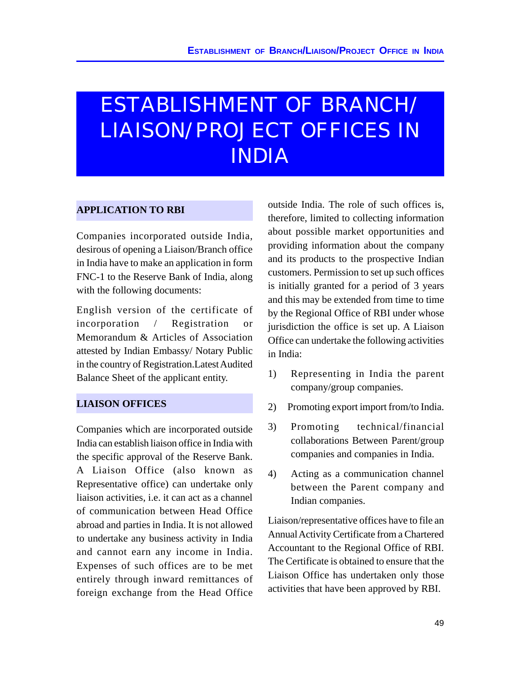# ESTABLISHMENT OF BRANCH/ LIAISON/PROJECT OFFICES IN INDIA

## **APPLICATION TO RBI**

Companies incorporated outside India, desirous of opening a Liaison/Branch office in India have to make an application in form FNC-1 to the Reserve Bank of India, along with the following documents:

English version of the certificate of incorporation / Registration or Memorandum & Articles of Association attested by Indian Embassy/ Notary Public in the country of Registration.Latest Audited Balance Sheet of the applicant entity.

## **LIAISON OFFICES**

Companies which are incorporated outside India can establish liaison office in India with the specific approval of the Reserve Bank. A Liaison Office (also known as Representative office) can undertake only liaison activities, i.e. it can act as a channel of communication between Head Office abroad and parties in India. It is not allowed to undertake any business activity in India and cannot earn any income in India. Expenses of such offices are to be met entirely through inward remittances of foreign exchange from the Head Office

outside India. The role of such offices is, therefore, limited to collecting information about possible market opportunities and providing information about the company and its products to the prospective Indian customers. Permission to set up such offices is initially granted for a period of 3 years and this may be extended from time to time by the Regional Office of RBI under whose jurisdiction the office is set up. A Liaison Office can undertake the following activities in India:

- 1) Representing in India the parent company/group companies.
- 2) Promoting export import from/to India.
- 3) Promoting technical/financial collaborations Between Parent/group companies and companies in India.
- 4) Acting as a communication channel between the Parent company and Indian companies.

Liaison/representative offices have to file an Annual Activity Certificate from a Chartered Accountant to the Regional Office of RBI. The Certificate is obtained to ensure that the Liaison Office has undertaken only those activities that have been approved by RBI.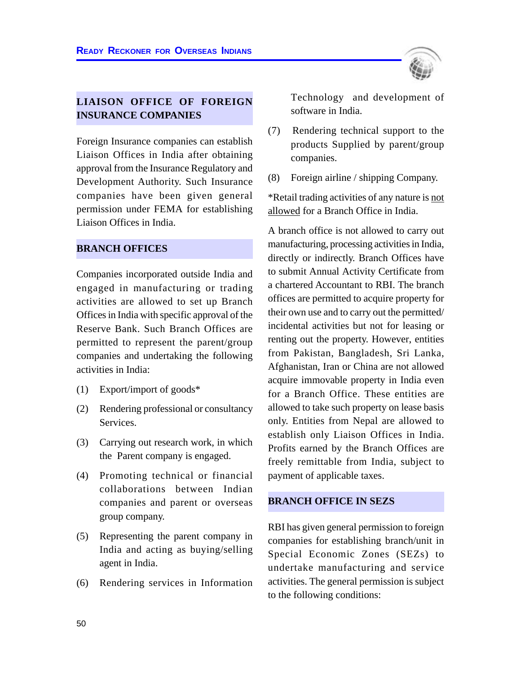

# **LIAISON OFFICE OF FOREIGN INSURANCE COMPANIES**

Foreign Insurance companies can establish Liaison Offices in India after obtaining approval from the Insurance Regulatory and Development Authority. Such Insurance companies have been given general permission under FEMA for establishing Liaison Offices in India.

### **BRANCH OFFICES**

Companies incorporated outside India and engaged in manufacturing or trading activities are allowed to set up Branch Offices in India with specific approval of the Reserve Bank. Such Branch Offices are permitted to represent the parent/group companies and undertaking the following activities in India:

- (1) Export/import of goods\*
- (2) Rendering professional or consultancy Services.
- (3) Carrying out research work, in which the Parent company is engaged.
- (4) Promoting technical or financial collaborations between Indian companies and parent or overseas group company.
- (5) Representing the parent company in India and acting as buying/selling agent in India.
- (6) Rendering services in Information

Technology and development of software in India.

- (7) Rendering technical support to the products Supplied by parent/group companies.
- (8) Foreign airline / shipping Company.

\*Retail trading activities of any nature is not allowed for a Branch Office in India.

A branch office is not allowed to carry out manufacturing, processing activities in India, directly or indirectly. Branch Offices have to submit Annual Activity Certificate from a chartered Accountant to RBI. The branch offices are permitted to acquire property for their own use and to carry out the permitted/ incidental activities but not for leasing or renting out the property. However, entities from Pakistan, Bangladesh, Sri Lanka, Afghanistan, Iran or China are not allowed acquire immovable property in India even for a Branch Office. These entities are allowed to take such property on lease basis only. Entities from Nepal are allowed to establish only Liaison Offices in India. Profits earned by the Branch Offices are freely remittable from India, subject to payment of applicable taxes.

#### **BRANCH OFFICE IN SEZS**

RBI has given general permission to foreign companies for establishing branch/unit in Special Economic Zones (SEZs) to undertake manufacturing and service activities. The general permission is subject to the following conditions: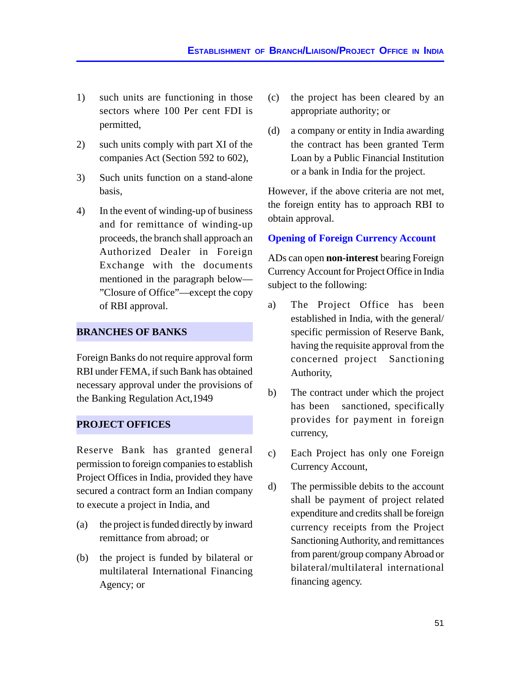- 1) such units are functioning in those sectors where 100 Per cent FDI is permitted,
- 2) such units comply with part XI of the companies Act (Section 592 to 602),
- 3) Such units function on a stand-alone basis,
- 4) In the event of winding-up of business and for remittance of winding-up proceeds, the branch shall approach an Authorized Dealer in Foreign Exchange with the documents mentioned in the paragraph below— "Closure of Office"—except the copy of RBI approval.

## **BRANCHES OF BANKS**

Foreign Banks do not require approval form RBI under FEMA, if such Bank has obtained necessary approval under the provisions of the Banking Regulation Act,1949

#### **PROJECT OFFICES**

Reserve Bank has granted general permission to foreign companies to establish Project Offices in India, provided they have secured a contract form an Indian company to execute a project in India, and

- (a) the project is funded directly by inward remittance from abroad; or
- (b) the project is funded by bilateral or multilateral International Financing Agency; or
- (c) the project has been cleared by an appropriate authority; or
- (d) a company or entity in India awarding the contract has been granted Term Loan by a Public Financial Institution or a bank in India for the project.

However, if the above criteria are not met, the foreign entity has to approach RBI to obtain approval.

#### **Opening of Foreign Currency Account**

ADs can open **non-interest** bearing Foreign Currency Account for Project Office in India subject to the following:

- a) The Project Office has been established in India, with the general/ specific permission of Reserve Bank, having the requisite approval from the concerned project Sanctioning Authority,
- b) The contract under which the project has been sanctioned, specifically provides for payment in foreign currency,
- c) Each Project has only one Foreign Currency Account,
- d) The permissible debits to the account shall be payment of project related expenditure and credits shall be foreign currency receipts from the Project Sanctioning Authority, and remittances from parent/group company Abroad or bilateral/multilateral international financing agency.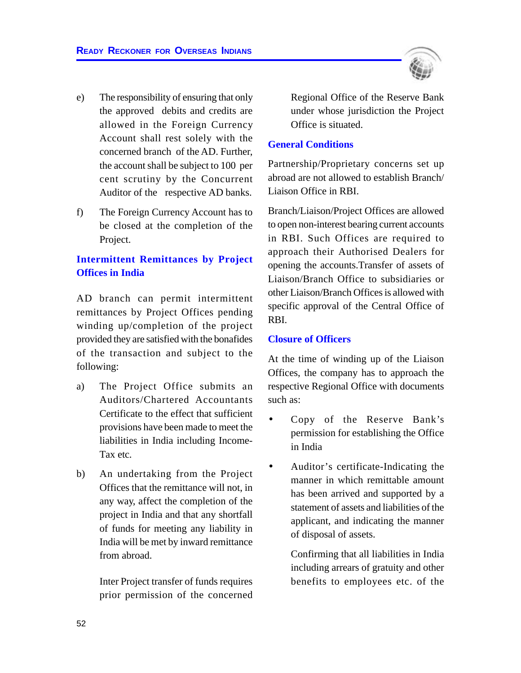- e) The responsibility of ensuring that only the approved debits and credits are allowed in the Foreign Currency Account shall rest solely with the concerned branch of the AD. Further, the account shall be subject to 100 per cent scrutiny by the Concurrent Auditor of the respective AD banks.
- f) The Foreign Currency Account has to be closed at the completion of the Project.

# **Intermittent Remittances by Project Offices in India**

AD branch can permit intermittent remittances by Project Offices pending winding up/completion of the project provided they are satisfied with the bonafides of the transaction and subject to the following:

- a) The Project Office submits an Auditors/Chartered Accountants Certificate to the effect that sufficient provisions have been made to meet the liabilities in India including Income-Tax etc.
- b) An undertaking from the Project Offices that the remittance will not, in any way, affect the completion of the project in India and that any shortfall of funds for meeting any liability in India will be met by inward remittance from abroad.

Inter Project transfer of funds requires prior permission of the concerned



Regional Office of the Reserve Bank under whose jurisdiction the Project Office is situated.

#### **General Conditions**

Partnership/Proprietary concerns set up abroad are not allowed to establish Branch/ Liaison Office in RBI.

Branch/Liaison/Project Offices are allowed to open non-interest bearing current accounts in RBI. Such Offices are required to approach their Authorised Dealers for opening the accounts.Transfer of assets of Liaison/Branch Office to subsidiaries or other Liaison/Branch Offices is allowed with specific approval of the Central Office of RBI.

#### **Closure of Officers**

At the time of winding up of the Liaison Offices, the company has to approach the respective Regional Office with documents such as:

- Copy of the Reserve Bank's permission for establishing the Office in India
- Auditor's certificate-Indicating the manner in which remittable amount has been arrived and supported by a statement of assets and liabilities of the applicant, and indicating the manner of disposal of assets.

Confirming that all liabilities in India including arrears of gratuity and other benefits to employees etc. of the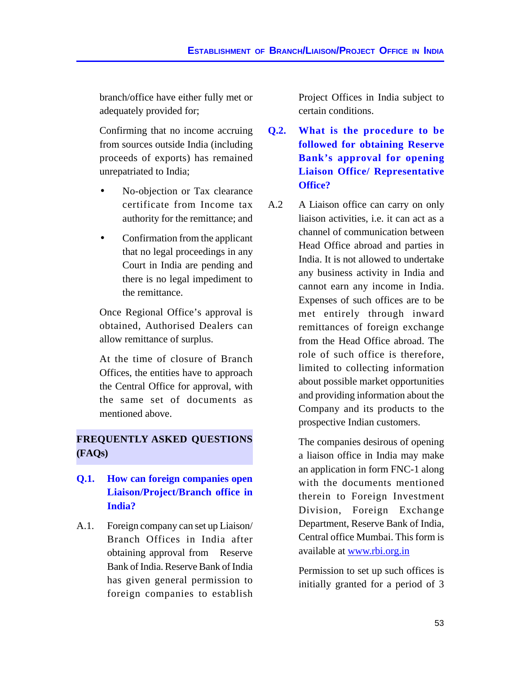branch/office have either fully met or adequately provided for;

Confirming that no income accruing from sources outside India (including proceeds of exports) has remained unrepatriated to India;

- No-objection or Tax clearance certificate from Income tax authority for the remittance; and
- Confirmation from the applicant that no legal proceedings in any Court in India are pending and there is no legal impediment to the remittance.

Once Regional Office's approval is obtained, Authorised Dealers can allow remittance of surplus.

At the time of closure of Branch Offices, the entities have to approach the Central Office for approval, with the same set of documents as mentioned above.

# **FREQUENTLY ASKED QUESTIONS (FAQs)**

# **Q.1. How can foreign companies open Liaison/Project/Branch office in India?**

A.1. Foreign company can set up Liaison/ Branch Offices in India after obtaining approval from Reserve Bank of India. Reserve Bank of India has given general permission to foreign companies to establish

Project Offices in India subject to certain conditions.

- **Q.2. What is the procedure to be followed for obtaining Reserve Bank's approval for opening Liaison Office/ Representative Office?**
- A.2 A Liaison office can carry on only liaison activities, i.e. it can act as a channel of communication between Head Office abroad and parties in India. It is not allowed to undertake any business activity in India and cannot earn any income in India. Expenses of such offices are to be met entirely through inward remittances of foreign exchange from the Head Office abroad. The role of such office is therefore, limited to collecting information about possible market opportunities and providing information about the Company and its products to the prospective Indian customers.

The companies desirous of opening a liaison office in India may make an application in form FNC-1 along with the documents mentioned therein to Foreign Investment Division, Foreign Exchange Department, Reserve Bank of India, Central office Mumbai. This form is available at www.rbi.org.in

Permission to set up such offices is initially granted for a period of 3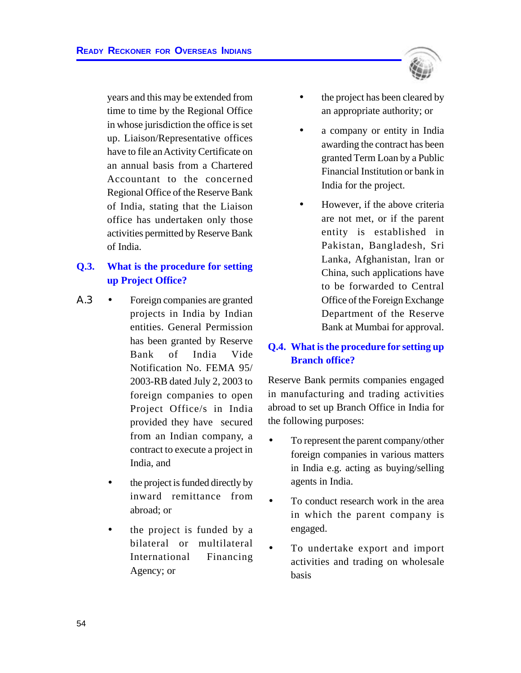years and this may be extended from time to time by the Regional Office in whose jurisdiction the office is set up. Liaison/Representative offices have to file an Activity Certificate on an annual basis from a Chartered Accountant to the concerned Regional Office of the Reserve Bank of India, stating that the Liaison office has undertaken only those activities permitted by Reserve Bank of India.

# **Q.3. What is the procedure for setting up Project Office?**

- Α.3 Foreign companies are granted projects in India by Indian entities. General Permission has been granted by Reserve Bank of India Vide Notification No. FEMA 95/ 2003-RB dated July 2, 2003 to foreign companies to open Project Office/s in India provided they have secured from an Indian company, a contract to execute a project in India, and
	- the project is funded directly by inward remittance from abroad; or
	- the project is funded by a bilateral or multilateral International Financing Agency; or



- the project has been cleared by an appropriate authority; or
- a company or entity in India awarding the contract has been granted Term Loan by a Public Financial Institution or bank in India for the project.
- However, if the above criteria are not met, or if the parent entity is established in Pakistan, Bangladesh, Sri Lanka, Afghanistan, lran or China, such applications have to be forwarded to Central Office of the Foreign Exchange Department of the Reserve Bank at Mumbai for approval.

# **Q.4. What is the procedure for setting up Branch office?**

Reserve Bank permits companies engaged in manufacturing and trading activities abroad to set up Branch Office in India for the following purposes:

- To represent the parent company/other foreign companies in various matters in India e.g. acting as buying/selling agents in India.
- To conduct research work in the area in which the parent company is engaged.
- To undertake export and import activities and trading on wholesale basis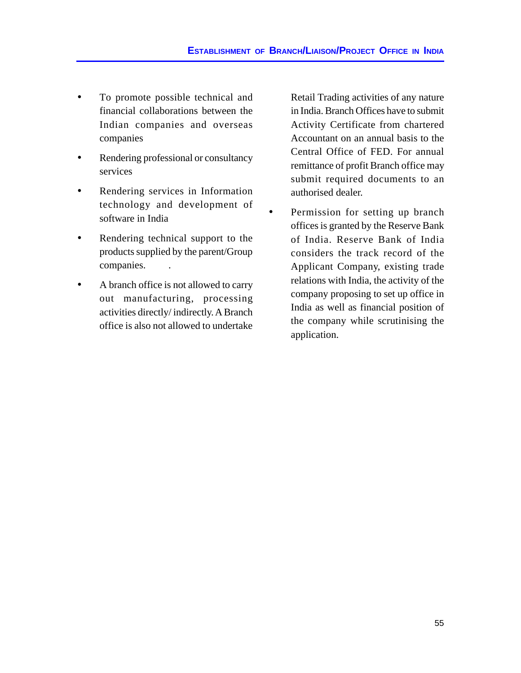- To promote possible technical and financial collaborations between the Indian companies and overseas companies
- Rendering professional or consultancy services
- Rendering services in Information technology and development of software in India
- Rendering technical support to the products supplied by the parent/Group companies. .
- A branch office is not allowed to carry out manufacturing, processing activities directly/ indirectly. A Branch office is also not allowed to undertake

Retail Trading activities of any nature in India. Branch Offices have to submit Activity Certificate from chartered Accountant on an annual basis to the Central Office of FED. For annual remittance of profit Branch office may submit required documents to an authorised dealer.

Permission for setting up branch offices is granted by the Reserve Bank of India. Reserve Bank of India considers the track record of the Applicant Company, existing trade relations with India, the activity of the company proposing to set up office in India as well as financial position of the company while scrutinising the application.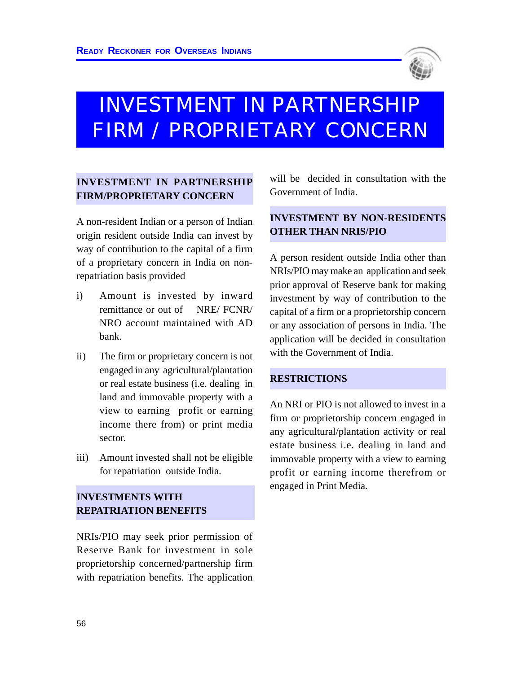

# INVESTMENT IN PARTNERSHIP FIRM / PROPRIETARY CONCERN

# **INVESTMENT IN PARTNERSHIP FIRM/PROPRIETARY CONCERN**

A non-resident Indian or a person of Indian origin resident outside India can invest by way of contribution to the capital of a firm of a proprietary concern in India on nonrepatriation basis provided

- i) Amount is invested by inward remittance or out of NRE/ FCNR/ NRO account maintained with AD bank.
- ii) The firm or proprietary concern is not engaged in any agricultural/plantation or real estate business (i.e. dealing in land and immovable property with a view to earning profit or earning income there from) or print media sector.
- iii) Amount invested shall not be eligible for repatriation outside India.

# **INVESTMENTS WITH REPATRIATION BENEFITS**

NRIs/PIO may seek prior permission of Reserve Bank for investment in sole proprietorship concerned/partnership firm with repatriation benefits. The application will be decided in consultation with the Government of India.

# **INVESTMENT BY NON-RESIDENTS OTHER THAN NRIS/PIO**

A person resident outside India other than NRIs/PIO may make an application and seek prior approval of Reserve bank for making investment by way of contribution to the capital of a firm or a proprietorship concern or any association of persons in India. The application will be decided in consultation with the Government of India.

#### **RESTRICTIONS**

An NRI or PIO is not allowed to invest in a firm or proprietorship concern engaged in any agricultural/plantation activity or real estate business i.e. dealing in land and immovable property with a view to earning profit or earning income therefrom or engaged in Print Media.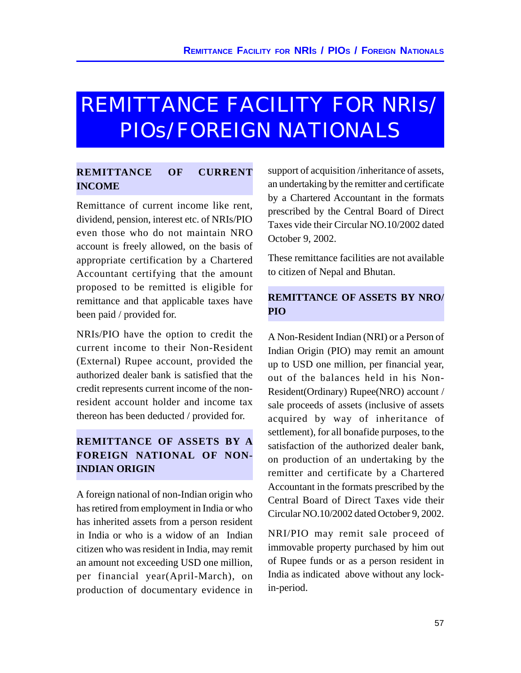# REMITTANCE FACILITY FOR NRIs/ PIOs/FOREIGN NATIONALS

# **REMITTANCE OF CURRENT INCOME**

Remittance of current income like rent, dividend, pension, interest etc. of NRIs/PIO even those who do not maintain NRO account is freely allowed, on the basis of appropriate certification by a Chartered Accountant certifying that the amount proposed to be remitted is eligible for remittance and that applicable taxes have been paid / provided for.

NRIs/PIO have the option to credit the current income to their Non-Resident (External) Rupee account, provided the authorized dealer bank is satisfied that the credit represents current income of the nonresident account holder and income tax thereon has been deducted / provided for.

# **REMITTANCE OF ASSETS BY A FOREIGN NATIONAL OF NON-INDIAN ORIGIN**

A foreign national of non-Indian origin who has retired from employment in India or who has inherited assets from a person resident in India or who is a widow of an Indian citizen who was resident in India, may remit an amount not exceeding USD one million, per financial year(April-March), on production of documentary evidence in

support of acquisition /inheritance of assets, an undertaking by the remitter and certificate by a Chartered Accountant in the formats prescribed by the Central Board of Direct Taxes vide their Circular NO.10/2002 dated October 9, 2002.

These remittance facilities are not available to citizen of Nepal and Bhutan.

# **REMITTANCE OF ASSETS BY NRO/ PIO**

A Non-Resident Indian (NRI) or a Person of Indian Origin (PIO) may remit an amount up to USD one million, per financial year, out of the balances held in his Non-Resident(Ordinary) Rupee(NRO) account / sale proceeds of assets (inclusive of assets acquired by way of inheritance of settlement), for all bonafide purposes, to the satisfaction of the authorized dealer bank, on production of an undertaking by the remitter and certificate by a Chartered Accountant in the formats prescribed by the Central Board of Direct Taxes vide their Circular NO.10/2002 dated October 9, 2002.

NRI/PIO may remit sale proceed of immovable property purchased by him out of Rupee funds or as a person resident in India as indicated above without any lockin-period.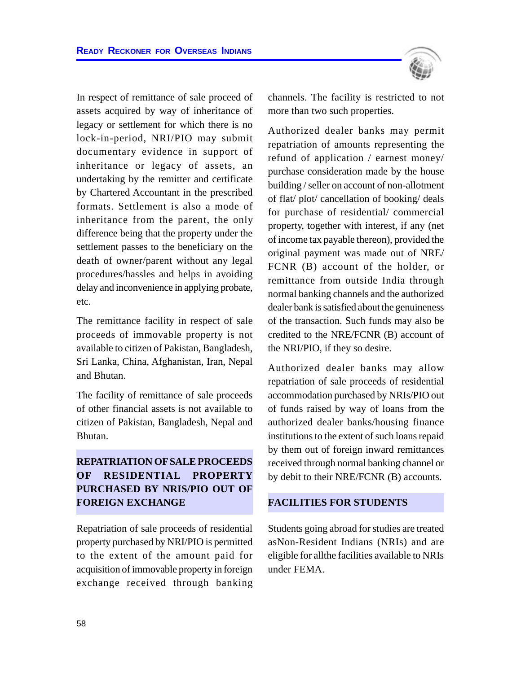In respect of remittance of sale proceed of assets acquired by way of inheritance of legacy or settlement for which there is no lock-in-period, NRI/PIO may submit documentary evidence in support of inheritance or legacy of assets, an undertaking by the remitter and certificate by Chartered Accountant in the prescribed formats. Settlement is also a mode of inheritance from the parent, the only difference being that the property under the settlement passes to the beneficiary on the death of owner/parent without any legal procedures/hassles and helps in avoiding delay and inconvenience in applying probate, etc.

The remittance facility in respect of sale proceeds of immovable property is not available to citizen of Pakistan, Bangladesh, Sri Lanka, China, Afghanistan, Iran, Nepal and Bhutan.

The facility of remittance of sale proceeds of other financial assets is not available to citizen of Pakistan, Bangladesh, Nepal and Bhutan.

# **REPATRIATION OF SALE PROCEEDS OF RESIDENTIAL PROPERTY PURCHASED BY NRIS/PIO OUT OF FOREIGN EXCHANGE**

Repatriation of sale proceeds of residential property purchased by NRI/PIO is permitted to the extent of the amount paid for acquisition of immovable property in foreign exchange received through banking channels. The facility is restricted to not more than two such properties.

Authorized dealer banks may permit repatriation of amounts representing the refund of application / earnest money/ purchase consideration made by the house building / seller on account of non-allotment of flat/ plot/ cancellation of booking/ deals for purchase of residential/ commercial property, together with interest, if any (net of income tax payable thereon), provided the original payment was made out of NRE/ FCNR (B) account of the holder, or remittance from outside India through normal banking channels and the authorized dealer bank is satisfied about the genuineness of the transaction. Such funds may also be credited to the NRE/FCNR (B) account of the NRI/PIO, if they so desire.

Authorized dealer banks may allow repatriation of sale proceeds of residential accommodation purchased by NRIs/PIO out of funds raised by way of loans from the authorized dealer banks/housing finance institutions to the extent of such loans repaid by them out of foreign inward remittances received through normal banking channel or by debit to their NRE/FCNR (B) accounts.

## **FACILITIES FOR STUDENTS**

Students going abroad for studies are treated asNon-Resident Indians (NRIs) and are eligible for allthe facilities available to NRIs under FEMA.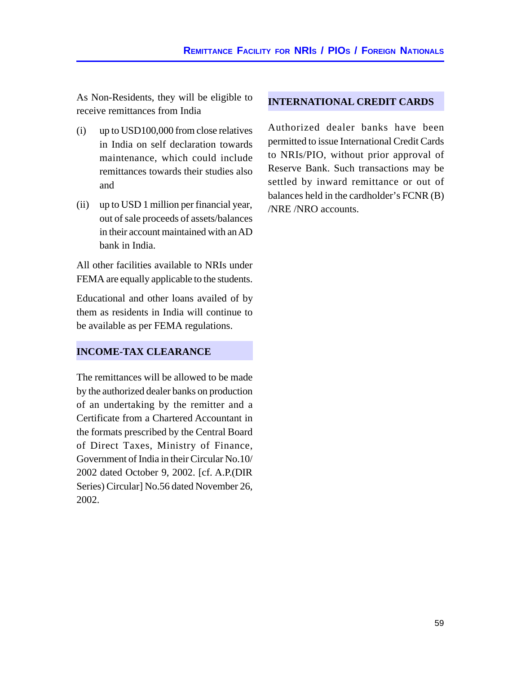As Non-Residents, they will be eligible to receive remittances from India

- (i) up to USD100,000 from close relatives in India on self declaration towards maintenance, which could include remittances towards their studies also and
- (ii) up to USD 1 million per financial year, out of sale proceeds of assets/balances in their account maintained with an AD bank in India.

All other facilities available to NRIs under FEMA are equally applicable to the students.

Educational and other loans availed of by them as residents in India will continue to be available as per FEMA regulations.

## **INCOME-TAX CLEARANCE**

The remittances will be allowed to be made by the authorized dealer banks on production of an undertaking by the remitter and a Certificate from a Chartered Accountant in the formats prescribed by the Central Board of Direct Taxes, Ministry of Finance, Government of India in their Circular No.10/ 2002 dated October 9, 2002. [cf. A.P.(DIR Series) Circular] No.56 dated November 26, 2002.

#### **INTERNATIONAL CREDIT CARDS**

Authorized dealer banks have been permitted to issue International Credit Cards to NRIs/PIO, without prior approval of Reserve Bank. Such transactions may be settled by inward remittance or out of balances held in the cardholder's FCNR (B) /NRE /NRO accounts.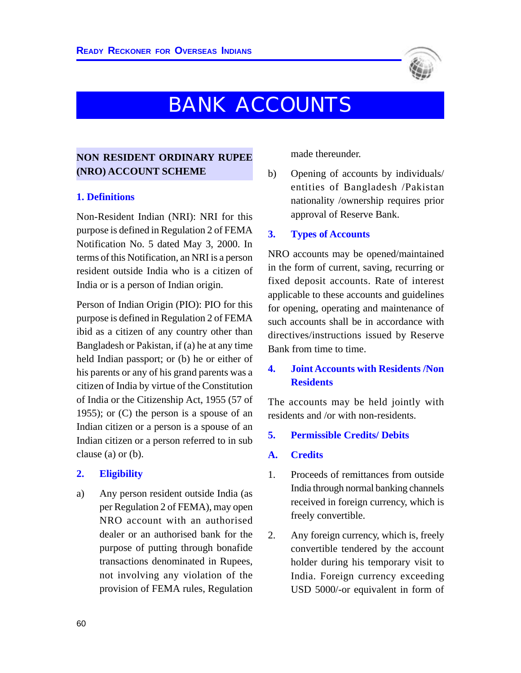

# BANK ACCOUNTS

## **NON RESIDENT ORDINARY RUPEE (NRO) ACCOUNT SCHEME**

#### **1. Definitions**

Non-Resident Indian (NRI): NRI for this purpose is defined in Regulation 2 of FEMA Notification No. 5 dated May 3, 2000. In terms of this Notification, an NRI is a person resident outside India who is a citizen of India or is a person of Indian origin.

Person of Indian Origin (PIO): PIO for this purpose is defined in Regulation 2 of FEMA ibid as a citizen of any country other than Bangladesh or Pakistan, if (a) he at any time held Indian passport; or (b) he or either of his parents or any of his grand parents was a citizen of India by virtue of the Constitution of India or the Citizenship Act, 1955 (57 of 1955); or  $(C)$  the person is a spouse of an Indian citizen or a person is a spouse of an Indian citizen or a person referred to in sub clause (a) or (b).

#### **2. Eligibility**

a) Any person resident outside India (as per Regulation 2 of FEMA), may open NRO account with an authorised dealer or an authorised bank for the purpose of putting through bonafide transactions denominated in Rupees, not involving any violation of the provision of FEMA rules, Regulation

made thereunder.

b) Opening of accounts by individuals/ entities of Bangladesh /Pakistan nationality /ownership requires prior approval of Reserve Bank.

#### **3. Types of Accounts**

NRO accounts may be opened/maintained in the form of current, saving, recurring or fixed deposit accounts. Rate of interest applicable to these accounts and guidelines for opening, operating and maintenance of such accounts shall be in accordance with directives/instructions issued by Reserve Bank from time to time.

## **4. Joint Accounts with Residents /Non Residents**

The accounts may be held jointly with residents and /or with non-residents.

#### **5. Permissible Credits/ Debits**

#### **A. Credits**

- 1. Proceeds of remittances from outside India through normal banking channels received in foreign currency, which is freely convertible.
- 2. Any foreign currency, which is, freely convertible tendered by the account holder during his temporary visit to India. Foreign currency exceeding USD 5000/-or equivalent in form of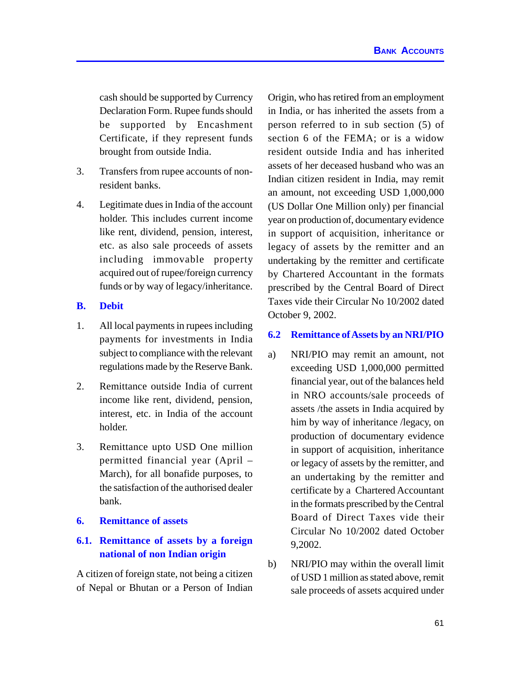cash should be supported by Currency Declaration Form. Rupee funds should be supported by Encashment Certificate, if they represent funds brought from outside India.

- 3. Transfers from rupee accounts of nonresident banks.
- 4. Legitimate dues in India of the account holder. This includes current income like rent, dividend, pension, interest, etc. as also sale proceeds of assets including immovable property acquired out of rupee/foreign currency funds or by way of legacy/inheritance.

#### **B. Debit**

- 1. All local payments in rupees including payments for investments in India subject to compliance with the relevant regulations made by the Reserve Bank.
- 2. Remittance outside India of current income like rent, dividend, pension, interest, etc. in India of the account holder.
- 3. Remittance upto USD One million permitted financial year (April – March), for all bonafide purposes, to the satisfaction of the authorised dealer bank.
- **6. Remittance of assets**

# **6.1. Remittance of assets by a foreign national of non Indian origin**

A citizen of foreign state, not being a citizen of Nepal or Bhutan or a Person of Indian Origin, who has retired from an employment in India, or has inherited the assets from a person referred to in sub section (5) of section 6 of the FEMA; or is a widow resident outside India and has inherited assets of her deceased husband who was an Indian citizen resident in India, may remit an amount, not exceeding USD 1,000,000 (US Dollar One Million only) per financial year on production of, documentary evidence in support of acquisition, inheritance or legacy of assets by the remitter and an undertaking by the remitter and certificate by Chartered Accountant in the formats prescribed by the Central Board of Direct Taxes vide their Circular No 10/2002 dated October 9, 2002.

### **6.2 Remittance of Assets by an NRI/PIO**

- a) NRI/PIO may remit an amount, not exceeding USD 1,000,000 permitted financial year, out of the balances held in NRO accounts/sale proceeds of assets /the assets in India acquired by him by way of inheritance /legacy, on production of documentary evidence in support of acquisition, inheritance or legacy of assets by the remitter, and an undertaking by the remitter and certificate by a Chartered Accountant in the formats prescribed by the Central Board of Direct Taxes vide their Circular No 10/2002 dated October 9,2002.
- b) NRI/PIO may within the overall limit of USD 1 million as stated above, remit sale proceeds of assets acquired under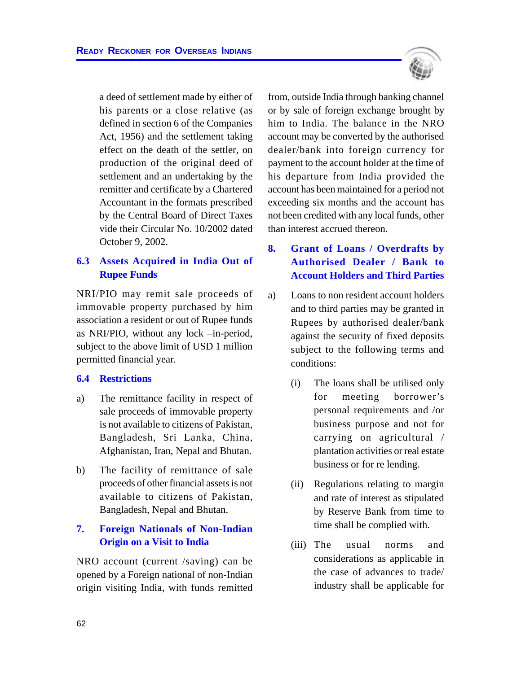a deed of settlement made by either of his parents or a close relative (as defined in section 6 of the Companies Act, 1956) and the settlement taking effect on the death of the settler, on production of the original deed of settlement and an undertaking by the remitter and certificate by a Chartered Accountant in the formats prescribed by the Central Board of Direct Taxes vide their Circular No. 10/2002 dated October 9, 2002.

## **6.3 Assets Acquired in India Out of Rupee Funds**

NRI/PIO may remit sale proceeds of immovable property purchased by him association a resident or out of Rupee funds as NRI/PIO, without any lock –in-period, subject to the above limit of USD 1 million permitted financial year.

#### **6.4 Restrictions**

- a) The remittance facility in respect of sale proceeds of immovable property is not available to citizens of Pakistan, Bangladesh, Sri Lanka, China, Afghanistan, Iran, Nepal and Bhutan.
- b) The facility of remittance of sale proceeds of other financial assets is not available to citizens of Pakistan, Bangladesh, Nepal and Bhutan.

## **7. Foreign Nationals of Non-Indian Origin on a Visit to India**

NRO account (current /saving) can be opened by a Foreign national of non-Indian origin visiting India, with funds remitted



from, outside India through banking channel or by sale of foreign exchange brought by him to India. The balance in the NRO account may be converted by the authorised dealer/bank into foreign currency for payment to the account holder at the time of his departure from India provided the account has been maintained for a period not exceeding six months and the account has not been credited with any local funds, other than interest accrued thereon.

# **8. Grant of Loans / Overdrafts by Authorised Dealer / Bank to Account Holders and Third Parties**

- a) Loans to non resident account holders and to third parties may be granted in Rupees by authorised dealer/bank against the security of fixed deposits subject to the following terms and conditions:
	- (i) The loans shall be utilised only for meeting borrower's personal requirements and /or business purpose and not for carrying on agricultural / plantation activities or real estate business or for re lending.
	- (ii) Regulations relating to margin and rate of interest as stipulated by Reserve Bank from time to time shall be complied with.
	- (iii) The usual norms and considerations as applicable in the case of advances to trade/ industry shall be applicable for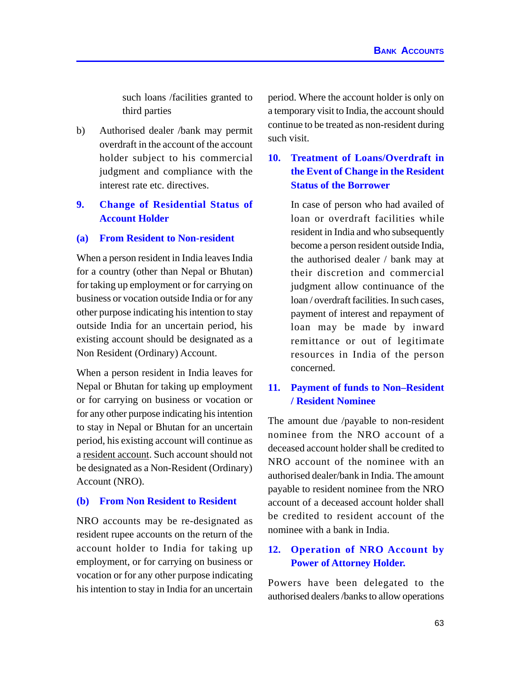such loans /facilities granted to third parties

b) Authorised dealer /bank may permit overdraft in the account of the account holder subject to his commercial judgment and compliance with the interest rate etc. directives.

# **9. Change of Residential Status of Account Holder**

#### **(a) From Resident to Non-resident**

When a person resident in India leaves India for a country (other than Nepal or Bhutan) for taking up employment or for carrying on business or vocation outside India or for any other purpose indicating his intention to stay outside India for an uncertain period, his existing account should be designated as a Non Resident (Ordinary) Account.

When a person resident in India leaves for Nepal or Bhutan for taking up employment or for carrying on business or vocation or for any other purpose indicating his intention to stay in Nepal or Bhutan for an uncertain period, his existing account will continue as a resident account. Such account should not be designated as a Non-Resident (Ordinary) Account (NRO).

#### **(b) From Non Resident to Resident**

NRO accounts may be re-designated as resident rupee accounts on the return of the account holder to India for taking up employment, or for carrying on business or vocation or for any other purpose indicating his intention to stay in India for an uncertain period. Where the account holder is only on a temporary visit to India, the account should continue to be treated as non-resident during such visit.

# **10. Treatment of Loans/Overdraft in the Event of Change in the Resident Status of the Borrower**

In case of person who had availed of loan or overdraft facilities while resident in India and who subsequently become a person resident outside India, the authorised dealer / bank may at their discretion and commercial judgment allow continuance of the loan / overdraft facilities. In such cases, payment of interest and repayment of loan may be made by inward remittance or out of legitimate resources in India of the person concerned.

## **11. Payment of funds to Non–Resident / Resident Nominee**

The amount due /payable to non-resident nominee from the NRO account of a deceased account holder shall be credited to NRO account of the nominee with an authorised dealer/bank in India. The amount payable to resident nominee from the NRO account of a deceased account holder shall be credited to resident account of the nominee with a bank in India.

# **12. Operation of NRO Account by Power of Attorney Holder.**

Powers have been delegated to the authorised dealers /banks to allow operations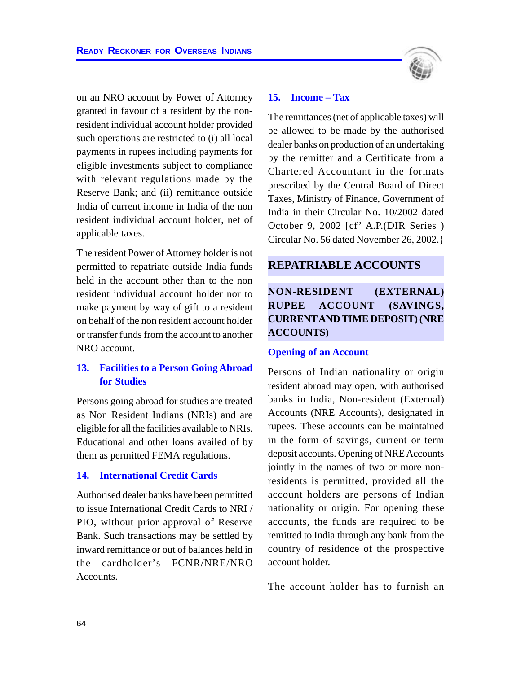on an NRO account by Power of Attorney granted in favour of a resident by the nonresident individual account holder provided such operations are restricted to (i) all local payments in rupees including payments for eligible investments subject to compliance with relevant regulations made by the Reserve Bank; and (ii) remittance outside India of current income in India of the non resident individual account holder, net of applicable taxes.

The resident Power of Attorney holder is not permitted to repatriate outside India funds held in the account other than to the non resident individual account holder nor to make payment by way of gift to a resident on behalf of the non resident account holder or transfer funds from the account to another NRO account.

## **13. Facilities to a Person Going Abroad for Studies**

Persons going abroad for studies are treated as Non Resident Indians (NRIs) and are eligible for all the facilities available to NRIs. Educational and other loans availed of by them as permitted FEMA regulations.

#### **14. International Credit Cards**

Authorised dealer banks have been permitted to issue International Credit Cards to NRI / PIO, without prior approval of Reserve Bank. Such transactions may be settled by inward remittance or out of balances held in the cardholder's FCNR/NRE/NRO Accounts.



#### **15. Income – Tax**

The remittances (net of applicable taxes) will be allowed to be made by the authorised dealer banks on production of an undertaking by the remitter and a Certificate from a Chartered Accountant in the formats prescribed by the Central Board of Direct Taxes, Ministry of Finance, Government of India in their Circular No. 10/2002 dated October 9, 2002 [cf' A.P.(DIR Series ) Circular No. 56 dated November 26, 2002.}

## **REPATRIABLE ACCOUNTS**

# **NON-RESIDENT (EXTERNAL) RUPEE ACCOUNT (SAVINGS, CURRENTAND TIME DEPOSIT) (NRE ACCOUNTS)**

#### **Opening of an Account**

Persons of Indian nationality or origin resident abroad may open, with authorised banks in India, Non-resident (External) Accounts (NRE Accounts), designated in rupees. These accounts can be maintained in the form of savings, current or term deposit accounts. Opening of NRE Accounts jointly in the names of two or more nonresidents is permitted, provided all the account holders are persons of Indian nationality or origin. For opening these accounts, the funds are required to be remitted to India through any bank from the country of residence of the prospective account holder.

The account holder has to furnish an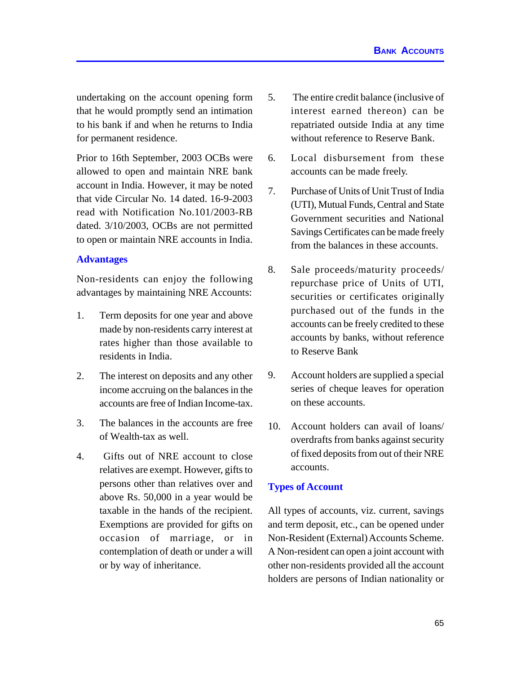undertaking on the account opening form that he would promptly send an intimation to his bank if and when he returns to India for permanent residence.

Prior to 16th September, 2003 OCBs were allowed to open and maintain NRE bank account in India. However, it may be noted that vide Circular No. 14 dated. 16-9-2003 read with Notification No.101/2003-RB dated. 3/10/2003, OCBs are not permitted to open or maintain NRE accounts in India.

#### **Advantages**

Non-residents can enjoy the following advantages by maintaining NRE Accounts:

- 1. Term deposits for one year and above made by non-residents carry interest at rates higher than those available to residents in India.
- 2. The interest on deposits and any other income accruing on the balances in the accounts are free of Indian Income-tax.
- 3. The balances in the accounts are free of Wealth-tax as well.
- 4. Gifts out of NRE account to close relatives are exempt. However, gifts to persons other than relatives over and above Rs. 50,000 in a year would be taxable in the hands of the recipient. Exemptions are provided for gifts on occasion of marriage, or in contemplation of death or under a will or by way of inheritance.
- 5. The entire credit balance (inclusive of interest earned thereon) can be repatriated outside India at any time without reference to Reserve Bank.
- 6. Local disbursement from these accounts can be made freely.
- 7. Purchase of Units of Unit Trust of India (UTI), Mutual Funds, Central and State Government securities and National Savings Certificates can be made freely from the balances in these accounts.
- 8. Sale proceeds/maturity proceeds/ repurchase price of Units of UTI, securities or certificates originally purchased out of the funds in the accounts can be freely credited to these accounts by banks, without reference to Reserve Bank
- 9. Account holders are supplied a special series of cheque leaves for operation on these accounts.
- 10. Account holders can avail of loans/ overdrafts from banks against security of fixed deposits from out of their NRE accounts.

#### **Types of Account**

All types of accounts, viz. current, savings and term deposit, etc., can be opened under Non-Resident (External) Accounts Scheme. A Non-resident can open a joint account with other non-residents provided all the account holders are persons of Indian nationality or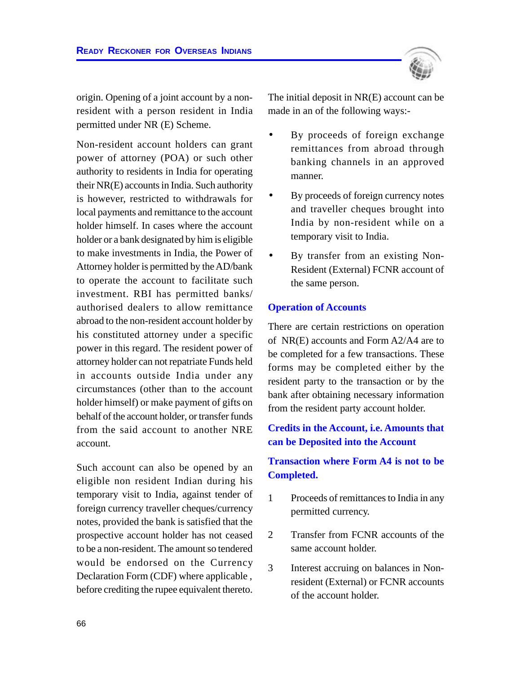

origin. Opening of a joint account by a nonresident with a person resident in India permitted under NR (E) Scheme.

Non-resident account holders can grant power of attorney (POA) or such other authority to residents in India for operating their NR(E) accounts in India. Such authority is however, restricted to withdrawals for local payments and remittance to the account holder himself. In cases where the account holder or a bank designated by him is eligible to make investments in India, the Power of Attorney holder is permitted by the AD/bank to operate the account to facilitate such investment. RBI has permitted banks/ authorised dealers to allow remittance abroad to the non-resident account holder by his constituted attorney under a specific power in this regard. The resident power of attorney holder can not repatriate Funds held in accounts outside India under any circumstances (other than to the account holder himself) or make payment of gifts on behalf of the account holder, or transfer funds from the said account to another NRE account.

Such account can also be opened by an eligible non resident Indian during his temporary visit to India, against tender of foreign currency traveller cheques/currency notes, provided the bank is satisfied that the prospective account holder has not ceased to be a non-resident. The amount so tendered would be endorsed on the Currency Declaration Form (CDF) where applicable , before crediting the rupee equivalent thereto.

The initial deposit in NR(E) account can be made in an of the following ways:-

- By proceeds of foreign exchange remittances from abroad through banking channels in an approved manner.
- By proceeds of foreign currency notes and traveller cheques brought into India by non-resident while on a temporary visit to India.
- By transfer from an existing Non-Resident (External) FCNR account of the same person.

#### **Operation of Accounts**

There are certain restrictions on operation of NR(E) accounts and Form A2/A4 are to be completed for a few transactions. These forms may be completed either by the resident party to the transaction or by the bank after obtaining necessary information from the resident party account holder.

## **Credits in the Account, i.e. Amounts that can be Deposited into the Account**

## **Transaction where Form A4 is not to be Completed.**

- 1 Proceeds of remittances to India in any permitted currency.
- 2 Transfer from FCNR accounts of the same account holder.
- 3 Interest accruing on balances in Nonresident (External) or FCNR accounts of the account holder.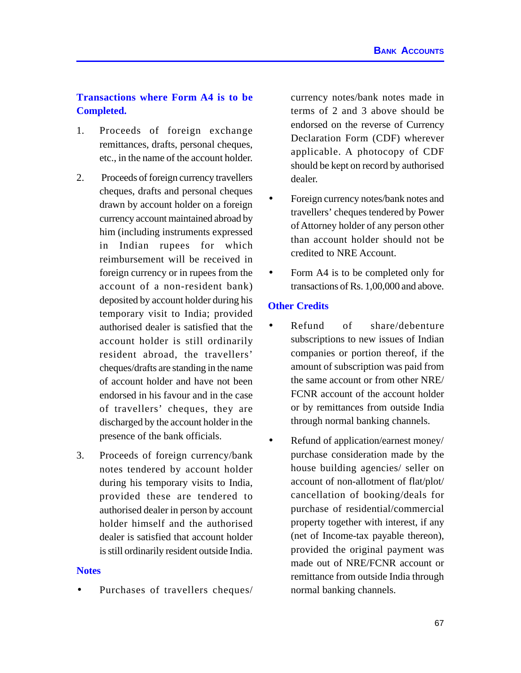## **Transactions where Form A4 is to be Completed.**

- 1. Proceeds of foreign exchange remittances, drafts, personal cheques, etc., in the name of the account holder.
- 2. Proceeds of foreign currency travellers cheques, drafts and personal cheques drawn by account holder on a foreign currency account maintained abroad by him (including instruments expressed in Indian rupees for which reimbursement will be received in foreign currency or in rupees from the account of a non-resident bank) deposited by account holder during his temporary visit to India; provided authorised dealer is satisfied that the account holder is still ordinarily resident abroad, the travellers' cheques/drafts are standing in the name of account holder and have not been endorsed in his favour and in the case of travellers' cheques, they are discharged by the account holder in the presence of the bank officials.
- 3. Proceeds of foreign currency/bank notes tendered by account holder during his temporary visits to India, provided these are tendered to authorised dealer in person by account holder himself and the authorised dealer is satisfied that account holder is still ordinarily resident outside India.

#### **Notes**

Purchases of travellers cheques/

currency notes/bank notes made in terms of 2 and 3 above should be endorsed on the reverse of Currency Declaration Form (CDF) wherever applicable. A photocopy of CDF should be kept on record by authorised dealer.

- Foreign currency notes/bank notes and travellers' cheques tendered by Power of Attorney holder of any person other than account holder should not be credited to NRE Account.
- Form A4 is to be completed only for transactions of Rs. 1,00,000 and above.

#### **Other Credits**

- Refund of share/debenture subscriptions to new issues of Indian companies or portion thereof, if the amount of subscription was paid from the same account or from other NRE/ FCNR account of the account holder or by remittances from outside India through normal banking channels.
- Refund of application/earnest money/ purchase consideration made by the house building agencies/ seller on account of non-allotment of flat/plot/ cancellation of booking/deals for purchase of residential/commercial property together with interest, if any (net of Income-tax payable thereon), provided the original payment was made out of NRE/FCNR account or remittance from outside India through normal banking channels.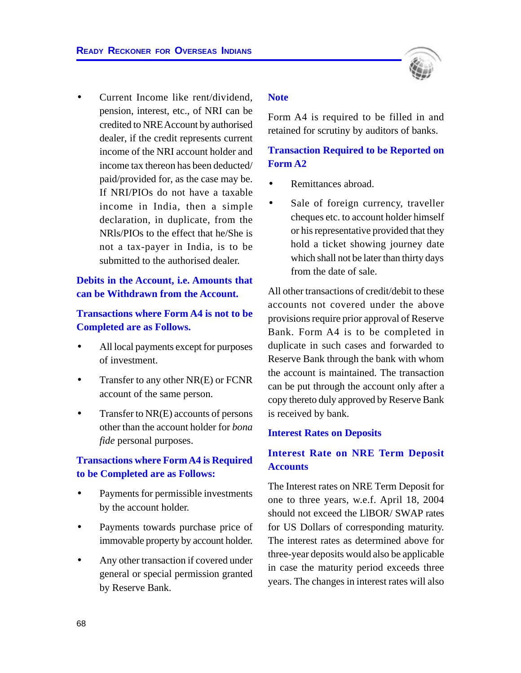

• Current Income like rent/dividend, pension, interest, etc., of NRI can be credited to NRE Account by authorised dealer, if the credit represents current income of the NRI account holder and income tax thereon has been deducted/ paid/provided for, as the case may be. If NRI/PIOs do not have a taxable income in India, then a simple declaration, in duplicate, from the NRls/PIOs to the effect that he/She is not a tax-payer in India, is to be submitted to the authorised dealer.

## **Debits in the Account, i.e. Amounts that can be Withdrawn from the Account.**

## **Transactions where Form A4 is not to be Completed are as Follows.**

- All local payments except for purposes of investment.
- Transfer to any other NR(E) or FCNR account of the same person.
- Transfer to NR(E) accounts of persons other than the account holder for *bona fide* personal purposes.

## **Transactions where Form A4 is Required to be Completed are as Follows:**

- Payments for permissible investments by the account holder.
- Payments towards purchase price of immovable property by account holder.
- Any other transaction if covered under general or special permission granted by Reserve Bank.

#### **Note**

Form A4 is required to be filled in and retained for scrutiny by auditors of banks.

## **Transaction Required to be Reported on Form A2**

- Remittances abroad.
- Sale of foreign currency, traveller cheques etc. to account holder himself or his representative provided that they hold a ticket showing journey date which shall not be later than thirty days from the date of sale.

All other transactions of credit/debit to these accounts not covered under the above provisions require prior approval of Reserve Bank. Form A4 is to be completed in duplicate in such cases and forwarded to Reserve Bank through the bank with whom the account is maintained. The transaction can be put through the account only after a copy thereto duly approved by Reserve Bank is received by bank.

#### **Interest Rates on Deposits**

## **Interest Rate on NRE Term Deposit Accounts**

The Interest rates on NRE Term Deposit for one to three years, w.e.f. April 18, 2004 should not exceed the LlBOR/ SWAP rates for US Dollars of corresponding maturity. The interest rates as determined above for three-year deposits would also be applicable in case the maturity period exceeds three years. The changes in interest rates will also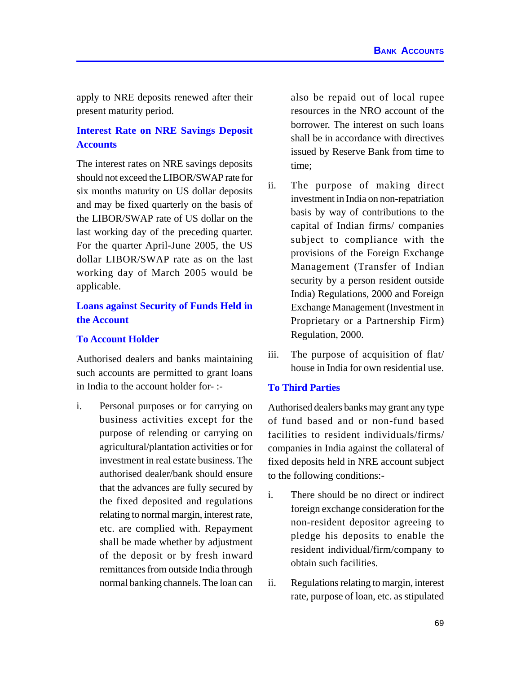apply to NRE deposits renewed after their present maturity period.

## **Interest Rate on NRE Savings Deposit Accounts**

The interest rates on NRE savings deposits should not exceed the LIBOR/SWAP rate for six months maturity on US dollar deposits and may be fixed quarterly on the basis of the LIBOR/SWAP rate of US dollar on the last working day of the preceding quarter. For the quarter April-June 2005, the US dollar LIBOR/SWAP rate as on the last working day of March 2005 would be applicable.

## **Loans against Security of Funds Held in the Account**

#### **To Account Holder**

Authorised dealers and banks maintaining such accounts are permitted to grant loans in India to the account holder for- :-

i. Personal purposes or for carrying on business activities except for the purpose of relending or carrying on agricultural/plantation activities or for investment in real estate business. The authorised dealer/bank should ensure that the advances are fully secured by the fixed deposited and regulations relating to normal margin, interest rate, etc. are complied with. Repayment shall be made whether by adjustment of the deposit or by fresh inward remittances from outside India through normal banking channels. The loan can

also be repaid out of local rupee resources in the NRO account of the borrower. The interest on such loans shall be in accordance with directives issued by Reserve Bank from time to time;

- ii. The purpose of making direct investment in India on non-repatriation basis by way of contributions to the capital of Indian firms/ companies subject to compliance with the provisions of the Foreign Exchange Management (Transfer of Indian security by a person resident outside India) Regulations, 2000 and Foreign Exchange Management (Investment in Proprietary or a Partnership Firm) Regulation, 2000.
- iii. The purpose of acquisition of flat/ house in India for own residential use.

#### **To Third Parties**

Authorised dealers banks may grant any type of fund based and or non-fund based facilities to resident individuals/firms/ companies in India against the collateral of fixed deposits held in NRE account subject to the following conditions:-

- i. There should be no direct or indirect foreign exchange consideration for the non-resident depositor agreeing to pledge his deposits to enable the resident individual/firm/company to obtain such facilities.
- ii. Regulations relating to margin, interest rate, purpose of loan, etc. as stipulated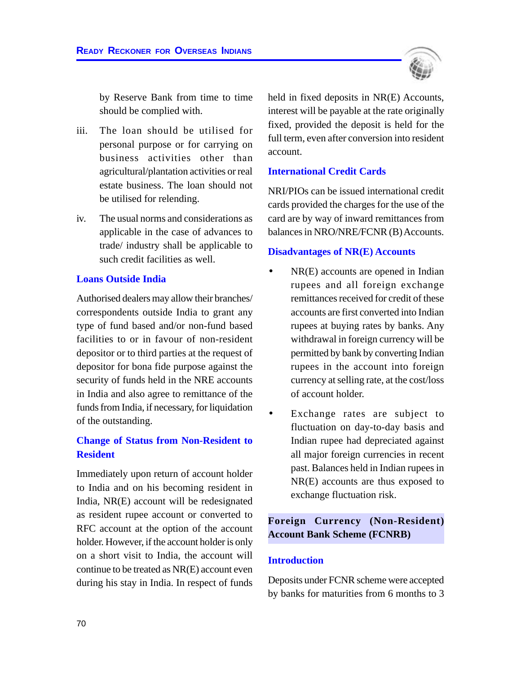

by Reserve Bank from time to time should be complied with.

- iii. The loan should be utilised for personal purpose or for carrying on business activities other than agricultural/plantation activities or real estate business. The loan should not be utilised for relending.
- iv. The usual norms and considerations as applicable in the case of advances to trade/ industry shall be applicable to such credit facilities as well.

#### **Loans Outside India**

Authorised dealers may allow their branches/ correspondents outside India to grant any type of fund based and/or non-fund based facilities to or in favour of non-resident depositor or to third parties at the request of depositor for bona fide purpose against the security of funds held in the NRE accounts in India and also agree to remittance of the funds from India, if necessary, for liquidation of the outstanding.

## **Change of Status from Non-Resident to Resident**

Immediately upon return of account holder to India and on his becoming resident in India, NR(E) account will be redesignated as resident rupee account or converted to RFC account at the option of the account holder. However, if the account holder is only on a short visit to India, the account will continue to be treated as NR(E) account even during his stay in India. In respect of funds

held in fixed deposits in NR(E) Accounts, interest will be payable at the rate originally fixed, provided the deposit is held for the full term, even after conversion into resident account.

#### **International Credit Cards**

NRI/PIOs can be issued international credit cards provided the charges for the use of the card are by way of inward remittances from balances in NRO/NRE/FCNR (B) Accounts.

#### **Disadvantages of NR(E) Accounts**

- $NR(E)$  accounts are opened in Indian rupees and all foreign exchange remittances received for credit of these accounts are first converted into Indian rupees at buying rates by banks. Any withdrawal in foreign currency will be permitted by bank by converting Indian rupees in the account into foreign currency at selling rate, at the cost/loss of account holder.
- Exchange rates are subject to fluctuation on day-to-day basis and Indian rupee had depreciated against all major foreign currencies in recent past. Balances held in Indian rupees in NR(E) accounts are thus exposed to exchange fluctuation risk.

## **Foreign Currency (Non-Resident) Account Bank Scheme (FCNRB)**

#### **Introduction**

Deposits under FCNR scheme were accepted by banks for maturities from 6 months to 3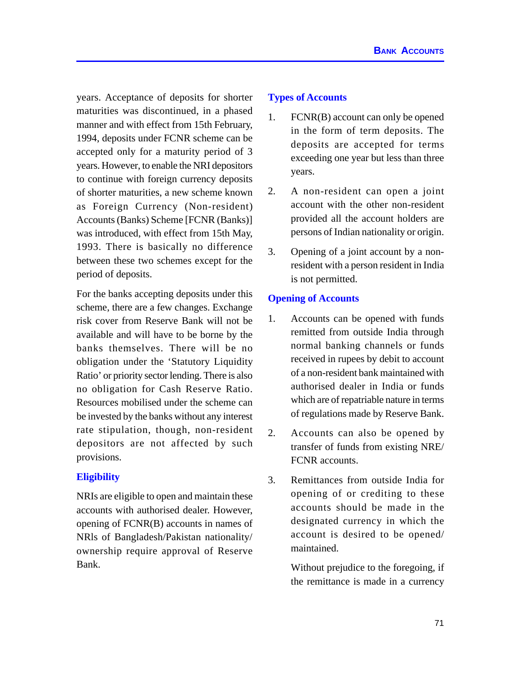years. Acceptance of deposits for shorter maturities was discontinued, in a phased manner and with effect from 15th February, 1994, deposits under FCNR scheme can be accepted only for a maturity period of 3 years. However, to enable the NRI depositors to continue with foreign currency deposits of shorter maturities, a new scheme known as Foreign Currency (Non-resident) Accounts (Banks) Scheme [FCNR (Banks)] was introduced, with effect from 15th May, 1993. There is basically no difference between these two schemes except for the period of deposits.

For the banks accepting deposits under this scheme, there are a few changes. Exchange risk cover from Reserve Bank will not be available and will have to be borne by the banks themselves. There will be no obligation under the 'Statutory Liquidity Ratio' or priority sector lending. There is also no obligation for Cash Reserve Ratio. Resources mobilised under the scheme can be invested by the banks without any interest rate stipulation, though, non-resident depositors are not affected by such provisions.

## **Eligibility**

NRIs are eligible to open and maintain these accounts with authorised dealer. However, opening of FCNR(B) accounts in names of NRls of Bangladesh/Pakistan nationality/ ownership require approval of Reserve Bank.

#### **Types of Accounts**

- 1. FCNR(B) account can only be opened in the form of term deposits. The deposits are accepted for terms exceeding one year but less than three years.
- 2. A non-resident can open a joint account with the other non-resident provided all the account holders are persons of Indian nationality or origin.
- 3. Opening of a joint account by a nonresident with a person resident in India is not permitted.

#### **Opening of Accounts**

- 1. Accounts can be opened with funds remitted from outside India through normal banking channels or funds received in rupees by debit to account of a non-resident bank maintained with authorised dealer in India or funds which are of repatriable nature in terms of regulations made by Reserve Bank.
- 2. Accounts can also be opened by transfer of funds from existing NRE/ FCNR accounts.
- 3. Remittances from outside India for opening of or crediting to these accounts should be made in the designated currency in which the account is desired to be opened/ maintained.

Without prejudice to the foregoing, if the remittance is made in a currency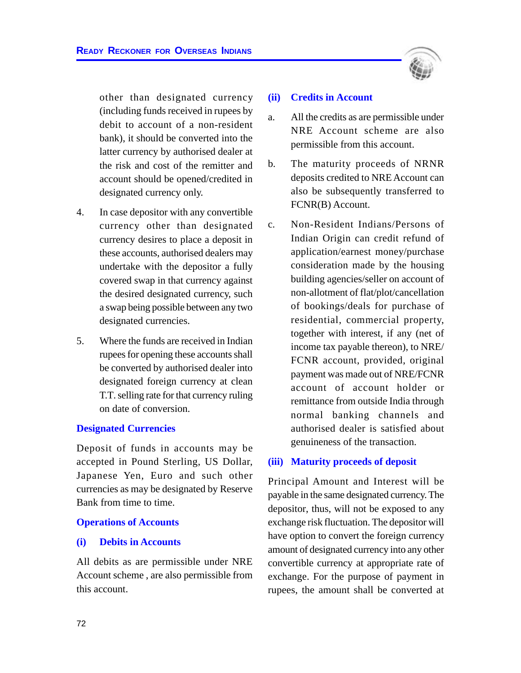other than designated currency (including funds received in rupees by debit to account of a non-resident bank), it should be converted into the latter currency by authorised dealer at the risk and cost of the remitter and account should be opened/credited in designated currency only.

- 4. In case depositor with any convertible currency other than designated currency desires to place a deposit in these accounts, authorised dealers may undertake with the depositor a fully covered swap in that currency against the desired designated currency, such a swap being possible between any two designated currencies.
- 5. Where the funds are received in Indian rupees for opening these accounts shall be converted by authorised dealer into designated foreign currency at clean T.T. selling rate for that currency ruling on date of conversion.

#### **Designated Currencies**

Deposit of funds in accounts may be accepted in Pound Sterling, US Dollar, Japanese Yen, Euro and such other currencies as may be designated by Reserve Bank from time to time.

#### **Operations of Accounts**

#### **(i) Debits in Accounts**

All debits as are permissible under NRE Account scheme , are also permissible from this account.



#### **(ii) Credits in Account**

- a. All the credits as are permissible under NRE Account scheme are also permissible from this account.
- b. The maturity proceeds of NRNR deposits credited to NRE Account can also be subsequently transferred to FCNR(B) Account.
- c. Non-Resident Indians/Persons of Indian Origin can credit refund of application/earnest money/purchase consideration made by the housing building agencies/seller on account of non-allotment of flat/plot/cancellation of bookings/deals for purchase of residential, commercial property, together with interest, if any (net of income tax payable thereon), to NRE/ FCNR account, provided, original payment was made out of NRE/FCNR account of account holder or remittance from outside India through normal banking channels and authorised dealer is satisfied about genuineness of the transaction.

#### **(iii) Maturity proceeds of deposit**

Principal Amount and Interest will be payable in the same designated currency. The depositor, thus, will not be exposed to any exchange risk fluctuation. The depositor will have option to convert the foreign currency amount of designated currency into any other convertible currency at appropriate rate of exchange. For the purpose of payment in rupees, the amount shall be converted at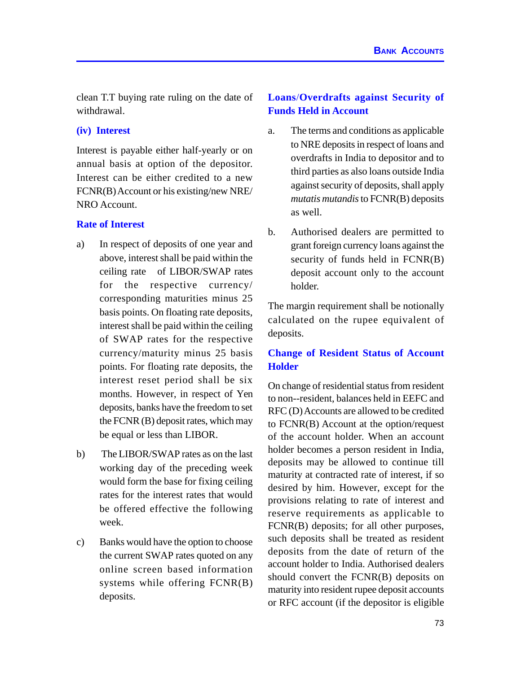clean T.T buying rate ruling on the date of withdrawal.

#### **(iv) Interest**

Interest is payable either half-yearly or on annual basis at option of the depositor. Interest can be either credited to a new FCNR(B) Account or his existing/new NRE/ NRO Account.

## **Rate of Interest**

- a) In respect of deposits of one year and above, interest shall be paid within the ceiling rate of LIBOR/SWAP rates for the respective currency/ corresponding maturities minus 25 basis points. On floating rate deposits, interest shall be paid within the ceiling of SWAP rates for the respective currency/maturity minus 25 basis points. For floating rate deposits, the interest reset period shall be six months. However, in respect of Yen deposits, banks have the freedom to set the FCNR (B) deposit rates, which may be equal or less than LIBOR.
- b) The LIBOR/SWAP rates as on the last working day of the preceding week would form the base for fixing ceiling rates for the interest rates that would be offered effective the following week.
- c) Banks would have the option to choose the current SWAP rates quoted on any online screen based information systems while offering FCNR(B) deposits.

## **Loans**/**Overdrafts against Security of Funds Held in Account**

- a. The terms and conditions as applicable to NRE deposits in respect of loans and overdrafts in India to depositor and to third parties as also loans outside India against security of deposits, shall apply *mutatis mutandis* to FCNR(B) deposits as well.
- b. Authorised dealers are permitted to grant foreign currency loans against the security of funds held in FCNR(B) deposit account only to the account holder.

The margin requirement shall be notionally calculated on the rupee equivalent of deposits.

## **Change of Resident Status of Account Holder**

On change of residential status from resident to non--resident, balances held in EEFC and RFC (D) Accounts are allowed to be credited to FCNR(B) Account at the option/request of the account holder. When an account holder becomes a person resident in India, deposits may be allowed to continue till maturity at contracted rate of interest, if so desired by him. However, except for the provisions relating to rate of interest and reserve requirements as applicable to FCNR(B) deposits; for all other purposes, such deposits shall be treated as resident deposits from the date of return of the account holder to India. Authorised dealers should convert the FCNR(B) deposits on maturity into resident rupee deposit accounts or RFC account (if the depositor is eligible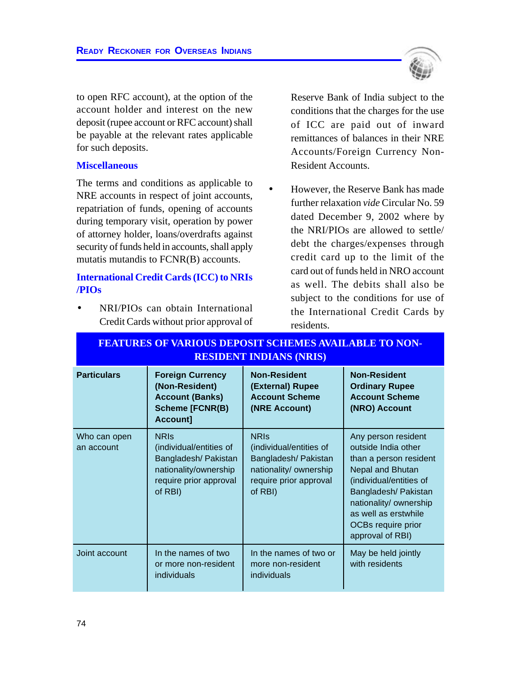

to open RFC account), at the option of the account holder and interest on the new deposit (rupee account or RFC account) shall be payable at the relevant rates applicable for such deposits.

#### **Miscellaneous**

The terms and conditions as applicable to NRE accounts in respect of joint accounts, repatriation of funds, opening of accounts during temporary visit, operation by power of attorney holder, loans/overdrafts against security of funds held in accounts, shall apply mutatis mutandis to FCNR(B) accounts.

## **International Credit Cards (ICC) to NRIs /PIOs**

• NRI/PIOs can obtain International Credit Cards without prior approval of Reserve Bank of India subject to the conditions that the charges for the use of ICC are paid out of inward remittances of balances in their NRE Accounts/Foreign Currency Non-Resident Accounts.

• However, the Reserve Bank has made further relaxation *vide* Circular No. 59 dated December 9, 2002 where by the NRI/PIOs are allowed to settle/ debt the charges/expenses through credit card up to the limit of the card out of funds held in NRO account as well. The debits shall also be subject to the conditions for use of the International Credit Cards by residents.

| <u>RESIDENT INDIANS (NRIS)</u> |                                                                                                                              |                                                                                                                               |                                                                                                                                                                                                                                         |
|--------------------------------|------------------------------------------------------------------------------------------------------------------------------|-------------------------------------------------------------------------------------------------------------------------------|-----------------------------------------------------------------------------------------------------------------------------------------------------------------------------------------------------------------------------------------|
| <b>Particulars</b>             | <b>Foreign Currency</b><br>(Non-Resident)<br><b>Account (Banks)</b><br><b>Scheme [FCNR(B)</b><br>Account]                    | <b>Non-Resident</b><br>(External) Rupee<br><b>Account Scheme</b><br>(NRE Account)                                             | <b>Non-Resident</b><br><b>Ordinary Rupee</b><br><b>Account Scheme</b><br>(NRO) Account                                                                                                                                                  |
| Who can open<br>an account     | <b>NRIS</b><br>(individual/entities of<br>Bangladesh/ Pakistan<br>nationality/ownership<br>require prior approval<br>of RBI) | <b>NRIS</b><br>(individual/entities of<br>Bangladesh/ Pakistan<br>nationality/ ownership<br>require prior approval<br>of RBI) | Any person resident<br>outside India other<br>than a person resident<br>Nepal and Bhutan<br>(individual/entities of<br>Bangladesh/ Pakistan<br>nationality/ ownership<br>as well as erstwhile<br>OCBs require prior<br>approval of RBI) |
| Joint account                  | In the names of two<br>or more non-resident<br>individuals                                                                   | In the names of two or<br>more non-resident<br>individuals                                                                    | May be held jointly<br>with residents                                                                                                                                                                                                   |

# **FEATURES OF VARIOUS DEPOSIT SCHEMES AVAILABLE TO NON-RESIDENT INDIANS (NRIS)**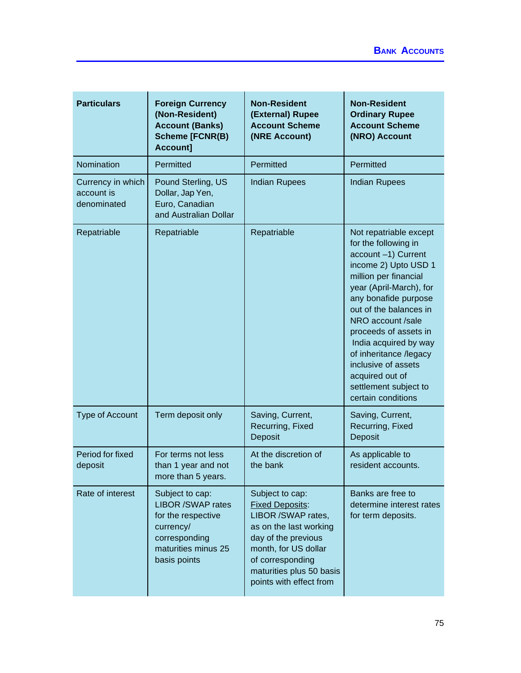| <b>Particulars</b>                             | <b>Foreign Currency</b><br>(Non-Resident)<br><b>Account (Banks)</b><br><b>Scheme [FCNR(B)</b><br>Account]                              | <b>Non-Resident</b><br>(External) Rupee<br><b>Account Scheme</b><br>(NRE Account)                                                                                                                                   | <b>Non-Resident</b><br><b>Ordinary Rupee</b><br><b>Account Scheme</b><br>(NRO) Account                                                                                                                                                                                                                                                                                                        |
|------------------------------------------------|----------------------------------------------------------------------------------------------------------------------------------------|---------------------------------------------------------------------------------------------------------------------------------------------------------------------------------------------------------------------|-----------------------------------------------------------------------------------------------------------------------------------------------------------------------------------------------------------------------------------------------------------------------------------------------------------------------------------------------------------------------------------------------|
| Nomination                                     | Permitted                                                                                                                              | Permitted                                                                                                                                                                                                           | Permitted                                                                                                                                                                                                                                                                                                                                                                                     |
| Currency in which<br>account is<br>denominated | Pound Sterling, US<br>Dollar, Jap Yen,<br>Euro, Canadian<br>and Australian Dollar                                                      | <b>Indian Rupees</b>                                                                                                                                                                                                | <b>Indian Rupees</b>                                                                                                                                                                                                                                                                                                                                                                          |
| Repatriable                                    | Repatriable                                                                                                                            | Repatriable                                                                                                                                                                                                         | Not repatriable except<br>for the following in<br>account -1) Current<br>income 2) Upto USD 1<br>million per financial<br>year (April-March), for<br>any bonafide purpose<br>out of the balances in<br>NRO account /sale<br>proceeds of assets in<br>India acquired by way<br>of inheritance /legacy<br>inclusive of assets<br>acquired out of<br>settlement subject to<br>certain conditions |
| <b>Type of Account</b>                         | Term deposit only                                                                                                                      | Saving, Current,<br>Recurring, Fixed<br>Deposit                                                                                                                                                                     | Saving, Current,<br>Recurring, Fixed<br>Deposit                                                                                                                                                                                                                                                                                                                                               |
| Period for fixed<br>deposit                    | For terms not less<br>than 1 year and not<br>more than 5 years.                                                                        | At the discretion of<br>the bank                                                                                                                                                                                    | As applicable to<br>resident accounts.                                                                                                                                                                                                                                                                                                                                                        |
| Rate of interest                               | Subject to cap:<br><b>LIBOR /SWAP rates</b><br>for the respective<br>currency/<br>corresponding<br>maturities minus 25<br>basis points | Subject to cap:<br><b>Fixed Deposits:</b><br>LIBOR /SWAP rates,<br>as on the last working<br>day of the previous<br>month, for US dollar<br>of corresponding<br>maturities plus 50 basis<br>points with effect from | Banks are free to<br>determine interest rates<br>for term deposits.                                                                                                                                                                                                                                                                                                                           |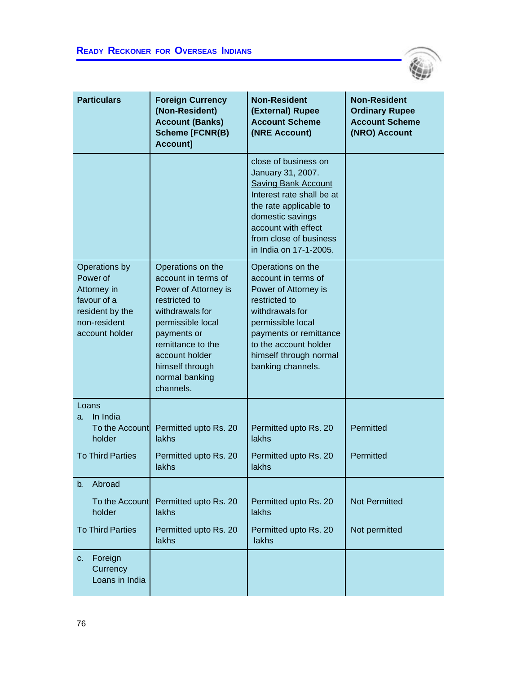

| <b>Particulars</b>                                                                                           | <b>Foreign Currency</b><br>(Non-Resident)<br><b>Account (Banks)</b><br><b>Scheme [FCNR(B)</b><br>Account]                                                                                                                         | <b>Non-Resident</b><br>(External) Rupee<br><b>Account Scheme</b><br>(NRE Account)                                                                                                                                             | <b>Non-Resident</b><br><b>Ordinary Rupee</b><br><b>Account Scheme</b><br>(NRO) Account |
|--------------------------------------------------------------------------------------------------------------|-----------------------------------------------------------------------------------------------------------------------------------------------------------------------------------------------------------------------------------|-------------------------------------------------------------------------------------------------------------------------------------------------------------------------------------------------------------------------------|----------------------------------------------------------------------------------------|
|                                                                                                              |                                                                                                                                                                                                                                   | close of business on<br>January 31, 2007.<br><b>Saving Bank Account</b><br>Interest rate shall be at<br>the rate applicable to<br>domestic savings<br>account with effect<br>from close of business<br>in India on 17-1-2005. |                                                                                        |
| Operations by<br>Power of<br>Attorney in<br>favour of a<br>resident by the<br>non-resident<br>account holder | Operations on the<br>account in terms of<br>Power of Attorney is<br>restricted to<br>withdrawals for<br>permissible local<br>payments or<br>remittance to the<br>account holder<br>himself through<br>normal banking<br>channels. | Operations on the<br>account in terms of<br>Power of Attorney is<br>restricted to<br>withdrawals for<br>permissible local<br>payments or remittance<br>to the account holder<br>himself through normal<br>banking channels.   |                                                                                        |
| Loans<br>In India<br>a.<br>To the Account<br>holder                                                          | Permitted upto Rs. 20<br>lakhs                                                                                                                                                                                                    | Permitted upto Rs. 20<br>lakhs                                                                                                                                                                                                | Permitted                                                                              |
| <b>To Third Parties</b>                                                                                      | Permitted upto Rs. 20<br>lakhs                                                                                                                                                                                                    | Permitted upto Rs. 20<br>lakhs                                                                                                                                                                                                | Permitted                                                                              |
| Abroad<br>b.                                                                                                 |                                                                                                                                                                                                                                   |                                                                                                                                                                                                                               |                                                                                        |
| To the Account<br>holder                                                                                     | Permitted upto Rs. 20<br>lakhs                                                                                                                                                                                                    | Permitted upto Rs. 20<br>lakhs                                                                                                                                                                                                | <b>Not Permitted</b>                                                                   |
| <b>To Third Parties</b>                                                                                      | Permitted upto Rs. 20<br>lakhs                                                                                                                                                                                                    | Permitted upto Rs. 20<br>lakhs                                                                                                                                                                                                | Not permitted                                                                          |
| Foreign<br>$C_{\cdot}$<br>Currency<br>Loans in India                                                         |                                                                                                                                                                                                                                   |                                                                                                                                                                                                                               |                                                                                        |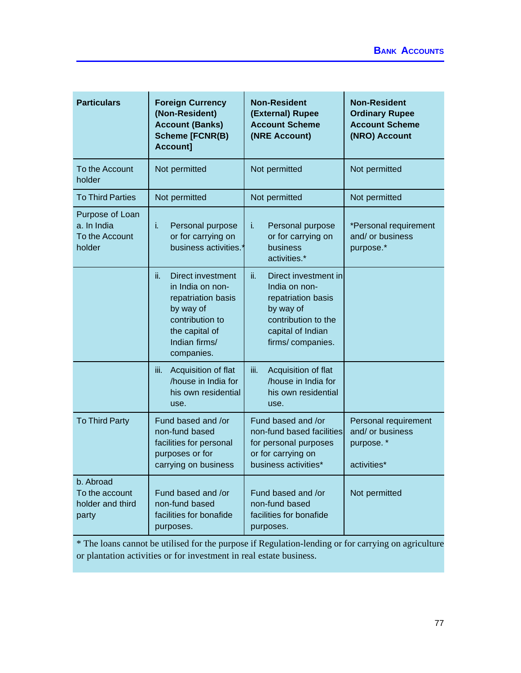| <b>Particulars</b>                                         | <b>Foreign Currency</b><br>(Non-Resident)<br><b>Account (Banks)</b><br><b>Scheme [FCNR(B)</b><br>Account]                                           | <b>Non-Resident</b><br>(External) Rupee<br><b>Account Scheme</b><br>(NRE Account)                                                               | <b>Non-Resident</b><br><b>Ordinary Rupee</b><br><b>Account Scheme</b><br>(NRO) Account |
|------------------------------------------------------------|-----------------------------------------------------------------------------------------------------------------------------------------------------|-------------------------------------------------------------------------------------------------------------------------------------------------|----------------------------------------------------------------------------------------|
| To the Account<br>holder                                   | Not permitted                                                                                                                                       | Not permitted                                                                                                                                   | Not permitted                                                                          |
| <b>To Third Parties</b>                                    | Not permitted                                                                                                                                       | Not permitted                                                                                                                                   | Not permitted                                                                          |
| Purpose of Loan<br>a. In India<br>To the Account<br>holder | Personal purpose<br>i.<br>or for carrying on<br>business activities.'                                                                               | i.<br>Personal purpose<br>or for carrying on<br>business<br>activities.*                                                                        | *Personal requirement<br>and/ or business<br>purpose.*                                 |
|                                                            | ii.<br>Direct investment<br>in India on non-<br>repatriation basis<br>by way of<br>contribution to<br>the capital of<br>Indian firms/<br>companies. | ii.<br>Direct investment in<br>India on non-<br>repatriation basis<br>by way of<br>contribution to the<br>capital of Indian<br>firms/companies. |                                                                                        |
|                                                            | iii.<br>Acquisition of flat<br>/house in India for<br>his own residential<br>use.                                                                   | iii.<br>Acquisition of flat<br>/house in India for<br>his own residential<br>use.                                                               |                                                                                        |
| <b>To Third Party</b>                                      | Fund based and /or<br>non-fund based<br>facilities for personal<br>purposes or for<br>carrying on business                                          | Fund based and /or<br>non-fund based facilities<br>for personal purposes<br>or for carrying on<br>business activities*                          | Personal requirement<br>and/ or business<br>purpose.*<br>activities*                   |
| b. Abroad<br>To the account<br>holder and third<br>party   | Fund based and /or<br>non-fund based<br>facilities for bonafide<br>purposes.                                                                        | Fund based and /or<br>non-fund based<br>facilities for bonafide<br>purposes.                                                                    | Not permitted                                                                          |

\* The loans cannot be utilised for the purpose if Regulation-lending or for carrying on agriculture or plantation activities or for investment in real estate business.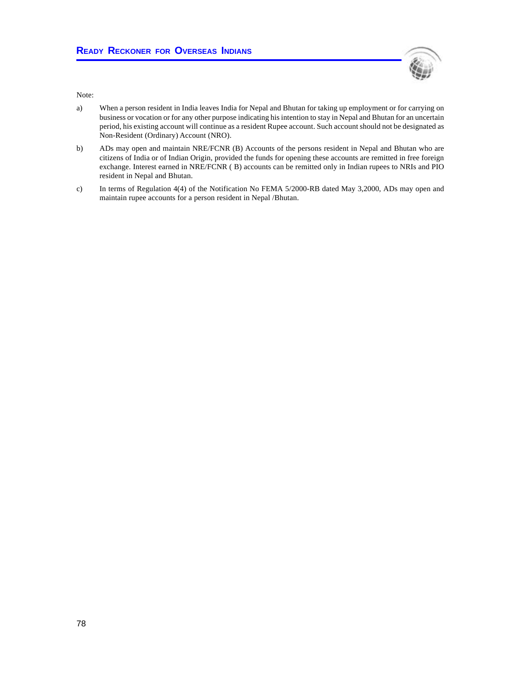

Note:

- a) When a person resident in India leaves India for Nepal and Bhutan for taking up employment or for carrying on business or vocation or for any other purpose indicating his intention to stay in Nepal and Bhutan for an uncertain period, his existing account will continue as a resident Rupee account. Such account should not be designated as Non-Resident (Ordinary) Account (NRO).
- b) ADs may open and maintain NRE/FCNR (B) Accounts of the persons resident in Nepal and Bhutan who are citizens of India or of Indian Origin, provided the funds for opening these accounts are remitted in free foreign exchange. Interest earned in NRE/FCNR ( B) accounts can be remitted only in Indian rupees to NRIs and PIO resident in Nepal and Bhutan.
- c) In terms of Regulation 4(4) of the Notification No FEMA 5/2000-RB dated May 3,2000, ADs may open and maintain rupee accounts for a person resident in Nepal /Bhutan.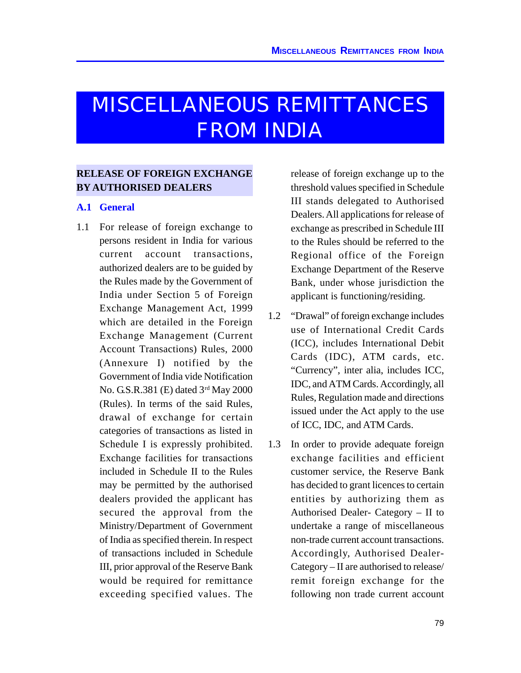# MISCELLANEOUS REMITTANCES FROM INDIA

## **RELEASE OF FOREIGN EXCHANGE BY AUTHORISED DEALERS**

#### **A.1 General**

1.1 For release of foreign exchange to persons resident in India for various current account transactions, authorized dealers are to be guided by the Rules made by the Government of India under Section 5 of Foreign Exchange Management Act, 1999 which are detailed in the Foreign Exchange Management (Current Account Transactions) Rules, 2000 (Annexure I) notified by the Government of India vide Notification No. G.S.R.381 (E) dated 3rd May 2000 (Rules). In terms of the said Rules, drawal of exchange for certain categories of transactions as listed in Schedule I is expressly prohibited. Exchange facilities for transactions included in Schedule II to the Rules may be permitted by the authorised dealers provided the applicant has secured the approval from the Ministry/Department of Government of India as specified therein. In respect of transactions included in Schedule III, prior approval of the Reserve Bank would be required for remittance exceeding specified values. The

release of foreign exchange up to the threshold values specified in Schedule III stands delegated to Authorised Dealers. All applications for release of exchange as prescribed in Schedule III to the Rules should be referred to the Regional office of the Foreign Exchange Department of the Reserve Bank, under whose jurisdiction the applicant is functioning/residing.

- 1.2 "Drawal" of foreign exchange includes use of International Credit Cards (ICC), includes International Debit Cards (IDC), ATM cards, etc. "Currency", inter alia, includes ICC, IDC, and ATM Cards. Accordingly, all Rules, Regulation made and directions issued under the Act apply to the use of ICC, IDC, and ATM Cards.
- 1.3 In order to provide adequate foreign exchange facilities and efficient customer service, the Reserve Bank has decided to grant licences to certain entities by authorizing them as Authorised Dealer- Category – II to undertake a range of miscellaneous non-trade current account transactions. Accordingly, Authorised Dealer-Category – II are authorised to release/ remit foreign exchange for the following non trade current account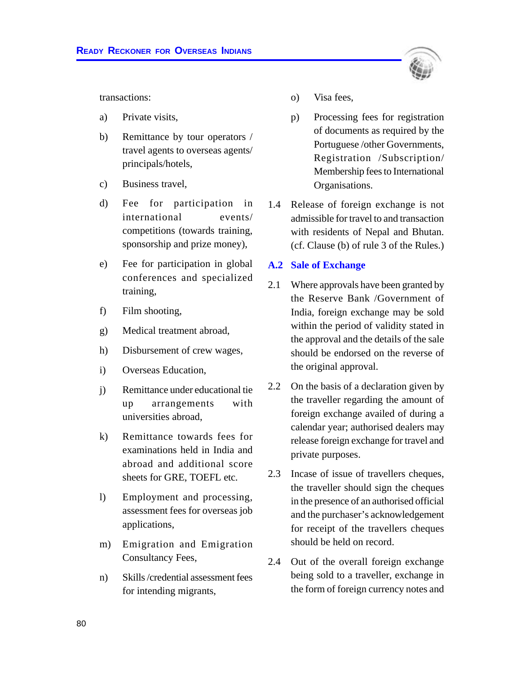

transactions:

- a) Private visits,
- b) Remittance by tour operators / travel agents to overseas agents/ principals/hotels,
- c) Business travel,
- d) Fee for participation in international events/ competitions (towards training, sponsorship and prize money),
- e) Fee for participation in global conferences and specialized training,
- f) Film shooting,
- g) Medical treatment abroad,
- h) Disbursement of crew wages,
- i) Overseas Education,
- j) Remittance under educational tie up arrangements with universities abroad,
- k) Remittance towards fees for examinations held in India and abroad and additional score sheets for GRE, TOEFL etc.
- l) Employment and processing, assessment fees for overseas job applications,
- m) Emigration and Emigration Consultancy Fees,
- n) Skills /credential assessment fees for intending migrants,
- o) Visa fees,
- p) Processing fees for registration of documents as required by the Portuguese /other Governments, Registration /Subscription/ Membership fees to International Organisations.
- 1.4 Release of foreign exchange is not admissible for travel to and transaction with residents of Nepal and Bhutan. (cf. Clause (b) of rule 3 of the Rules.)

#### **A.2 Sale of Exchange**

- 2.1 Where approvals have been granted by the Reserve Bank /Government of India, foreign exchange may be sold within the period of validity stated in the approval and the details of the sale should be endorsed on the reverse of the original approval.
- 2.2 On the basis of a declaration given by the traveller regarding the amount of foreign exchange availed of during a calendar year; authorised dealers may release foreign exchange for travel and private purposes.
- 2.3 Incase of issue of travellers cheques, the traveller should sign the cheques in the presence of an authorised official and the purchaser's acknowledgement for receipt of the travellers cheques should be held on record.
- 2.4 Out of the overall foreign exchange being sold to a traveller, exchange in the form of foreign currency notes and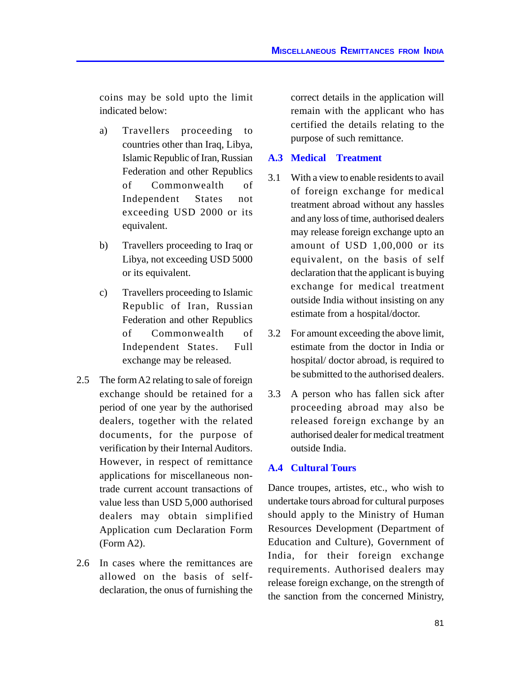coins may be sold upto the limit indicated below:

- a) Travellers proceeding to countries other than Iraq, Libya, Islamic Republic of Iran, Russian Federation and other Republics of Commonwealth of Independent States not exceeding USD 2000 or its equivalent.
- b) Travellers proceeding to Iraq or Libya, not exceeding USD 5000 or its equivalent.
- c) Travellers proceeding to Islamic Republic of Iran, Russian Federation and other Republics of Commonwealth of Independent States. Full exchange may be released.
- 2.5 The form A2 relating to sale of foreign exchange should be retained for a period of one year by the authorised dealers, together with the related documents, for the purpose of verification by their Internal Auditors. However, in respect of remittance applications for miscellaneous nontrade current account transactions of value less than USD 5,000 authorised dealers may obtain simplified Application cum Declaration Form (Form A2).
- 2.6 In cases where the remittances are allowed on the basis of selfdeclaration, the onus of furnishing the

correct details in the application will remain with the applicant who has certified the details relating to the purpose of such remittance.

#### **A.3 Medical Treatment**

- 3.1 With a view to enable residents to avail of foreign exchange for medical treatment abroad without any hassles and any loss of time, authorised dealers may release foreign exchange upto an amount of USD 1,00,000 or its equivalent, on the basis of self declaration that the applicant is buying exchange for medical treatment outside India without insisting on any estimate from a hospital/doctor.
- 3.2 For amount exceeding the above limit, estimate from the doctor in India or hospital/ doctor abroad, is required to be submitted to the authorised dealers.
- 3.3 A person who has fallen sick after proceeding abroad may also be released foreign exchange by an authorised dealer for medical treatment outside India.

## **A.4 Cultural Tours**

Dance troupes, artistes, etc., who wish to undertake tours abroad for cultural purposes should apply to the Ministry of Human Resources Development (Department of Education and Culture), Government of India, for their foreign exchange requirements. Authorised dealers may release foreign exchange, on the strength of the sanction from the concerned Ministry,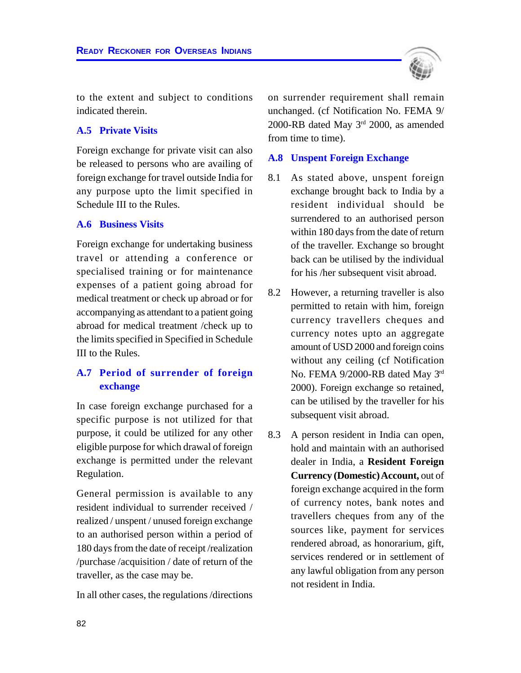

to the extent and subject to conditions indicated therein.

#### **A.5 Private Visits**

Foreign exchange for private visit can also be released to persons who are availing of foreign exchange for travel outside India for any purpose upto the limit specified in Schedule III to the Rules.

#### **A.6 Business Visits**

Foreign exchange for undertaking business travel or attending a conference or specialised training or for maintenance expenses of a patient going abroad for medical treatment or check up abroad or for accompanying as attendant to a patient going abroad for medical treatment /check up to the limits specified in Specified in Schedule III to the Rules.

## **A.7 Period of surrender of foreign exchange**

In case foreign exchange purchased for a specific purpose is not utilized for that purpose, it could be utilized for any other eligible purpose for which drawal of foreign exchange is permitted under the relevant Regulation.

General permission is available to any resident individual to surrender received / realized / unspent / unused foreign exchange to an authorised person within a period of 180 days from the date of receipt /realization /purchase /acquisition / date of return of the traveller, as the case may be.

In all other cases, the regulations /directions

on surrender requirement shall remain unchanged. (cf Notification No. FEMA 9/ 2000-RB dated May 3 rd 2000, as amended from time to time).

#### **A.8 Unspent Foreign Exchange**

- 8.1 As stated above, unspent foreign exchange brought back to India by a resident individual should be surrendered to an authorised person within 180 days from the date of return of the traveller. Exchange so brought back can be utilised by the individual for his /her subsequent visit abroad.
- 8.2 However, a returning traveller is also permitted to retain with him, foreign currency travellers cheques and currency notes upto an aggregate amount of USD 2000 and foreign coins without any ceiling (cf Notification No. FEMA 9/2000-RB dated May 3rd 2000). Foreign exchange so retained, can be utilised by the traveller for his subsequent visit abroad.
- 8.3 A person resident in India can open, hold and maintain with an authorised dealer in India, a **Resident Foreign Currency (Domestic) Account,** out of foreign exchange acquired in the form of currency notes, bank notes and travellers cheques from any of the sources like, payment for services rendered abroad, as honorarium, gift, services rendered or in settlement of any lawful obligation from any person not resident in India.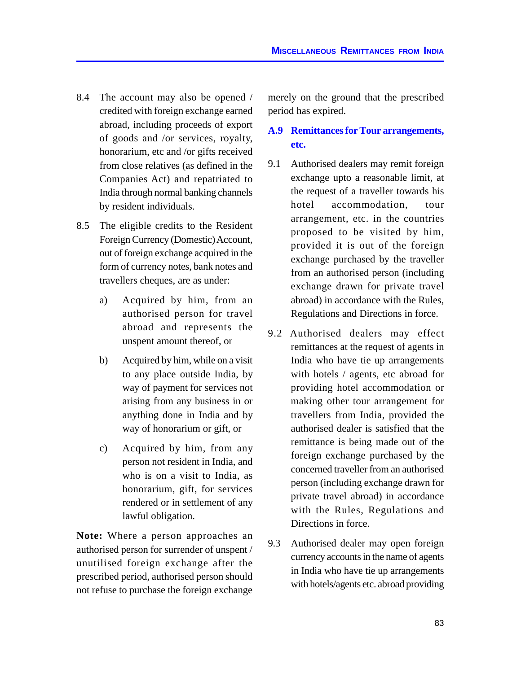- 8.4 The account may also be opened / credited with foreign exchange earned abroad, including proceeds of export of goods and /or services, royalty, honorarium, etc and /or gifts received from close relatives (as defined in the Companies Act) and repatriated to India through normal banking channels by resident individuals.
- 8.5 The eligible credits to the Resident Foreign Currency (Domestic) Account, out of foreign exchange acquired in the form of currency notes, bank notes and travellers cheques, are as under:
	- a) Acquired by him, from an authorised person for travel abroad and represents the unspent amount thereof, or
	- b) Acquired by him, while on a visit to any place outside India, by way of payment for services not arising from any business in or anything done in India and by way of honorarium or gift, or
	- c) Acquired by him, from any person not resident in India, and who is on a visit to India, as honorarium, gift, for services rendered or in settlement of any lawful obligation.

**Note:** Where a person approaches an authorised person for surrender of unspent / unutilised foreign exchange after the prescribed period, authorised person should not refuse to purchase the foreign exchange

merely on the ground that the prescribed period has expired.

## **A.9 Remittances for Tour arrangements, etc.**

- 9.1 Authorised dealers may remit foreign exchange upto a reasonable limit, at the request of a traveller towards his hotel accommodation, tour arrangement, etc. in the countries proposed to be visited by him, provided it is out of the foreign exchange purchased by the traveller from an authorised person (including exchange drawn for private travel abroad) in accordance with the Rules, Regulations and Directions in force.
- 9.2 Authorised dealers may effect remittances at the request of agents in India who have tie up arrangements with hotels / agents, etc abroad for providing hotel accommodation or making other tour arrangement for travellers from India, provided the authorised dealer is satisfied that the remittance is being made out of the foreign exchange purchased by the concerned traveller from an authorised person (including exchange drawn for private travel abroad) in accordance with the Rules, Regulations and Directions in force.
- 9.3 Authorised dealer may open foreign currency accounts in the name of agents in India who have tie up arrangements with hotels/agents etc. abroad providing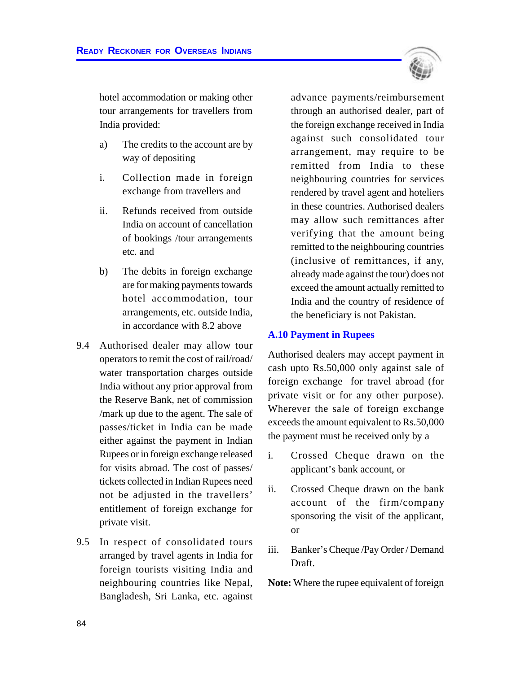

hotel accommodation or making other tour arrangements for travellers from India provided:

- a) The credits to the account are by way of depositing
- i. Collection made in foreign exchange from travellers and
- ii. Refunds received from outside India on account of cancellation of bookings /tour arrangements etc. and
- b) The debits in foreign exchange are for making payments towards hotel accommodation, tour arrangements, etc. outside India, in accordance with 8.2 above
- 9.4 Authorised dealer may allow tour operators to remit the cost of rail/road/ water transportation charges outside India without any prior approval from the Reserve Bank, net of commission /mark up due to the agent. The sale of passes/ticket in India can be made either against the payment in Indian Rupees or in foreign exchange released for visits abroad. The cost of passes/ tickets collected in Indian Rupees need not be adjusted in the travellers' entitlement of foreign exchange for private visit.
- 9.5 In respect of consolidated tours arranged by travel agents in India for foreign tourists visiting India and neighbouring countries like Nepal, Bangladesh, Sri Lanka, etc. against

advance payments/reimbursement through an authorised dealer, part of the foreign exchange received in India against such consolidated tour arrangement, may require to be remitted from India to these neighbouring countries for services rendered by travel agent and hoteliers in these countries. Authorised dealers may allow such remittances after verifying that the amount being remitted to the neighbouring countries (inclusive of remittances, if any, already made against the tour) does not exceed the amount actually remitted to India and the country of residence of the beneficiary is not Pakistan.

#### **A.10 Payment in Rupees**

Authorised dealers may accept payment in cash upto Rs.50,000 only against sale of foreign exchange for travel abroad (for private visit or for any other purpose). Wherever the sale of foreign exchange exceeds the amount equivalent to Rs.50,000 the payment must be received only by a

- i. Crossed Cheque drawn on the applicant's bank account, or
- ii. Crossed Cheque drawn on the bank account of the firm/company sponsoring the visit of the applicant, or
- iii. Banker's Cheque /Pay Order / Demand Draft.

**Note:** Where the rupee equivalent of foreign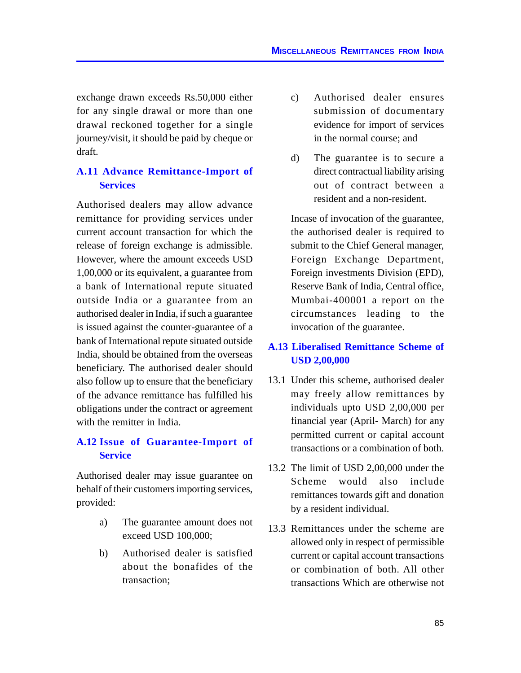exchange drawn exceeds Rs.50,000 either for any single drawal or more than one drawal reckoned together for a single journey/visit, it should be paid by cheque or draft.

## **A.11 Advance Remittance-Import of Services**

Authorised dealers may allow advance remittance for providing services under current account transaction for which the release of foreign exchange is admissible. However, where the amount exceeds USD 1,00,000 or its equivalent, a guarantee from a bank of International repute situated outside India or a guarantee from an authorised dealer in India, if such a guarantee is issued against the counter-guarantee of a bank of International repute situated outside India, should be obtained from the overseas beneficiary. The authorised dealer should also follow up to ensure that the beneficiary of the advance remittance has fulfilled his obligations under the contract or agreement with the remitter in India.

## **A.12 Issue of Guarantee-Import of Service**

Authorised dealer may issue guarantee on behalf of their customers importing services, provided:

- a) The guarantee amount does not exceed USD 100,000;
- b) Authorised dealer is satisfied about the bonafides of the transaction;
- c) Authorised dealer ensures submission of documentary evidence for import of services in the normal course; and
- d) The guarantee is to secure a direct contractual liability arising out of contract between a resident and a non-resident.

Incase of invocation of the guarantee, the authorised dealer is required to submit to the Chief General manager, Foreign Exchange Department, Foreign investments Division (EPD), Reserve Bank of India, Central office, Mumbai-400001 a report on the circumstances leading to the invocation of the guarantee.

## **A.13 Liberalised Remittance Scheme of USD 2,00,000**

- 13.1 Under this scheme, authorised dealer may freely allow remittances by individuals upto USD 2,00,000 per financial year (April- March) for any permitted current or capital account transactions or a combination of both.
- 13.2 The limit of USD 2,00,000 under the Scheme would also include remittances towards gift and donation by a resident individual.
- 13.3 Remittances under the scheme are allowed only in respect of permissible current or capital account transactions or combination of both. All other transactions Which are otherwise not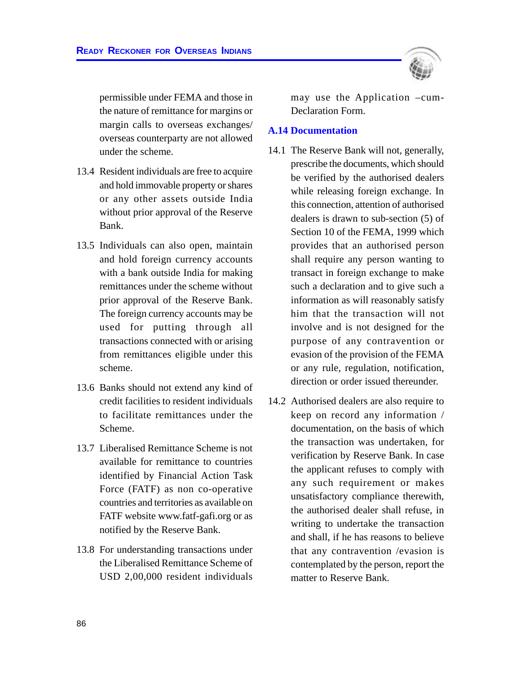permissible under FEMA and those in the nature of remittance for margins or margin calls to overseas exchanges/ overseas counterparty are not allowed under the scheme.

- 13.4 Resident individuals are free to acquire and hold immovable property or shares or any other assets outside India without prior approval of the Reserve Bank.
- 13.5 Individuals can also open, maintain and hold foreign currency accounts with a bank outside India for making remittances under the scheme without prior approval of the Reserve Bank. The foreign currency accounts may be used for putting through all transactions connected with or arising from remittances eligible under this scheme.
- 13.6 Banks should not extend any kind of credit facilities to resident individuals to facilitate remittances under the Scheme.
- 13.7 Liberalised Remittance Scheme is not available for remittance to countries identified by Financial Action Task Force (FATF) as non co-operative countries and territories as available on FATF website www.fatf-gafi.org or as notified by the Reserve Bank.
- 13.8 For understanding transactions under the Liberalised Remittance Scheme of USD 2,00,000 resident individuals



may use the Application –cum-Declaration Form.

#### **A.14 Documentation**

- 14.1 The Reserve Bank will not, generally, prescribe the documents, which should be verified by the authorised dealers while releasing foreign exchange. In this connection, attention of authorised dealers is drawn to sub-section (5) of Section 10 of the FEMA, 1999 which provides that an authorised person shall require any person wanting to transact in foreign exchange to make such a declaration and to give such a information as will reasonably satisfy him that the transaction will not involve and is not designed for the purpose of any contravention or evasion of the provision of the FEMA or any rule, regulation, notification, direction or order issued thereunder.
- 14.2 Authorised dealers are also require to keep on record any information / documentation, on the basis of which the transaction was undertaken, for verification by Reserve Bank. In case the applicant refuses to comply with any such requirement or makes unsatisfactory compliance therewith, the authorised dealer shall refuse, in writing to undertake the transaction and shall, if he has reasons to believe that any contravention /evasion is contemplated by the person, report the matter to Reserve Bank.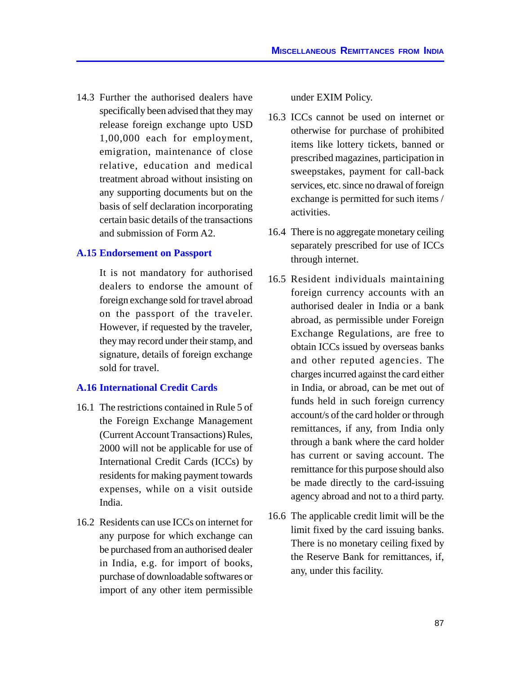14.3 Further the authorised dealers have specifically been advised that they may release foreign exchange upto USD 1,00,000 each for employment, emigration, maintenance of close relative, education and medical treatment abroad without insisting on any supporting documents but on the basis of self declaration incorporating certain basic details of the transactions and submission of Form A2.

#### **A.15 Endorsement on Passport**

It is not mandatory for authorised dealers to endorse the amount of foreign exchange sold for travel abroad on the passport of the traveler. However, if requested by the traveler, they may record under their stamp, and signature, details of foreign exchange sold for travel.

#### **A.16 International Credit Cards**

- 16.1 The restrictions contained in Rule 5 of the Foreign Exchange Management (Current Account Transactions) Rules, 2000 will not be applicable for use of International Credit Cards (ICCs) by residents for making payment towards expenses, while on a visit outside India.
- 16.2 Residents can use ICCs on internet for any purpose for which exchange can be purchased from an authorised dealer in India, e.g. for import of books, purchase of downloadable softwares or import of any other item permissible

under EXIM Policy.

- 16.3 ICCs cannot be used on internet or otherwise for purchase of prohibited items like lottery tickets, banned or prescribed magazines, participation in sweepstakes, payment for call-back services, etc. since no drawal of foreign exchange is permitted for such items / activities.
- 16.4 There is no aggregate monetary ceiling separately prescribed for use of ICCs through internet.
- 16.5 Resident individuals maintaining foreign currency accounts with an authorised dealer in India or a bank abroad, as permissible under Foreign Exchange Regulations, are free to obtain ICCs issued by overseas banks and other reputed agencies. The charges incurred against the card either in India, or abroad, can be met out of funds held in such foreign currency account/s of the card holder or through remittances, if any, from India only through a bank where the card holder has current or saving account. The remittance for this purpose should also be made directly to the card-issuing agency abroad and not to a third party.
- 16.6 The applicable credit limit will be the limit fixed by the card issuing banks. There is no monetary ceiling fixed by the Reserve Bank for remittances, if, any, under this facility.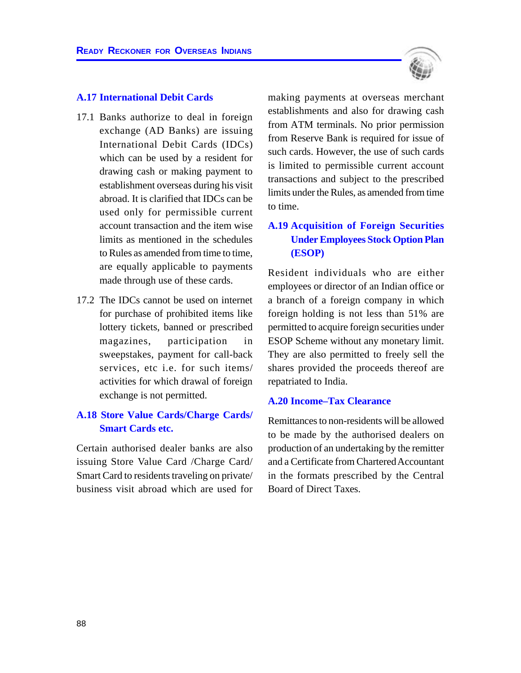#### **A.17 International Debit Cards**

- 17.1 Banks authorize to deal in foreign exchange (AD Banks) are issuing International Debit Cards (IDCs) which can be used by a resident for drawing cash or making payment to establishment overseas during his visit abroad. It is clarified that IDCs can be used only for permissible current account transaction and the item wise limits as mentioned in the schedules to Rules as amended from time to time, are equally applicable to payments made through use of these cards.
- 17.2 The IDCs cannot be used on internet for purchase of prohibited items like lottery tickets, banned or prescribed magazines, participation in sweepstakes, payment for call-back services, etc i.e. for such items/ activities for which drawal of foreign exchange is not permitted.

## **A.18 Store Value Cards/Charge Cards/ Smart Cards etc.**

Certain authorised dealer banks are also issuing Store Value Card /Charge Card/ Smart Card to residents traveling on private/ business visit abroad which are used for making payments at overseas merchant establishments and also for drawing cash from ATM terminals. No prior permission from Reserve Bank is required for issue of such cards. However, the use of such cards is limited to permissible current account transactions and subject to the prescribed limits under the Rules, as amended from time to time.

## **A.19 Acquisition of Foreign Securities Under Employees Stock Option Plan (ESOP)**

Resident individuals who are either employees or director of an Indian office or a branch of a foreign company in which foreign holding is not less than 51% are permitted to acquire foreign securities under ESOP Scheme without any monetary limit. They are also permitted to freely sell the shares provided the proceeds thereof are repatriated to India.

#### **A.20 Income–Tax Clearance**

Remittances to non-residents will be allowed to be made by the authorised dealers on production of an undertaking by the remitter and a Certificate from Chartered Accountant in the formats prescribed by the Central Board of Direct Taxes.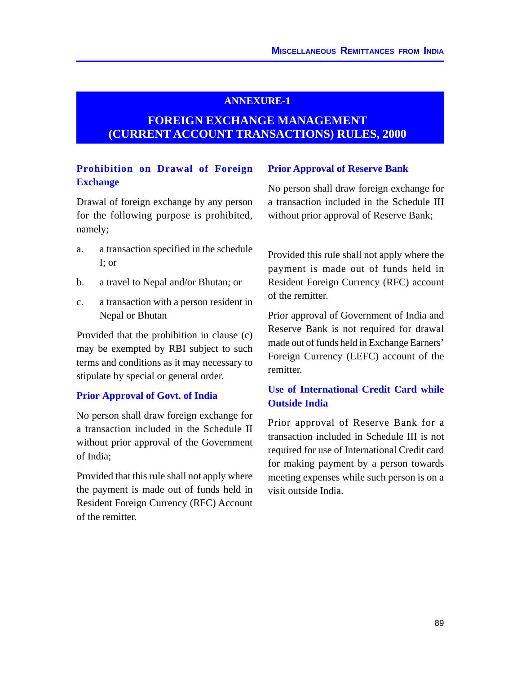#### **ANNEXURE-1**

# **FOREIGN EXCHANGE MANAGEMENT (CURRENT ACCOUNT TRANSACTIONS) RULES, 2000**

## **Prohibition on Drawal of Foreign Exchange**

Drawal of foreign exchange by any person for the following purpose is prohibited, namely;

- a. a transaction specified in the schedule I; or
- b. a travel to Nepal and/or Bhutan; or
- c. a transaction with a person resident in Nepal or Bhutan

Provided that the prohibition in clause (c) may be exempted by RBI subject to such terms and conditions as it may necessary to stipulate by special or general order.

#### **Prior Approval of Govt. of India**

No person shall draw foreign exchange for a transaction included in the Schedule II without prior approval of the Government of India;

Provided that this rule shall not apply where the payment is made out of funds held in Resident Foreign Currency (RFC) Account of the remitter.

#### **Prior Approval of Reserve Bank**

No person shall draw foreign exchange for a transaction included in the Schedule III without prior approval of Reserve Bank;

Provided this rule shall not apply where the payment is made out of funds held in Resident Foreign Currency (RFC) account of the remitter.

Prior approval of Government of India and Reserve Bank is not required for drawal made out of funds held in Exchange Earners' Foreign Currency (EEFC) account of the remitter.

## **Use of International Credit Card while Outside India**

Prior approval of Reserve Bank for a transaction included in Schedule III is not required for use of International Credit card for making payment by a person towards meeting expenses while such person is on a visit outside India.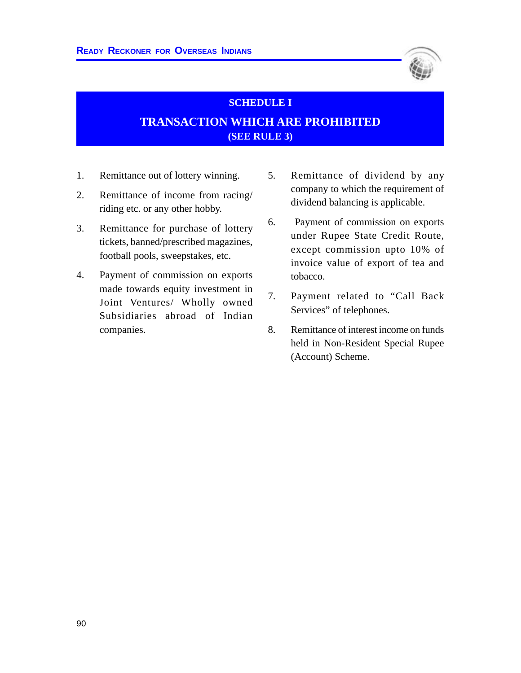

# **SCHEDULE I TRANSACTION WHICH ARE PROHIBITED (SEE RULE 3)**

- 1. Remittance out of lottery winning.
- 2. Remittance of income from racing/ riding etc. or any other hobby.
- 3. Remittance for purchase of lottery tickets, banned/prescribed magazines, football pools, sweepstakes, etc.
- 4. Payment of commission on exports made towards equity investment in Joint Ventures/ Wholly owned Subsidiaries abroad of Indian companies.
- 5. Remittance of dividend by any company to which the requirement of dividend balancing is applicable.
- 6. Payment of commission on exports under Rupee State Credit Route, except commission upto 10% of invoice value of export of tea and tobacco.
- 7. Payment related to "Call Back Services" of telephones.
- 8. Remittance of interest income on funds held in Non-Resident Special Rupee (Account) Scheme.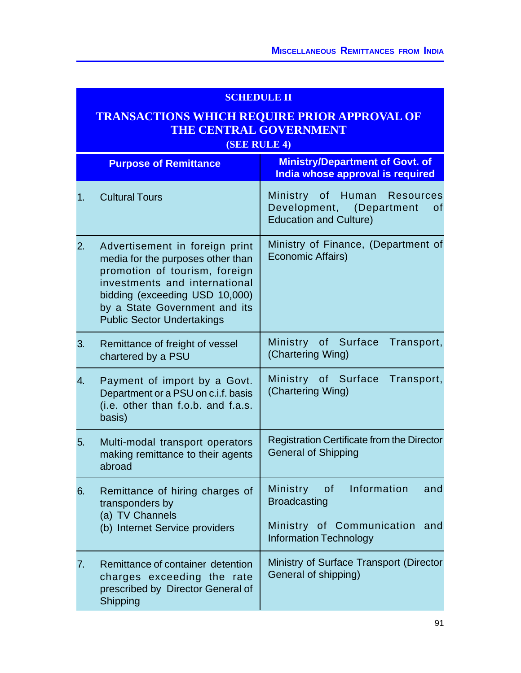## **SCHEDULE II**

# **TRANSACTIONS WHICH REQUIRE PRIOR APPROVAL OF THE CENTRAL GOVERNMENT**

**(SEE RULE 4)**

|                  | <b>Purpose of Remittance</b>                                                                                                                                                                                                                  | <b>Ministry/Department of Govt. of</b><br>India whose approval is required                                                    |
|------------------|-----------------------------------------------------------------------------------------------------------------------------------------------------------------------------------------------------------------------------------------------|-------------------------------------------------------------------------------------------------------------------------------|
| 1.               | <b>Cultural Tours</b>                                                                                                                                                                                                                         | Ministry of<br>Human Resources<br>Development, (Department<br>0f<br><b>Education and Culture)</b>                             |
| 2.               | Advertisement in foreign print<br>media for the purposes other than<br>promotion of tourism, foreign<br>investments and international<br>bidding (exceeding USD 10,000)<br>by a State Government and its<br><b>Public Sector Undertakings</b> | Ministry of Finance, (Department of<br>Economic Affairs)                                                                      |
| 3.               | Remittance of freight of vessel<br>chartered by a PSU                                                                                                                                                                                         | Ministry of Surface<br>Transport,<br>(Chartering Wing)                                                                        |
| $\overline{4}$ . | Payment of import by a Govt.<br>Department or a PSU on c.i.f. basis<br>(i.e. other than f.o.b. and f.a.s.<br>basis)                                                                                                                           | Ministry of Surface<br>Transport,<br>(Chartering Wing)                                                                        |
| 5.               | Multi-modal transport operators<br>making remittance to their agents<br>abroad                                                                                                                                                                | Registration Certificate from the Director<br><b>General of Shipping</b>                                                      |
| 6.               | Remittance of hiring charges of<br>transponders by<br>(a) TV Channels<br>(b) Internet Service providers                                                                                                                                       | of Information<br>Ministry<br>and<br><b>Broadcasting</b><br>Ministry of Communication<br>and<br><b>Information Technology</b> |
| 7.               | Remittance of container detention<br>charges exceeding the rate<br>prescribed by Director General of<br>Shipping                                                                                                                              | Ministry of Surface Transport (Director<br>General of shipping)                                                               |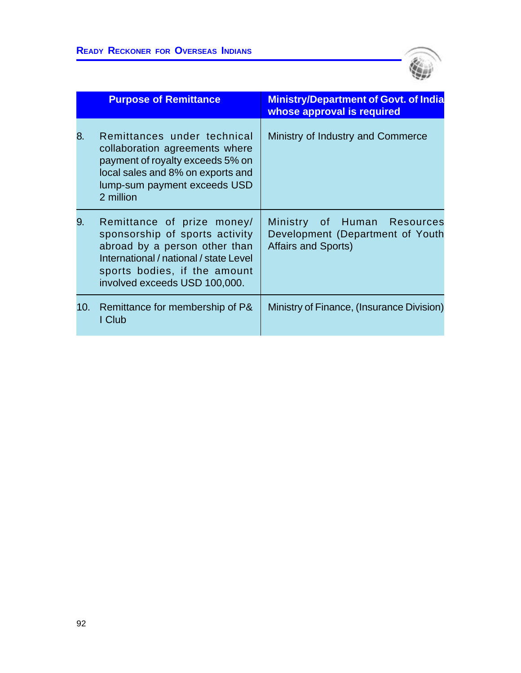

|     | <b>Purpose of Remittance</b>                                                                                                                                                                             | <b>Ministry/Department of Govt. of India</b><br>whose approval is required                    |
|-----|----------------------------------------------------------------------------------------------------------------------------------------------------------------------------------------------------------|-----------------------------------------------------------------------------------------------|
| 8.  | Remittances under technical<br>collaboration agreements where<br>payment of royalty exceeds 5% on<br>local sales and 8% on exports and<br>lump-sum payment exceeds USD<br>2 million                      | Ministry of Industry and Commerce                                                             |
| 9.  | Remittance of prize money/<br>sponsorship of sports activity<br>abroad by a person other than<br>International / national / state Level<br>sports bodies, if the amount<br>involved exceeds USD 100,000. | Ministry of Human Resources<br>Development (Department of Youth<br><b>Affairs and Sports)</b> |
| 10. | Remittance for membership of P&<br>I Club                                                                                                                                                                | Ministry of Finance, (Insurance Division)                                                     |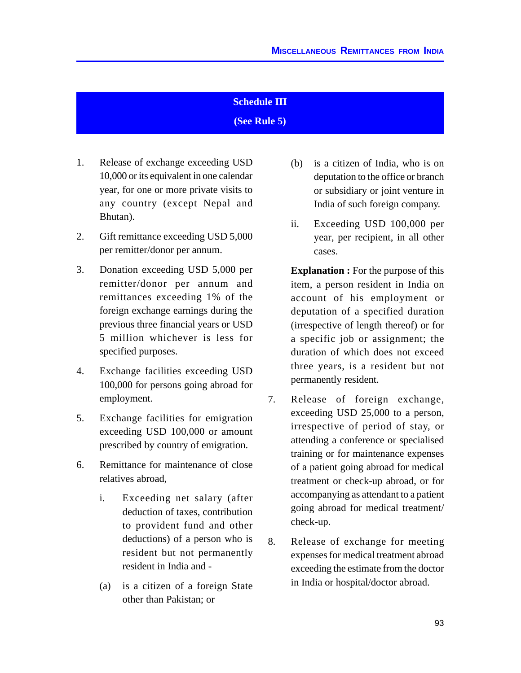#### **Schedule III**

**(See Rule 5)**

- 1. Release of exchange exceeding USD 10,000 or its equivalent in one calendar year, for one or more private visits to any country (except Nepal and Bhutan).
- 2. Gift remittance exceeding USD 5,000 per remitter/donor per annum.
- 3. Donation exceeding USD 5,000 per remitter/donor per annum and remittances exceeding 1% of the foreign exchange earnings during the previous three financial years or USD 5 million whichever is less for specified purposes.
- 4. Exchange facilities exceeding USD 100,000 for persons going abroad for employment.
- 5. Exchange facilities for emigration exceeding USD 100,000 or amount prescribed by country of emigration.
- 6. Remittance for maintenance of close relatives abroad,
	- i. Exceeding net salary (after deduction of taxes, contribution to provident fund and other deductions) of a person who is resident but not permanently resident in India and -
	- (a) is a citizen of a foreign State other than Pakistan; or
- (b) is a citizen of India, who is on deputation to the office or branch or subsidiary or joint venture in India of such foreign company.
- ii. Exceeding USD 100,000 per year, per recipient, in all other cases.

**Explanation :** For the purpose of this item, a person resident in India on account of his employment or deputation of a specified duration (irrespective of length thereof) or for a specific job or assignment; the duration of which does not exceed three years, is a resident but not permanently resident.

- 7. Release of foreign exchange, exceeding USD 25,000 to a person, irrespective of period of stay, or attending a conference or specialised training or for maintenance expenses of a patient going abroad for medical treatment or check-up abroad, or for accompanying as attendant to a patient going abroad for medical treatment/ check-up.
- 8. Release of exchange for meeting expenses for medical treatment abroad exceeding the estimate from the doctor in India or hospital/doctor abroad.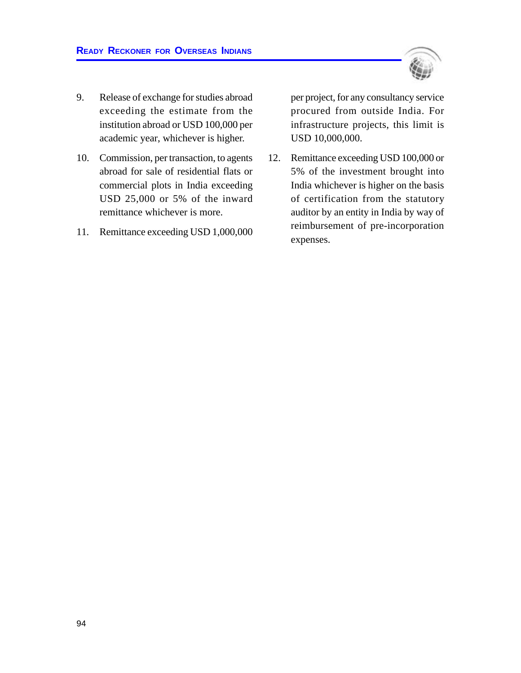

- 9. Release of exchange for studies abroad exceeding the estimate from the institution abroad or USD 100,000 per academic year, whichever is higher.
- 10. Commission, per transaction, to agents abroad for sale of residential flats or commercial plots in India exceeding USD 25,000 or 5% of the inward remittance whichever is more.
- 11. Remittance exceeding USD 1,000,000

per project, for any consultancy service procured from outside India. For infrastructure projects, this limit is USD 10,000,000.

12. Remittance exceeding USD 100,000 or 5% of the investment brought into India whichever is higher on the basis of certification from the statutory auditor by an entity in India by way of reimbursement of pre-incorporation expenses.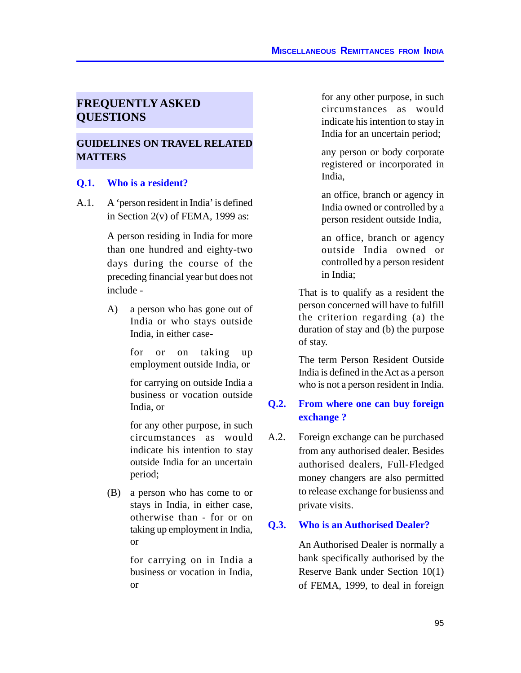## **FREQUENTLY ASKED QUESTIONS**

## **GUIDELINES ON TRAVEL RELATED MATTERS**

#### **Q.1. Who is a resident?**

A.1. A 'person resident in India' is defined in Section  $2(v)$  of FEMA, 1999 as:

> A person residing in India for more than one hundred and eighty-two days during the course of the preceding financial year but does not include -

> A) a person who has gone out of India or who stays outside India, in either case-

> > for or on taking up employment outside India, or

> > for carrying on outside India a business or vocation outside India, or

> > for any other purpose, in such circumstances as would indicate his intention to stay outside India for an uncertain period;

(B) a person who has come to or stays in India, in either case, otherwise than - for or on taking up employment in India, or

> for carrying on in India a business or vocation in India, or

for any other purpose, in such circumstances as would indicate his intention to stay in India for an uncertain period;

any person or body corporate registered or incorporated in India,

an office, branch or agency in India owned or controlled by a person resident outside India,

an office, branch or agency outside India owned or controlled by a person resident in India;

That is to qualify as a resident the person concerned will have to fulfill the criterion regarding (a) the duration of stay and (b) the purpose of stay.

The term Person Resident Outside India is defined in the Act as a person who is not a person resident in India.

## **Q.2. From where one can buy foreign exchange ?**

A.2. Foreign exchange can be purchased from any authorised dealer. Besides authorised dealers, Full-Fledged money changers are also permitted to release exchange for busienss and private visits.

#### **Q.3. Who is an Authorised Dealer?**

An Authorised Dealer is normally a bank specifically authorised by the Reserve Bank under Section 10(1) of FEMA, 1999, to deal in foreign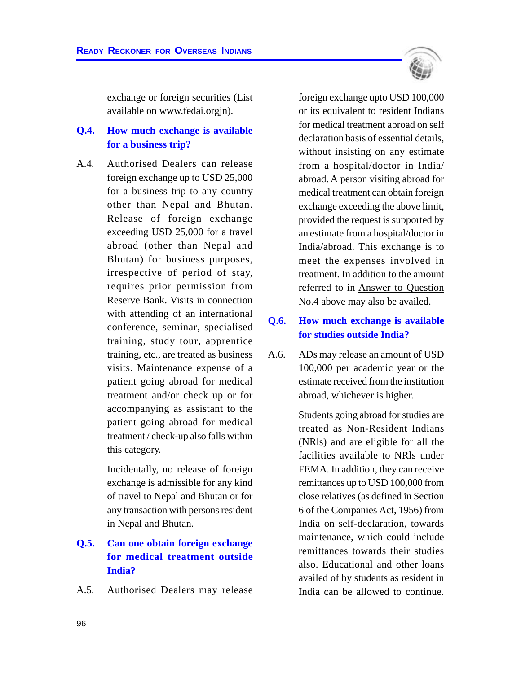exchange or foreign securities (List available on www.fedai.orgjn).

## **Q.4. How much exchange is available for a business trip?**

A.4. Authorised Dealers can release foreign exchange up to USD 25,000 for a business trip to any country other than Nepal and Bhutan. Release of foreign exchange exceeding USD 25,000 for a travel abroad (other than Nepal and Bhutan) for business purposes, irrespective of period of stay, requires prior permission from Reserve Bank. Visits in connection with attending of an international conference, seminar, specialised training, study tour, apprentice training, etc., are treated as business visits. Maintenance expense of a patient going abroad for medical treatment and/or check up or for accompanying as assistant to the patient going abroad for medical treatment / check-up also falls within this category.

> Incidentally, no release of foreign exchange is admissible for any kind of travel to Nepal and Bhutan or for any transaction with persons resident in Nepal and Bhutan.

## **Q.5. Can one obtain foreign exchange for medical treatment outside India?**

A.5. Authorised Dealers may release

foreign exchange upto USD 100,000 or its equivalent to resident Indians for medical treatment abroad on self declaration basis of essential details, without insisting on any estimate from a hospital/doctor in India/ abroad. A person visiting abroad for medical treatment can obtain foreign exchange exceeding the above limit, provided the request is supported by an estimate from a hospital/doctor in India/abroad. This exchange is to meet the expenses involved in treatment. In addition to the amount referred to in Answer to Question No.4 above may also be availed.

## **Q.6. How much exchange is available for studies outside India?**

A.6. ADs may release an amount of USD 100,000 per academic year or the estimate received from the institution abroad, whichever is higher.

> Students going abroad for studies are treated as Non-Resident Indians (NRls) and are eligible for all the facilities available to NRls under FEMA. In addition, they can receive remittances up to USD 100,000 from close relatives (as defined in Section 6 of the Companies Act, 1956) from India on self-declaration, towards maintenance, which could include remittances towards their studies also. Educational and other loans availed of by students as resident in India can be allowed to continue.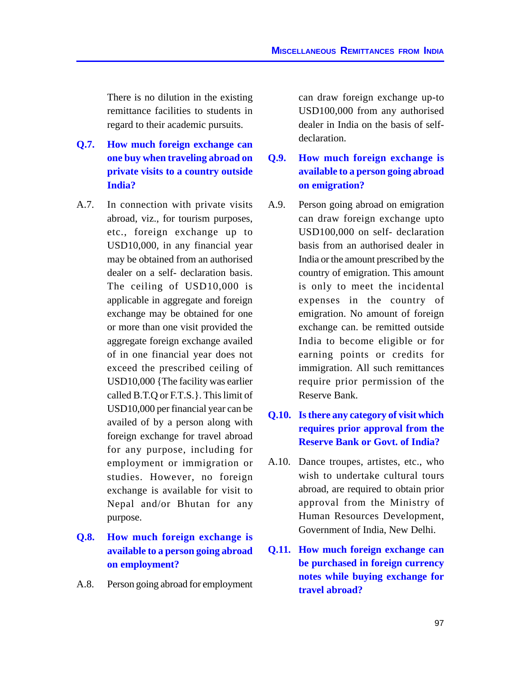There is no dilution in the existing remittance facilities to students in regard to their academic pursuits.

- **Q.7. How much foreign exchange can one buy when traveling abroad on private visits to a country outside India?**
- A.7. In connection with private visits abroad, viz., for tourism purposes, etc., foreign exchange up to USD10,000, in any financial year may be obtained from an authorised dealer on a self- declaration basis. The ceiling of USD10,000 is applicable in aggregate and foreign exchange may be obtained for one or more than one visit provided the aggregate foreign exchange availed of in one financial year does not exceed the prescribed ceiling of USD10,000 {The facility was earlier called B.T.Q or F.T.S.}. This limit of USD10,000 per financial year can be availed of by a person along with foreign exchange for travel abroad for any purpose, including for employment or immigration or studies. However, no foreign exchange is available for visit to Nepal and/or Bhutan for any purpose.

## **Q.8. How much foreign exchange is available to a person going abroad on employment?**

A.8. Person going abroad for employment

can draw foreign exchange up-to USD100,000 from any authorised dealer in India on the basis of selfdeclaration.

## **Q.9. How much foreign exchange is available to a person going abroad on emigration?**

A.9. Person going abroad on emigration can draw foreign exchange upto USD100,000 on self- declaration basis from an authorised dealer in India or the amount prescribed by the country of emigration. This amount is only to meet the incidental expenses in the country of emigration. No amount of foreign exchange can. be remitted outside India to become eligible or for earning points or credits for immigration. All such remittances require prior permission of the Reserve Bank.

## **Q.10. Is there any category of visit which requires prior approval from the Reserve Bank or Govt. of India?**

- A.10. Dance troupes, artistes, etc., who wish to undertake cultural tours abroad, are required to obtain prior approval from the Ministry of Human Resources Development, Government of India, New Delhi.
- **Q.11. How much foreign exchange can be purchased in foreign currency notes while buying exchange for travel abroad?**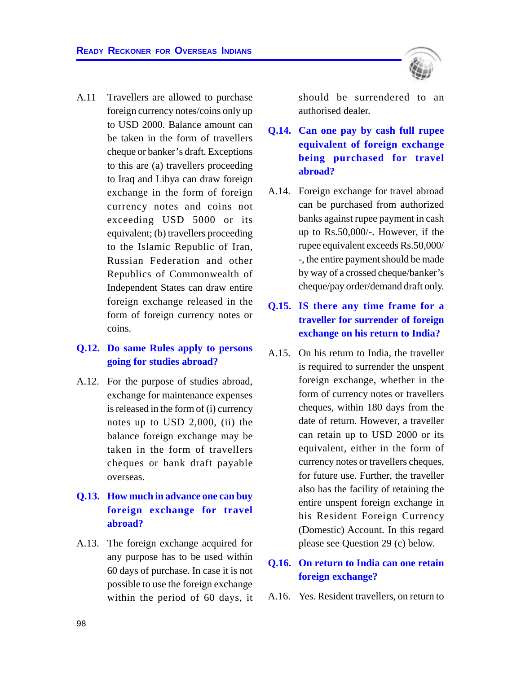

#### **Q.12. Do same Rules apply to persons going for studies abroad?**

A.12. For the purpose of studies abroad, exchange for maintenance expenses is released in the form of (i) currency notes up to USD 2,000, (ii) the balance foreign exchange may be taken in the form of travellers cheques or bank draft payable overseas.

## **Q.13. How much in advance one can buy foreign exchange for travel abroad?**

A.13. The foreign exchange acquired for any purpose has to be used within 60 days of purchase. In case it is not possible to use the foreign exchange within the period of 60 days, it

should be surrendered to an authorised dealer.

- **Q.14. Can one pay by cash full rupee equivalent of foreign exchange being purchased for travel abroad?**
- A.14. Foreign exchange for travel abroad can be purchased from authorized banks against rupee payment in cash up to Rs.50,000/-. However, if the rupee equivalent exceeds Rs.50,000/ -, the entire payment should be made by way of a crossed cheque/banker's cheque/pay order/demand draft only.

## **Q.15. IS there any time frame for a traveller for surrender of foreign exchange on his return to India?**

A.15. On his return to India, the traveller is required to surrender the unspent foreign exchange, whether in the form of currency notes or travellers cheques, within 180 days from the date of return. However, a traveller can retain up to USD 2000 or its equivalent, either in the form of currency notes or travellers cheques, for future use. Further, the traveller also has the facility of retaining the entire unspent foreign exchange in his Resident Foreign Currency (Domestic) Account. In this regard please see Question 29 (c) below.

## **Q.16. On return to India can one retain foreign exchange?**

A.16. Yes. Resident travellers, on return to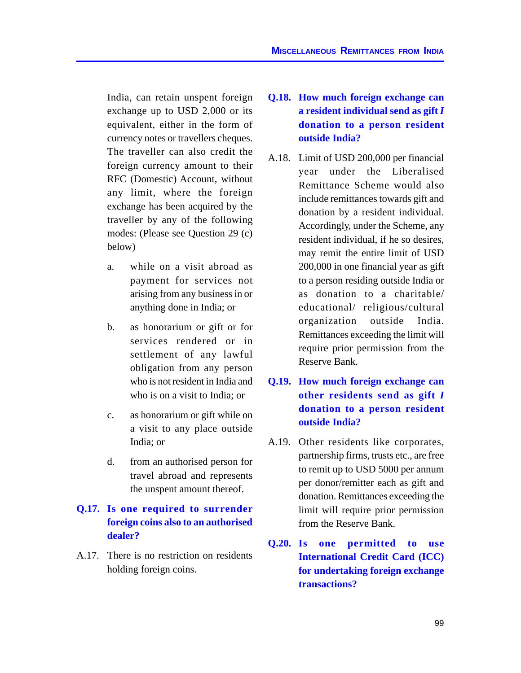India, can retain unspent foreign exchange up to USD 2,000 or its equivalent, either in the form of currency notes or travellers cheques. The traveller can also credit the foreign currency amount to their RFC (Domestic) Account, without any limit, where the foreign exchange has been acquired by the traveller by any of the following modes: (Please see Question 29 (c) below)

- a. while on a visit abroad as payment for services not arising from any business in or anything done in India; or
- b. as honorarium or gift or for services rendered or in settlement of any lawful obligation from any person who is not resident in India and who is on a visit to India; or
- c. as honorarium or gift while on a visit to any place outside India; or
- d. from an authorised person for travel abroad and represents the unspent amount thereof.

## **Q.17. Is one required to surrender foreign coins also to an authorised dealer?**

A.17. There is no restriction on residents holding foreign coins.

- **Q.18. How much foreign exchange can a resident individual send as gift** *I* **donation to a person resident outside India?**
- A.18. Limit of USD 200,000 per financial year under the Liberalised Remittance Scheme would also include remittances towards gift and donation by a resident individual. Accordingly, under the Scheme, any resident individual, if he so desires, may remit the entire limit of USD 200,000 in one financial year as gift to a person residing outside India or as donation to a charitable/ educational/ religious/cultural organization outside India. Remittances exceeding the limit will require prior permission from the Reserve Bank.
- **Q.19. How much foreign exchange can other residents send as gift** *I* **donation to a person resident outside India?**
- A.19. Other residents like corporates, partnership firms, trusts etc., are free to remit up to USD 5000 per annum per donor/remitter each as gift and donation. Remittances exceeding the limit will require prior permission from the Reserve Bank.
- **Q.20. Is one permitted to use International Credit Card (ICC) for undertaking foreign exchange transactions?**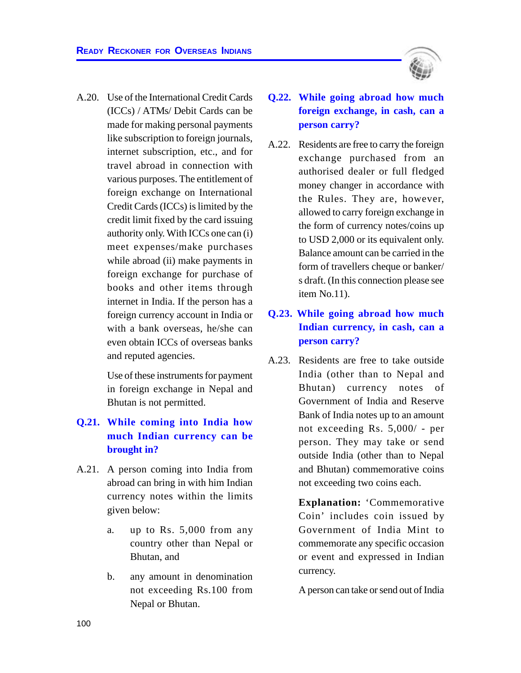

Use of these instruments for payment in foreign exchange in Nepal and Bhutan is not permitted.

## **Q.21. While coming into India how much Indian currency can be brought in?**

- A.21. A person coming into India from abroad can bring in with him Indian currency notes within the limits given below:
	- a. up to Rs. 5,000 from any country other than Nepal or Bhutan, and
	- b. any amount in denomination not exceeding Rs.100 from Nepal or Bhutan.



A.22. Residents are free to carry the foreign exchange purchased from an authorised dealer or full fledged money changer in accordance with the Rules. They are, however, allowed to carry foreign exchange in the form of currency notes/coins up to USD 2,000 or its equivalent only. Balance amount can be carried in the form of travellers cheque or banker/ s draft. (In this connection please see item No.11).

## **Q.23. While going abroad how much Indian currency, in cash, can a person carry?**

A.23. Residents are free to take outside India (other than to Nepal and Bhutan) currency notes of Government of India and Reserve Bank of India notes up to an amount not exceeding Rs. 5,000/ - per person. They may take or send outside India (other than to Nepal and Bhutan) commemorative coins not exceeding two coins each.

> **Explanation:** 'Commemorative Coin' includes coin issued by Government of India Mint to commemorate any specific occasion or event and expressed in Indian currency.

> A person can take or send out of India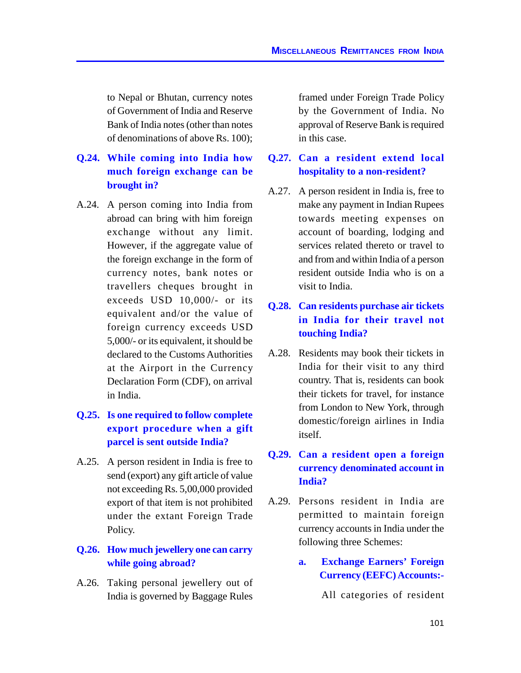to Nepal or Bhutan, currency notes of Government of India and Reserve Bank of India notes (other than notes of denominations of above Rs. 100);

# **Q.24. While coming into India how much foreign exchange can be brought in?**

A.24. A person coming into India from abroad can bring with him foreign exchange without any limit. However, if the aggregate value of the foreign exchange in the form of currency notes, bank notes or travellers cheques brought in exceeds USD 10,000/- or its equivalent and/or the value of foreign currency exceeds USD 5,000/- or its equivalent, it should be declared to the Customs Authorities at the Airport in the Currency Declaration Form (CDF), on arrival in India.

# **Q.25. Is one required to follow complete export procedure when a gift parcel is sent outside India?**

A.25. A person resident in India is free to send (export) any gift article of value not exceeding Rs. 5,00,000 provided export of that item is not prohibited under the extant Foreign Trade Policy.

#### **Q.26. How much jewellery one can carry while going abroad?**

A.26. Taking personal jewellery out of India is governed by Baggage Rules

framed under Foreign Trade Policy by the Government of India. No approval of Reserve Bank is required in this case.

#### **Q.27. Can a resident extend local hospitality to a non-resident?**

A.27. A person resident in India is, free to make any payment in Indian Rupees towards meeting expenses on account of boarding, lodging and services related thereto or travel to and from and within India of a person resident outside India who is on a visit to India.

# **Q.28. Can residents purchase air tickets in India for their travel not touching India?**

A.28. Residents may book their tickets in India for their visit to any third country. That is, residents can book their tickets for travel, for instance from London to New York, through domestic/foreign airlines in India itself.

# **Q.29. Can a resident open a foreign currency denominated account in India?**

- A.29. Persons resident in India are permitted to maintain foreign currency accounts in India under the following three Schemes:
	- **a. Exchange Earners' Foreign Currency (EEFC) Accounts:-**

All categories of resident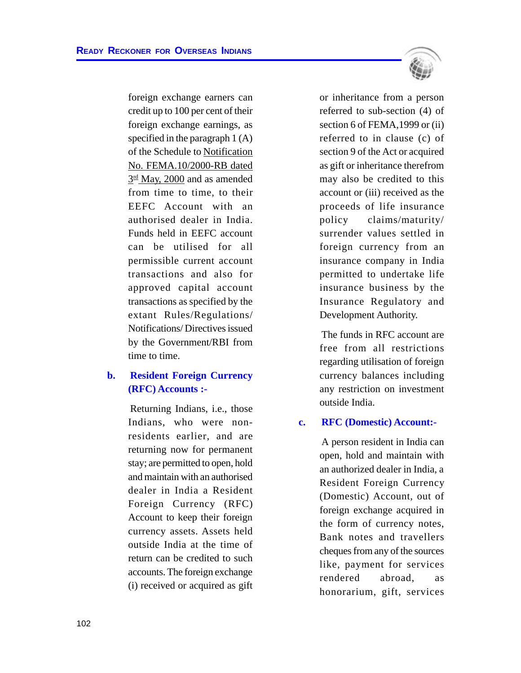

foreign exchange earners can credit up to 100 per cent of their foreign exchange earnings, as specified in the paragraph 1 (A) of the Schedule to Notification No. FEMA.10/2000-RB dated 3<sup>rd</sup> May, 2000 and as amended from time to time, to their EEFC Account with an authorised dealer in India. Funds held in EEFC account can be utilised for all permissible current account transactions and also for approved capital account transactions as specified by the extant Rules/Regulations/ Notifications/ Directives issued by the Government/RBI from time to time.

# **b. Resident Foreign Currency (RFC) Accounts :-**

Returning Indians, i.e., those Indians, who were nonresidents earlier, and are returning now for permanent stay; are permitted to open, hold and maintain with an authorised dealer in India a Resident Foreign Currency (RFC) Account to keep their foreign currency assets. Assets held outside India at the time of return can be credited to such accounts. The foreign exchange (i) received or acquired as gift or inheritance from a person referred to sub-section (4) of section 6 of FEMA,1999 or (ii) referred to in clause (c) of section 9 of the Act or acquired as gift or inheritance therefrom may also be credited to this account or (iii) received as the proceeds of life insurance policy claims/maturity/ surrender values settled in foreign currency from an insurance company in India permitted to undertake life insurance business by the Insurance Regulatory and Development Authority.

The funds in RFC account are free from all restrictions regarding utilisation of foreign currency balances including any restriction on investment outside India.

#### **c. RFC (Domestic) Account:-**

A person resident in India can open, hold and maintain with an authorized dealer in India, a Resident Foreign Currency (Domestic) Account, out of foreign exchange acquired in the form of currency notes, Bank notes and travellers cheques from any of the sources like, payment for services rendered abroad, as honorarium, gift, services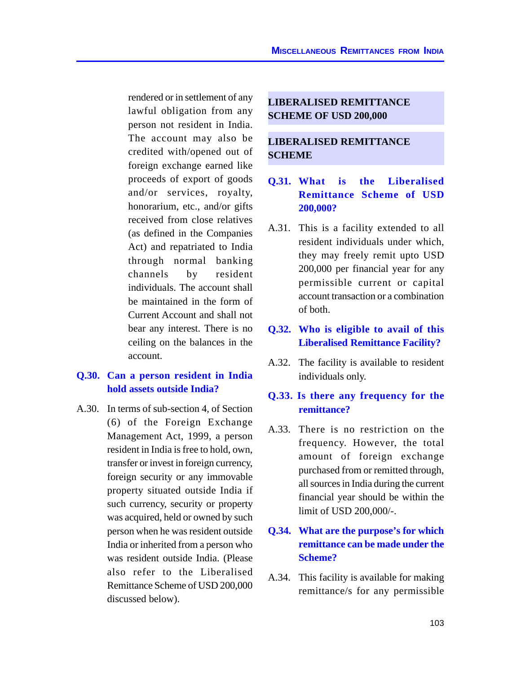rendered or in settlement of any lawful obligation from any person not resident in India. The account may also be credited with/opened out of foreign exchange earned like proceeds of export of goods and/or services, royalty, honorarium, etc., and/or gifts received from close relatives (as defined in the Companies Act) and repatriated to India through normal banking channels by resident individuals. The account shall be maintained in the form of Current Account and shall not bear any interest. There is no ceiling on the balances in the account.

# **Q.30. Can a person resident in India hold assets outside India?**

A.30. In terms of sub-section 4, of Section (6) of the Foreign Exchange Management Act, 1999, a person resident in India is free to hold, own, transfer or invest in foreign currency, foreign security or any immovable property situated outside India if such currency, security or property was acquired, held or owned by such person when he was resident outside India or inherited from a person who was resident outside India. (Please also refer to the Liberalised Remittance Scheme of USD 200,000 discussed below).

#### **LIBERALISED REMITTANCE SCHEME OF USD 200,000**

#### **LIBERALISED REMITTANCE SCHEME**

# **Q.31. What is the Liberalised Remittance Scheme of USD 200,000?**

A.31. This is a facility extended to all resident individuals under which, they may freely remit upto USD 200,000 per financial year for any permissible current or capital account transaction or a combination of both.

# **Q.32. Who is eligible to avail of this Liberalised Remittance Facility?**

A.32. The facility is available to resident individuals only.

#### **Q.33. Is there any frequency for the remittance?**

A.33. There is no restriction on the frequency. However, the total amount of foreign exchange purchased from or remitted through, all sources in India during the current financial year should be within the limit of USD 200,000/-.

## **Q.34. What are the purpose's for which remittance can be made under the Scheme?**

A.34. This facility is available for making remittance/s for any permissible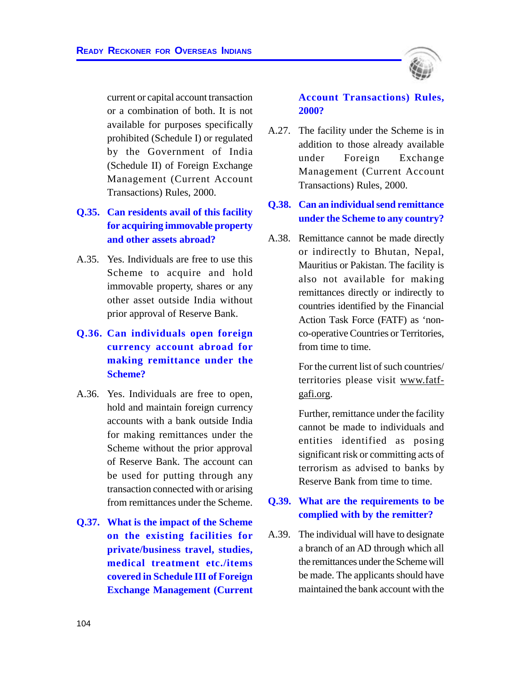current or capital account transaction or a combination of both. It is not available for purposes specifically prohibited (Schedule I) or regulated by the Government of India (Schedule II) of Foreign Exchange Management (Current Account Transactions) Rules, 2000.

- **Q.35. Can residents avail of this facility for acquiring immovable property and other assets abroad?**
- A.35. Yes. Individuals are free to use this Scheme to acquire and hold immovable property, shares or any other asset outside India without prior approval of Reserve Bank.

# **Q.36. Can individuals open foreign currency account abroad for making remittance under the Scheme?**

- A.36. Yes. Individuals are free to open, hold and maintain foreign currency accounts with a bank outside India for making remittances under the Scheme without the prior approval of Reserve Bank. The account can be used for putting through any transaction connected with or arising from remittances under the Scheme.
- **Q.37. What is the impact of the Scheme on the existing facilities for private/business travel, studies, medical treatment etc./items covered in Schedule III of Foreign Exchange Management (Current**



A.27. The facility under the Scheme is in addition to those already available under Foreign Exchange Management (Current Account Transactions) Rules, 2000.

#### **Q.38. Can an individual send remittance under the Scheme to any country?**

A.38. Remittance cannot be made directly or indirectly to Bhutan, Nepal, Mauritius or Pakistan. The facility is also not available for making remittances directly or indirectly to countries identified by the Financial Action Task Force (FATF) as 'nonco-operative Countries or Territories, from time to time.

> For the current list of such countries/ territories please visit www.fatfgafi.org.

> Further, remittance under the facility cannot be made to individuals and entities identified as posing significant risk or committing acts of terrorism as advised to banks by Reserve Bank from time to time.

#### **Q.39. What are the requirements to be complied with by the remitter?**

A.39. The individual will have to designate a branch of an AD through which all the remittances under the Scheme will be made. The applicants should have maintained the bank account with the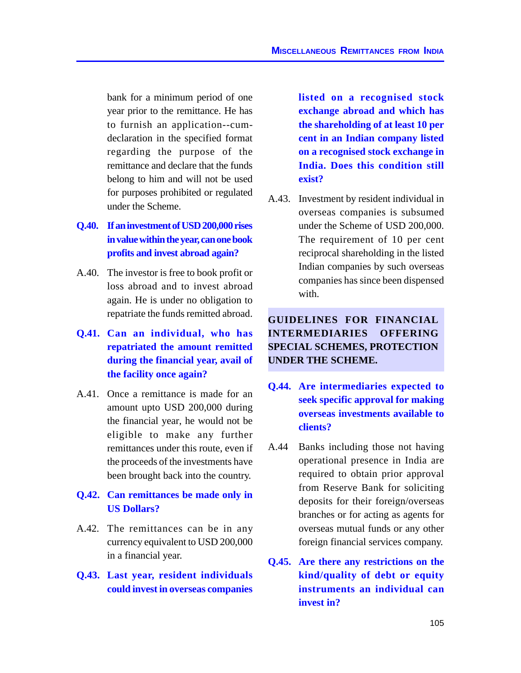bank for a minimum period of one year prior to the remittance. He has to furnish an application--cumdeclaration in the specified format regarding the purpose of the remittance and declare that the funds belong to him and will not be used for purposes prohibited or regulated under the Scheme.

- **Q.40. If an investment of USD 200,000 rises in value within the year, can one book profits and invest abroad again?**
- A.40. The investor is free to book profit or loss abroad and to invest abroad again. He is under no obligation to repatriate the funds remitted abroad.
- **Q.41. Can an individual, who has repatriated the amount remitted during the financial year, avail of the facility once again?**
- A.41. Once a remittance is made for an amount upto USD 200,000 during the financial year, he would not be eligible to make any further remittances under this route, even if the proceeds of the investments have been brought back into the country.

#### **Q.42. Can remittances be made only in US Dollars?**

- A.42. The remittances can be in any currency equivalent to USD 200,000 in a financial year.
- **Q.43. Last year, resident individuals could invest in overseas companies**

**listed on a recognised stock exchange abroad and which has the shareholding of at least 10 per cent in an Indian company listed on a recognised stock exchange in India. Does this condition still exist?**

A.43. Investment by resident individual in overseas companies is subsumed under the Scheme of USD 200,000. The requirement of 10 per cent reciprocal shareholding in the listed Indian companies by such overseas companies has since been dispensed with.

# **GUIDELINES FOR FINANCIAL INTERMEDIARIES OFFERING SPECIAL SCHEMES, PROTECTION UNDER THE SCHEME.**

- **Q.44. Are intermediaries expected to seek specific approval for making overseas investments available to clients?**
- A.44 Banks including those not having operational presence in India are required to obtain prior approval from Reserve Bank for soliciting deposits for their foreign/overseas branches or for acting as agents for overseas mutual funds or any other foreign financial services company.
- **Q.45. Are there any restrictions on the kind/quality of debt or equity instruments an individual can invest in?**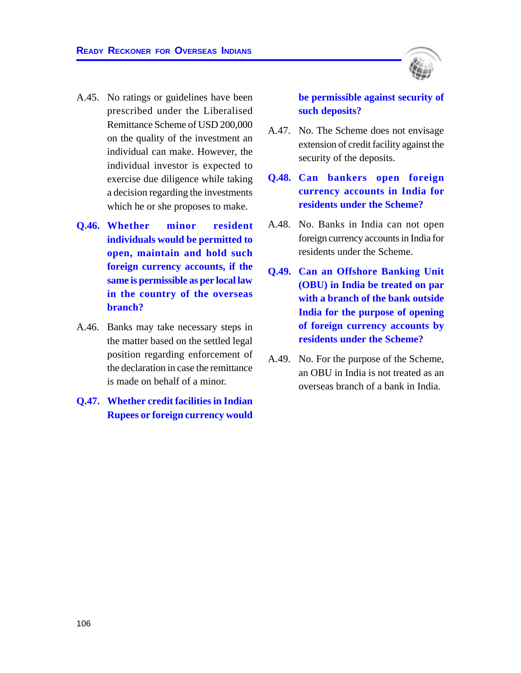

- A.45. No ratings or guidelines have been prescribed under the Liberalised Remittance Scheme of USD 200,000 on the quality of the investment an individual can make. However, the individual investor is expected to exercise due diligence while taking a decision regarding the investments which he or she proposes to make.
- **Q.46. Whether minor resident individuals would be permitted to open, maintain and hold such foreign currency accounts, if the same is permissible as per local law in the country of the overseas branch?**
- A.46. Banks may take necessary steps in the matter based on the settled legal position regarding enforcement of the declaration in case the remittance is made on behalf of a minor.
- **Q.47. Whether credit facilities in Indian Rupees or foreign currency would**

**be permissible against security of such deposits?**

- A.47. No. The Scheme does not envisage extension of credit facility against the security of the deposits.
- **Q.48. Can bankers open foreign currency accounts in India for residents under the Scheme?**
- A.48. No. Banks in India can not open foreign currency accounts in India for residents under the Scheme.
- **Q.49. Can an Offshore Banking Unit (OBU) in India be treated on par with a branch of the bank outside India for the purpose of opening of foreign currency accounts by residents under the Scheme?**
- A.49. No. For the purpose of the Scheme, an OBU in India is not treated as an overseas branch of a bank in India.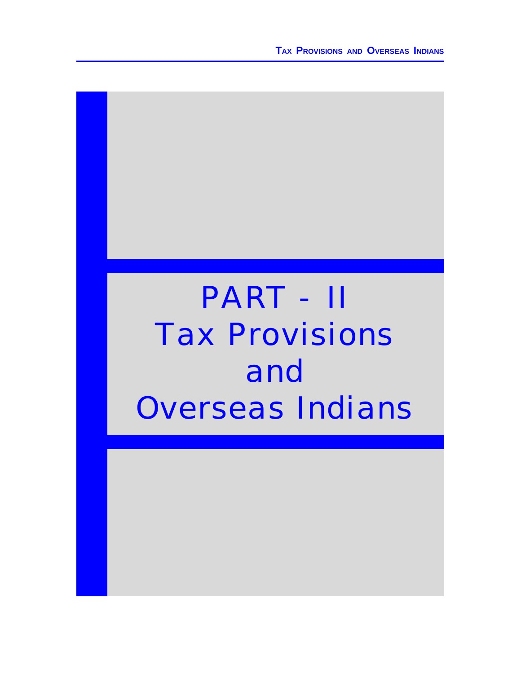**TAX PROVISIONS AND OVERSEAS INDIANS**

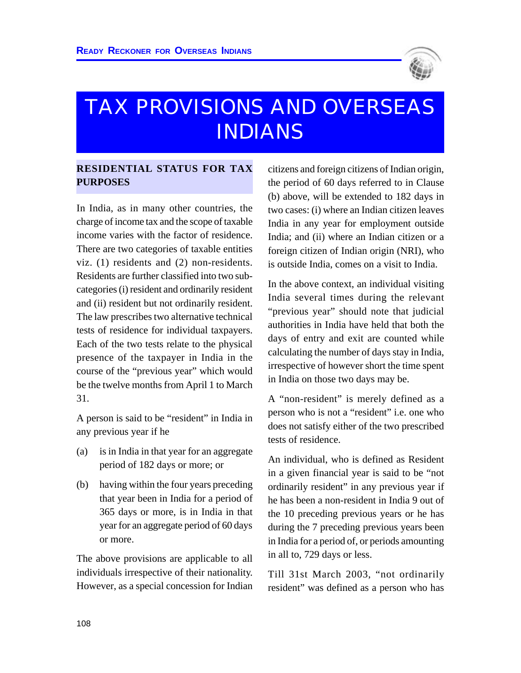

# TAX PROVISIONS AND OVERSEAS INDIANS

# **RESIDENTIAL STATUS FOR TAX PURPOSES**

In India, as in many other countries, the charge of income tax and the scope of taxable income varies with the factor of residence. There are two categories of taxable entities viz. (1) residents and (2) non-residents. Residents are further classified into two subcategories (i) resident and ordinarily resident and (ii) resident but not ordinarily resident. The law prescribes two alternative technical tests of residence for individual taxpayers. Each of the two tests relate to the physical presence of the taxpayer in India in the course of the "previous year" which would be the twelve months from April 1 to March 31.

A person is said to be "resident" in India in any previous year if he

- (a) is in India in that year for an aggregate period of 182 days or more; or
- (b) having within the four years preceding that year been in India for a period of 365 days or more, is in India in that year for an aggregate period of 60 days or more.

The above provisions are applicable to all individuals irrespective of their nationality. However, as a special concession for Indian citizens and foreign citizens of Indian origin, the period of 60 days referred to in Clause (b) above, will be extended to 182 days in two cases: (i) where an Indian citizen leaves India in any year for employment outside India; and (ii) where an Indian citizen or a foreign citizen of Indian origin (NRI), who is outside India, comes on a visit to India.

In the above context, an individual visiting India several times during the relevant "previous year" should note that judicial authorities in India have held that both the days of entry and exit are counted while calculating the number of days stay in India, irrespective of however short the time spent in India on those two days may be.

A "non-resident" is merely defined as a person who is not a "resident" i.e. one who does not satisfy either of the two prescribed tests of residence.

An individual, who is defined as Resident in a given financial year is said to be "not ordinarily resident" in any previous year if he has been a non-resident in India 9 out of the 10 preceding previous years or he has during the 7 preceding previous years been in India for a period of, or periods amounting in all to, 729 days or less.

Till 31st March 2003, "not ordinarily resident" was defined as a person who has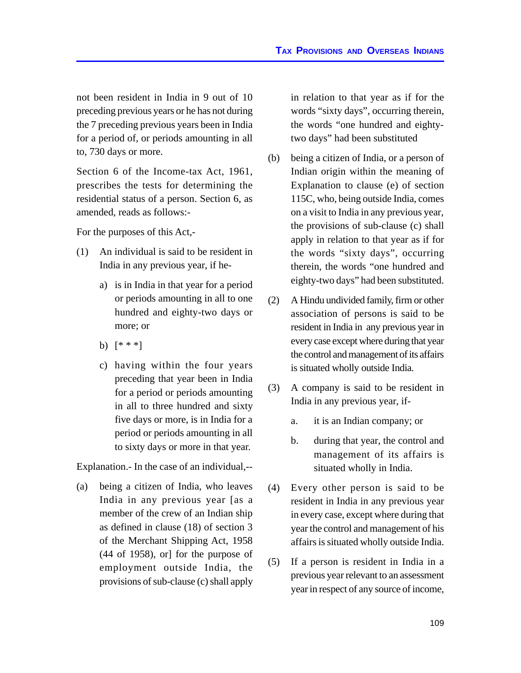not been resident in India in 9 out of 10 preceding previous years or he has not during the 7 preceding previous years been in India for a period of, or periods amounting in all to, 730 days or more.

Section 6 of the Income-tax Act, 1961, prescribes the tests for determining the residential status of a person. Section 6, as amended, reads as follows:-

For the purposes of this Act,-

- (1) An individual is said to be resident in India in any previous year, if he
	- a) is in India in that year for a period or periods amounting in all to one hundred and eighty-two days or more; or
	- b) [\* \* \*]
	- c) having within the four years preceding that year been in India for a period or periods amounting in all to three hundred and sixty five days or more, is in India for a period or periods amounting in all to sixty days or more in that year.

Explanation.- In the case of an individual,--

(a) being a citizen of India, who leaves India in any previous year [as a member of the crew of an Indian ship as defined in clause (18) of section 3 of the Merchant Shipping Act, 1958 (44 of 1958), or] for the purpose of employment outside India, the provisions of sub-clause (c) shall apply

in relation to that year as if for the words "sixty days", occurring therein, the words "one hundred and eightytwo days" had been substituted

- (b) being a citizen of India, or a person of Indian origin within the meaning of Explanation to clause (e) of section 115C, who, being outside India, comes on a visit to India in any previous year, the provisions of sub-clause (c) shall apply in relation to that year as if for the words "sixty days", occurring therein, the words "one hundred and eighty-two days" had been substituted.
- (2) A Hindu undivided family, firm or other association of persons is said to be resident in India in any previous year in every case except where during that year the control and management of its affairs is situated wholly outside India.
- (3) A company is said to be resident in India in any previous year, if
	- a. it is an Indian company; or
	- b. during that year, the control and management of its affairs is situated wholly in India.
- (4) Every other person is said to be resident in India in any previous year in every case, except where during that year the control and management of his affairs is situated wholly outside India.
- (5) If a person is resident in India in a previous year relevant to an assessment year in respect of any source of income,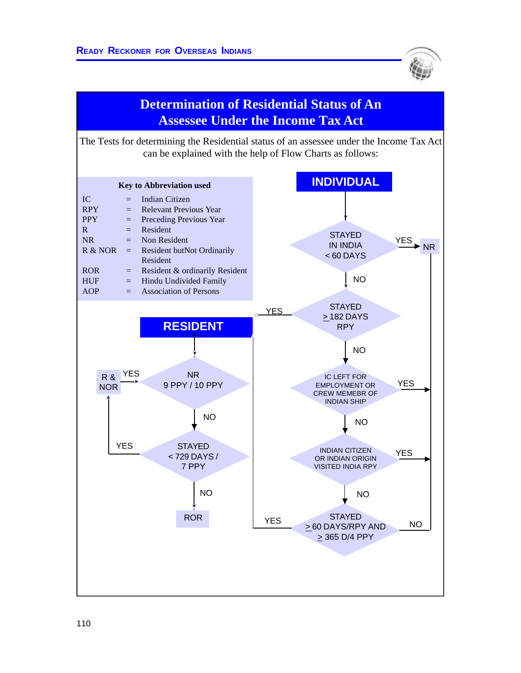



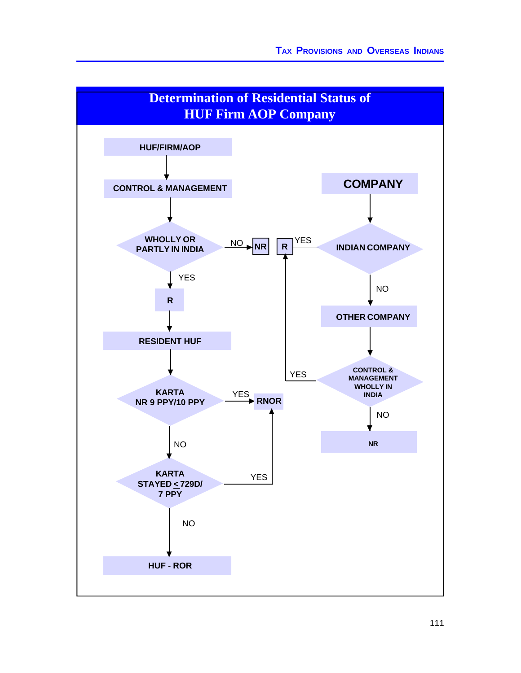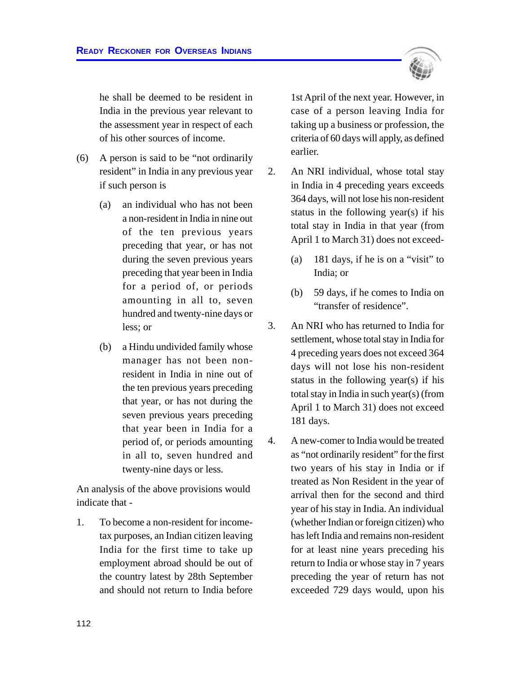he shall be deemed to be resident in India in the previous year relevant to the assessment year in respect of each of his other sources of income.

- (6) A person is said to be "not ordinarily resident" in India in any previous year if such person is
	- (a) an individual who has not been a non-resident in India in nine out of the ten previous years preceding that year, or has not during the seven previous years preceding that year been in India for a period of, or periods amounting in all to, seven hundred and twenty-nine days or less; or
	- (b) a Hindu undivided family whose manager has not been nonresident in India in nine out of the ten previous years preceding that year, or has not during the seven previous years preceding that year been in India for a period of, or periods amounting in all to, seven hundred and twenty-nine days or less.

An analysis of the above provisions would indicate that -

1. To become a non-resident for incometax purposes, an Indian citizen leaving India for the first time to take up employment abroad should be out of the country latest by 28th September and should not return to India before

1st April of the next year. However, in case of a person leaving India for taking up a business or profession, the criteria of 60 days will apply, as defined earlier.

- 2. An NRI individual, whose total stay in India in 4 preceding years exceeds 364 days, will not lose his non-resident status in the following year(s) if his total stay in India in that year (from April 1 to March 31) does not exceed-
	- (a) 181 days, if he is on a "visit" to India; or
	- (b) 59 days, if he comes to India on "transfer of residence".
- 3. An NRI who has returned to India for settlement, whose total stay in India for 4 preceding years does not exceed 364 days will not lose his non-resident status in the following year(s) if his total stay in India in such year(s) (from April 1 to March 31) does not exceed 181 days.
- 4. A new-comer to India would be treated as "not ordinarily resident" for the first two years of his stay in India or if treated as Non Resident in the year of arrival then for the second and third year of his stay in India. An individual (whether Indian or foreign citizen) who has left India and remains non-resident for at least nine years preceding his return to India or whose stay in 7 years preceding the year of return has not exceeded 729 days would, upon his

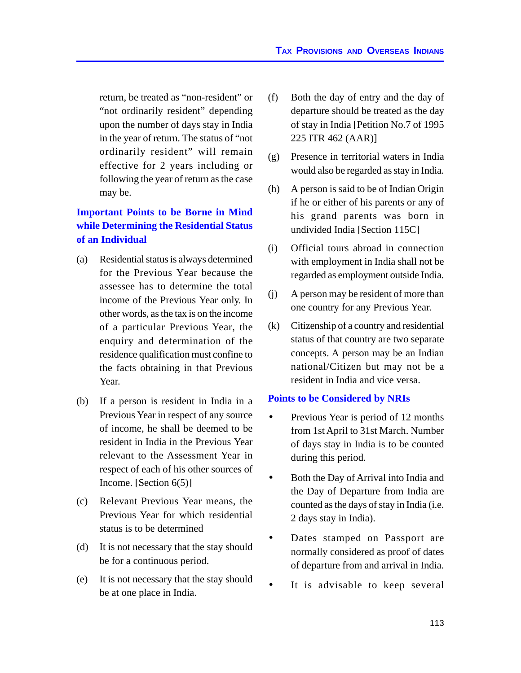return, be treated as "non-resident" or "not ordinarily resident" depending upon the number of days stay in India in the year of return. The status of "not ordinarily resident" will remain effective for 2 years including or following the year of return as the case may be.

# **Important Points to be Borne in Mind while Determining the Residential Status of an Individual**

- (a) Residential status is always determined for the Previous Year because the assessee has to determine the total income of the Previous Year only. In other words, as the tax is on the income of a particular Previous Year, the enquiry and determination of the residence qualification must confine to the facts obtaining in that Previous Year.
- (b) If a person is resident in India in a Previous Year in respect of any source of income, he shall be deemed to be resident in India in the Previous Year relevant to the Assessment Year in respect of each of his other sources of Income. [Section 6(5)]
- (c) Relevant Previous Year means, the Previous Year for which residential status is to be determined
- (d) It is not necessary that the stay should be for a continuous period.
- (e) It is not necessary that the stay should be at one place in India.
- (f) Both the day of entry and the day of departure should be treated as the day of stay in India [Petition No.7 of 1995 225 ITR 462 (AAR)]
- (g) Presence in territorial waters in India would also be regarded as stay in India.
- (h) A person is said to be of Indian Origin if he or either of his parents or any of his grand parents was born in undivided India [Section 115C]
- (i) Official tours abroad in connection with employment in India shall not be regarded as employment outside India.
- (j) A person may be resident of more than one country for any Previous Year.
- (k) Citizenship of a country and residential status of that country are two separate concepts. A person may be an Indian national/Citizen but may not be a resident in India and vice versa.

#### **Points to be Considered by NRIs**

- Previous Year is period of 12 months from 1st April to 31st March. Number of days stay in India is to be counted during this period.
- Both the Day of Arrival into India and the Day of Departure from India are counted as the days of stay in India (i.e. 2 days stay in India).
- Dates stamped on Passport are normally considered as proof of dates of departure from and arrival in India.
- It is advisable to keep several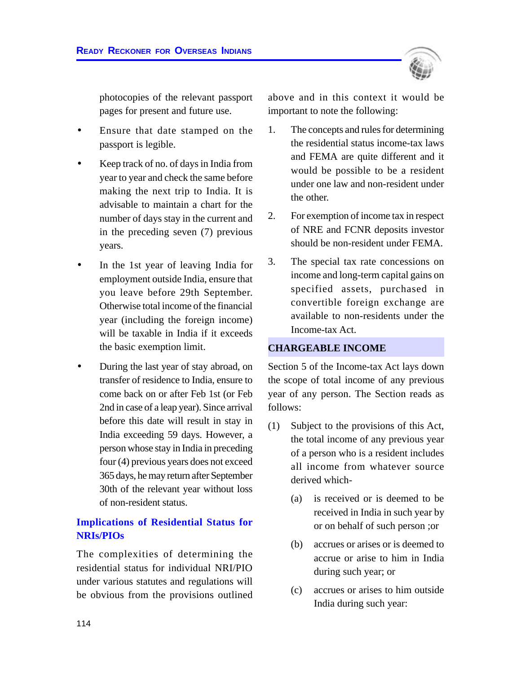

photocopies of the relevant passport pages for present and future use.

- Ensure that date stamped on the passport is legible.
- Keep track of no. of days in India from year to year and check the same before making the next trip to India. It is advisable to maintain a chart for the number of days stay in the current and in the preceding seven (7) previous years.
- In the 1st year of leaving India for employment outside India, ensure that you leave before 29th September. Otherwise total income of the financial year (including the foreign income) will be taxable in India if it exceeds the basic exemption limit.
- During the last year of stay abroad, on transfer of residence to India, ensure to come back on or after Feb 1st (or Feb 2nd in case of a leap year). Since arrival before this date will result in stay in India exceeding 59 days. However, a person whose stay in India in preceding four (4) previous years does not exceed 365 days, he may return after September 30th of the relevant year without loss of non-resident status.

#### **Implications of Residential Status for NRIs/PIOs**

The complexities of determining the residential status for individual NRI/PIO under various statutes and regulations will be obvious from the provisions outlined above and in this context it would be important to note the following:

- 1. The concepts and rules for determining the residential status income-tax laws and FEMA are quite different and it would be possible to be a resident under one law and non-resident under the other.
- 2. For exemption of income tax in respect of NRE and FCNR deposits investor should be non-resident under FEMA.
- 3. The special tax rate concessions on income and long-term capital gains on specified assets, purchased in convertible foreign exchange are available to non-residents under the Income-tax Act.

#### **CHARGEABLE INCOME**

Section 5 of the Income-tax Act lays down the scope of total income of any previous year of any person. The Section reads as follows:

- (1) Subject to the provisions of this Act, the total income of any previous year of a person who is a resident includes all income from whatever source derived which-
	- (a) is received or is deemed to be received in India in such year by or on behalf of such person ;or
	- (b) accrues or arises or is deemed to accrue or arise to him in India during such year; or
	- (c) accrues or arises to him outside India during such year: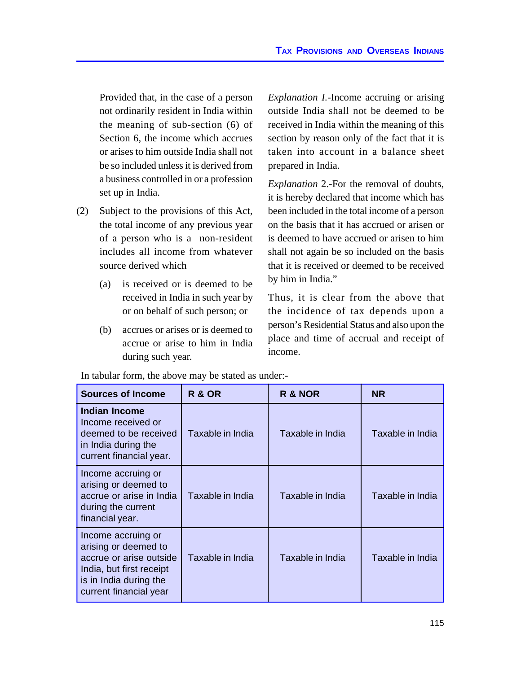Provided that, in the case of a person not ordinarily resident in India within the meaning of sub-section (6) of Section 6, the income which accrues or arises to him outside India shall not be so included unless it is derived from a business controlled in or a profession set up in India.

- (2) Subject to the provisions of this Act, the total income of any previous year of a person who is a non-resident includes all income from whatever source derived which
	- (a) is received or is deemed to be received in India in such year by or on behalf of such person; or
	- (b) accrues or arises or is deemed to accrue or arise to him in India during such year.

*Explanation I.-*Income accruing or arising outside India shall not be deemed to be received in India within the meaning of this section by reason only of the fact that it is taken into account in a balance sheet prepared in India.

*Explanation* 2.-For the removal of doubts, it is hereby declared that income which has been included in the total income of a person on the basis that it has accrued or arisen or is deemed to have accrued or arisen to him shall not again be so included on the basis that it is received or deemed to be received by him in India."

Thus, it is clear from the above that the incidence of tax depends upon a person's Residential Status and also upon the place and time of accrual and receipt of income.

| <b>Sources of Income</b>                                                                                                                              | <b>R &amp; OR</b> | R & NOR          | <b>NR</b>        |
|-------------------------------------------------------------------------------------------------------------------------------------------------------|-------------------|------------------|------------------|
| <b>Indian Income</b><br>Income received or<br>deemed to be received<br>in India during the<br>current financial year.                                 | Taxable in India  | Taxable in India | Taxable in India |
| Income accruing or<br>arising or deemed to<br>accrue or arise in India<br>during the current<br>financial year.                                       | Taxable in India  | Taxable in India | Taxable in India |
| Income accruing or<br>arising or deemed to<br>accrue or arise outside<br>India, but first receipt<br>is in India during the<br>current financial year | Taxable in India  | Taxable in India | Taxable in India |

In tabular form, the above may be stated as under:-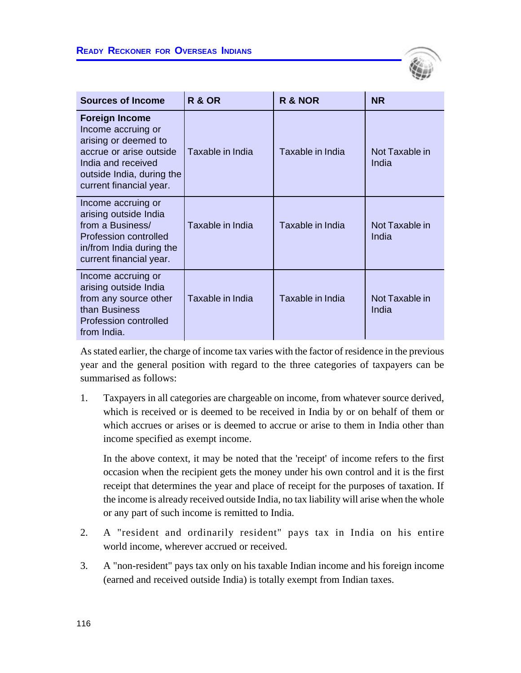

| <b>Sources of Income</b>                                                                                                                                                     | <b>R &amp; OR</b> | R & NOR          | <b>NR</b>               |
|------------------------------------------------------------------------------------------------------------------------------------------------------------------------------|-------------------|------------------|-------------------------|
| <b>Foreign Income</b><br>Income accruing or<br>arising or deemed to<br>accrue or arise outside<br>India and received<br>outside India, during the<br>current financial year. | Taxable in India  | Taxable in India | Not Taxable in<br>India |
| Income accruing or<br>arising outside India<br>from a Business/<br>Profession controlled<br>in/from India during the<br>current financial year.                              | Taxable in India  | Taxable in India | Not Taxable in<br>India |
| Income accruing or<br>arising outside India<br>from any source other<br>than Business<br>Profession controlled<br>from India.                                                | Taxable in India  | Taxable in India | Not Taxable in<br>India |

As stated earlier, the charge of income tax varies with the factor of residence in the previous year and the general position with regard to the three categories of taxpayers can be summarised as follows:

1. Taxpayers in all categories are chargeable on income, from whatever source derived, which is received or is deemed to be received in India by or on behalf of them or which accrues or arises or is deemed to accrue or arise to them in India other than income specified as exempt income.

In the above context, it may be noted that the 'receipt' of income refers to the first occasion when the recipient gets the money under his own control and it is the first receipt that determines the year and place of receipt for the purposes of taxation. If the income is already received outside India, no tax liability will arise when the whole or any part of such income is remitted to India.

- 2. A "resident and ordinarily resident" pays tax in India on his entire world income, wherever accrued or received.
- 3. A "non-resident" pays tax only on his taxable Indian income and his foreign income (earned and received outside India) is totally exempt from Indian taxes.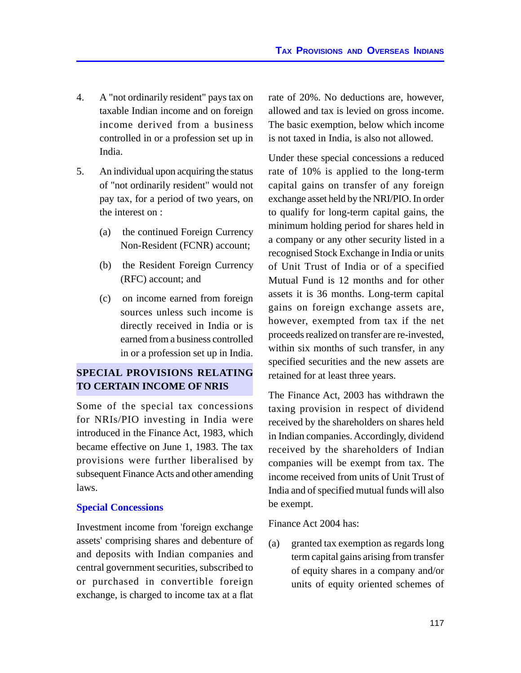- 4. A "not ordinarily resident" pays tax on taxable Indian income and on foreign income derived from a business controlled in or a profession set up in India.
- 5. An individual upon acquiring the status of "not ordinarily resident" would not pay tax, for a period of two years, on the interest on :
	- (a) the continued Foreign Currency Non-Resident (FCNR) account;
	- (b) the Resident Foreign Currency (RFC) account; and
	- (c) on income earned from foreign sources unless such income is directly received in India or is earned from a business controlled in or a profession set up in India.

# **SPECIAL PROVISIONS RELATING TO CERTAIN INCOME OF NRIS**

Some of the special tax concessions for NRIs/PIO investing in India were introduced in the Finance Act, 1983, which became effective on June 1, 1983. The tax provisions were further liberalised by subsequent Finance Acts and other amending laws.

#### **Special Concessions**

Investment income from 'foreign exchange assets' comprising shares and debenture of and deposits with Indian companies and central government securities, subscribed to or purchased in convertible foreign exchange, is charged to income tax at a flat

rate of 20%. No deductions are, however, allowed and tax is levied on gross income. The basic exemption, below which income is not taxed in India, is also not allowed.

Under these special concessions a reduced rate of 10% is applied to the long-term capital gains on transfer of any foreign exchange asset held by the NRI/PIO. In order to qualify for long-term capital gains, the minimum holding period for shares held in a company or any other security listed in a recognised Stock Exchange in India or units of Unit Trust of India or of a specified Mutual Fund is 12 months and for other assets it is 36 months. Long-term capital gains on foreign exchange assets are, however, exempted from tax if the net proceeds realized on transfer are re-invested, within six months of such transfer, in any specified securities and the new assets are retained for at least three years.

The Finance Act, 2003 has withdrawn the taxing provision in respect of dividend received by the shareholders on shares held in Indian companies. Accordingly, dividend received by the shareholders of Indian companies will be exempt from tax. The income received from units of Unit Trust of India and of specified mutual funds will also be exempt.

Finance Act 2004 has:

(a) granted tax exemption as regards long term capital gains arising from transfer of equity shares in a company and/or units of equity oriented schemes of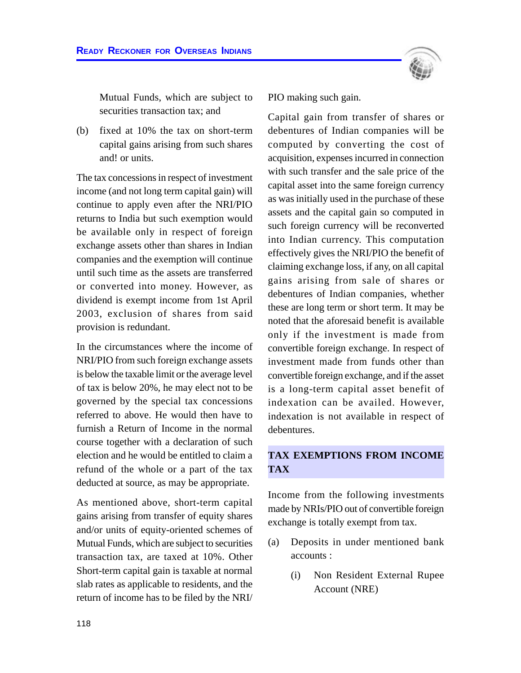Mutual Funds, which are subject to securities transaction tax; and

(b) fixed at 10% the tax on short-term capital gains arising from such shares and! or units.

The tax concessions in respect of investment income (and not long term capital gain) will continue to apply even after the NRI/PIO returns to India but such exemption would be available only in respect of foreign exchange assets other than shares in Indian companies and the exemption will continue until such time as the assets are transferred or converted into money. However, as dividend is exempt income from 1st April 2003, exclusion of shares from said provision is redundant.

In the circumstances where the income of NRI/PIO from such foreign exchange assets is below the taxable limit or the average level of tax is below 20%, he may elect not to be governed by the special tax concessions referred to above. He would then have to furnish a Return of Income in the normal course together with a declaration of such election and he would be entitled to claim a refund of the whole or a part of the tax deducted at source, as may be appropriate.

As mentioned above, short-term capital gains arising from transfer of equity shares and/or units of equity-oriented schemes of Mutual Funds, which are subject to securities transaction tax, are taxed at 10%. Other Short-term capital gain is taxable at normal slab rates as applicable to residents, and the return of income has to be filed by the NRI/



PIO making such gain.

Capital gain from transfer of shares or debentures of Indian companies will be computed by converting the cost of acquisition, expenses incurred in connection with such transfer and the sale price of the capital asset into the same foreign currency as was initially used in the purchase of these assets and the capital gain so computed in such foreign currency will be reconverted into Indian currency. This computation effectively gives the NRI/PIO the benefit of claiming exchange loss, if any, on all capital gains arising from sale of shares or debentures of Indian companies, whether these are long term or short term. It may be noted that the aforesaid benefit is available only if the investment is made from convertible foreign exchange. In respect of investment made from funds other than convertible foreign exchange, and if the asset is a long-term capital asset benefit of indexation can be availed. However, indexation is not available in respect of debentures.

# **TAX EXEMPTIONS FROM INCOME TAX**

Income from the following investments made by NRIs/PIO out of convertible foreign exchange is totally exempt from tax.

- (a) Deposits in under mentioned bank accounts :
	- (i) Non Resident External Rupee Account (NRE)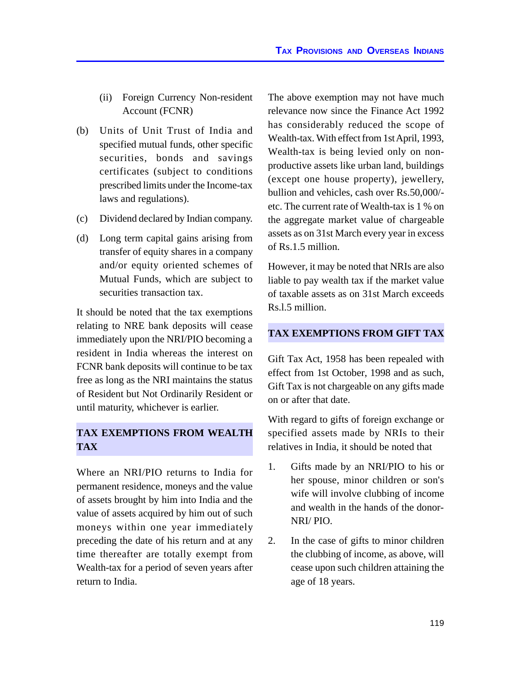- (ii) Foreign Currency Non-resident Account (FCNR)
- (b) Units of Unit Trust of India and specified mutual funds, other specific securities, bonds and savings certificates (subject to conditions prescribed limits under the Income-tax laws and regulations).
- (c) Dividend declared by Indian company.
- (d) Long term capital gains arising from transfer of equity shares in a company and/or equity oriented schemes of Mutual Funds, which are subject to securities transaction tax.

It should be noted that the tax exemptions relating to NRE bank deposits will cease immediately upon the NRI/PIO becoming a resident in India whereas the interest on FCNR bank deposits will continue to be tax free as long as the NRI maintains the status of Resident but Not Ordinarily Resident or until maturity, whichever is earlier.

#### **TAX EXEMPTIONS FROM WEALTH TAX**

Where an NRI/PIO returns to India for permanent residence, moneys and the value of assets brought by him into India and the value of assets acquired by him out of such moneys within one year immediately preceding the date of his return and at any time thereafter are totally exempt from Wealth-tax for a period of seven years after return to India.

The above exemption may not have much relevance now since the Finance Act 1992 has considerably reduced the scope of Wealth-tax. With effect from 1st April, 1993, Wealth-tax is being levied only on nonproductive assets like urban land, buildings (except one house property), jewellery, bullion and vehicles, cash over Rs.50,000/ etc. The current rate of Wealth-tax is 1 % on the aggregate market value of chargeable assets as on 31st March every year in excess of Rs.1.5 million.

However, it may be noted that NRIs are also liable to pay wealth tax if the market value of taxable assets as on 31st March exceeds Rs.l.5 million.

# **TAX EXEMPTIONS FROM GIFT TAX**

Gift Tax Act, 1958 has been repealed with effect from 1st October, 1998 and as such, Gift Tax is not chargeable on any gifts made on or after that date.

With regard to gifts of foreign exchange or specified assets made by NRIs to their relatives in India, it should be noted that

- 1. Gifts made by an NRI/PIO to his or her spouse, minor children or son's wife will involve clubbing of income and wealth in the hands of the donor-NRI/ PIO.
- 2. In the case of gifts to minor children the clubbing of income, as above, will cease upon such children attaining the age of 18 years.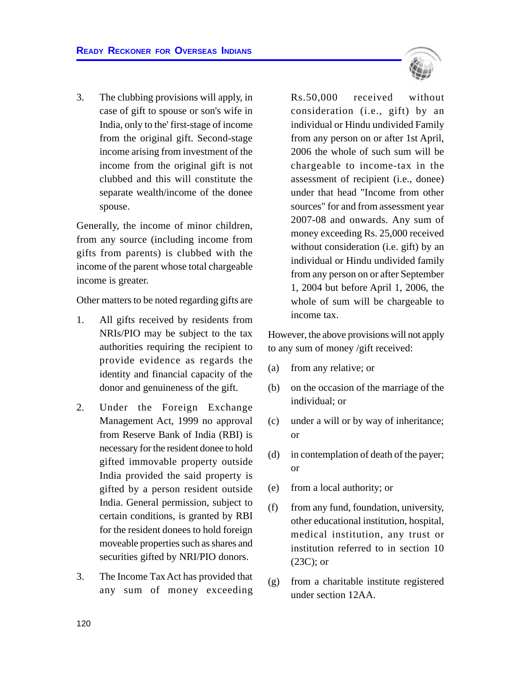3. The clubbing provisions will apply, in case of gift to spouse or son's wife in India, only to the' first-stage of income from the original gift. Second-stage income arising from investment of the income from the original gift is not clubbed and this will constitute the separate wealth/income of the donee spouse.

Generally, the income of minor children, from any source (including income from gifts from parents) is clubbed with the income of the parent whose total chargeable income is greater.

Other matters to be noted regarding gifts are

- 1. All gifts received by residents from NRIs/PIO may be subject to the tax authorities requiring the recipient to provide evidence as regards the identity and financial capacity of the donor and genuineness of the gift.
- 2. Under the Foreign Exchange Management Act, 1999 no approval from Reserve Bank of India (RBI) is necessary for the resident donee to hold gifted immovable property outside India provided the said property is gifted by a person resident outside India. General permission, subject to certain conditions, is granted by RBI for the resident donees to hold foreign moveable properties such as shares and securities gifted by NRI/PIO donors.
- 3. The Income Tax Act has provided that any sum of money exceeding

Rs.50,000 received without consideration (i.e., gift) by an individual or Hindu undivided Family from any person on or after 1st April, 2006 the whole of such sum will be chargeable to income-tax in the assessment of recipient (i.e., donee) under that head "Income from other sources" for and from assessment year 2007-08 and onwards. Any sum of money exceeding Rs. 25,000 received without consideration (i.e. gift) by an individual or Hindu undivided family from any person on or after September 1, 2004 but before April 1, 2006, the whole of sum will be chargeable to income tax.

However, the above provisions will not apply to any sum of money /gift received:

- (a) from any relative; or
- (b) on the occasion of the marriage of the individual; or
- (c) under a will or by way of inheritance; or
- (d) in contemplation of death of the payer; or
- (e) from a local authority; or
- (f) from any fund, foundation, university, other educational institution, hospital, medical institution, any trust or institution referred to in section 10 (23C); or
- (g) from a charitable institute registered under section 12AA.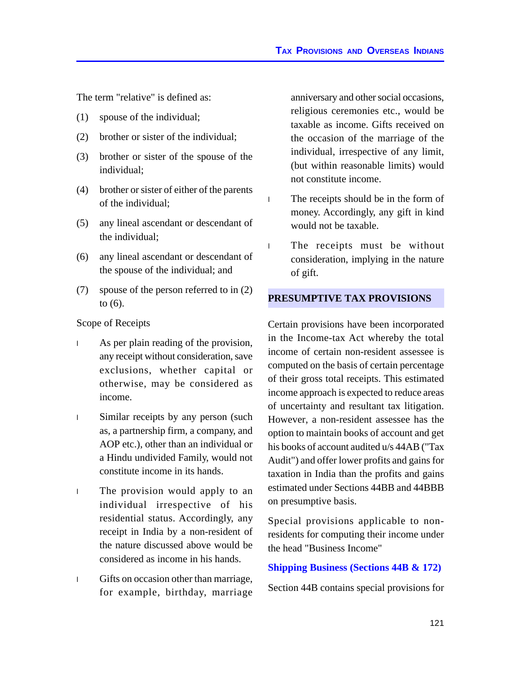The term "relative" is defined as:

- (1) spouse of the individual;
- (2) brother or sister of the individual;
- (3) brother or sister of the spouse of the individual;
- (4) brother or sister of either of the parents of the individual;
- (5) any lineal ascendant or descendant of the individual;
- (6) any lineal ascendant or descendant of the spouse of the individual; and
- (7) spouse of the person referred to in (2) to (6).

#### Scope of Receipts

- <sup>l</sup> As per plain reading of the provision, any receipt without consideration, save exclusions, whether capital or otherwise, may be considered as income.
- <sup>l</sup> Similar receipts by any person (such as, a partnership firm, a company, and AOP etc.), other than an individual or a Hindu undivided Family, would not constitute income in its hands.
- <sup>l</sup> The provision would apply to an individual irrespective of his residential status. Accordingly, any receipt in India by a non-resident of the nature discussed above would be considered as income in his hands.
- <sup>l</sup> Gifts on occasion other than marriage, for example, birthday, marriage

anniversary and other social occasions, religious ceremonies etc., would be taxable as income. Gifts received on the occasion of the marriage of the individual, irrespective of any limit, (but within reasonable limits) would not constitute income.

- <sup>l</sup> The receipts should be in the form of money. Accordingly, any gift in kind would not be taxable.
- <sup>l</sup> The receipts must be without consideration, implying in the nature of gift.

#### **PRESUMPTIVE TAX PROVISIONS**

Certain provisions have been incorporated in the Income-tax Act whereby the total income of certain non-resident assessee is computed on the basis of certain percentage of their gross total receipts. This estimated income approach is expected to reduce areas of uncertainty and resultant tax litigation. However, a non-resident assessee has the option to maintain books of account and get his books of account audited u/s 44AB ("Tax Audit") and offer lower profits and gains for taxation in India than the profits and gains estimated under Sections 44BB and 44BBB on presumptive basis.

Special provisions applicable to nonresidents for computing their income under the head "Business Income"

#### **Shipping Business (Sections 44B & 172)**

Section 44B contains special provisions for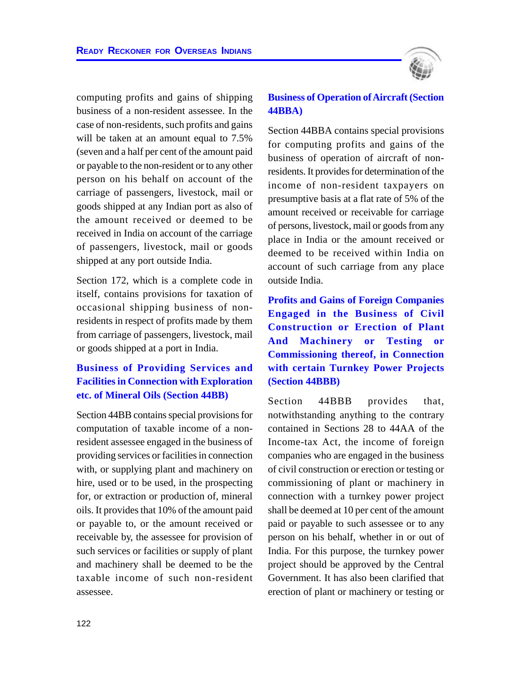

computing profits and gains of shipping business of a non-resident assessee. In the case of non-residents, such profits and gains will be taken at an amount equal to  $7.5\%$ (seven and a half per cent of the amount paid or payable to the non-resident or to any other person on his behalf on account of the carriage of passengers, livestock, mail or goods shipped at any Indian port as also of the amount received or deemed to be received in India on account of the carriage of passengers, livestock, mail or goods shipped at any port outside India.

Section 172, which is a complete code in itself, contains provisions for taxation of occasional shipping business of nonresidents in respect of profits made by them from carriage of passengers, livestock, mail or goods shipped at a port in India.

# **Business of Providing Services and Facilities in Connection with Exploration etc. of Mineral Oils (Section 44BB)**

Section 44BB contains special provisions for computation of taxable income of a nonresident assessee engaged in the business of providing services or facilities in connection with, or supplying plant and machinery on hire, used or to be used, in the prospecting for, or extraction or production of, mineral oils. It provides that 10% of the amount paid or payable to, or the amount received or receivable by, the assessee for provision of such services or facilities or supply of plant and machinery shall be deemed to be the taxable income of such non-resident assessee.

#### **Business of Operation of Aircraft (Section 44BBA)**

Section 44BBA contains special provisions for computing profits and gains of the business of operation of aircraft of nonresidents. It provides for determination of the income of non-resident taxpayers on presumptive basis at a flat rate of 5% of the amount received or receivable for carriage of persons, livestock, mail or goods from any place in India or the amount received or deemed to be received within India on account of such carriage from any place outside India.

**Profits and Gains of Foreign Companies Engaged in the Business of Civil Construction or Erection of Plant And Machinery or Testing or Commissioning thereof, in Connection with certain Turnkey Power Projects (Section 44BBB)**

Section 44BBB provides that, notwithstanding anything to the contrary contained in Sections 28 to 44AA of the Income-tax Act, the income of foreign companies who are engaged in the business of civil construction or erection or testing or commissioning of plant or machinery in connection with a turnkey power project shall be deemed at 10 per cent of the amount paid or payable to such assessee or to any person on his behalf, whether in or out of India. For this purpose, the turnkey power project should be approved by the Central Government. It has also been clarified that erection of plant or machinery or testing or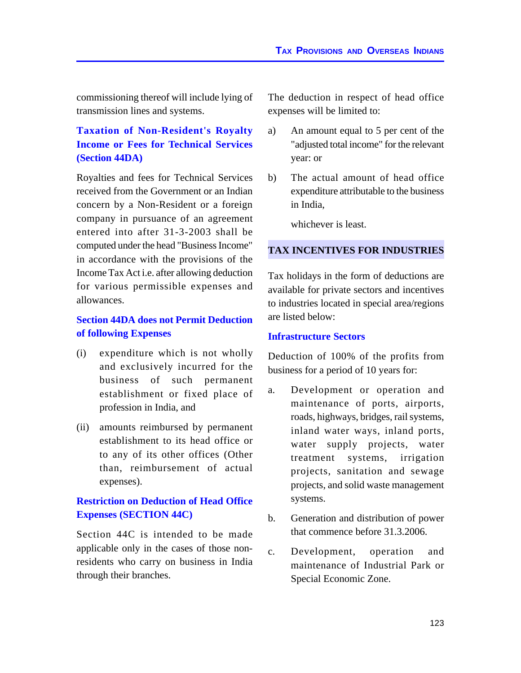commissioning thereof will include lying of transmission lines and systems.

# **Taxation of Non-Resident's Royalty Income or Fees for Technical Services (Section 44DA)**

Royalties and fees for Technical Services received from the Government or an Indian concern by a Non-Resident or a foreign company in pursuance of an agreement entered into after 31-3-2003 shall be computed under the head "Business Income" in accordance with the provisions of the Income Tax Act i.e. after allowing deduction for various permissible expenses and allowances.

#### **Section 44DA does not Permit Deduction of following Expenses**

- (i) expenditure which is not wholly and exclusively incurred for the business of such permanent establishment or fixed place of profession in India, and
- (ii) amounts reimbursed by permanent establishment to its head office or to any of its other offices (Other than, reimbursement of actual expenses).

#### **Restriction on Deduction of Head Office Expenses (SECTION 44C)**

Section 44C is intended to be made applicable only in the cases of those nonresidents who carry on business in India through their branches.

The deduction in respect of head office expenses will be limited to:

- a) An amount equal to 5 per cent of the "adjusted total income" for the relevant year: or
- b) The actual amount of head office expenditure attributable to the business in India,

whichever is least.

#### **TAX INCENTIVES FOR INDUSTRIES**

Tax holidays in the form of deductions are available for private sectors and incentives to industries located in special area/regions are listed below:

#### **Infrastructure Sectors**

Deduction of 100% of the profits from business for a period of 10 years for:

- a. Development or operation and maintenance of ports, airports, roads, highways, bridges, rail systems, inland water ways, inland ports, water supply projects, water treatment systems, irrigation projects, sanitation and sewage projects, and solid waste management systems.
- b. Generation and distribution of power that commence before 31.3.2006.
- c. Development, operation and maintenance of Industrial Park or Special Economic Zone.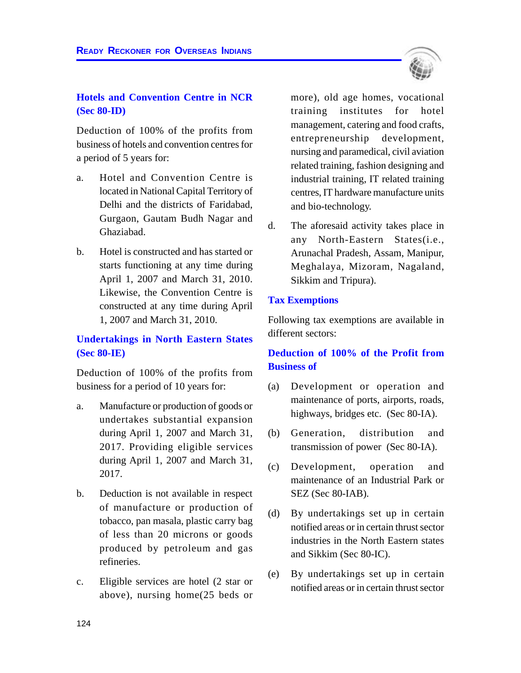#### **Hotels and Convention Centre in NCR (Sec 80-ID)**

Deduction of 100% of the profits from business of hotels and convention centres for a period of 5 years for:

- a. Hotel and Convention Centre is located in National Capital Territory of Delhi and the districts of Faridabad, Gurgaon, Gautam Budh Nagar and Ghaziabad.
- b. Hotel is constructed and has started or starts functioning at any time during April 1, 2007 and March 31, 2010. Likewise, the Convention Centre is constructed at any time during April 1, 2007 and March 31, 2010.

# **Undertakings in North Eastern States (Sec 80-IE)**

Deduction of 100% of the profits from business for a period of 10 years for:

- a. Manufacture or production of goods or undertakes substantial expansion during April 1, 2007 and March 31, 2017. Providing eligible services during April 1, 2007 and March 31, 2017.
- b. Deduction is not available in respect of manufacture or production of tobacco, pan masala, plastic carry bag of less than 20 microns or goods produced by petroleum and gas refineries.
- c. Eligible services are hotel (2 star or above), nursing home(25 beds or

more), old age homes, vocational training institutes for hotel management, catering and food crafts, entrepreneurship development, nursing and paramedical, civil aviation related training, fashion designing and industrial training, IT related training centres, IT hardware manufacture units and bio-technology.

d. The aforesaid activity takes place in any North-Eastern States(i.e., Arunachal Pradesh, Assam, Manipur, Meghalaya, Mizoram, Nagaland, Sikkim and Tripura).

#### **Tax Exemptions**

Following tax exemptions are available in different sectors:

#### **Deduction of 100% of the Profit from Business of**

- (a) Development or operation and maintenance of ports, airports, roads, highways, bridges etc. (Sec 80-IA).
- (b) Generation, distribution and transmission of power (Sec 80-IA).
- (c) Development, operation and maintenance of an Industrial Park or SEZ (Sec 80-IAB).
- (d) By undertakings set up in certain notified areas or in certain thrust sector industries in the North Eastern states and Sikkim (Sec 80-IC).
- (e) By undertakings set up in certain notified areas or in certain thrust sector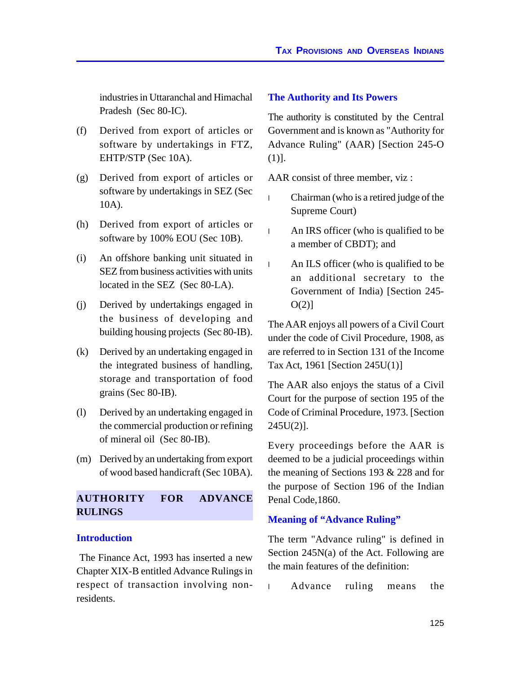industries in Uttaranchal and Himachal Pradesh (Sec 80-IC).

- (f) Derived from export of articles or software by undertakings in FTZ, EHTP/STP (Sec 10A).
- (g) Derived from export of articles or software by undertakings in SEZ (Sec 10A).
- (h) Derived from export of articles or software by 100% EOU (Sec 10B).
- (i) An offshore banking unit situated in SEZ from business activities with units located in the SEZ (Sec 80-LA).
- (j) Derived by undertakings engaged in the business of developing and building housing projects (Sec 80-IB).
- (k) Derived by an undertaking engaged in the integrated business of handling, storage and transportation of food grains (Sec 80-IB).
- (l) Derived by an undertaking engaged in the commercial production or refining of mineral oil (Sec 80-IB).
- (m) Derived by an undertaking from export of wood based handicraft (Sec 10BA).

# **AUTHORITY FOR ADVANCE RULINGS**

#### **Introduction**

 The Finance Act, 1993 has inserted a new Chapter XIX-B entitled Advance Rulings in respect of transaction involving nonresidents.

#### **The Authority and Its Powers**

The authority is constituted by the Central Government and is known as "Authority for Advance Ruling" (AAR) [Section 245-O (1)].

AAR consist of three member, viz :

- <sup>l</sup> Chairman (who is a retired judge of the Supreme Court)
- <sup>l</sup> An IRS officer (who is qualified to be a member of CBDT); and
- <sup>l</sup> An ILS officer (who is qualified to be an additional secretary to the Government of India) [Section 245-  $O(2)$ ]

The AAR enjoys all powers of a Civil Court under the code of Civil Procedure, 1908, as are referred to in Section 131 of the Income Tax Act, 1961 [Section 245U(1)]

The AAR also enjoys the status of a Civil Court for the purpose of section 195 of the Code of Criminal Procedure, 1973. [Section 245U(2)].

Every proceedings before the AAR is deemed to be a judicial proceedings within the meaning of Sections 193 & 228 and for the purpose of Section 196 of the Indian Penal Code,1860.

#### **Meaning of "Advance Ruling"**

The term "Advance ruling" is defined in Section 245N(a) of the Act. Following are the main features of the definition:

<sup>l</sup> Advance ruling means the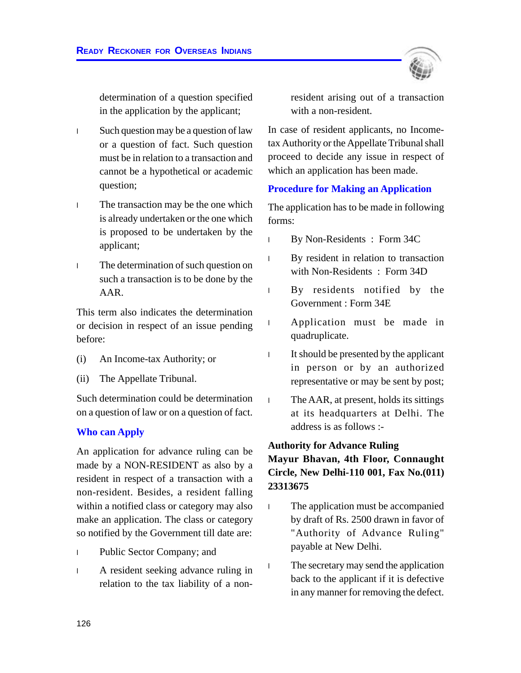determination of a question specified in the application by the applicant;

- <sup>l</sup> Such question may be a question of law or a question of fact. Such question must be in relation to a transaction and cannot be a hypothetical or academic question;
- <sup>l</sup> The transaction may be the one which is already undertaken or the one which is proposed to be undertaken by the applicant;
- <sup>l</sup> The determination of such question on such a transaction is to be done by the AAR.

This term also indicates the determination or decision in respect of an issue pending before:

- (i) An Income-tax Authority; or
- (ii) The Appellate Tribunal.

Such determination could be determination on a question of law or on a question of fact.

#### **Who can Apply**

An application for advance ruling can be made by a NON-RESIDENT as also by a resident in respect of a transaction with a non-resident. Besides, a resident falling within a notified class or category may also make an application. The class or category so notified by the Government till date are:

- <sup>l</sup> Public Sector Company; and
- <sup>l</sup> A resident seeking advance ruling in relation to the tax liability of a non-

resident arising out of a transaction with a non-resident.

In case of resident applicants, no Incometax Authority or the Appellate Tribunal shall proceed to decide any issue in respect of which an application has been made.

#### **Procedure for Making an Application**

The application has to be made in following forms:

- <sup>l</sup> By Non-Residents : Form 34C
- <sup>l</sup> By resident in relation to transaction with Non-Residents : Form 34D
- <sup>l</sup> By residents notified by the Government : Form 34E
- <sup>l</sup> Application must be made in quadruplicate.
- <sup>l</sup> It should be presented by the applicant in person or by an authorized representative or may be sent by post;
- <sup>l</sup> The AAR, at present, holds its sittings at its headquarters at Delhi. The address is as follows :-

#### **Authority for Advance Ruling**

**Mayur Bhavan, 4th Floor, Connaught Circle, New Delhi-110 001, Fax No.(011) 23313675**

- <sup>l</sup> The application must be accompanied by draft of Rs. 2500 drawn in favor of "Authority of Advance Ruling" payable at New Delhi.
- <sup>l</sup> The secretary may send the application back to the applicant if it is defective in any manner for removing the defect.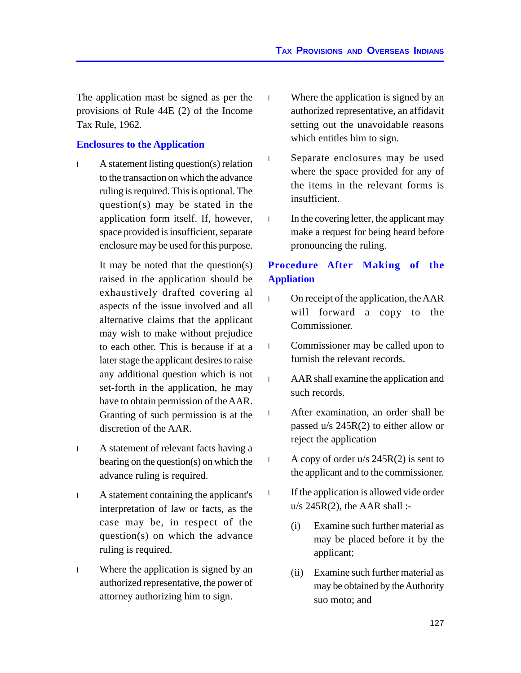The application mast be signed as per the provisions of Rule 44E (2) of the Income Tax Rule, 1962.

#### **Enclosures to the Application**

<sup>l</sup> A statement listing question(s) relation to the transaction on which the advance ruling is required. This is optional. The question(s) may be stated in the application form itself. If, however, space provided is insufficient, separate enclosure may be used for this purpose.

> It may be noted that the question(s) raised in the application should be exhaustively drafted covering al aspects of the issue involved and all alternative claims that the applicant may wish to make without prejudice to each other. This is because if at a later stage the applicant desires to raise any additional question which is not set-forth in the application, he may have to obtain permission of the AAR. Granting of such permission is at the discretion of the AAR.

- <sup>l</sup> A statement of relevant facts having a bearing on the question(s) on which the advance ruling is required.
- <sup>l</sup> A statement containing the applicant's interpretation of law or facts, as the case may be, in respect of the question(s) on which the advance ruling is required.
- <sup>l</sup> Where the application is signed by an authorized representative, the power of attorney authorizing him to sign.
- <sup>l</sup> Where the application is signed by an authorized representative, an affidavit setting out the unavoidable reasons which entitles him to sign.
- <sup>l</sup> Separate enclosures may be used where the space provided for any of the items in the relevant forms is insufficient.
- <sup>l</sup> In the covering letter, the applicant may make a request for being heard before pronouncing the ruling.

# **Procedure After Making of the Appliation**

- <sup>l</sup> On receipt of the application, the AAR will forward a copy to the Commissioner.
- <sup>l</sup> Commissioner may be called upon to furnish the relevant records.
- <sup>l</sup> AAR shall examine the application and such records.
- <sup>l</sup> After examination, an order shall be passed u/s 245R(2) to either allow or reject the application
- 1 A copy of order  $u/s$  245R(2) is sent to the applicant and to the commissioner.
- <sup>l</sup> If the application is allowed vide order  $u/s$  245R(2), the AAR shall :-
	- (i) Examine such further material as may be placed before it by the applicant;
	- (ii) Examine such further material as may be obtained by the Authority suo moto; and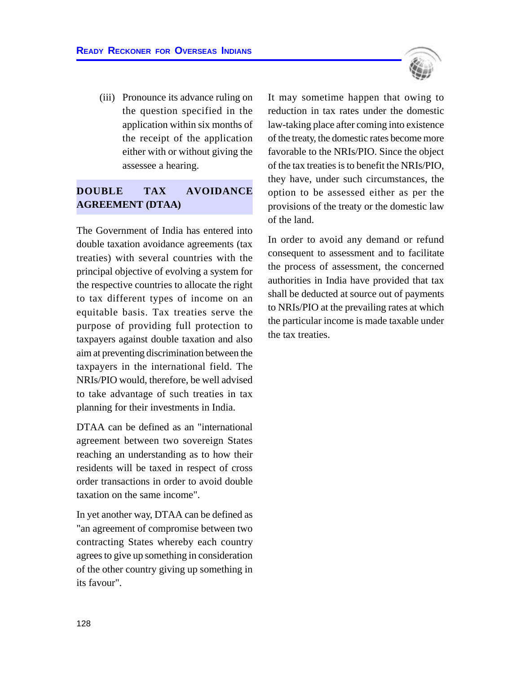(iii) Pronounce its advance ruling on the question specified in the application within six months of the receipt of the application either with or without giving the assessee a hearing.

# **DOUBLE TAX AVOIDANCE AGREEMENT (DTAA)**

The Government of India has entered into double taxation avoidance agreements (tax treaties) with several countries with the principal objective of evolving a system for the respective countries to allocate the right to tax different types of income on an equitable basis. Tax treaties serve the purpose of providing full protection to taxpayers against double taxation and also aim at preventing discrimination between the taxpayers in the international field. The NRIs/PIO would, therefore, be well advised to take advantage of such treaties in tax planning for their investments in India.

DTAA can be defined as an "international agreement between two sovereign States reaching an understanding as to how their residents will be taxed in respect of cross order transactions in order to avoid double taxation on the same income".

In yet another way, DTAA can be defined as "an agreement of compromise between two contracting States whereby each country agrees to give up something in consideration of the other country giving up something in its favour".



In order to avoid any demand or refund consequent to assessment and to facilitate the process of assessment, the concerned authorities in India have provided that tax shall be deducted at source out of payments to NRIs/PIO at the prevailing rates at which the particular income is made taxable under the tax treaties.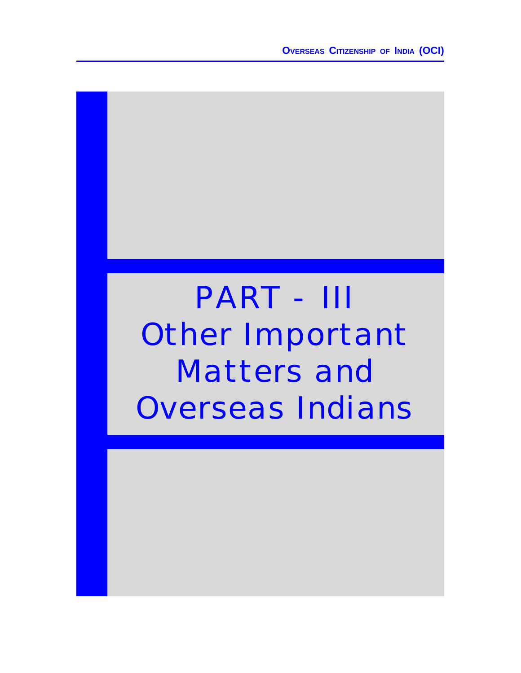**OVERSEAS CITIZENSHIP OF INDIA (OCI)**

# PART - III Other Important Matters and Overseas Indians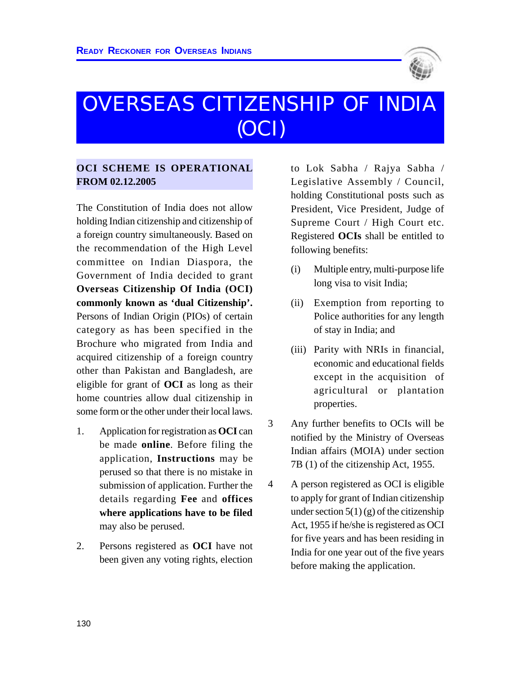

# OVERSEAS CITIZENSHIP OF INDIA (OCI)

#### **OCI SCHEME IS OPERATIONAL FROM 02.12.2005**

The Constitution of India does not allow holding Indian citizenship and citizenship of a foreign country simultaneously. Based on the recommendation of the High Level committee on Indian Diaspora, the Government of India decided to grant **Overseas Citizenship Of India (OCI) commonly known as 'dual Citizenship'.** Persons of Indian Origin (PIOs) of certain category as has been specified in the Brochure who migrated from India and acquired citizenship of a foreign country other than Pakistan and Bangladesh, are eligible for grant of **OCI** as long as their home countries allow dual citizenship in some form or the other under their local laws.

- 1. Application for registration as **OCI** can be made **online**. Before filing the application, **Instructions** may be perused so that there is no mistake in submission of application. Further the details regarding **Fee** and **offices where applications have to be filed** may also be perused.
- 2. Persons registered as **OCI** have not been given any voting rights, election

to Lok Sabha / Rajya Sabha / Legislative Assembly / Council, holding Constitutional posts such as President, Vice President, Judge of Supreme Court / High Court etc. Registered **OCIs** shall be entitled to following benefits:

- (i) Multiple entry, multi-purpose life long visa to visit India;
- (ii) Exemption from reporting to Police authorities for any length of stay in India; and
- (iii) Parity with NRIs in financial, economic and educational fields except in the acquisition of agricultural or plantation properties.
- 3 Any further benefits to OCIs will be notified by the Ministry of Overseas Indian affairs (MOIA) under section 7B (1) of the citizenship Act, 1955.
- 4 A person registered as OCI is eligible to apply for grant of Indian citizenship under section  $5(1)(g)$  of the citizenship Act, 1955 if he/she is registered as OCI for five years and has been residing in India for one year out of the five years before making the application.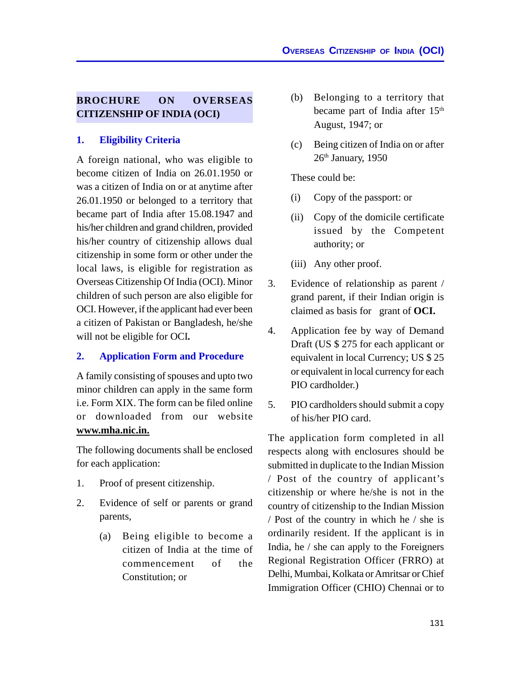#### **BROCHURE ON OVERSEAS CITIZENSHIP OF INDIA (OCI)**

#### **1. Eligibility Criteria**

A foreign national, who was eligible to become citizen of India on 26.01.1950 or was a citizen of India on or at anytime after 26.01.1950 or belonged to a territory that became part of India after 15.08.1947 and his/her children and grand children, provided his/her country of citizenship allows dual citizenship in some form or other under the local laws, is eligible for registration as Overseas Citizenship Of India (OCI). Minor children of such person are also eligible for OCI. However, if the applicant had ever been a citizen of Pakistan or Bangladesh, he/she will not be eligible for OCI**.**

#### **2. Application Form and Procedure**

A family consisting of spouses and upto two minor children can apply in the same form i.e. Form XIX. The form can be filed online or downloaded from our website **www.mha.nic.in.**

The following documents shall be enclosed for each application:

- 1. Proof of present citizenship.
- 2. Evidence of self or parents or grand parents,
	- (a) Being eligible to become a citizen of India at the time of commencement of the Constitution; or
- (b) Belonging to a territory that became part of India after 15<sup>th</sup> August, 1947; or
- (c) Being citizen of India on or after 26<sup>th</sup> January, 1950

These could be:

- (i) Copy of the passport: or
- (ii) Copy of the domicile certificate issued by the Competent authority; or
- (iii) Any other proof.
- 3. Evidence of relationship as parent / grand parent, if their Indian origin is claimed as basis for grant of **OCI.**
- 4. Application fee by way of Demand Draft (US \$ 275 for each applicant or equivalent in local Currency; US \$ 25 or equivalent in local currency for each PIO cardholder.)
- 5. PIO cardholders should submit a copy of his/her PIO card.

The application form completed in all respects along with enclosures should be submitted in duplicate to the Indian Mission / Post of the country of applicant's citizenship or where he/she is not in the country of citizenship to the Indian Mission / Post of the country in which he / she is ordinarily resident. If the applicant is in India, he / she can apply to the Foreigners Regional Registration Officer (FRRO) at Delhi, Mumbai, Kolkata or Amritsar or Chief Immigration Officer (CHIO) Chennai or to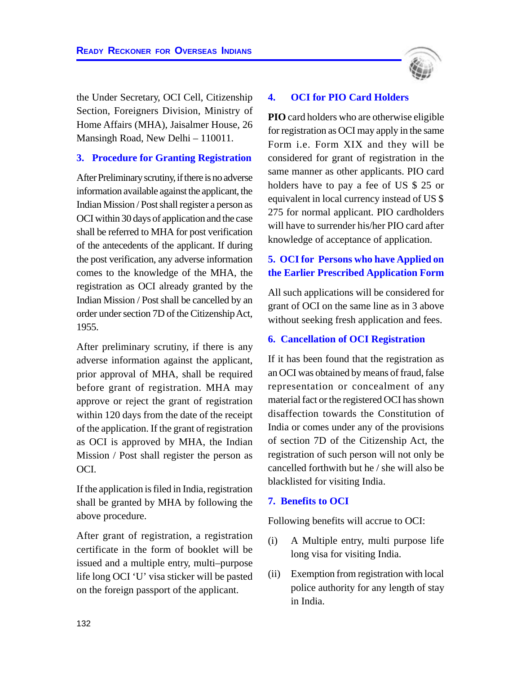the Under Secretary, OCI Cell, Citizenship Section, Foreigners Division, Ministry of Home Affairs (MHA), Jaisalmer House, 26 Mansingh Road, New Delhi – 110011.

#### **3. Procedure for Granting Registration**

After Preliminary scrutiny, if there is no adverse information available against the applicant, the Indian Mission / Post shall register a person as OCI within 30 days of application and the case shall be referred to MHA for post verification of the antecedents of the applicant. If during the post verification, any adverse information comes to the knowledge of the MHA, the registration as OCI already granted by the Indian Mission / Post shall be cancelled by an order under section 7D of the Citizenship Act, 1955.

After preliminary scrutiny, if there is any adverse information against the applicant, prior approval of MHA, shall be required before grant of registration. MHA may approve or reject the grant of registration within 120 days from the date of the receipt of the application. If the grant of registration as OCI is approved by MHA, the Indian Mission / Post shall register the person as OCI.

If the application is filed in India, registration shall be granted by MHA by following the above procedure.

After grant of registration, a registration certificate in the form of booklet will be issued and a multiple entry, multi–purpose life long OCI 'U' visa sticker will be pasted on the foreign passport of the applicant.



#### **4. OCI for PIO Card Holders**

**PIO** card holders who are otherwise eligible for registration as OCI may apply in the same Form i.e. Form XIX and they will be considered for grant of registration in the same manner as other applicants. PIO card holders have to pay a fee of US \$ 25 or equivalent in local currency instead of US \$ 275 for normal applicant. PIO cardholders will have to surrender his/her PIO card after knowledge of acceptance of application.

# **5. OCI for Persons who have Applied on the Earlier Prescribed Application Form**

All such applications will be considered for grant of OCI on the same line as in 3 above without seeking fresh application and fees.

#### **6. Cancellation of OCI Registration**

If it has been found that the registration as an OCI was obtained by means of fraud, false representation or concealment of any material fact or the registered OCI has shown disaffection towards the Constitution of India or comes under any of the provisions of section 7D of the Citizenship Act, the registration of such person will not only be cancelled forthwith but he / she will also be blacklisted for visiting India.

#### **7. Benefits to OCI**

Following benefits will accrue to OCI:

- (i) A Multiple entry, multi purpose life long visa for visiting India.
- (ii) Exemption from registration with local police authority for any length of stay in India.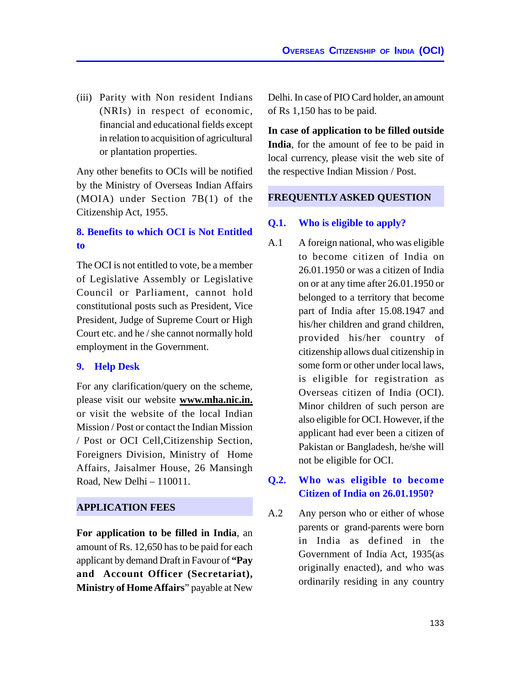(iii) Parity with Non resident Indians (NRIs) in respect of economic, financial and educational fields except in relation to acquisition of agricultural or plantation properties.

Any other benefits to OCIs will be notified by the Ministry of Overseas Indian Affairs (MOIA) under Section 7B(1) of the Citizenship Act, 1955.

# **8. Benefits to which OCI is Not Entitled to**

The OCI is not entitled to vote, be a member of Legislative Assembly or Legislative Council or Parliament, cannot hold constitutional posts such as President, Vice President, Judge of Supreme Court or High Court etc. and he / she cannot normally hold employment in the Government.

# **9. Help Desk**

For any clarification/query on the scheme, please visit our website **www.mha.nic.in.** or visit the website of the local Indian Mission / Post or contact the Indian Mission / Post or OCI Cell,Citizenship Section, Foreigners Division, Ministry of Home Affairs, Jaisalmer House, 26 Mansingh Road, New Delhi – 110011.

# **APPLICATION FEES**

**For application to be filled in India**, an amount of Rs. 12,650 has to be paid for each applicant by demand Draft in Favour of **"Pay and Account Officer (Secretariat), Ministry of Home Affairs**" payable at New

Delhi. In case of PIO Card holder, an amount of Rs 1,150 has to be paid.

**In case of application to be filled outside India**, for the amount of fee to be paid in local currency, please visit the web site of the respective Indian Mission / Post.

#### **FREQUENTLY ASKED QUESTION**

# **Q.1. Who is eligible to apply?**

A.1 A foreign national, who was eligible to become citizen of India on 26.01.1950 or was a citizen of India on or at any time after 26.01.1950 or belonged to a territory that become part of India after 15.08.1947 and his/her children and grand children, provided his/her country of citizenship allows dual citizenship in some form or other under local laws, is eligible for registration as Overseas citizen of India (OCI). Minor children of such person are also eligible for OCI. However, if the applicant had ever been a citizen of Pakistan or Bangladesh, he/she will not be eligible for OCI.

# **Q.2. Who was eligible to become Citizen of India on 26.01.1950?**

A.2 Any person who or either of whose parents or grand-parents were born in India as defined in the Government of India Act, 1935(as originally enacted), and who was ordinarily residing in any country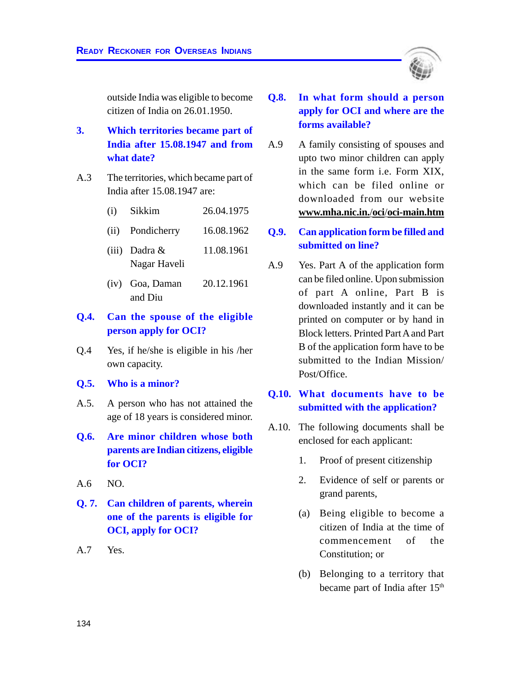outside India was eligible to become citizen of India on 26.01.1950.

- **3. Which territories became part of India after 15.08.1947 and from what date?**
- A.3 The territories, which became part of India after 15.08.1947 are:
	- (i) Sikkim 26.04.1975
	- (ii) Pondicherry 16.08.1962
	- (iii) Dadra & 11.08.1961 Nagar Haveli
	- (iv) Goa, Daman 20.12.1961 and Diu

#### **Q.4. Can the spouse of the eligible person apply for OCI?**

- Q.4 Yes, if he/she is eligible in his /her own capacity.
- **Q.5. Who is a minor?**
- A.5. A person who has not attained the age of 18 years is considered minor.
- **Q.6. Are minor children whose both parents are Indian citizens, eligible for OCI?**
- A.6 NO.
- **Q. 7. Can children of parents, wherein one of the parents is eligible for OCI, apply for OCI?**

A.7 Yes.

- **Q.8. In what form should a person apply for OCI and where are the forms available?**
- A.9 A family consisting of spouses and upto two minor children can apply in the same form i.e. Form XIX, which can be filed online or downloaded from our website **www.mha.nic.in.**/**oci**/**oci-main.htm**
- **Q.9. Can application form be filled and submitted on line?**
- A.9 Yes. Part A of the application form can be filed online. Upon submission of part A online, Part B is downloaded instantly and it can be printed on computer or by hand in Block letters. Printed Part A and Part B of the application form have to be submitted to the Indian Mission/ Post/Office.

#### **Q.10. What documents have to be submitted with the application?**

- A.10. The following documents shall be enclosed for each applicant:
	- 1. Proof of present citizenship
	- 2. Evidence of self or parents or grand parents,
	- (a) Being eligible to become a citizen of India at the time of commencement of the Constitution; or
	- (b) Belonging to a territory that became part of India after 15<sup>th</sup>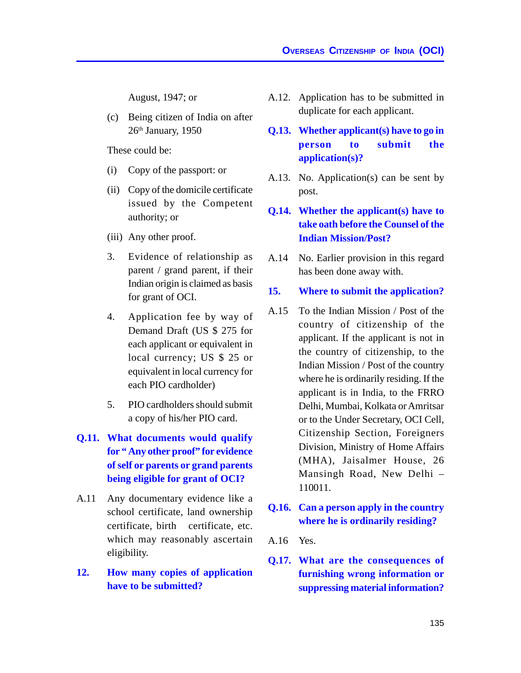August, 1947; or

(c) Being citizen of India on after 26<sup>th</sup> January, 1950

These could be:

- (i) Copy of the passport: or
- (ii) Copy of the domicile certificate issued by the Competent authority; or
- (iii) Any other proof.
- 3. Evidence of relationship as parent / grand parent, if their Indian origin is claimed as basis for grant of OCI.
- 4. Application fee by way of Demand Draft (US \$ 275 for each applicant or equivalent in local currency; US \$ 25 or equivalent in local currency for each PIO cardholder)
- 5. PIO cardholders should submit a copy of his/her PIO card.
- **Q.11. What documents would qualify for " Any other proof" for evidence of self or parents or grand parents being eligible for grant of OCI?**
- A.11 Any documentary evidence like a school certificate, land ownership certificate, birth certificate, etc. which may reasonably ascertain eligibility.
- **12. How many copies of application have to be submitted?**
- A.12. Application has to be submitted in duplicate for each applicant.
- **Q.13. Whether applicant(s) have to go in person to submit the application(s)?**
- A.13. No. Application(s) can be sent by post.
- **Q.14. Whether the applicant(s) have to take oath before the Counsel of the Indian Mission/Post?**
- A.14 No. Earlier provision in this regard has been done away with.

#### **15. Where to submit the application?**

- A.15 To the Indian Mission / Post of the country of citizenship of the applicant. If the applicant is not in the country of citizenship, to the Indian Mission / Post of the country where he is ordinarily residing. If the applicant is in India, to the FRRO Delhi, Mumbai, Kolkata or Amritsar or to the Under Secretary, OCI Cell, Citizenship Section, Foreigners Division, Ministry of Home Affairs (MHA), Jaisalmer House, 26 Mansingh Road, New Delhi – 110011.
- **Q.16. Can a person apply in the country where he is ordinarily residing?**

A.16 Yes.

**Q.17. What are the consequences of furnishing wrong information or suppressing material information?**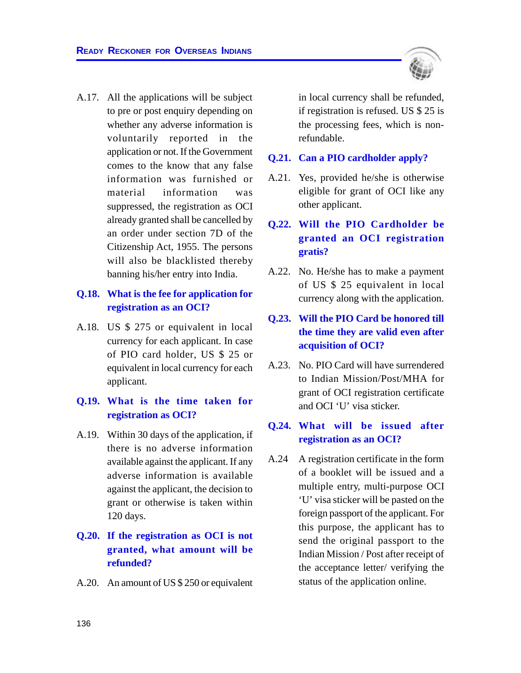

# **Q.18. What is the fee for application for registration as an OCI?**

A.18. US \$ 275 or equivalent in local currency for each applicant. In case of PIO card holder, US \$ 25 or equivalent in local currency for each applicant.

#### **Q.19. What is the time taken for registration as OCI?**

A.19. Within 30 days of the application, if there is no adverse information available against the applicant. If any adverse information is available against the applicant, the decision to grant or otherwise is taken within 120 days.

# **Q.20. If the registration as OCI is not granted, what amount will be refunded?**

A.20. An amount of US \$ 250 or equivalent

in local currency shall be refunded, if registration is refused. US \$ 25 is the processing fees, which is nonrefundable.

#### **Q.21. Can a PIO cardholder apply?**

A.21. Yes, provided he/she is otherwise eligible for grant of OCI like any other applicant.

# **Q.22. Will the PIO Cardholder be granted an OCI registration gratis?**

A.22. No. He/she has to make a payment of US \$ 25 equivalent in local currency along with the application.

# **Q.23. Will the PIO Card be honored till the time they are valid even after acquisition of OCI?**

A.23. No. PIO Card will have surrendered to Indian Mission/Post/MHA for grant of OCI registration certificate and OCI 'U' visa sticker.

#### **Q.24. What will be issued after registration as an OCI?**

A.24 A registration certificate in the form of a booklet will be issued and a multiple entry, multi-purpose OCI 'U' visa sticker will be pasted on the foreign passport of the applicant. For this purpose, the applicant has to send the original passport to the Indian Mission / Post after receipt of the acceptance letter/ verifying the status of the application online.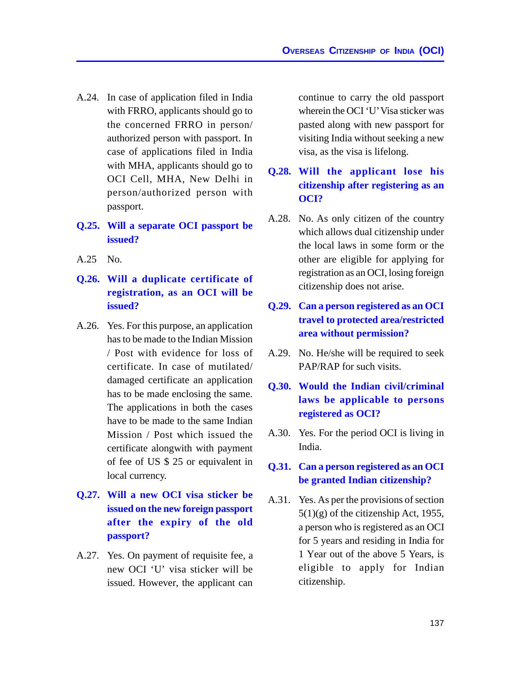- A.24. In case of application filed in India with FRRO, applicants should go to the concerned FRRO in person/ authorized person with passport. In case of applications filed in India with MHA, applicants should go to OCI Cell, MHA, New Delhi in person/authorized person with passport.
- **Q.25. Will a separate OCI passport be issued?**
- A.25 No.
- **Q.26. Will a duplicate certificate of registration, as an OCI will be issued?**
- A.26. Yes. For this purpose, an application has to be made to the Indian Mission / Post with evidence for loss of certificate. In case of mutilated/ damaged certificate an application has to be made enclosing the same. The applications in both the cases have to be made to the same Indian Mission / Post which issued the certificate alongwith with payment of fee of US \$ 25 or equivalent in local currency.
- **Q.27. Will a new OCI visa sticker be issued on the new foreign passport after the expiry of the old passport?**
- A.27. Yes. On payment of requisite fee, a new OCI 'U' visa sticker will be issued. However, the applicant can

continue to carry the old passport wherein the OCI 'U' Visa sticker was pasted along with new passport for visiting India without seeking a new visa, as the visa is lifelong.

## **Q.28. Will the applicant lose his citizenship after registering as an OCI?**

- A.28. No. As only citizen of the country which allows dual citizenship under the local laws in some form or the other are eligible for applying for registration as an OCI, losing foreign citizenship does not arise.
- **Q.29. Can a person registered as an OCI travel to protected area/restricted area without permission?**
- A.29. No. He/she will be required to seek PAP/RAP for such visits.
- **Q.30. Would the Indian civil/criminal laws be applicable to persons registered as OCI?**
- A.30. Yes. For the period OCI is living in India.

#### **Q.31. Can a person registered as an OCI be granted Indian citizenship?**

A.31. Yes. As per the provisions of section  $5(1)(g)$  of the citizenship Act, 1955, a person who is registered as an OCI for 5 years and residing in India for 1 Year out of the above 5 Years, is eligible to apply for Indian citizenship.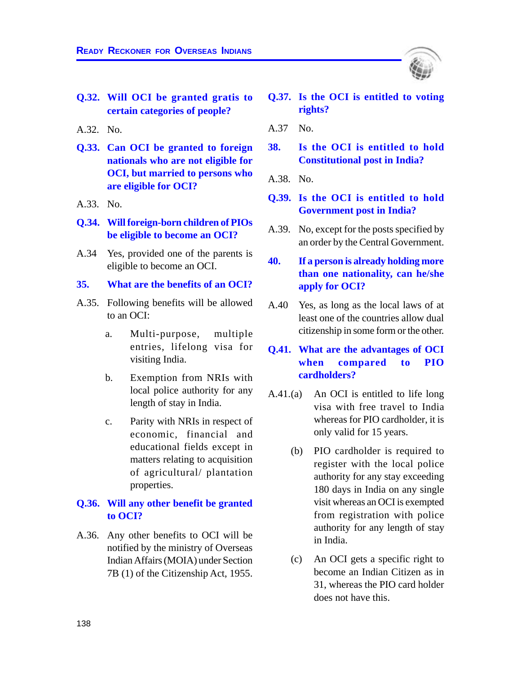- **Q.32. Will OCI be granted gratis to certain categories of people?**
- A.32. No.
- **Q.33. Can OCI be granted to foreign nationals who are not eligible for OCI, but married to persons who are eligible for OCI?**
- A.33. No.
- **Q.34. Will foreign-born children of PIOs be eligible to become an OCI?**
- A.34 Yes, provided one of the parents is eligible to become an OCI.
- **35. What are the benefits of an OCI?**
- A.35. Following benefits will be allowed to an OCI:
	- a. Multi-purpose, multiple entries, lifelong visa for visiting India.
	- b. Exemption from NRIs with local police authority for any length of stay in India.
	- c. Parity with NRIs in respect of economic, financial and educational fields except in matters relating to acquisition of agricultural/ plantation properties.

#### **Q.36. Will any other benefit be granted to OCI?**

A.36. Any other benefits to OCI will be notified by the ministry of Overseas Indian Affairs (MOIA) under Section 7B (1) of the Citizenship Act, 1955.

- **Q.37. Is the OCI is entitled to voting rights?**
- A.37 No.
- **38. Is the OCI is entitled to hold Constitutional post in India?**
- A.38. No.
- **Q.39. Is the OCI is entitled to hold Government post in India?**
- A.39. No, except for the posts specified by an order by the Central Government.
- **40. If a person is already holding more than one nationality, can he/she apply for OCI?**
- A.40 Yes, as long as the local laws of at least one of the countries allow dual citizenship in some form or the other.
- **Q.41. What are the advantages of OCI when compared to PIO cardholders?**
- A.41.(a) An OCI is entitled to life long visa with free travel to India whereas for PIO cardholder, it is only valid for 15 years.
	- (b) PIO cardholder is required to register with the local police authority for any stay exceeding 180 days in India on any single visit whereas an OCI is exempted from registration with police authority for any length of stay in India.
	- (c) An OCI gets a specific right to become an Indian Citizen as in 31, whereas the PIO card holder does not have this.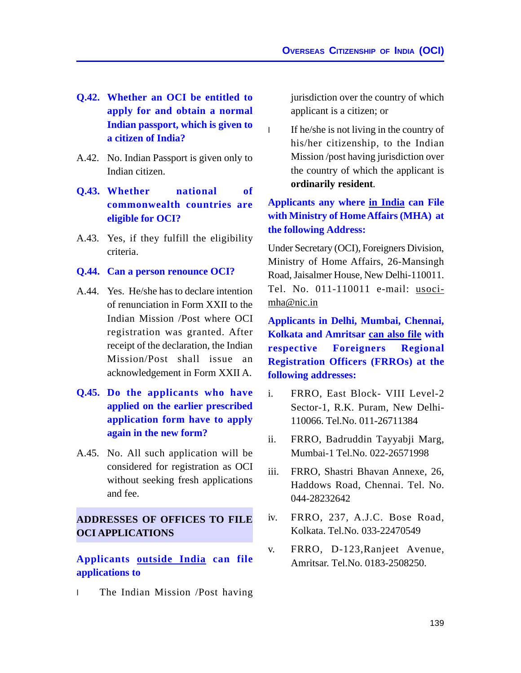- **Q.42. Whether an OCI be entitled to apply for and obtain a normal Indian passport, which is given to a citizen of India?**
- A.42. No. Indian Passport is given only to Indian citizen.
- **Q.43. Whether national of commonwealth countries are eligible for OCI?**
- A.43. Yes, if they fulfill the eligibility criteria.

#### **Q.44. Can a person renounce OCI?**

- A.44. Yes. He/she has to declare intention of renunciation in Form XXII to the Indian Mission /Post where OCI registration was granted. After receipt of the declaration, the Indian Mission/Post shall issue an acknowledgement in Form XXII A.
- **Q.45. Do the applicants who have applied on the earlier prescribed application form have to apply again in the new form?**
- A.45. No. All such application will be considered for registration as OCI without seeking fresh applications and fee.

## **ADDRESSES OF OFFICES TO FILE OCI APPLICATIONS**

**Applicants outside India can file applications to**

l The Indian Mission /Post having

jurisdiction over the country of which applicant is a citizen; or

l If he/she is not living in the country of his/her citizenship, to the Indian Mission /post having jurisdiction over the country of which the applicant is **ordinarily resident**.

## **Applicants any where in India can File with Ministry of Home Affairs (MHA) at the following Address:**

Under Secretary (OCI), Foreigners Division, Ministry of Home Affairs, 26-Mansingh Road, Jaisalmer House, New Delhi-110011. Tel. No. 011-110011 e-mail: usocimha@nic.in

**Applicants in Delhi, Mumbai, Chennai, Kolkata and Amritsar can also file with respective Foreigners Regional Registration Officers (FRROs) at the following addresses:**

- i. FRRO, East Block- VIII Level-2 Sector-1, R.K. Puram, New Delhi-110066. Tel.No. 011-26711384
- ii. FRRO, Badruddin Tayyabji Marg, Mumbai-1 Tel.No. 022-26571998
- iii. FRRO, Shastri Bhavan Annexe, 26, Haddows Road, Chennai. Tel. No. 044-28232642
- iv. FRRO, 237, A.J.C. Bose Road, Kolkata. Tel.No. 033-22470549
- v. FRRO, D-123,Ranjeet Avenue, Amritsar. Tel.No. 0183-2508250.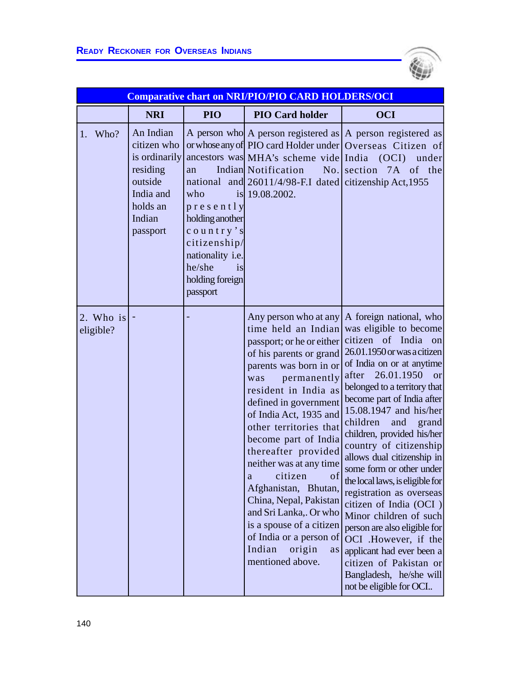

|                        | <b>Comparative chart on NRI/PIO/PIO CARD HOLDERS/OCI</b>                                                        |                                                                                                                                           |                                                                                                                                                                                                                                                                                                                                                                                                                                                                                                                                            |                                                                                                                                                                                                                                                                                                                                                                                                                                                                                                                                                                                                                                                                                              |  |
|------------------------|-----------------------------------------------------------------------------------------------------------------|-------------------------------------------------------------------------------------------------------------------------------------------|--------------------------------------------------------------------------------------------------------------------------------------------------------------------------------------------------------------------------------------------------------------------------------------------------------------------------------------------------------------------------------------------------------------------------------------------------------------------------------------------------------------------------------------------|----------------------------------------------------------------------------------------------------------------------------------------------------------------------------------------------------------------------------------------------------------------------------------------------------------------------------------------------------------------------------------------------------------------------------------------------------------------------------------------------------------------------------------------------------------------------------------------------------------------------------------------------------------------------------------------------|--|
|                        | <b>NRI</b>                                                                                                      | PIO                                                                                                                                       | <b>PIO Card holder</b>                                                                                                                                                                                                                                                                                                                                                                                                                                                                                                                     | <b>OCI</b>                                                                                                                                                                                                                                                                                                                                                                                                                                                                                                                                                                                                                                                                                   |  |
| 1. Who?                | An Indian<br>citizen who<br>is ordinarily<br>residing<br>outside<br>India and<br>holds an<br>Indian<br>passport | an<br>who<br>presently<br>holding another<br>country's<br>citizenship/<br>nationality i.e.<br>he/she<br>is<br>holding foreign<br>passport | ancestors was MHA's scheme vide India (OCI)<br>Indian Notification<br>national and 26011/4/98-F.I dated citizenship Act, 1955<br>is 19.08.2002.                                                                                                                                                                                                                                                                                                                                                                                            | A person who A person registered as $ A $ person registered as<br>or whose any of PIO card Holder under Overseas Citizen of<br>under<br>No. section 7A of the                                                                                                                                                                                                                                                                                                                                                                                                                                                                                                                                |  |
| 2. Who is<br>eligible? |                                                                                                                 |                                                                                                                                           | Any person who at any<br>time held an Indian<br>passport; or he or either<br>of his parents or grand<br>parents was born in or<br>permanently<br>was<br>resident in India as<br>defined in government<br>of India Act, 1935 and<br>other territories that<br>become part of India<br>thereafter provided<br>neither was at any time<br>of<br>citizen<br>a<br>Afghanistan, Bhutan,<br>China, Nepal, Pakistan<br>and Sri Lanka,. Or who<br>is a spouse of a citizen<br>of India or a person of<br>Indian<br>origin<br>as<br>mentioned above. | A foreign national, who<br>was eligible to become<br>citizen of India on<br>26.01.1950 or was a citizen<br>of India on or at anytime<br>after 26.01.1950<br>or<br>belonged to a territory that<br>become part of India after<br>15.08.1947 and his/her<br>children<br>and<br>grand<br>children, provided his/her<br>country of citizenship<br>allows dual citizenship in<br>some form or other under<br>the local laws, is eligible for<br>registration as overseas<br>citizen of India (OCI)<br>Minor children of such<br>person are also eligible for<br>OCI .However, if the<br>applicant had ever been a<br>citizen of Pakistan or<br>Bangladesh, he/she will<br>not be eligible for OCI |  |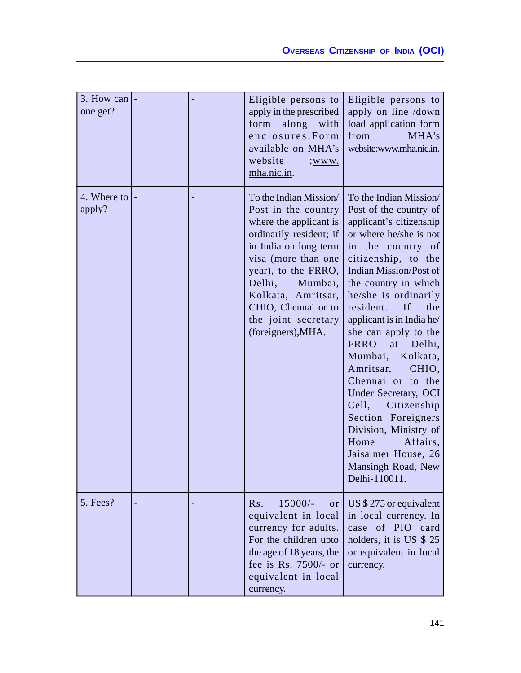| 3. How can<br>one get? |  | Eligible persons to<br>apply in the prescribed<br>form<br>along with<br>enclosures.Form<br>available on MHA's<br>website<br>$;$ WWW.<br>mha.nic.in.                                                                                                                                      | Eligible persons to<br>apply on line /down<br>load application form<br>from<br>MHA's<br>website:www.mha.nic.in.                                                                                                                                                                                                                                                                                                                                                                                                                                                                                  |
|------------------------|--|------------------------------------------------------------------------------------------------------------------------------------------------------------------------------------------------------------------------------------------------------------------------------------------|--------------------------------------------------------------------------------------------------------------------------------------------------------------------------------------------------------------------------------------------------------------------------------------------------------------------------------------------------------------------------------------------------------------------------------------------------------------------------------------------------------------------------------------------------------------------------------------------------|
| 4. Where to<br>apply?  |  | To the Indian Mission/<br>Post in the country<br>where the applicant is<br>ordinarily resident; if<br>in India on long term<br>visa (more than one<br>year), to the FRRO,<br>Delhi,<br>Mumbai,<br>Kolkata, Amritsar,<br>CHIO, Chennai or to<br>the joint secretary<br>(foreigners), MHA. | To the Indian Mission/<br>Post of the country of<br>applicant's citizenship<br>or where he/she is not<br>in the country of<br>citizenship, to the<br><b>Indian Mission/Post of</b><br>the country in which<br>he/she is ordinarily<br>resident.<br>If<br>the<br>applicant is in India he/<br>she can apply to the<br><b>FRRO</b><br>at<br>Delhi,<br>Mumbai, Kolkata,<br>Amritsar,<br>CHIO,<br>Chennai or to the<br>Under Secretary, OCI<br>Cell,<br>Citizenship<br>Section Foreigners<br>Division, Ministry of<br>Home<br>Affairs,<br>Jaisalmer House, 26<br>Mansingh Road, New<br>Delhi-110011. |
| 5. Fees?               |  | $15000/-$<br>Rs.<br>or<br>equivalent in local<br>currency for adults.<br>For the children upto<br>the age of 18 years, the<br>fee is Rs. 7500/- or<br>equivalent in local<br>currency.                                                                                                   | US $$275$ or equivalent<br>in local currency. In<br>case of PIO card<br>holders, it is US \$ 25<br>or equivalent in local<br>currency.                                                                                                                                                                                                                                                                                                                                                                                                                                                           |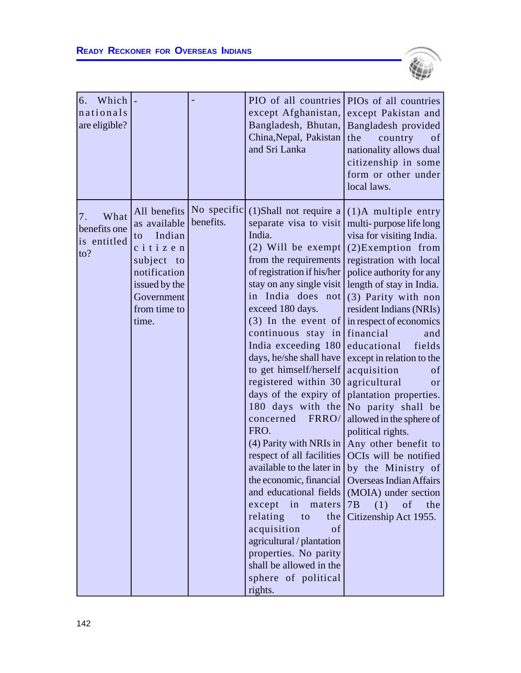

| 6.<br>Which  <br>nationals<br>are eligible?      |                                                                                                                                               |                          | PIO of all countries<br>except Afghanistan,<br>Bangladesh, Bhutan,<br>China, Nepal, Pakistan<br>and Sri Lanka                                                                                                                                                                                                                                                                                                                                                                                                                                                                                                                                                                                                                                                                 | PIOs of all countries<br>except Pakistan and<br>Bangladesh provided<br>the<br>country<br>of<br>nationality allows dual<br>citizenship in some<br>form or other under<br>local laws.                                                                                                                                                                                                                                                                                                                                                                                                                                                                                             |
|--------------------------------------------------|-----------------------------------------------------------------------------------------------------------------------------------------------|--------------------------|-------------------------------------------------------------------------------------------------------------------------------------------------------------------------------------------------------------------------------------------------------------------------------------------------------------------------------------------------------------------------------------------------------------------------------------------------------------------------------------------------------------------------------------------------------------------------------------------------------------------------------------------------------------------------------------------------------------------------------------------------------------------------------|---------------------------------------------------------------------------------------------------------------------------------------------------------------------------------------------------------------------------------------------------------------------------------------------------------------------------------------------------------------------------------------------------------------------------------------------------------------------------------------------------------------------------------------------------------------------------------------------------------------------------------------------------------------------------------|
| What<br>7.<br>benefits one<br>is entitled<br>to? | All benefits<br>as available<br>Indian<br>to<br>citizen<br>subject to<br>notification<br>issued by the<br>Government<br>from time to<br>time. | No specific<br>benefits. | $(1)$ Shall not require a<br>separate visa to visit<br>India.<br>(2) Will be exempt<br>from the requirements<br>of registration if his/her<br>stay on any single visit<br>in India does not<br>exceed 180 days.<br>$(3)$ In the event of<br>continuous stay in<br>India exceeding 180<br>days, he/she shall have<br>to get himself/herself<br>registered within 30<br>days of the expiry of<br>180 days with the<br>FRRO/<br>concerned<br>FRO.<br>(4) Parity with NRIs in<br>respect of all facilities<br>available to the later in<br>the economic, financial<br>and educational fields<br>except in maters<br>relating<br>the<br>to<br>acquisition<br>of<br>agricultural / plantation<br>properties. No parity<br>shall be allowed in the<br>sphere of political<br>rights. | $(1)$ A multiple entry<br>multi-purpose life long<br>visa for visiting India.<br>$(2)$ Exemption from<br>registration with local<br>police authority for any<br>length of stay in India.<br>(3) Parity with non<br>resident Indians (NRIs)<br>in respect of economics<br>financial<br>and<br>educational<br>fields<br>except in relation to the<br>acquisition<br>of<br>agricultural<br>or<br>plantation properties.<br>No parity shall be<br>allowed in the sphere of<br>political rights.<br>Any other benefit to<br>OCIs will be notified<br>by the Ministry of<br><b>Overseas Indian Affairs</b><br>(MOIA) under section<br>7B<br>(1)<br>of<br>the<br>Citizenship Act 1955. |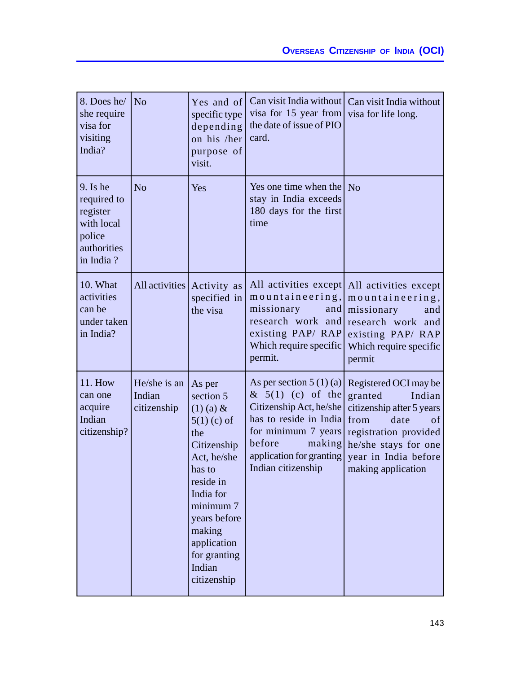| 8. Does he/<br>she require<br>visa for<br>visiting<br>India?                              | N <sub>o</sub>                        | Yes and of<br>specific type<br>depending<br>on his /her<br>purpose of<br>visit.                                                                                                                                             | Can visit India without<br>visa for 15 year from<br>the date of issue of PIO<br>card.                                                                                                              | Can visit India without<br>visa for life long.                                                                                                                                               |
|-------------------------------------------------------------------------------------------|---------------------------------------|-----------------------------------------------------------------------------------------------------------------------------------------------------------------------------------------------------------------------------|----------------------------------------------------------------------------------------------------------------------------------------------------------------------------------------------------|----------------------------------------------------------------------------------------------------------------------------------------------------------------------------------------------|
| $9.$ Is he<br>required to<br>register<br>with local<br>police<br>authorities<br>in India? | N <sub>o</sub>                        | Yes                                                                                                                                                                                                                         | Yes one time when the<br>stay in India exceeds<br>180 days for the first<br>time                                                                                                                   | No                                                                                                                                                                                           |
| 10. What<br>activities<br>can be<br>under taken<br>in India?                              |                                       | All activities Activity as<br>specified in<br>the visa                                                                                                                                                                      | mountaineering,<br>missionary<br>and<br>research work and<br>existing PAP/RAP<br>Which require specific<br>permit.                                                                                 | All activities except All activities except<br>mountaineering,<br>missionary<br>and<br>research work and<br>existing PAP/RAP<br>Which require specific<br>permit                             |
| <b>11. How</b><br>can one<br>acquire<br>Indian<br>citizenship?                            | He/she is an<br>Indian<br>citizenship | As per<br>section 5<br>$(1)$ (a) &<br>$5(1)$ (c) of<br>the<br>Citizenship<br>Act, he/she<br>has to<br>reside in<br>India for<br>minimum 7<br>years before<br>making<br>application<br>for granting<br>Indian<br>citizenship | As per section $5(1)(a)$<br>$\& 5(1)$ (c) of the<br>Citizenship Act, he/she<br>has to reside in India<br>for minimum 7 years<br>before<br>making<br>application for granting<br>Indian citizenship | Registered OCI may be<br>granted<br>Indian<br>citizenship after 5 years<br>from<br>date<br>of<br>registration provided<br>he/she stays for one<br>year in India before<br>making application |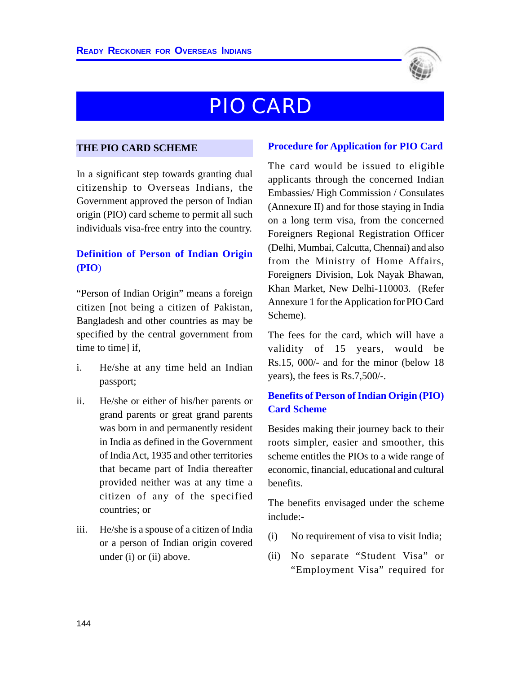

## PIO CARD

#### **THE PIO CARD SCHEME**

In a significant step towards granting dual citizenship to Overseas Indians, the Government approved the person of Indian origin (PIO) card scheme to permit all such individuals visa-free entry into the country.

## **Definition of Person of Indian Origin (PIO**)

"Person of Indian Origin" means a foreign citizen [not being a citizen of Pakistan, Bangladesh and other countries as may be specified by the central government from time to timel if.

- i. He/she at any time held an Indian passport;
- ii. He/she or either of his/her parents or grand parents or great grand parents was born in and permanently resident in India as defined in the Government of India Act, 1935 and other territories that became part of India thereafter provided neither was at any time a citizen of any of the specified countries; or
- iii. He/she is a spouse of a citizen of India or a person of Indian origin covered under (i) or (ii) above.

#### **Procedure for Application for PIO Card**

The card would be issued to eligible applicants through the concerned Indian Embassies/ High Commission / Consulates (Annexure II) and for those staying in India on a long term visa, from the concerned Foreigners Regional Registration Officer (Delhi, Mumbai, Calcutta, Chennai) and also from the Ministry of Home Affairs, Foreigners Division, Lok Nayak Bhawan, Khan Market, New Delhi-110003. (Refer Annexure 1 for the Application for PIO Card Scheme).

The fees for the card, which will have a validity of 15 years, would be Rs.15, 000/- and for the minor (below 18 years), the fees is Rs.7,500/-.

## **Benefits of Person of Indian Origin (PIO) Card Scheme**

Besides making their journey back to their roots simpler, easier and smoother, this scheme entitles the PIOs to a wide range of economic, financial, educational and cultural benefits.

The benefits envisaged under the scheme include:-

- (i) No requirement of visa to visit India;
- (ii) No separate "Student Visa" or "Employment Visa" required for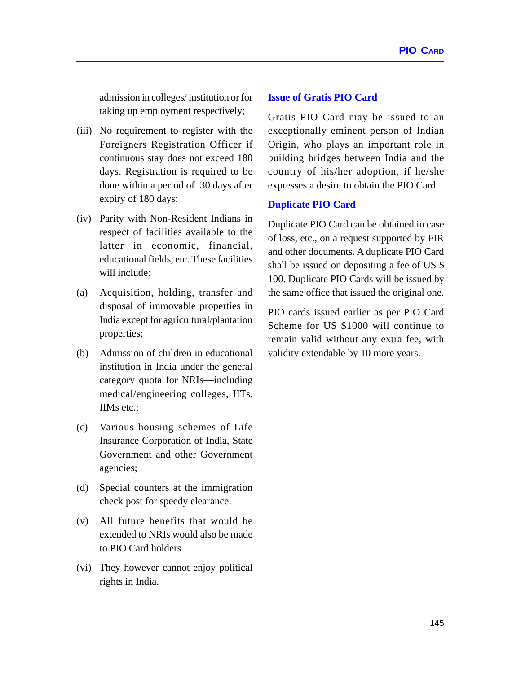admission in colleges/ institution or for taking up employment respectively;

- (iii) No requirement to register with the Foreigners Registration Officer if continuous stay does not exceed 180 days. Registration is required to be done within a period of 30 days after expiry of 180 days;
- (iv) Parity with Non-Resident Indians in respect of facilities available to the latter in economic, financial, educational fields, etc. These facilities will include:
- (a) Acquisition, holding, transfer and disposal of immovable properties in India except for agricultural/plantation properties;
- (b) Admission of children in educational institution in India under the general category quota for NRIs—including medical/engineering colleges, IITs, IIMs etc.;
- (c) Various housing schemes of Life Insurance Corporation of India, State Government and other Government agencies;
- (d) Special counters at the immigration check post for speedy clearance.
- (v) All future benefits that would be extended to NRIs would also be made to PIO Card holders
- (vi) They however cannot enjoy political rights in India.

#### **Issue of Gratis PIO Card**

Gratis PIO Card may be issued to an exceptionally eminent person of Indian Origin, who plays an important role in building bridges between India and the country of his/her adoption, if he/she expresses a desire to obtain the PIO Card.

#### **Duplicate PIO Card**

Duplicate PIO Card can be obtained in case of loss, etc., on a request supported by FIR and other documents. A duplicate PIO Card shall be issued on depositing a fee of US \$ 100. Duplicate PIO Cards will be issued by the same office that issued the original one.

PIO cards issued earlier as per PIO Card Scheme for US \$1000 will continue to remain valid without any extra fee, with validity extendable by 10 more years.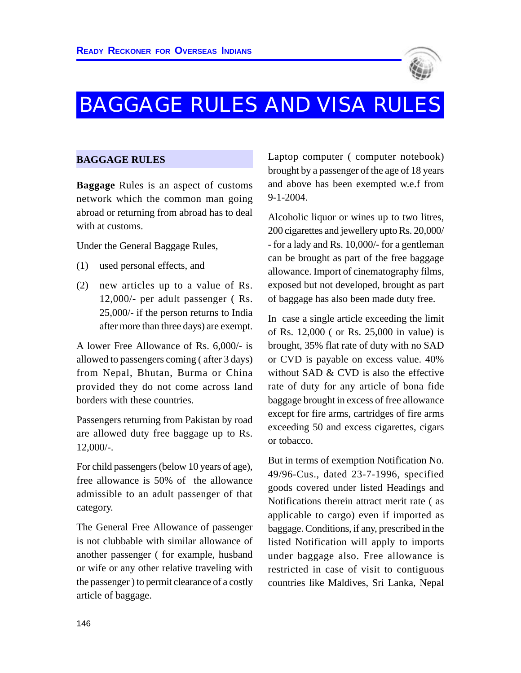

# BAGGAGE RULES AND VISA RULES

#### **BAGGAGE RULES**

**Baggage** Rules is an aspect of customs network which the common man going abroad or returning from abroad has to deal with at customs.

Under the General Baggage Rules,

- (1) used personal effects, and
- (2) new articles up to a value of Rs. 12,000/- per adult passenger ( Rs. 25,000/- if the person returns to India after more than three days) are exempt.

A lower Free Allowance of Rs. 6,000/- is allowed to passengers coming ( after 3 days) from Nepal, Bhutan, Burma or China provided they do not come across land borders with these countries.

Passengers returning from Pakistan by road are allowed duty free baggage up to Rs. 12,000/-.

For child passengers (below 10 years of age), free allowance is 50% of the allowance admissible to an adult passenger of that category.

The General Free Allowance of passenger is not clubbable with similar allowance of another passenger ( for example, husband or wife or any other relative traveling with the passenger ) to permit clearance of a costly article of baggage.

Laptop computer ( computer notebook) brought by a passenger of the age of 18 years and above has been exempted w.e.f from 9-1-2004.

Alcoholic liquor or wines up to two litres, 200 cigarettes and jewellery upto Rs. 20,000/ - for a lady and Rs. 10,000/- for a gentleman can be brought as part of the free baggage allowance. Import of cinematography films, exposed but not developed, brought as part of baggage has also been made duty free.

In case a single article exceeding the limit of Rs. 12,000 ( or Rs. 25,000 in value) is brought, 35% flat rate of duty with no SAD or CVD is payable on excess value. 40% without SAD & CVD is also the effective rate of duty for any article of bona fide baggage brought in excess of free allowance except for fire arms, cartridges of fire arms exceeding 50 and excess cigarettes, cigars or tobacco.

But in terms of exemption Notification No. 49/96-Cus., dated 23-7-1996, specified goods covered under listed Headings and Notifications therein attract merit rate ( as applicable to cargo) even if imported as baggage. Conditions, if any, prescribed in the listed Notification will apply to imports under baggage also. Free allowance is restricted in case of visit to contiguous countries like Maldives, Sri Lanka, Nepal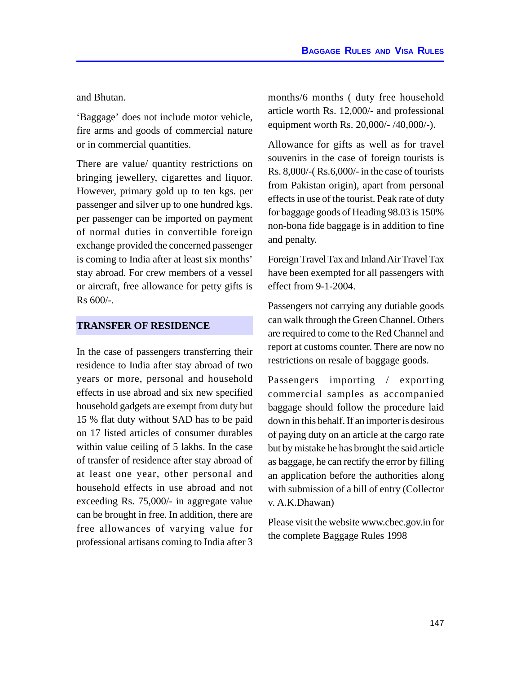and Bhutan.

'Baggage' does not include motor vehicle, fire arms and goods of commercial nature or in commercial quantities.

There are value/ quantity restrictions on bringing jewellery, cigarettes and liquor. However, primary gold up to ten kgs. per passenger and silver up to one hundred kgs. per passenger can be imported on payment of normal duties in convertible foreign exchange provided the concerned passenger is coming to India after at least six months' stay abroad. For crew members of a vessel or aircraft, free allowance for petty gifts is Rs 600/-.

#### **TRANSFER OF RESIDENCE**

In the case of passengers transferring their residence to India after stay abroad of two years or more, personal and household effects in use abroad and six new specified household gadgets are exempt from duty but 15 % flat duty without SAD has to be paid on 17 listed articles of consumer durables within value ceiling of 5 lakhs. In the case of transfer of residence after stay abroad of at least one year, other personal and household effects in use abroad and not exceeding Rs. 75,000/- in aggregate value can be brought in free. In addition, there are free allowances of varying value for professional artisans coming to India after 3 months/6 months ( duty free household article worth Rs. 12,000/- and professional equipment worth Rs. 20,000/- /40,000/-).

Allowance for gifts as well as for travel souvenirs in the case of foreign tourists is Rs. 8,000/-( Rs.6,000/- in the case of tourists from Pakistan origin), apart from personal effects in use of the tourist. Peak rate of duty for baggage goods of Heading 98.03 is 150% non-bona fide baggage is in addition to fine and penalty.

Foreign Travel Tax and Inland Air Travel Tax have been exempted for all passengers with effect from 9-1-2004.

Passengers not carrying any dutiable goods can walk through the Green Channel. Others are required to come to the Red Channel and report at customs counter. There are now no restrictions on resale of baggage goods.

Passengers importing / exporting commercial samples as accompanied baggage should follow the procedure laid down in this behalf. If an importer is desirous of paying duty on an article at the cargo rate but by mistake he has brought the said article as baggage, he can rectify the error by filling an application before the authorities along with submission of a bill of entry (Collector v. A.K.Dhawan)

Please visit the website www.cbec.gov.in for the complete Baggage Rules 1998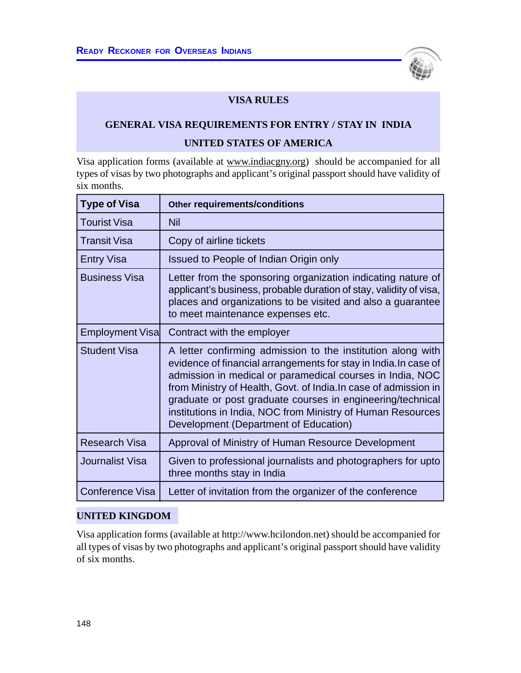

## **VISA RULES**

## **GENERAL VISA REQUIREMENTS FOR ENTRY / STAY IN INDIA UNITED STATES OF AMERICA**

Visa application forms (available at www.indiacgny.org) should be accompanied for all types of visas by two photographs and applicant's original passport should have validity of six months.

| <b>Type of Visa</b>    | Other requirements/conditions                                                                                                                                                                                                                                                                                                                                                                                                          |
|------------------------|----------------------------------------------------------------------------------------------------------------------------------------------------------------------------------------------------------------------------------------------------------------------------------------------------------------------------------------------------------------------------------------------------------------------------------------|
| <b>Tourist Visa</b>    | <b>Nil</b>                                                                                                                                                                                                                                                                                                                                                                                                                             |
| <b>Transit Visa</b>    | Copy of airline tickets                                                                                                                                                                                                                                                                                                                                                                                                                |
| <b>Entry Visa</b>      | Issued to People of Indian Origin only                                                                                                                                                                                                                                                                                                                                                                                                 |
| <b>Business Visa</b>   | Letter from the sponsoring organization indicating nature of<br>applicant's business, probable duration of stay, validity of visa,<br>places and organizations to be visited and also a guarantee<br>to meet maintenance expenses etc.                                                                                                                                                                                                 |
| <b>Employment Visa</b> | Contract with the employer                                                                                                                                                                                                                                                                                                                                                                                                             |
| <b>Student Visa</b>    | A letter confirming admission to the institution along with<br>evidence of financial arrangements for stay in India. In case of<br>admission in medical or paramedical courses in India, NOC<br>from Ministry of Health, Govt. of India. In case of admission in<br>graduate or post graduate courses in engineering/technical<br>institutions in India, NOC from Ministry of Human Resources<br>Development (Department of Education) |
| <b>Research Visa</b>   | Approval of Ministry of Human Resource Development                                                                                                                                                                                                                                                                                                                                                                                     |
| <b>Journalist Visa</b> | Given to professional journalists and photographers for upto<br>three months stay in India                                                                                                                                                                                                                                                                                                                                             |
| <b>Conference Visa</b> | Letter of invitation from the organizer of the conference                                                                                                                                                                                                                                                                                                                                                                              |

#### **UNITED KINGDOM**

Visa application forms (available at http://www.hcilondon.net) should be accompanied for all types of visas by two photographs and applicant's original passport should have validity of six months.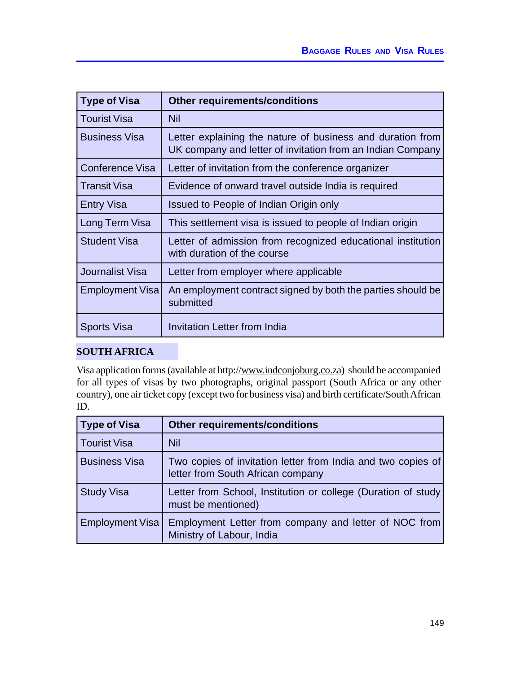| <b>Type of Visa</b>    | <b>Other requirements/conditions</b>                                                                                     |
|------------------------|--------------------------------------------------------------------------------------------------------------------------|
| <b>Tourist Visa</b>    | <b>Nil</b>                                                                                                               |
| <b>Business Visa</b>   | Letter explaining the nature of business and duration from<br>UK company and letter of invitation from an Indian Company |
| Conference Visa        | Letter of invitation from the conference organizer                                                                       |
| <b>Transit Visa</b>    | Evidence of onward travel outside India is required                                                                      |
| <b>Entry Visa</b>      | Issued to People of Indian Origin only                                                                                   |
| Long Term Visa         | This settlement visa is issued to people of Indian origin                                                                |
| <b>Student Visa</b>    | Letter of admission from recognized educational institution<br>with duration of the course                               |
| Journalist Visa        | Letter from employer where applicable                                                                                    |
| <b>Employment Visa</b> | An employment contract signed by both the parties should be<br>submitted                                                 |
| <b>Sports Visa</b>     | Invitation Letter from India                                                                                             |

## **SOUTH AFRICA**

Visa application forms (available at http://www.indconjoburg.co.za) should be accompanied for all types of visas by two photographs, original passport (South Africa or any other country), one air ticket copy (except two for business visa) and birth certificate/South African ID.

| <b>Type of Visa</b>    | <b>Other requirements/conditions</b>                                                              |
|------------------------|---------------------------------------------------------------------------------------------------|
| Tourist Visa           | <b>Nil</b>                                                                                        |
| <b>Business Visa</b>   | Two copies of invitation letter from India and two copies of<br>letter from South African company |
| <b>Study Visa</b>      | Letter from School, Institution or college (Duration of study<br>must be mentioned)               |
| <b>Employment Visa</b> | Employment Letter from company and letter of NOC from<br>Ministry of Labour, India                |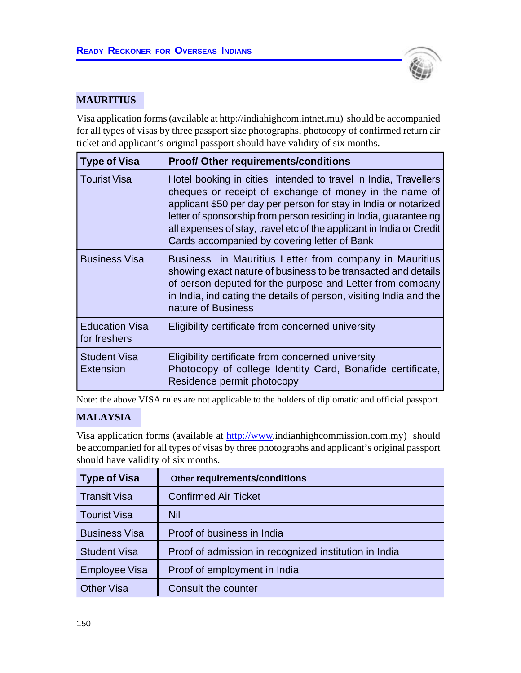

## **MAURITIUS**

Visa application forms (available at http://indiahighcom.intnet.mu) should be accompanied for all types of visas by three passport size photographs, photocopy of confirmed return air ticket and applicant's original passport should have validity of six months.

| <b>Type of Visa</b>                   | <b>Proof/ Other requirements/conditions</b>                                                                                                                                                                                                                                                                                                                                                |
|---------------------------------------|--------------------------------------------------------------------------------------------------------------------------------------------------------------------------------------------------------------------------------------------------------------------------------------------------------------------------------------------------------------------------------------------|
| <b>Tourist Visa</b>                   | Hotel booking in cities intended to travel in India, Travellers<br>cheques or receipt of exchange of money in the name of<br>applicant \$50 per day per person for stay in India or notarized<br>letter of sponsorship from person residing in India, guaranteeing<br>all expenses of stay, travel etc of the applicant in India or Credit<br>Cards accompanied by covering letter of Bank |
| <b>Business Visa</b>                  | Business in Mauritius Letter from company in Mauritius<br>showing exact nature of business to be transacted and details<br>of person deputed for the purpose and Letter from company<br>in India, indicating the details of person, visiting India and the<br>nature of Business                                                                                                           |
| <b>Education Visa</b><br>for freshers | Eligibility certificate from concerned university                                                                                                                                                                                                                                                                                                                                          |
| <b>Student Visa</b><br>Extension      | Eligibility certificate from concerned university<br>Photocopy of college Identity Card, Bonafide certificate,<br>Residence permit photocopy                                                                                                                                                                                                                                               |

Note: the above VISA rules are not applicable to the holders of diplomatic and official passport.

## **MALAYSIA**

Visa application forms (available at http://www.indianhighcommission.com.my) should be accompanied for all types of visas by three photographs and applicant's original passport should have validity of six months.

| <b>Type of Visa</b>  | Other requirements/conditions                         |
|----------------------|-------------------------------------------------------|
| <b>Transit Visa</b>  | <b>Confirmed Air Ticket</b>                           |
| <b>Tourist Visa</b>  | Nil                                                   |
| <b>Business Visa</b> | Proof of business in India                            |
| <b>Student Visa</b>  | Proof of admission in recognized institution in India |
| <b>Employee Visa</b> | Proof of employment in India                          |
| <b>Other Visa</b>    | Consult the counter                                   |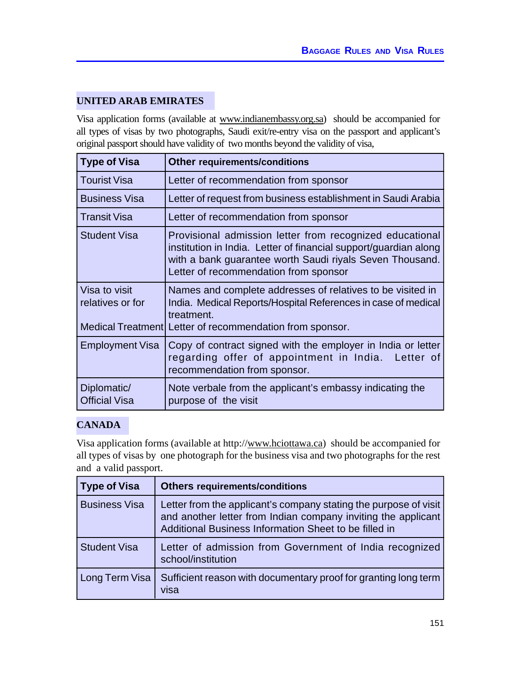## **UNITED ARAB EMIRATES**

Visa application forms (available at www.indianembassy.org.sa) should be accompanied for all types of visas by two photographs, Saudi exit/re-entry visa on the passport and applicant's original passport should have validity of two months beyond the validity of visa,

| <b>Type of Visa</b>                                           | <b>Other requirements/conditions</b>                                                                                                                                                                                              |
|---------------------------------------------------------------|-----------------------------------------------------------------------------------------------------------------------------------------------------------------------------------------------------------------------------------|
| <b>Tourist Visa</b>                                           | Letter of recommendation from sponsor                                                                                                                                                                                             |
| <b>Business Visa</b>                                          | Letter of request from business establishment in Saudi Arabia                                                                                                                                                                     |
| <b>Transit Visa</b>                                           | Letter of recommendation from sponsor                                                                                                                                                                                             |
| <b>Student Visa</b>                                           | Provisional admission letter from recognized educational<br>institution in India. Letter of financial support/guardian along<br>with a bank guarantee worth Saudi riyals Seven Thousand.<br>Letter of recommendation from sponsor |
| Visa to visit<br>relatives or for<br><b>Medical Treatment</b> | Names and complete addresses of relatives to be visited in<br>India. Medical Reports/Hospital References in case of medical<br>treatment.<br>Letter of recommendation from sponsor.                                               |
| <b>Employment Visa</b>                                        | Copy of contract signed with the employer in India or letter<br>regarding offer of appointment in India. Letter of<br>recommendation from sponsor.                                                                                |
| Diplomatic/<br><b>Official Visa</b>                           | Note verbale from the applicant's embassy indicating the<br>purpose of the visit                                                                                                                                                  |

## **CANADA**

Visa application forms (available at http://www.hciottawa.ca) should be accompanied for all types of visas by one photograph for the business visa and two photographs for the rest and a valid passport.

| <b>Type of Visa</b>  | <b>Others requirements/conditions</b>                                                                                                                                                      |
|----------------------|--------------------------------------------------------------------------------------------------------------------------------------------------------------------------------------------|
| <b>Business Visa</b> | Letter from the applicant's company stating the purpose of visit<br>and another letter from Indian company inviting the applicant<br>Additional Business Information Sheet to be filled in |
| <b>Student Visa</b>  | Letter of admission from Government of India recognized<br>school/institution                                                                                                              |
| Long Term Visa       | Sufficient reason with documentary proof for granting long term<br>visa                                                                                                                    |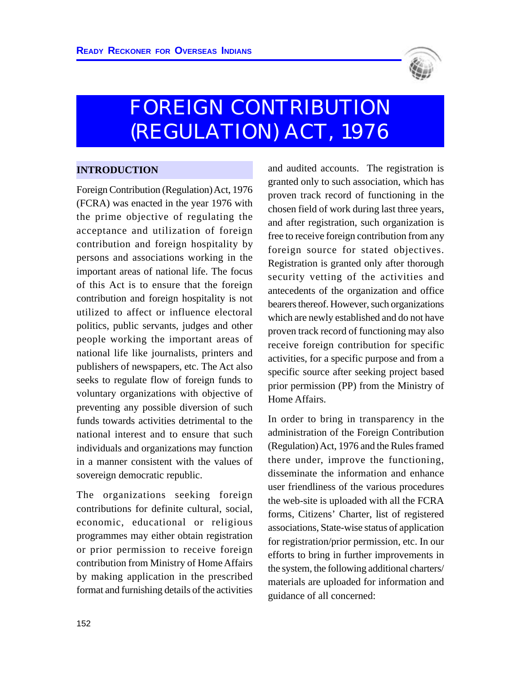

# FOREIGN CONTRIBUTION (REGULATION) ACT, 1976

## **INTRODUCTION**

Foreign Contribution (Regulation) Act, 1976 (FCRA) was enacted in the year 1976 with the prime objective of regulating the acceptance and utilization of foreign contribution and foreign hospitality by persons and associations working in the important areas of national life. The focus of this Act is to ensure that the foreign contribution and foreign hospitality is not utilized to affect or influence electoral politics, public servants, judges and other people working the important areas of national life like journalists, printers and publishers of newspapers, etc. The Act also seeks to regulate flow of foreign funds to voluntary organizations with objective of preventing any possible diversion of such funds towards activities detrimental to the national interest and to ensure that such individuals and organizations may function in a manner consistent with the values of sovereign democratic republic.

The organizations seeking foreign contributions for definite cultural, social, economic, educational or religious programmes may either obtain registration or prior permission to receive foreign contribution from Ministry of Home Affairs by making application in the prescribed format and furnishing details of the activities and audited accounts. The registration is granted only to such association, which has proven track record of functioning in the chosen field of work during last three years, and after registration, such organization is free to receive foreign contribution from any foreign source for stated objectives. Registration is granted only after thorough security vetting of the activities and antecedents of the organization and office bearers thereof. However, such organizations which are newly established and do not have proven track record of functioning may also receive foreign contribution for specific activities, for a specific purpose and from a specific source after seeking project based prior permission (PP) from the Ministry of Home Affairs.

In order to bring in transparency in the administration of the Foreign Contribution (Regulation) Act, 1976 and the Rules framed there under, improve the functioning, disseminate the information and enhance user friendliness of the various procedures the web-site is uploaded with all the FCRA forms, Citizens' Charter, list of registered associations, State-wise status of application for registration/prior permission, etc. In our efforts to bring in further improvements in the system, the following additional charters/ materials are uploaded for information and guidance of all concerned: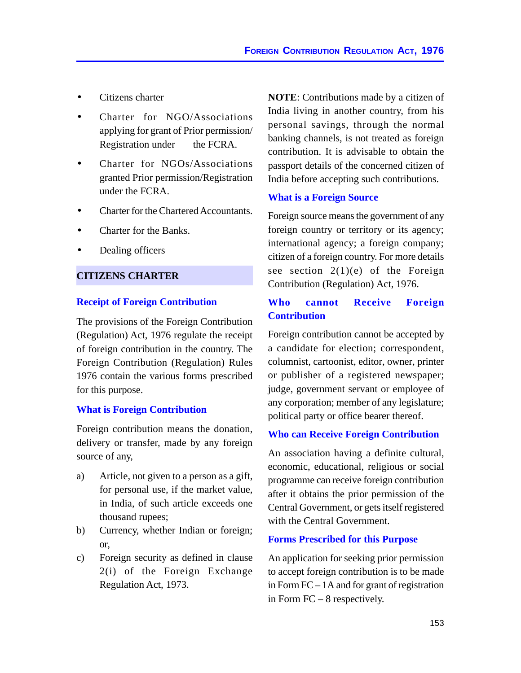- Citizens charter
- Charter for NGO/Associations applying for grant of Prior permission/ Registration under the FCRA.
- Charter for NGOs/Associations granted Prior permission/Registration under the FCRA.
- Charter for the Chartered Accountants.
- Charter for the Banks.
- Dealing officers

#### **CITIZENS CHARTER**

#### **Receipt of Foreign Contribution**

The provisions of the Foreign Contribution (Regulation) Act, 1976 regulate the receipt of foreign contribution in the country. The Foreign Contribution (Regulation) Rules 1976 contain the various forms prescribed for this purpose.

#### **What is Foreign Contribution**

Foreign contribution means the donation, delivery or transfer, made by any foreign source of any,

- a) Article, not given to a person as a gift, for personal use, if the market value, in India, of such article exceeds one thousand rupees;
- b) Currency, whether Indian or foreign; or,
- c) Foreign security as defined in clause 2(i) of the Foreign Exchange Regulation Act, 1973.

**NOTE**: Contributions made by a citizen of India living in another country, from his personal savings, through the normal banking channels, is not treated as foreign contribution. It is advisable to obtain the passport details of the concerned citizen of India before accepting such contributions.

#### **What is a Foreign Source**

Foreign source means the government of any foreign country or territory or its agency; international agency; a foreign company; citizen of a foreign country. For more details see section  $2(1)(e)$  of the Foreign Contribution (Regulation) Act, 1976.

## **Who cannot Receive Foreign Contribution**

Foreign contribution cannot be accepted by a candidate for election; correspondent, columnist, cartoonist, editor, owner, printer or publisher of a registered newspaper; judge, government servant or employee of any corporation; member of any legislature; political party or office bearer thereof.

#### **Who can Receive Foreign Contribution**

An association having a definite cultural, economic, educational, religious or social programme can receive foreign contribution after it obtains the prior permission of the Central Government, or gets itself registered with the Central Government.

#### **Forms Prescribed for this Purpose**

An application for seeking prior permission to accept foreign contribution is to be made in Form FC – 1A and for grant of registration in Form FC – 8 respectively.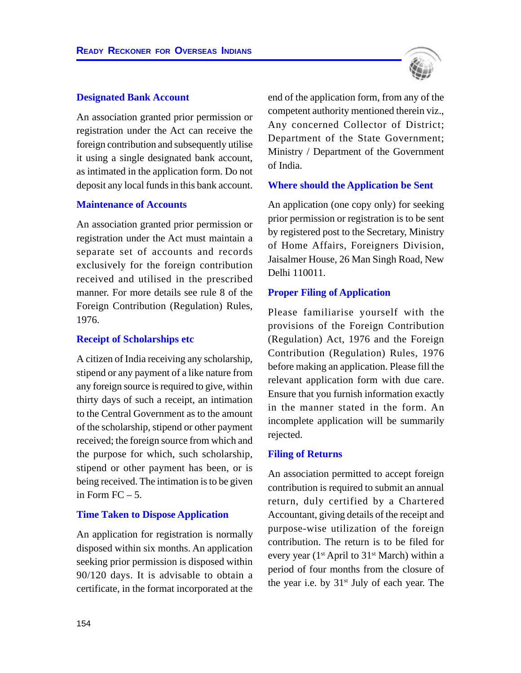#### **Designated Bank Account**

An association granted prior permission or registration under the Act can receive the foreign contribution and subsequently utilise it using a single designated bank account, as intimated in the application form. Do not deposit any local funds in this bank account.

#### **Maintenance of Accounts**

An association granted prior permission or registration under the Act must maintain a separate set of accounts and records exclusively for the foreign contribution received and utilised in the prescribed manner. For more details see rule 8 of the Foreign Contribution (Regulation) Rules, 1976.

#### **Receipt of Scholarships etc**

A citizen of India receiving any scholarship, stipend or any payment of a like nature from any foreign source is required to give, within thirty days of such a receipt, an intimation to the Central Government as to the amount of the scholarship, stipend or other payment received; the foreign source from which and the purpose for which, such scholarship, stipend or other payment has been, or is being received. The intimation is to be given in Form  $FC - 5$ .

#### **Time Taken to Dispose Application**

An application for registration is normally disposed within six months. An application seeking prior permission is disposed within 90/120 days. It is advisable to obtain a certificate, in the format incorporated at the end of the application form, from any of the competent authority mentioned therein viz., Any concerned Collector of District; Department of the State Government; Ministry / Department of the Government of India.

#### **Where should the Application be Sent**

An application (one copy only) for seeking prior permission or registration is to be sent by registered post to the Secretary, Ministry of Home Affairs, Foreigners Division, Jaisalmer House, 26 Man Singh Road, New Delhi 110011.

#### **Proper Filing of Application**

Please familiarise yourself with the provisions of the Foreign Contribution (Regulation) Act, 1976 and the Foreign Contribution (Regulation) Rules, 1976 before making an application. Please fill the relevant application form with due care. Ensure that you furnish information exactly in the manner stated in the form. An incomplete application will be summarily rejected.

#### **Filing of Returns**

An association permitted to accept foreign contribution is required to submit an annual return, duly certified by a Chartered Accountant, giving details of the receipt and purpose-wise utilization of the foreign contribution. The return is to be filed for every year ( $1<sup>st</sup>$  April to  $31<sup>st</sup>$  March) within a period of four months from the closure of the year i.e. by  $31<sup>st</sup>$  July of each year. The

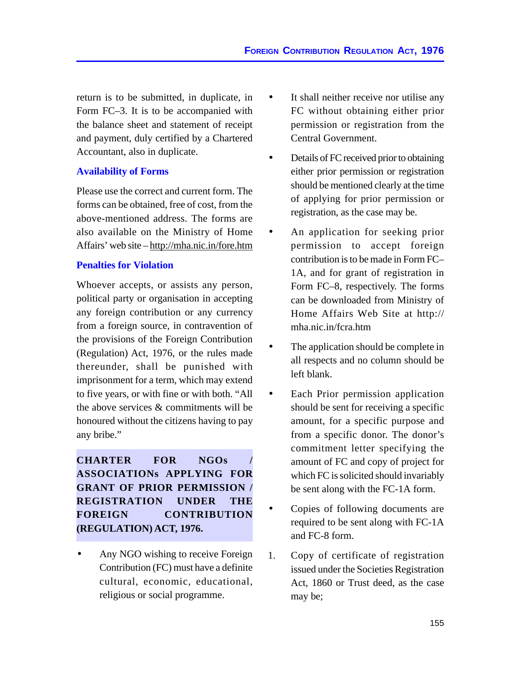return is to be submitted, in duplicate, in Form FC–3. It is to be accompanied with the balance sheet and statement of receipt and payment, duly certified by a Chartered Accountant, also in duplicate.

#### **Availability of Forms**

Please use the correct and current form. The forms can be obtained, free of cost, from the above-mentioned address. The forms are also available on the Ministry of Home Affairs' web site – http://mha.nic.in/fore.htm

#### **Penalties for Violation**

Whoever accepts, or assists any person, political party or organisation in accepting any foreign contribution or any currency from a foreign source, in contravention of the provisions of the Foreign Contribution (Regulation) Act, 1976, or the rules made thereunder, shall be punished with imprisonment for a term, which may extend to five years, or with fine or with both. "All the above services & commitments will be honoured without the citizens having to pay any bribe."

**CHARTER FOR NGOs / ASSOCIATIONs APPLYING FOR GRANT OF PRIOR PERMISSION / REGISTRATION UNDER THE FOREIGN CONTRIBUTION (REGULATION) ACT, 1976.**

Any NGO wishing to receive Foreign Contribution (FC) must have a definite cultural, economic, educational, religious or social programme.

- It shall neither receive nor utilise any FC without obtaining either prior permission or registration from the Central Government.
- Details of FC received prior to obtaining either prior permission or registration should be mentioned clearly at the time of applying for prior permission or registration, as the case may be.
- An application for seeking prior permission to accept foreign contribution is to be made in Form FC– 1A, and for grant of registration in Form FC–8, respectively. The forms can be downloaded from Ministry of Home Affairs Web Site at http:// mha.nic.in/fcra.htm
- The application should be complete in all respects and no column should be left blank.
- Each Prior permission application should be sent for receiving a specific amount, for a specific purpose and from a specific donor. The donor's commitment letter specifying the amount of FC and copy of project for which FC is solicited should invariably be sent along with the FC-1A form.
- Copies of following documents are required to be sent along with FC-1A and FC-8 form.
- 1. Copy of certificate of registration issued under the Societies Registration Act, 1860 or Trust deed, as the case may be;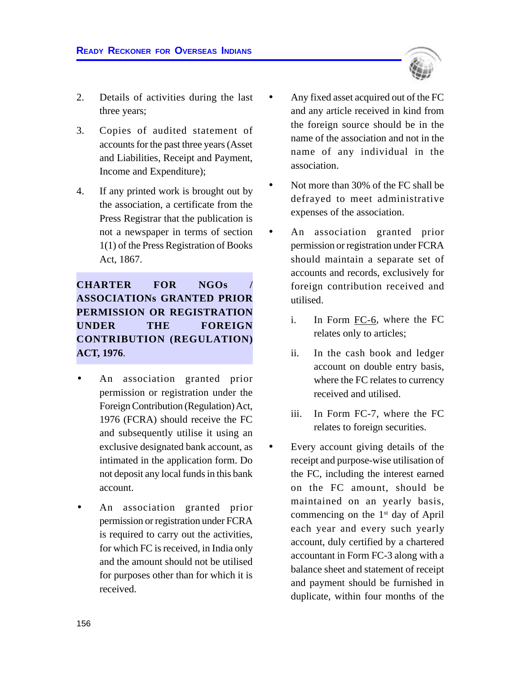- 2. Details of activities during the last three years;
- 3. Copies of audited statement of accounts for the past three years (Asset and Liabilities, Receipt and Payment, Income and Expenditure);
- 4. If any printed work is brought out by the association, a certificate from the Press Registrar that the publication is not a newspaper in terms of section 1(1) of the Press Registration of Books Act, 1867.

## **CHARTER FOR NGOs / ASSOCIATIONs GRANTED PRIOR PERMISSION OR REGISTRATION UNDER THE FOREIGN CONTRIBUTION (REGULATION) ACT, 1976**.

- An association granted prior permission or registration under the Foreign Contribution (Regulation) Act, 1976 (FCRA) should receive the FC and subsequently utilise it using an exclusive designated bank account, as intimated in the application form. Do not deposit any local funds in this bank account.
- An association granted prior permission or registration under FCRA is required to carry out the activities, for which FC is received, in India only and the amount should not be utilised for purposes other than for which it is received.
- Any fixed asset acquired out of the FC and any article received in kind from the foreign source should be in the name of the association and not in the name of any individual in the association.
- Not more than 30% of the FC shall be defrayed to meet administrative expenses of the association.
- An association granted prior permission or registration under FCRA should maintain a separate set of accounts and records, exclusively for foreign contribution received and utilised.
	- i. In Form FC-6, where the FC relates only to articles;
	- ii. In the cash book and ledger account on double entry basis, where the FC relates to currency received and utilised.
	- iii. In Form FC-7, where the FC relates to foreign securities.
- Every account giving details of the receipt and purpose-wise utilisation of the FC, including the interest earned on the FC amount, should be maintained on an yearly basis, commencing on the  $1<sup>st</sup>$  day of April each year and every such yearly account, duly certified by a chartered accountant in Form FC-3 along with a balance sheet and statement of receipt and payment should be furnished in duplicate, within four months of the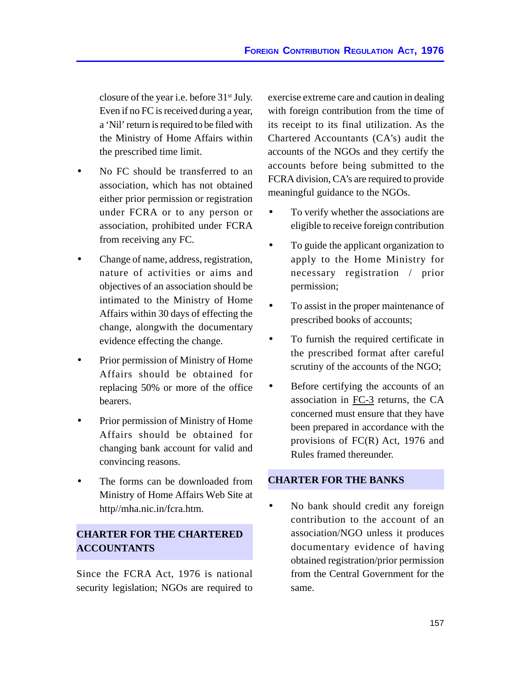closure of the year i.e. before 31st July. Even if no FC is received during a year, a 'Nil' return is required to be filed with the Ministry of Home Affairs within the prescribed time limit.

- No FC should be transferred to an association, which has not obtained either prior permission or registration under FCRA or to any person or association, prohibited under FCRA from receiving any FC.
- Change of name, address, registration, nature of activities or aims and objectives of an association should be intimated to the Ministry of Home Affairs within 30 days of effecting the change, alongwith the documentary evidence effecting the change.
- Prior permission of Ministry of Home Affairs should be obtained for replacing 50% or more of the office bearers.
- Prior permission of Ministry of Home Affairs should be obtained for changing bank account for valid and convincing reasons.
- The forms can be downloaded from Ministry of Home Affairs Web Site at http//mha.nic.in/fcra.htm.

## **CHARTER FOR THE CHARTERED ACCOUNTANTS**

Since the FCRA Act, 1976 is national security legislation; NGOs are required to exercise extreme care and caution in dealing with foreign contribution from the time of its receipt to its final utilization. As the Chartered Accountants (CA's) audit the accounts of the NGOs and they certify the accounts before being submitted to the FCRA division, CA's are required to provide meaningful guidance to the NGOs.

- To verify whether the associations are eligible to receive foreign contribution
- To guide the applicant organization to apply to the Home Ministry for necessary registration / prior permission;
- To assist in the proper maintenance of prescribed books of accounts;
- To furnish the required certificate in the prescribed format after careful scrutiny of the accounts of the NGO;
- Before certifying the accounts of an association in FC-3 returns, the CA concerned must ensure that they have been prepared in accordance with the provisions of FC(R) Act, 1976 and Rules framed thereunder.

## **CHARTER FOR THE BANKS**

No bank should credit any foreign contribution to the account of an association/NGO unless it produces documentary evidence of having obtained registration/prior permission from the Central Government for the same.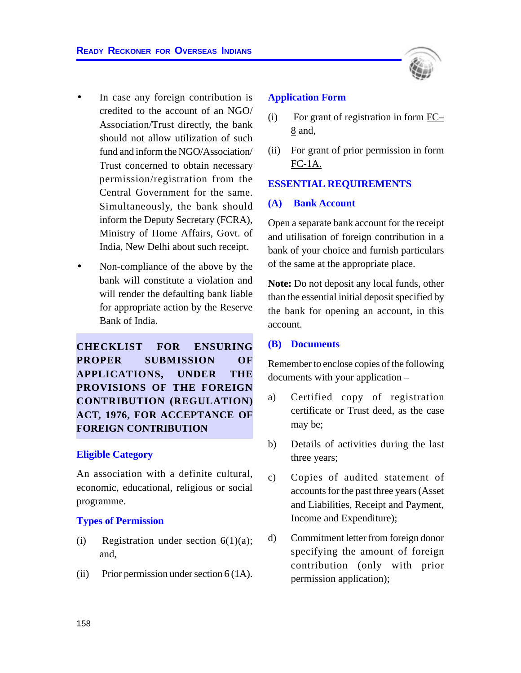

- In case any foreign contribution is credited to the account of an NGO/ Association/Trust directly, the bank should not allow utilization of such fund and inform the NGO/Association/ Trust concerned to obtain necessary permission/registration from the Central Government for the same. Simultaneously, the bank should inform the Deputy Secretary (FCRA), Ministry of Home Affairs, Govt. of India, New Delhi about such receipt.
- Non-compliance of the above by the bank will constitute a violation and will render the defaulting bank liable for appropriate action by the Reserve Bank of India.

**CHECKLIST FOR ENSURING PROPER SUBMISSION OF APPLICATIONS, UNDER THE PROVISIONS OF THE FOREIGN CONTRIBUTION (REGULATION) ACT, 1976, FOR ACCEPTANCE OF FOREIGN CONTRIBUTION**

#### **Eligible Category**

An association with a definite cultural, economic, educational, religious or social programme.

#### **Types of Permission**

- (i) Registration under section  $6(1)(a)$ ; and,
- (ii) Prior permission under section  $6(1A)$ .

#### **Application Form**

- (i) For grant of registration in form FC– 8 and,
- (ii) For grant of prior permission in form FC-1A.

#### **ESSENTIAL REQUIREMENTS**

#### **(A) Bank Account**

Open a separate bank account for the receipt and utilisation of foreign contribution in a bank of your choice and furnish particulars of the same at the appropriate place.

**Note:** Do not deposit any local funds, other than the essential initial deposit specified by the bank for opening an account, in this account.

#### **(B) Documents**

Remember to enclose copies of the following documents with your application –

- a) Certified copy of registration certificate or Trust deed, as the case may be;
- b) Details of activities during the last three years;
- c) Copies of audited statement of accounts for the past three years (Asset and Liabilities, Receipt and Payment, Income and Expenditure);
- d) Commitment letter from foreign donor specifying the amount of foreign contribution (only with prior permission application);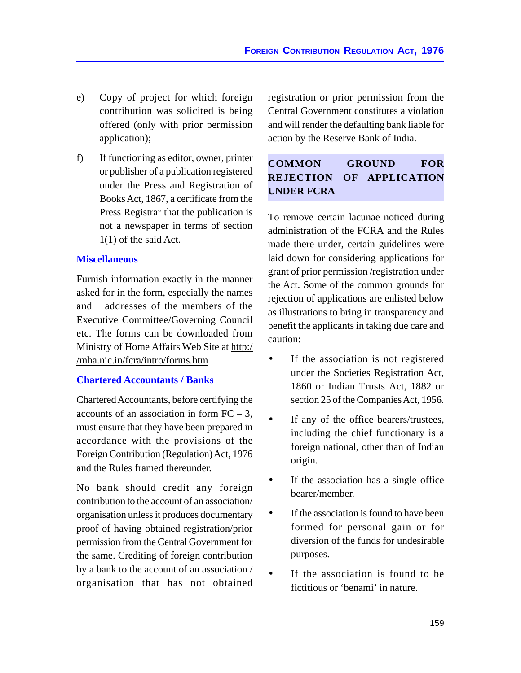- e) Copy of project for which foreign contribution was solicited is being offered (only with prior permission application);
- f) If functioning as editor, owner, printer or publisher of a publication registered under the Press and Registration of Books Act, 1867, a certificate from the Press Registrar that the publication is not a newspaper in terms of section 1(1) of the said Act.

#### **Miscellaneous**

Furnish information exactly in the manner asked for in the form, especially the names and addresses of the members of the Executive Committee/Governing Council etc. The forms can be downloaded from Ministry of Home Affairs Web Site at http:/ /mha.nic.in/fcra/intro/forms.htm

#### **Chartered Accountants / Banks**

Chartered Accountants, before certifying the accounts of an association in form  $FC - 3$ , must ensure that they have been prepared in accordance with the provisions of the Foreign Contribution (Regulation) Act, 1976 and the Rules framed thereunder.

No bank should credit any foreign contribution to the account of an association/ organisation unless it produces documentary proof of having obtained registration/prior permission from the Central Government for the same. Crediting of foreign contribution by a bank to the account of an association / organisation that has not obtained registration or prior permission from the Central Government constitutes a violation and will render the defaulting bank liable for action by the Reserve Bank of India.

## **COMMON GROUND FOR REJECTION OF APPLICATION UNDER FCRA**

To remove certain lacunae noticed during administration of the FCRA and the Rules made there under, certain guidelines were laid down for considering applications for grant of prior permission /registration under the Act. Some of the common grounds for rejection of applications are enlisted below as illustrations to bring in transparency and benefit the applicants in taking due care and caution:

- If the association is not registered under the Societies Registration Act, 1860 or Indian Trusts Act, 1882 or section 25 of the Companies Act, 1956.
- If any of the office bearers/trustees, including the chief functionary is a foreign national, other than of Indian origin.
- If the association has a single office bearer/member.
- If the association is found to have been formed for personal gain or for diversion of the funds for undesirable purposes.
- If the association is found to be fictitious or 'benami' in nature.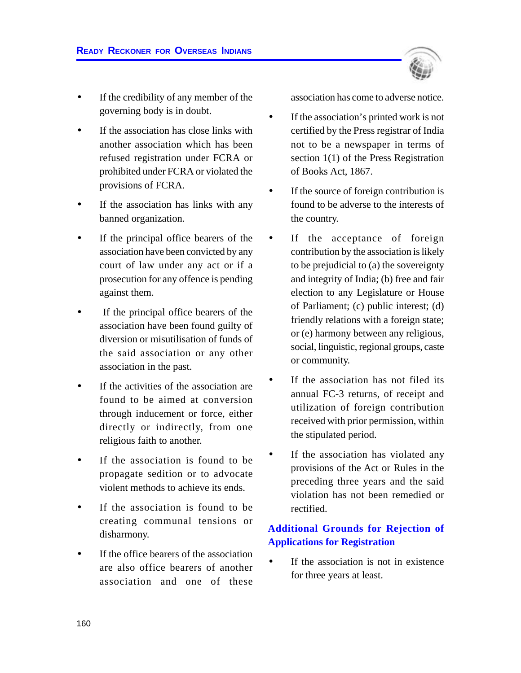

- If the association has close links with another association which has been refused registration under FCRA or prohibited under FCRA or violated the provisions of FCRA.
- If the association has links with any banned organization.
- If the principal office bearers of the association have been convicted by any court of law under any act or if a prosecution for any offence is pending against them.
- If the principal office bearers of the association have been found guilty of diversion or misutilisation of funds of the said association or any other association in the past.
- If the activities of the association are found to be aimed at conversion through inducement or force, either directly or indirectly, from one religious faith to another.
- If the association is found to be propagate sedition or to advocate violent methods to achieve its ends.
- If the association is found to be creating communal tensions or disharmony.
- If the office bearers of the association are also office bearers of another association and one of these

association has come to adverse notice.

- If the association's printed work is not certified by the Press registrar of India not to be a newspaper in terms of section 1(1) of the Press Registration of Books Act, 1867.
- If the source of foreign contribution is found to be adverse to the interests of the country.
- If the acceptance of foreign contribution by the association is likely to be prejudicial to (a) the sovereignty and integrity of India; (b) free and fair election to any Legislature or House of Parliament; (c) public interest; (d) friendly relations with a foreign state; or (e) harmony between any religious, social, linguistic, regional groups, caste or community.
- If the association has not filed its annual FC-3 returns, of receipt and utilization of foreign contribution received with prior permission, within the stipulated period.
- If the association has violated any provisions of the Act or Rules in the preceding three years and the said violation has not been remedied or rectified.

## **Additional Grounds for Rejection of Applications for Registration**

If the association is not in existence for three years at least.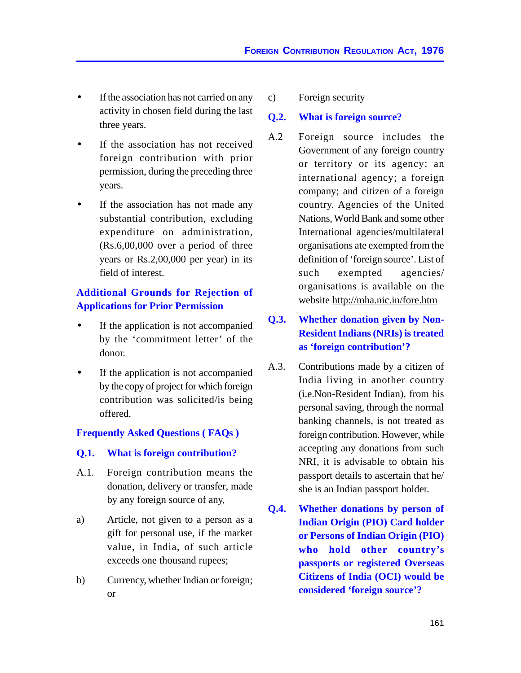- If the association has not carried on any activity in chosen field during the last three years.
- If the association has not received foreign contribution with prior permission, during the preceding three years.
- If the association has not made any substantial contribution, excluding expenditure on administration, (Rs.6,00,000 over a period of three years or Rs.2,00,000 per year) in its field of interest.

## **Additional Grounds for Rejection of Applications for Prior Permission**

- If the application is not accompanied by the 'commitment letter' of the donor.
- If the application is not accompanied by the copy of project for which foreign contribution was solicited/is being offered.

## **Frequently Asked Questions ( FAQs )**

#### **Q.1. What is foreign contribution?**

- A.1. Foreign contribution means the donation, delivery or transfer, made by any foreign source of any,
- a) Article, not given to a person as a gift for personal use, if the market value, in India, of such article exceeds one thousand rupees;
- b) Currency, whether Indian or foreign; or

c) Foreign security

#### **Q.2. What is foreign source?**

A.2 Foreign source includes the Government of any foreign country or territory or its agency; an international agency; a foreign company; and citizen of a foreign country. Agencies of the United Nations, World Bank and some other International agencies/multilateral organisations ate exempted from the definition of 'foreign source'. List of such exempted agencies/ organisations is available on the website http://mha.nic.in/fore.htm

## **Q.3. Whether donation given by Non-Resident Indians (NRIs) is treated as 'foreign contribution'?**

- A.3. Contributions made by a citizen of India living in another country (i.e.Non-Resident Indian), from his personal saving, through the normal banking channels, is not treated as foreign contribution. However, while accepting any donations from such NRI, it is advisable to obtain his passport details to ascertain that he/ she is an Indian passport holder.
- **Q.4. Whether donations by person of Indian Origin (PIO) Card holder or Persons of Indian Origin (PIO) who hold other country's passports or registered Overseas Citizens of India (OCI) would be considered 'foreign source'?**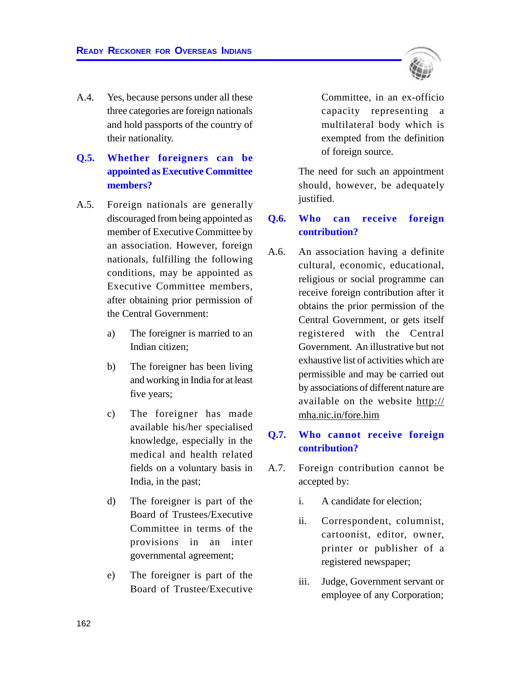

## **Q.5. Whether foreigners can be appointed as Executive Committee members?**

- A.5. Foreign nationals are generally discouraged from being appointed as member of Executive Committee by an association. However, foreign nationals, fulfilling the following conditions, may be appointed as Executive Committee members, after obtaining prior permission of the Central Government:
	- a) The foreigner is married to an Indian citizen;
	- b) The foreigner has been living and working in India for at least five years;
	- c) The foreigner has made available his/her specialised knowledge, especially in the medical and health related fields on a voluntary basis in India, in the past;
	- d) The foreigner is part of the Board of Trustees/Executive Committee in terms of the provisions in an inter governmental agreement;
	- e) The foreigner is part of the Board of Trustee/Executive

Committee, in an ex-officio capacity representing a multilateral body which is exempted from the definition of foreign source.

The need for such an appointment should, however, be adequately justified.

## **Q.6. Who can receive foreign contribution?**

A.6. An association having a definite cultural, economic, educational, religious or social programme can receive foreign contribution after it obtains the prior permission of the Central Government, or gets itself registered with the Central Government. An illustrative but not exhaustive list of activities which are permissible and may be carried out by associations of different nature are available on the website http:// mha.nic.in/fore.him

## **Q.7. Who cannot receive foreign contribution?**

- A.7. Foreign contribution cannot be accepted by:
	- i. A candidate for election;
	- ii. Correspondent, columnist, cartoonist, editor, owner, printer or publisher of a registered newspaper;
	- iii. Judge, Government servant or employee of any Corporation;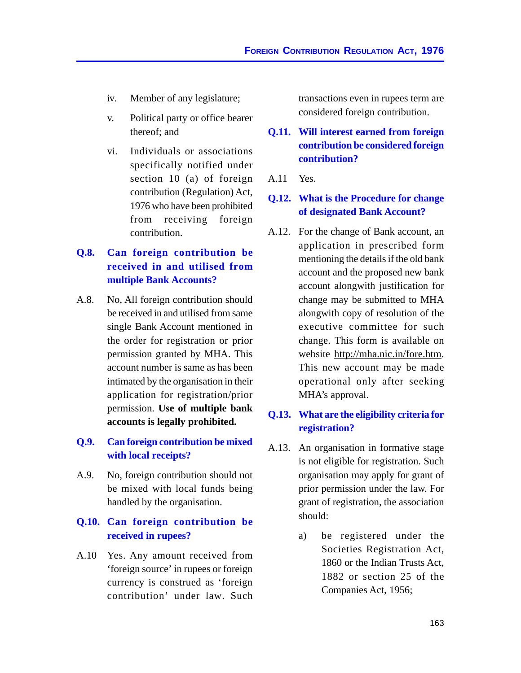- iv. Member of any legislature;
- v. Political party or office bearer thereof; and
- vi. Individuals or associations specifically notified under section 10 (a) of foreign contribution (Regulation) Act, 1976 who have been prohibited from receiving foreign contribution.

## **Q.8. Can foreign contribution be received in and utilised from multiple Bank Accounts?**

- A.8. No, All foreign contribution should be received in and utilised from same single Bank Account mentioned in the order for registration or prior permission granted by MHA. This account number is same as has been intimated by the organisation in their application for registration/prior permission. **Use of multiple bank accounts is legally prohibited.**
- **Q.9. Can foreign contribution be mixed with local receipts?**
- A.9. No, foreign contribution should not be mixed with local funds being handled by the organisation.

## **Q.10. Can foreign contribution be received in rupees?**

A.10 Yes. Any amount received from 'foreign source' in rupees or foreign currency is construed as 'foreign contribution' under law. Such transactions even in rupees term are considered foreign contribution.

## **Q.11. Will interest earned from foreign contribution be considered foreign contribution?**

#### A.11 Yes.

## **Q.12. What is the Procedure for change of designated Bank Account?**

A.12. For the change of Bank account, an application in prescribed form mentioning the details if the old bank account and the proposed new bank account alongwith justification for change may be submitted to MHA alongwith copy of resolution of the executive committee for such change. This form is available on website http://mha.nic.in/fore.htm. This new account may be made operational only after seeking MHA's approval.

## **Q.13. What are the eligibility criteria for registration?**

- A.13. An organisation in formative stage is not eligible for registration. Such organisation may apply for grant of prior permission under the law. For grant of registration, the association should:
	- a) be registered under the Societies Registration Act, 1860 or the Indian Trusts Act, 1882 or section 25 of the Companies Act, 1956;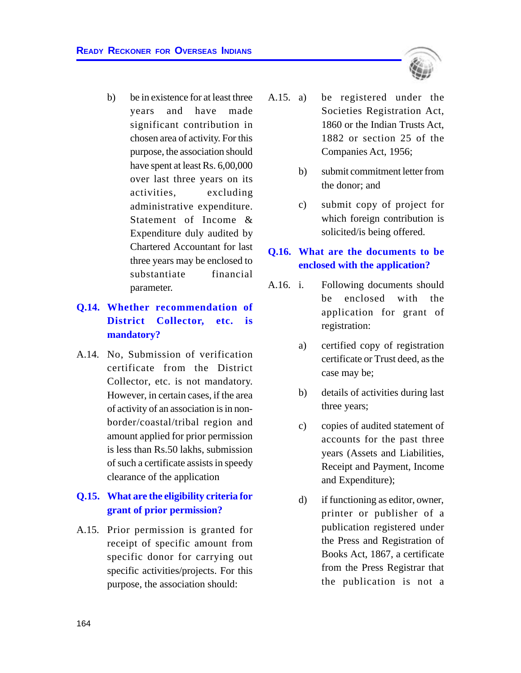b) be in existence for at least three years and have made significant contribution in chosen area of activity. For this purpose, the association should have spent at least Rs. 6,00,000 over last three years on its activities, excluding administrative expenditure. Statement of Income & Expenditure duly audited by Chartered Accountant for last three years may be enclosed to substantiate financial parameter.

## **Q.14. Whether recommendation of District Collector, etc. is mandatory?**

A.14. No, Submission of verification certificate from the District Collector, etc. is not mandatory. However, in certain cases, if the area of activity of an association is in nonborder/coastal/tribal region and amount applied for prior permission is less than Rs.50 lakhs, submission of such a certificate assists in speedy clearance of the application

## **Q.15. What are the eligibility criteria for grant of prior permission?**

A.15. Prior permission is granted for receipt of specific amount from specific donor for carrying out specific activities/projects. For this purpose, the association should:



- b) submit commitment letter from the donor; and
- c) submit copy of project for which foreign contribution is solicited/is being offered.

## **Q.16. What are the documents to be enclosed with the application?**

- A.16. i. Following documents should be enclosed with the application for grant of registration:
	- a) certified copy of registration certificate or Trust deed, as the case may be;
	- b) details of activities during last three years;
	- c) copies of audited statement of accounts for the past three years (Assets and Liabilities, Receipt and Payment, Income and Expenditure);
	- d) if functioning as editor, owner, printer or publisher of a publication registered under the Press and Registration of Books Act, 1867, a certificate from the Press Registrar that the publication is not a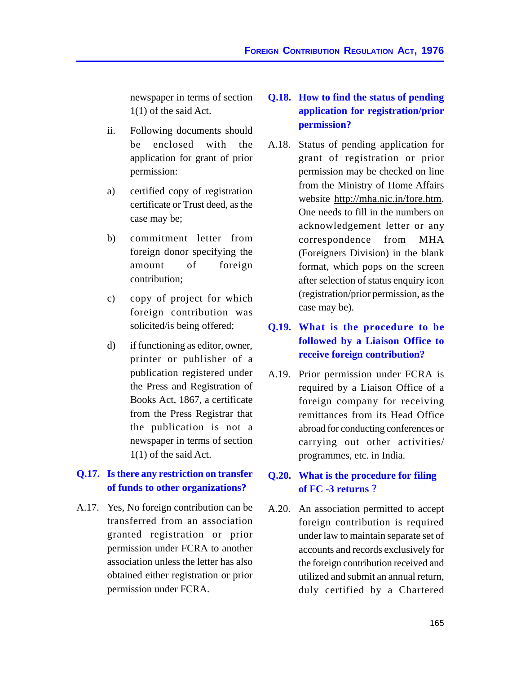newspaper in terms of section 1(1) of the said Act.

- ii. Following documents should be enclosed with the application for grant of prior permission:
- a) certified copy of registration certificate or Trust deed, as the case may be;
- b) commitment letter from foreign donor specifying the amount of foreign contribution;
- c) copy of project for which foreign contribution was solicited/is being offered;
- d) if functioning as editor, owner, printer or publisher of a publication registered under the Press and Registration of Books Act, 1867, a certificate from the Press Registrar that the publication is not a newspaper in terms of section 1(1) of the said Act.

## **Q.17. Is there any restriction on transfer of funds to other organizations?**

A.17. Yes, No foreign contribution can be transferred from an association granted registration or prior permission under FCRA to another association unless the letter has also obtained either registration or prior permission under FCRA.

## **Q.18. How to find the status of pending application for registration/prior permission?**

A.18. Status of pending application for grant of registration or prior permission may be checked on line from the Ministry of Home Affairs website http://mha.nic.in/fore.htm. One needs to fill in the numbers on acknowledgement letter or any correspondence from MHA (Foreigners Division) in the blank format, which pops on the screen after selection of status enquiry icon (registration/prior permission, as the case may be).

## **Q.19. What is the procedure to be followed by a Liaison Office to receive foreign contribution?**

A.19. Prior permission under FCRA is required by a Liaison Office of a foreign company for receiving remittances from its Head Office abroad for conducting conferences or carrying out other activities/ programmes, etc. in India.

## **Q.20. What is the procedure for filing of FC -3 returns ?**

A.20. An association permitted to accept foreign contribution is required under law to maintain separate set of accounts and records exclusively for the foreign contribution received and utilized and submit an annual return, duly certified by a Chartered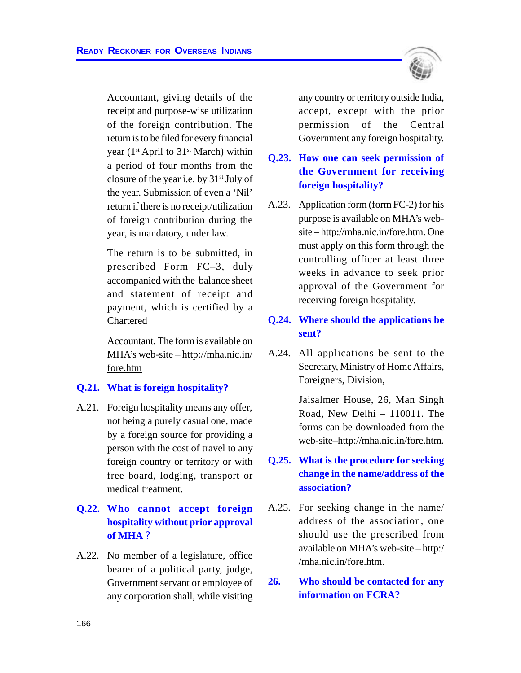Accountant, giving details of the receipt and purpose-wise utilization of the foreign contribution. The return is to be filed for every financial year ( $1<sup>st</sup>$  April to  $31<sup>st</sup>$  March) within a period of four months from the closure of the year i.e. by  $31<sup>st</sup>$  July of the year. Submission of even a 'Nil' return if there is no receipt/utilization of foreign contribution during the year, is mandatory, under law.

The return is to be submitted, in prescribed Form FC–3, duly accompanied with the balance sheet and statement of receipt and payment, which is certified by a Chartered

Accountant. The form is available on MHA's web-site – http://mha.nic.in/ fore.htm

#### **Q.21. What is foreign hospitality?**

A.21. Foreign hospitality means any offer, not being a purely casual one, made by a foreign source for providing a person with the cost of travel to any foreign country or territory or with free board, lodging, transport or medical treatment.

## **Q.22. Who cannot accept foreign hospitality without prior approval of MHA ?**

A.22. No member of a legislature, office bearer of a political party, judge, Government servant or employee of any corporation shall, while visiting

any country or territory outside India, accept, except with the prior permission of the Central Government any foreign hospitality.

## **Q.23. How one can seek permission of the Government for receiving foreign hospitality?**

A.23. Application form (form FC-2) for his purpose is available on MHA's website – http://mha.nic.in/fore.htm. One must apply on this form through the controlling officer at least three weeks in advance to seek prior approval of the Government for receiving foreign hospitality.

## **Q.24. Where should the applications be sent?**

A.24. All applications be sent to the Secretary, Ministry of Home Affairs, Foreigners, Division,

> Jaisalmer House, 26, Man Singh Road, New Delhi – 110011. The forms can be downloaded from the web-site–http://mha.nic.in/fore.htm.

## **Q.25. What is the procedure for seeking change in the name/address of the association?**

A.25. For seeking change in the name/ address of the association, one should use the prescribed from available on MHA's web-site – http:/ /mha.nic.in/fore.htm.

**26. Who should be contacted for any information on FCRA?**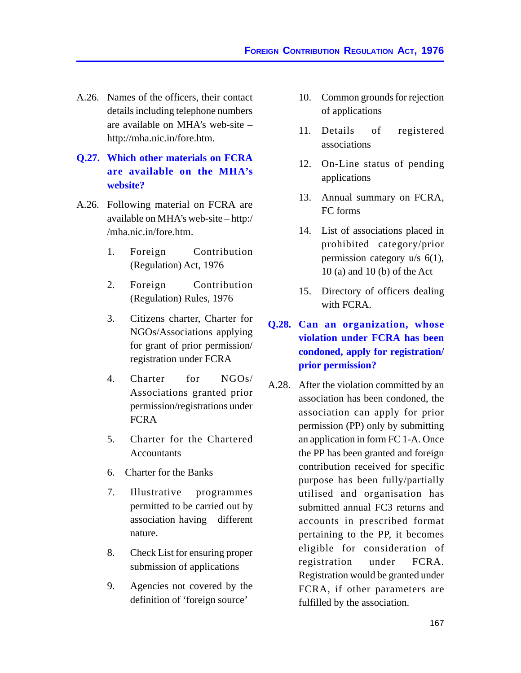- A.26. Names of the officers, their contact details including telephone numbers are available on MHA's web-site – http://mha.nic.in/fore.htm.
- **Q.27. Which other materials on FCRA are available on the MHA's website?**
- A.26. Following material on FCRA are available on MHA's web-site – http:/ /mha.nic.in/fore.htm.
	- 1. Foreign Contribution (Regulation) Act, 1976
	- 2. Foreign Contribution (Regulation) Rules, 1976
	- 3. Citizens charter, Charter for NGOs/Associations applying for grant of prior permission/ registration under FCRA
	- 4. Charter for NGOs/ Associations granted prior permission/registrations under **FCRA**
	- 5. Charter for the Chartered **Accountants**
	- 6. Charter for the Banks
	- 7. Illustrative programmes permitted to be carried out by association having different nature.
	- 8. Check List for ensuring proper submission of applications
	- 9. Agencies not covered by the definition of 'foreign source'
- 10. Common grounds for rejection of applications
- 11. Details of registered associations
- 12. On-Line status of pending applications
- 13. Annual summary on FCRA, FC forms
- 14. List of associations placed in prohibited category/prior permission category u/s 6(1), 10 (a) and 10 (b) of the Act
- 15. Directory of officers dealing with FCRA.
- **Q.28. Can an organization, whose violation under FCRA has been condoned, apply for registration/ prior permission?**
- A.28. After the violation committed by an association has been condoned, the association can apply for prior permission (PP) only by submitting an application in form FC 1-A. Once the PP has been granted and foreign contribution received for specific purpose has been fully/partially utilised and organisation has submitted annual FC3 returns and accounts in prescribed format pertaining to the PP, it becomes eligible for consideration of registration under FCRA. Registration would be granted under FCRA, if other parameters are fulfilled by the association.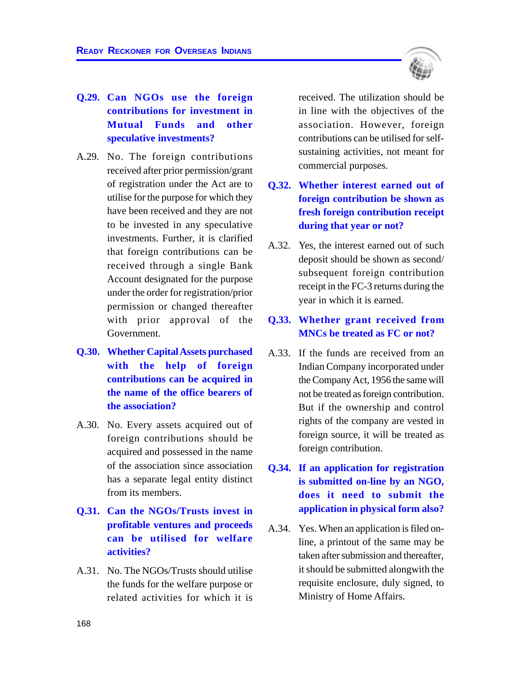

## **Q.29. Can NGOs use the foreign contributions for investment in Mutual Funds and other speculative investments?**

- A.29. No. The foreign contributions received after prior permission/grant of registration under the Act are to utilise for the purpose for which they have been received and they are not to be invested in any speculative investments. Further, it is clarified that foreign contributions can be received through a single Bank Account designated for the purpose under the order for registration/prior permission or changed thereafter with prior approval of the Government.
- **Q.30. Whether Capital Assets purchased with the help of foreign contributions can be acquired in the name of the office bearers of the association?**
- A.30. No. Every assets acquired out of foreign contributions should be acquired and possessed in the name of the association since association has a separate legal entity distinct from its members.
- **Q.31. Can the NGOs/Trusts invest in profitable ventures and proceeds can be utilised for welfare activities?**
- A.31. No. The NGOs/Trusts should utilise the funds for the welfare purpose or related activities for which it is

received. The utilization should be in line with the objectives of the association. However, foreign contributions can be utilised for selfsustaining activities, not meant for commercial purposes.

- **Q.32. Whether interest earned out of foreign contribution be shown as fresh foreign contribution receipt during that year or not?**
- A.32. Yes, the interest earned out of such deposit should be shown as second/ subsequent foreign contribution receipt in the FC-3 returns during the year in which it is earned.

## **Q.33. Whether grant received from MNCs be treated as FC or not?**

- A.33. If the funds are received from an Indian Company incorporated under the Company Act, 1956 the same will not be treated as foreign contribution. But if the ownership and control rights of the company are vested in foreign source, it will be treated as foreign contribution.
- **Q.34. If an application for registration is submitted on-line by an NGO, does it need to submit the application in physical form also?**
- A.34. Yes. When an application is filed online, a printout of the same may be taken after submission and thereafter, it should be submitted alongwith the requisite enclosure, duly signed, to Ministry of Home Affairs.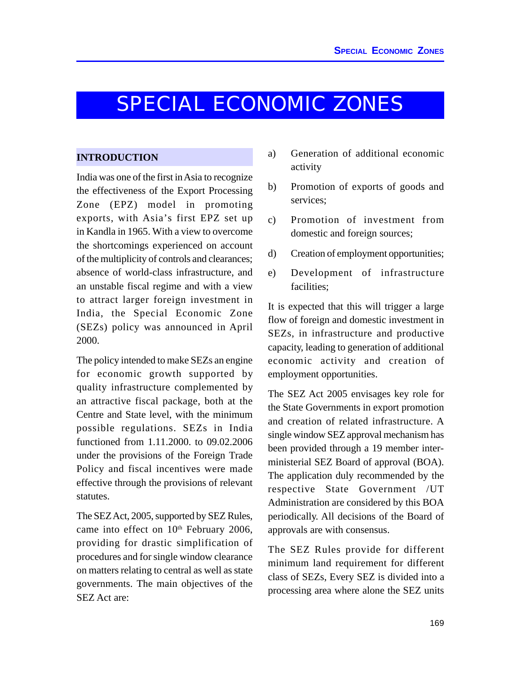## SPECIAL ECONOMIC ZONES

#### **INTRODUCTION**

India was one of the first in Asia to recognize the effectiveness of the Export Processing Zone (EPZ) model in promoting exports, with Asia's first EPZ set up in Kandla in 1965. With a view to overcome the shortcomings experienced on account of the multiplicity of controls and clearances; absence of world-class infrastructure, and an unstable fiscal regime and with a view to attract larger foreign investment in India, the Special Economic Zone (SEZs) policy was announced in April 2000.

The policy intended to make SEZs an engine for economic growth supported by quality infrastructure complemented by an attractive fiscal package, both at the Centre and State level, with the minimum possible regulations. SEZs in India functioned from 1.11.2000. to 09.02.2006 under the provisions of the Foreign Trade Policy and fiscal incentives were made effective through the provisions of relevant statutes.

The SEZ Act, 2005, supported by SEZ Rules, came into effect on 10<sup>th</sup> February 2006, providing for drastic simplification of procedures and for single window clearance on matters relating to central as well as state governments. The main objectives of the SEZ Act are:

- a) Generation of additional economic activity
- b) Promotion of exports of goods and services;
- c) Promotion of investment from domestic and foreign sources;
- d) Creation of employment opportunities;
- e) Development of infrastructure facilities;

It is expected that this will trigger a large flow of foreign and domestic investment in SEZs, in infrastructure and productive capacity, leading to generation of additional economic activity and creation of employment opportunities.

The SEZ Act 2005 envisages key role for the State Governments in export promotion and creation of related infrastructure. A single window SEZ approval mechanism has been provided through a 19 member interministerial SEZ Board of approval (BOA). The application duly recommended by the respective State Government /UT Administration are considered by this BOA periodically. All decisions of the Board of approvals are with consensus.

The SEZ Rules provide for different minimum land requirement for different class of SEZs, Every SEZ is divided into a processing area where alone the SEZ units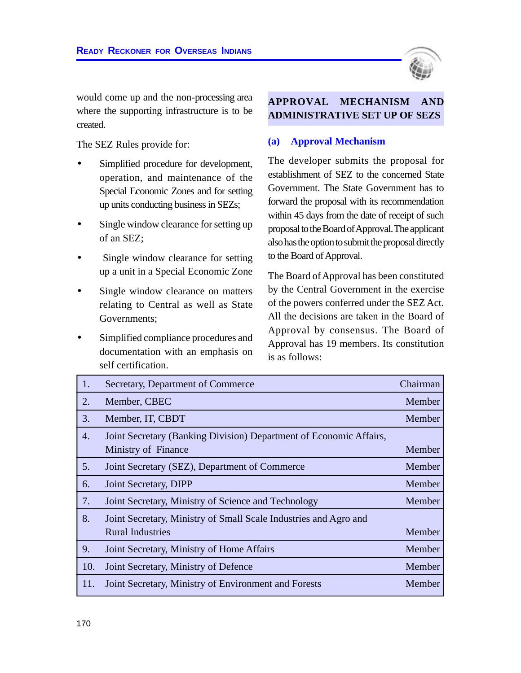

would come up and the non-processing area where the supporting infrastructure is to be created.

The SEZ Rules provide for:

- Simplified procedure for development, operation, and maintenance of the Special Economic Zones and for setting up units conducting business in SEZs;
- Single window clearance for setting up of an SEZ;
- Single window clearance for setting up a unit in a Special Economic Zone
- Single window clearance on matters relating to Central as well as State Governments;
- Simplified compliance procedures and documentation with an emphasis on self certification.

## **APPROVAL MECHANISM ADMINISTRATIVE SET UP OF SEZS**

#### **(a) Approval Mechanism**

The developer submits the proposal for establishment of SEZ to the concerned State Government. The State Government has to forward the proposal with its recommendation within 45 days from the date of receipt of such proposal to the Board of Approval. The applicant also has the option to submit the proposal directly to the Board of Approval.

The Board of Approval has been constituted by the Central Government in the exercise of the powers conferred under the SEZ Act. All the decisions are taken in the Board of Approval by consensus. The Board of Approval has 19 members. Its constitution is as follows:

| 1.               | Secretary, Department of Commerce                                                           | Chairman |
|------------------|---------------------------------------------------------------------------------------------|----------|
| 2.               | Member, CBEC                                                                                | Member   |
| 3.               | Member, IT, CBDT                                                                            | Member   |
| $\overline{4}$ . | Joint Secretary (Banking Division) Department of Economic Affairs,<br>Ministry of Finance   | Member   |
| 5.               | Joint Secretary (SEZ), Department of Commerce                                               | Member   |
| 6.               | Joint Secretary, DIPP                                                                       | Member   |
| 7.               | Joint Secretary, Ministry of Science and Technology                                         | Member   |
| 8.               | Joint Secretary, Ministry of Small Scale Industries and Agro and<br><b>Rural Industries</b> | Member   |
| 9.               | Joint Secretary, Ministry of Home Affairs                                                   | Member   |
| 10.              | Joint Secretary, Ministry of Defence                                                        | Member   |
| 11.              | Joint Secretary, Ministry of Environment and Forests                                        | Member   |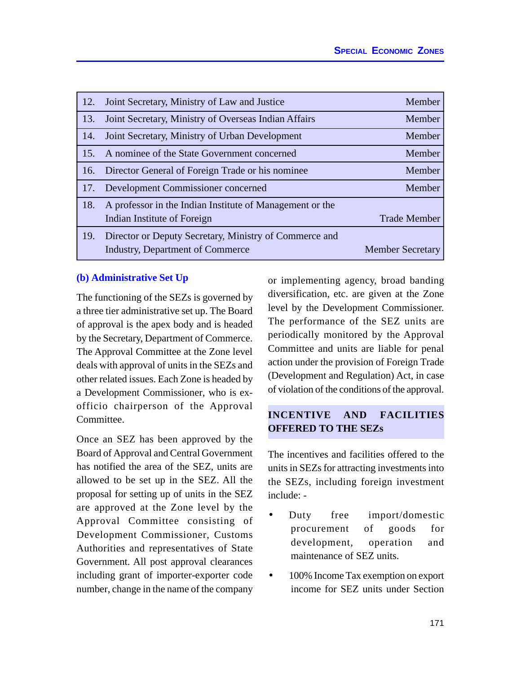| 12. | Joint Secretary, Ministry of Law and Justice                                                      | Member                  |
|-----|---------------------------------------------------------------------------------------------------|-------------------------|
| 13. | Joint Secretary, Ministry of Overseas Indian Affairs                                              | Member                  |
| 14. | Joint Secretary, Ministry of Urban Development                                                    | Member                  |
| 15. | A nominee of the State Government concerned                                                       | Member                  |
| 16. | Director General of Foreign Trade or his nominee                                                  | Member                  |
| 17. | Development Commissioner concerned                                                                | Member                  |
| 18. | A professor in the Indian Institute of Management or the<br>Indian Institute of Foreign           | <b>Trade Member</b>     |
| 19. | Director or Deputy Secretary, Ministry of Commerce and<br><b>Industry, Department of Commerce</b> | <b>Member Secretary</b> |

#### **(b) Administrative Set Up**

The functioning of the SEZs is governed by a three tier administrative set up. The Board of approval is the apex body and is headed by the Secretary, Department of Commerce. The Approval Committee at the Zone level deals with approval of units in the SEZs and other related issues. Each Zone is headed by a Development Commissioner, who is exofficio chairperson of the Approval Committee.

Once an SEZ has been approved by the Board of Approval and Central Government has notified the area of the SEZ, units are allowed to be set up in the SEZ. All the proposal for setting up of units in the SEZ are approved at the Zone level by the Approval Committee consisting of Development Commissioner, Customs Authorities and representatives of State Government. All post approval clearances including grant of importer-exporter code number, change in the name of the company

or implementing agency, broad banding diversification, etc. are given at the Zone level by the Development Commissioner. The performance of the SEZ units are periodically monitored by the Approval Committee and units are liable for penal action under the provision of Foreign Trade (Development and Regulation) Act, in case of violation of the conditions of the approval.

## **INCENTIVE AND FACILITIES OFFERED TO THE SEZs**

The incentives and facilities offered to the units in SEZs for attracting investments into the SEZs, including foreign investment include: -

- Duty free import/domestic procurement of goods for development, operation and maintenance of SEZ units.
- 100% Income Tax exemption on export income for SEZ units under Section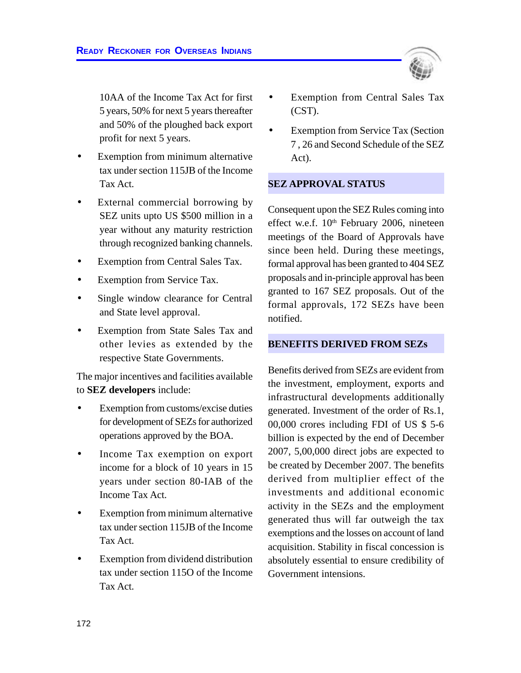10AA of the Income Tax Act for first 5 years, 50% for next 5 years thereafter and 50% of the ploughed back export profit for next 5 years.

- Exemption from minimum alternative tax under section 115JB of the Income Tax Act.
- External commercial borrowing by SEZ units upto US \$500 million in a year without any maturity restriction through recognized banking channels.
- Exemption from Central Sales Tax.
- Exemption from Service Tax.
- Single window clearance for Central and State level approval.
- Exemption from State Sales Tax and other levies as extended by the respective State Governments.

The major incentives and facilities available to **SEZ developers** include:

- Exemption from customs/excise duties for development of SEZs for authorized operations approved by the BOA.
- Income Tax exemption on export income for a block of 10 years in 15 years under section 80-IAB of the Income Tax Act.
- Exemption from minimum alternative tax under section 115JB of the Income Tax Act.
- Exemption from dividend distribution tax under section 115O of the Income Tax Act.
- Exemption from Central Sales Tax (CST).
- **Exemption from Service Tax (Section** 7 , 26 and Second Schedule of the SEZ Act).

#### **SEZ APPROVAL STATUS**

Consequent upon the SEZ Rules coming into effect w.e.f.  $10<sup>th</sup>$  February 2006, nineteen meetings of the Board of Approvals have since been held. During these meetings, formal approval has been granted to 404 SEZ proposals and in-principle approval has been granted to 167 SEZ proposals. Out of the formal approvals, 172 SEZs have been notified.

#### **BENEFITS DERIVED FROM SEZs**

Benefits derived from SEZs are evident from the investment, employment, exports and infrastructural developments additionally generated. Investment of the order of Rs.1, 00,000 crores including FDI of US \$ 5-6 billion is expected by the end of December 2007, 5,00,000 direct jobs are expected to be created by December 2007. The benefits derived from multiplier effect of the investments and additional economic activity in the SEZs and the employment generated thus will far outweigh the tax exemptions and the losses on account of land acquisition. Stability in fiscal concession is absolutely essential to ensure credibility of Government intensions.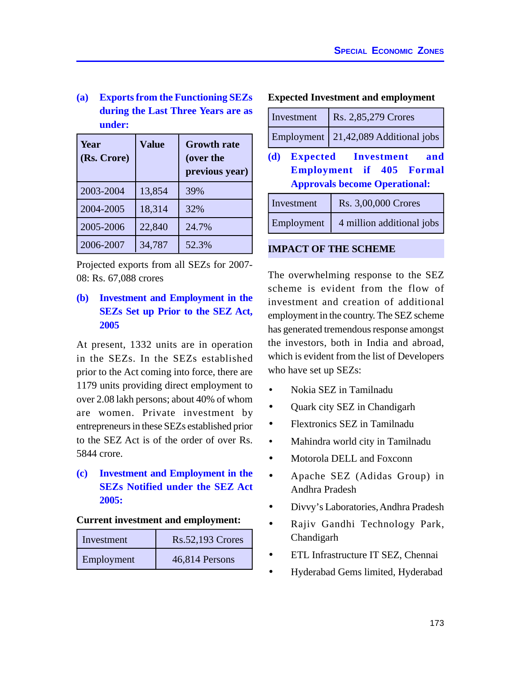**(a) Exports from the Functioning SEZs during the Last Three Years are as under:**

| Year<br>(Rs. Crore) | <b>Value</b> | <b>Growth rate</b><br>(over the<br>previous year) |
|---------------------|--------------|---------------------------------------------------|
| 2003-2004           | 13,854       | 39%                                               |
| 2004-2005           | 18,314       | 32%                                               |
| 2005-2006           | 22,840       | 24.7%                                             |
| 2006-2007           | 34,787       | 52.3%                                             |

Projected exports from all SEZs for 2007- 08: Rs. 67,088 crores

## **(b) Investment and Employment in the SEZs Set up Prior to the SEZ Act, 2005**

At present, 1332 units are in operation in the SEZs. In the SEZs established prior to the Act coming into force, there are 1179 units providing direct employment to over 2.08 lakh persons; about 40% of whom are women. Private investment by entrepreneurs in these SEZs established prior to the SEZ Act is of the order of over Rs. 5844 crore.

## **(c) Investment and Employment in the SEZs Notified under the SEZ Act 2005:**

#### **Current investment and employment:**

| Investment | <b>Rs.52,193 Crores</b> |
|------------|-------------------------|
| Employment | 46,814 Persons          |

### **Expected Investment and employment**

| Investment                                                                                                          | Rs. 2,85,279 Crores       |  |  |
|---------------------------------------------------------------------------------------------------------------------|---------------------------|--|--|
| Employment                                                                                                          | 21,42,089 Additional jobs |  |  |
| <b>Expected</b> Investment<br>(d)<br>and<br><b>Employment if 405 Formal</b><br><b>Approvals become Operational:</b> |                           |  |  |
| Investment                                                                                                          | Rs. 3,00,000 Crores       |  |  |
| Employment                                                                                                          | 4 million additional jobs |  |  |

#### **IMPACT OF THE SCHEME**

The overwhelming response to the SEZ scheme is evident from the flow of investment and creation of additional employment in the country. The SEZ scheme has generated tremendous response amongst the investors, both in India and abroad, which is evident from the list of Developers who have set up SEZs:

- Nokia SEZ in Tamilnadu
- Quark city SEZ in Chandigarh
- Flextronics SEZ in Tamilnadu
- Mahindra world city in Tamilnadu
- Motorola DELL and Foxconn
- Apache SEZ (Adidas Group) in Andhra Pradesh
- Divvy's Laboratories, Andhra Pradesh
- Rajiv Gandhi Technology Park, Chandigarh
- ETL Infrastructure IT SEZ, Chennai
- Hyderabad Gems limited, Hyderabad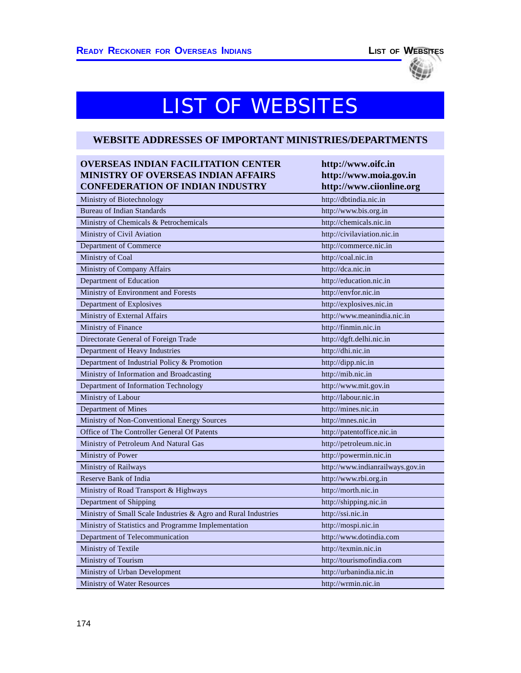# LIST OF WEBSITES

### **WEBSITE ADDRESSES OF IMPORTANT MINISTRIES/DEPARTMENTS**

| <b>OVERSEAS INDIAN FACILITATION CENTER</b><br><b>MINISTRY OF OVERSEAS INDIAN AFFAIRS</b> | http://www.oifc.in<br>http://www.moia.gov.in |
|------------------------------------------------------------------------------------------|----------------------------------------------|
| <b>CONFEDERATION OF INDIAN INDUSTRY</b>                                                  | http://www.ciionline.org                     |
| Ministry of Biotechnology                                                                | http://dbtindia.nic.in                       |
| <b>Bureau of Indian Standards</b>                                                        | http://www.bis.org.in                        |
| Ministry of Chemicals & Petrochemicals                                                   | http://chemicals.nic.in                      |
| Ministry of Civil Aviation                                                               | http://civilaviation.nic.in                  |
| Department of Commerce                                                                   | http://commerce.nic.in                       |
| Ministry of Coal                                                                         | http://coal.nic.in                           |
| Ministry of Company Affairs                                                              | http://dca.nic.in                            |
| Department of Education                                                                  | http://education.nic.in                      |
| Ministry of Environment and Forests                                                      | http://envfor.nic.in                         |
| Department of Explosives                                                                 | http://explosives.nic.in                     |
| Ministry of External Affairs                                                             | http://www.meanindia.nic.in                  |
| Ministry of Finance                                                                      | http://finmin.nic.in                         |
| Directorate General of Foreign Trade                                                     | http://dgft.delhi.nic.in                     |
| Department of Heavy Industries                                                           | http://dhi.nic.in                            |
| Department of Industrial Policy & Promotion                                              | http://dipp.nic.in                           |
| Ministry of Information and Broadcasting                                                 | http:// $mib.nic.in$                         |
| Department of Information Technology                                                     | http://www.mit.gov.in                        |
| Ministry of Labour                                                                       | http://labour.nic.in                         |
| Department of Mines                                                                      | http://mines.nic.in                          |
| Ministry of Non-Conventional Energy Sources                                              | http://mnes.nic.in                           |
| Office of The Controller General Of Patents                                              | http://patentoffice.nic.in                   |
| Ministry of Petroleum And Natural Gas                                                    | http://petroleum.nic.in                      |
| Ministry of Power                                                                        | http://powermin.nic.in                       |
| Ministry of Railways                                                                     | http://www.indianrailways.gov.in             |
| Reserve Bank of India                                                                    | http://www.rbi.org.in                        |
| Ministry of Road Transport & Highways                                                    | http://morth.nic.in                          |
| Department of Shipping                                                                   | http://shipping.nic.in                       |
| Ministry of Small Scale Industries & Agro and Rural Industries                           | http://ssi.nic.in                            |
| Ministry of Statistics and Programme Implementation                                      | http://mospi.nic.in                          |
| Department of Telecommunication                                                          | http://www.dotindia.com                      |
| Ministry of Textile                                                                      | http://texmin.nic.in                         |
| Ministry of Tourism                                                                      | http://tourismofindia.com                    |
| Ministry of Urban Development                                                            | http://urbanindia.nic.in                     |
| <b>Ministry of Water Resources</b>                                                       | http://wrmin.nic.in                          |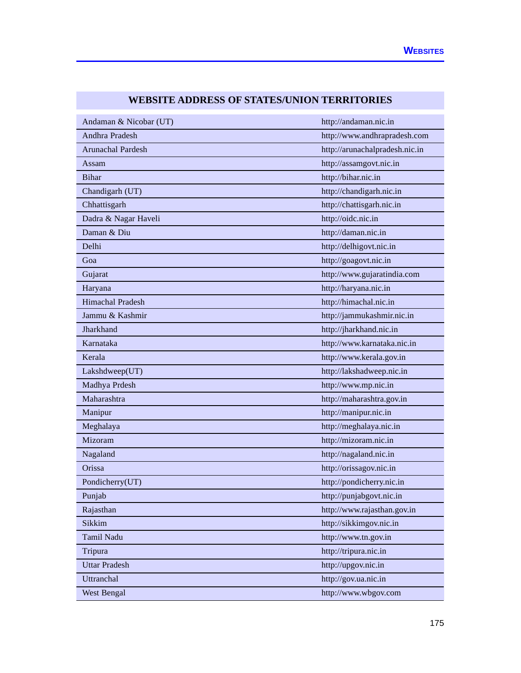| Andaman & Nicobar (UT)  | http://andaman.nic.in          |
|-------------------------|--------------------------------|
| Andhra Pradesh          | http://www.andhrapradesh.com   |
| Arunachal Pardesh       | http://arunachalpradesh.nic.in |
| Assam                   | http://assamgovt.nic.in        |
| <b>Bihar</b>            | http://bihar.nic.in            |
| Chandigarh (UT)         | http://chandigarh.nic.in       |
| Chhattisgarh            | http://chattisgarh.nic.in      |
| Dadra & Nagar Haveli    | http://oidc.nic.in             |
| Daman & Diu             | http://daman.nic.in            |
| Delhi                   | http://delhigovt.nic.in        |
| Goa                     | http://goagovt.nic.in          |
| Gujarat                 | http://www.gujaratindia.com    |
| Haryana                 | http://haryana.nic.in          |
| <b>Himachal Pradesh</b> | http://himachal.nic.in         |
| Jammu & Kashmir         | http://jammukashmir.nic.in     |
| Jharkhand               | http://jharkhand.nic.in        |
| Karnataka               | http://www.karnataka.nic.in    |
| Kerala                  | http://www.kerala.gov.in       |
| Lakshdweep(UT)          | http://lakshadweep.nic.in      |
| Madhya Prdesh           | http://www.mp.nic.in           |
| Maharashtra             | http://maharashtra.gov.in      |
| Manipur                 | http://manipur.nic.in          |
| Meghalaya               | http://meghalaya.nic.in        |
| Mizoram                 | http://mizoram.nic.in          |
| Nagaland                | http://nagaland.nic.in         |
| Orissa                  | http://orissagov.nic.in        |
| Pondicherry(UT)         | http://pondicherry.nic.in      |
| Punjab                  | http://punjabgovt.nic.in       |
| Rajasthan               | http://www.rajasthan.gov.in    |
| Sikkim                  | http://sikkimgov.nic.in        |
| Tamil Nadu              | http://www.tn.gov.in           |
| Tripura                 | http://tripura.nic.in          |
| <b>Uttar Pradesh</b>    | http://upgov.nic.in            |
| Uttranchal              | http://gov.ua.nic.in           |
| <b>West Bengal</b>      | http://www.wbgov.com           |

# **WEBSITE ADDRESS OF STATES/UNION TERRITORIES**

**Contract Contract**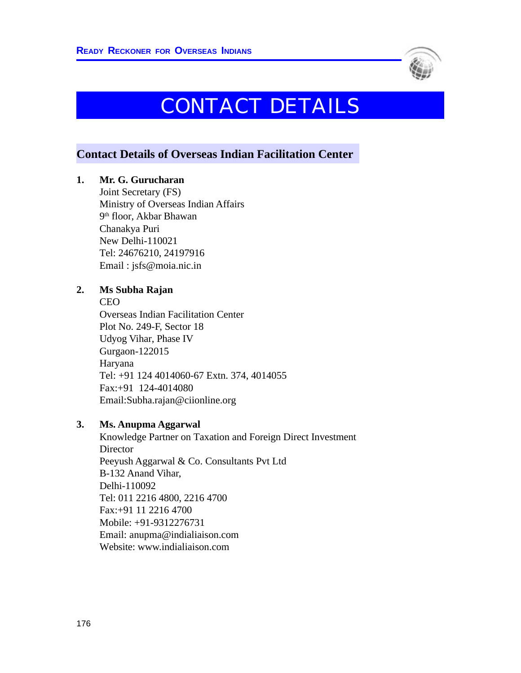

# CONTACT DETAILS

# **Contact Details of Overseas Indian Facilitation Center**

## **1. Mr. G. Gurucharan**

Joint Secretary (FS) Ministry of Overseas Indian Affairs 9 th floor, Akbar Bhawan Chanakya Puri New Delhi-110021 Tel: 24676210, 24197916 Email : jsfs@moia.nic.in

### **2. Ms Subha Rajan**

CEO

Overseas Indian Facilitation Center Plot No. 249-F, Sector 18 Udyog Vihar, Phase IV Gurgaon-122015 Haryana Tel: +91 124 4014060-67 Extn. 374, 4014055 Fax:+91 124-4014080 Email:Subha.rajan@ciionline.org

### **3. Ms. Anupma Aggarwal**

Knowledge Partner on Taxation and Foreign Direct Investment **Director** Peeyush Aggarwal & Co. Consultants Pvt Ltd B-132 Anand Vihar, Delhi-110092 Tel: 011 2216 4800, 2216 4700 Fax:+91 11 2216 4700 Mobile: +91-9312276731 Email: anupma@indialiaison.com Website: www.indialiaison.com